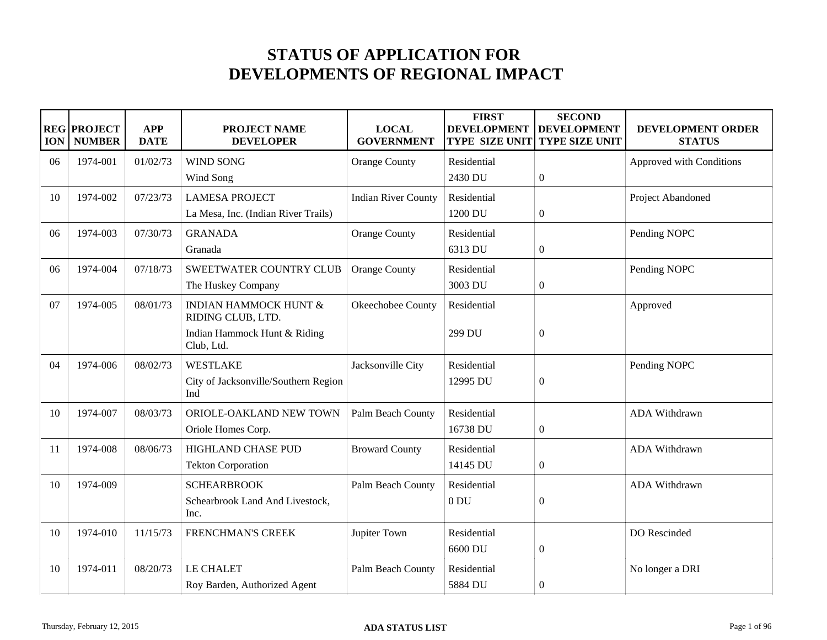## **STATUS OF APPLICATION FOR DEVELOPMENTS OF REGIONAL IMPACT**

| <b>ION</b> | <b>REG PROJECT</b><br><b>NUMBER</b> | <b>APP</b><br><b>DATE</b> | <b>PROJECT NAME</b><br><b>DEVELOPER</b>               | <b>LOCAL</b><br><b>GOVERNMENT</b> | <b>FIRST</b><br><b>DEVELOPMENT</b><br><b>TYPE SIZE UNIT</b> | <b>SECOND</b><br><b>DEVELOPMENT</b><br><b>TYPE SIZE UNIT</b> | DEVELOPMENT ORDER<br><b>STATUS</b> |
|------------|-------------------------------------|---------------------------|-------------------------------------------------------|-----------------------------------|-------------------------------------------------------------|--------------------------------------------------------------|------------------------------------|
| 06         | 1974-001                            | 01/02/73                  | <b>WIND SONG</b>                                      | <b>Orange County</b>              | Residential                                                 |                                                              | Approved with Conditions           |
|            |                                     |                           | Wind Song                                             |                                   | 2430 DU                                                     | $\boldsymbol{0}$                                             |                                    |
| 10         | 1974-002                            | 07/23/73                  | <b>LAMESA PROJECT</b>                                 | <b>Indian River County</b>        | Residential                                                 |                                                              | Project Abandoned                  |
|            |                                     |                           | La Mesa, Inc. (Indian River Trails)                   |                                   | 1200 DU                                                     | $\boldsymbol{0}$                                             |                                    |
| 06         | 1974-003                            | 07/30/73                  | <b>GRANADA</b>                                        | <b>Orange County</b>              | Residential                                                 |                                                              | Pending NOPC                       |
|            |                                     |                           | Granada                                               |                                   | 6313 DU                                                     | $\boldsymbol{0}$                                             |                                    |
| 06         | 1974-004                            | 07/18/73                  | SWEETWATER COUNTRY CLUB                               | <b>Orange County</b>              | Residential                                                 |                                                              | Pending NOPC                       |
|            |                                     |                           | The Huskey Company                                    |                                   | 3003 DU                                                     | $\boldsymbol{0}$                                             |                                    |
| 07         | 1974-005                            | 08/01/73                  | <b>INDIAN HAMMOCK HUNT &amp;</b><br>RIDING CLUB, LTD. | Okeechobee County                 | Residential                                                 |                                                              | Approved                           |
|            |                                     |                           | Indian Hammock Hunt & Riding<br>Club, Ltd.            |                                   | 299 DU                                                      | $\overline{0}$                                               |                                    |
| 04         | 1974-006                            | 08/02/73                  | <b>WESTLAKE</b>                                       | Jacksonville City                 | Residential                                                 |                                                              | Pending NOPC                       |
|            |                                     |                           | City of Jacksonville/Southern Region<br>Ind           |                                   | 12995 DU                                                    | $\boldsymbol{0}$                                             |                                    |
| 10         | 1974-007                            | 08/03/73                  | ORIOLE-OAKLAND NEW TOWN                               | Palm Beach County                 | Residential                                                 |                                                              | ADA Withdrawn                      |
|            |                                     |                           | Oriole Homes Corp.                                    |                                   | 16738 DU                                                    | $\overline{0}$                                               |                                    |
| 11         | 1974-008                            | 08/06/73                  | HIGHLAND CHASE PUD                                    | <b>Broward County</b>             | Residential                                                 |                                                              | ADA Withdrawn                      |
|            |                                     |                           | <b>Tekton Corporation</b>                             |                                   | 14145 DU                                                    | $\boldsymbol{0}$                                             |                                    |
| 10         | 1974-009                            |                           | <b>SCHEARBROOK</b>                                    | Palm Beach County                 | Residential                                                 |                                                              | ADA Withdrawn                      |
|            |                                     |                           | Schearbrook Land And Livestock,<br>Inc.               |                                   | 0 <sub>DU</sub>                                             | $\Omega$                                                     |                                    |
| 10         | 1974-010                            | 11/15/73                  | FRENCHMAN'S CREEK                                     | Jupiter Town                      | Residential                                                 |                                                              | DO Rescinded                       |
|            |                                     |                           |                                                       |                                   | 6600 DU                                                     | $\boldsymbol{0}$                                             |                                    |
| 10         | 1974-011                            | 08/20/73                  | LE CHALET                                             | Palm Beach County                 | Residential                                                 |                                                              | No longer a DRI                    |
|            |                                     |                           | Roy Barden, Authorized Agent                          |                                   | 5884 DU                                                     | $\overline{0}$                                               |                                    |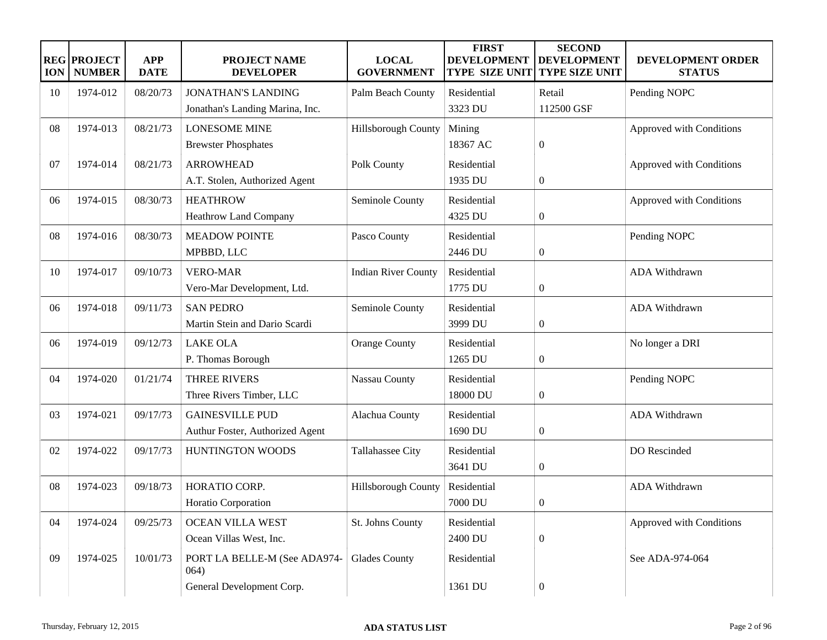| <b>ION</b> | <b>REG PROJECT</b><br><b>NUMBER</b> | <b>APP</b><br><b>DATE</b> | <b>PROJECT NAME</b><br><b>DEVELOPER</b> | <b>LOCAL</b><br><b>GOVERNMENT</b> | <b>FIRST</b><br><b>DEVELOPMENT</b><br><b>TYPE SIZE UNIT</b> | <b>SECOND</b><br><b>DEVELOPMENT</b><br><b>TYPE SIZE UNIT</b> | DEVELOPMENT ORDER<br><b>STATUS</b> |
|------------|-------------------------------------|---------------------------|-----------------------------------------|-----------------------------------|-------------------------------------------------------------|--------------------------------------------------------------|------------------------------------|
| 10         | 1974-012                            | 08/20/73                  | <b>JONATHAN'S LANDING</b>               | Palm Beach County                 | Residential                                                 | Retail                                                       | Pending NOPC                       |
|            |                                     |                           | Jonathan's Landing Marina, Inc.         |                                   | 3323 DU                                                     | 112500 GSF                                                   |                                    |
| 08         | 1974-013                            | 08/21/73                  | <b>LONESOME MINE</b>                    | Hillsborough County               | Mining                                                      |                                                              | Approved with Conditions           |
|            |                                     |                           | <b>Brewster Phosphates</b>              |                                   | 18367 AC                                                    | $\boldsymbol{0}$                                             |                                    |
| 07         | 1974-014                            | 08/21/73                  | <b>ARROWHEAD</b>                        | Polk County                       | Residential                                                 |                                                              | Approved with Conditions           |
|            |                                     |                           | A.T. Stolen, Authorized Agent           |                                   | 1935 DU                                                     | $\overline{0}$                                               |                                    |
| 06         | 1974-015                            | 08/30/73                  | <b>HEATHROW</b>                         | Seminole County                   | Residential                                                 |                                                              | Approved with Conditions           |
|            |                                     |                           | <b>Heathrow Land Company</b>            |                                   | 4325 DU                                                     | $\boldsymbol{0}$                                             |                                    |
| 08         | 1974-016                            | 08/30/73                  | <b>MEADOW POINTE</b>                    | Pasco County                      | Residential                                                 |                                                              | Pending NOPC                       |
|            |                                     |                           | MPBBD, LLC                              |                                   | 2446 DU                                                     | $\boldsymbol{0}$                                             |                                    |
| 10         | 1974-017                            | 09/10/73                  | <b>VERO-MAR</b>                         | <b>Indian River County</b>        | Residential                                                 |                                                              | ADA Withdrawn                      |
|            |                                     |                           | Vero-Mar Development, Ltd.              |                                   | 1775 DU                                                     | $\boldsymbol{0}$                                             |                                    |
| 06         | 1974-018                            | 09/11/73                  | <b>SAN PEDRO</b>                        | Seminole County                   | Residential                                                 |                                                              | ADA Withdrawn                      |
|            |                                     |                           | Martin Stein and Dario Scardi           |                                   | 3999 DU                                                     | $\boldsymbol{0}$                                             |                                    |
| 06         | 1974-019                            | 09/12/73                  | <b>LAKE OLA</b>                         | <b>Orange County</b>              | Residential                                                 |                                                              | No longer a DRI                    |
|            |                                     |                           | P. Thomas Borough                       |                                   | 1265 DU                                                     | $\boldsymbol{0}$                                             |                                    |
| 04         | 1974-020                            | 01/21/74                  | <b>THREE RIVERS</b>                     | <b>Nassau County</b>              | Residential                                                 |                                                              | Pending NOPC                       |
|            |                                     |                           | Three Rivers Timber, LLC                |                                   | 18000 DU                                                    | $\boldsymbol{0}$                                             |                                    |
| 03         | 1974-021                            | 09/17/73                  | <b>GAINESVILLE PUD</b>                  | Alachua County                    | Residential                                                 |                                                              | ADA Withdrawn                      |
|            |                                     |                           | Authur Foster, Authorized Agent         |                                   | 1690 DU                                                     | $\boldsymbol{0}$                                             |                                    |
| 02         | 1974-022                            | 09/17/73                  | HUNTINGTON WOODS                        | Tallahassee City                  | Residential                                                 |                                                              | DO Rescinded                       |
|            |                                     |                           |                                         |                                   | 3641 DU                                                     | $\boldsymbol{0}$                                             |                                    |
| 08         | 1974-023                            | 09/18/73                  | HORATIO CORP.                           | Hillsborough County               | Residential                                                 |                                                              | ADA Withdrawn                      |
|            |                                     |                           | Horatio Corporation                     |                                   | 7000 DU                                                     | $\theta$                                                     |                                    |
| 04         | 1974-024                            | 09/25/73                  | <b>OCEAN VILLA WEST</b>                 | St. Johns County                  | Residential                                                 |                                                              | Approved with Conditions           |
|            |                                     |                           | Ocean Villas West, Inc.                 |                                   | 2400 DU                                                     | $\boldsymbol{0}$                                             |                                    |
| 09         | 1974-025                            | 10/01/73                  | PORT LA BELLE-M (See ADA974-<br>064)    | <b>Glades County</b>              | Residential                                                 |                                                              | See ADA-974-064                    |
|            |                                     |                           | General Development Corp.               |                                   | 1361 DU                                                     | $\boldsymbol{0}$                                             |                                    |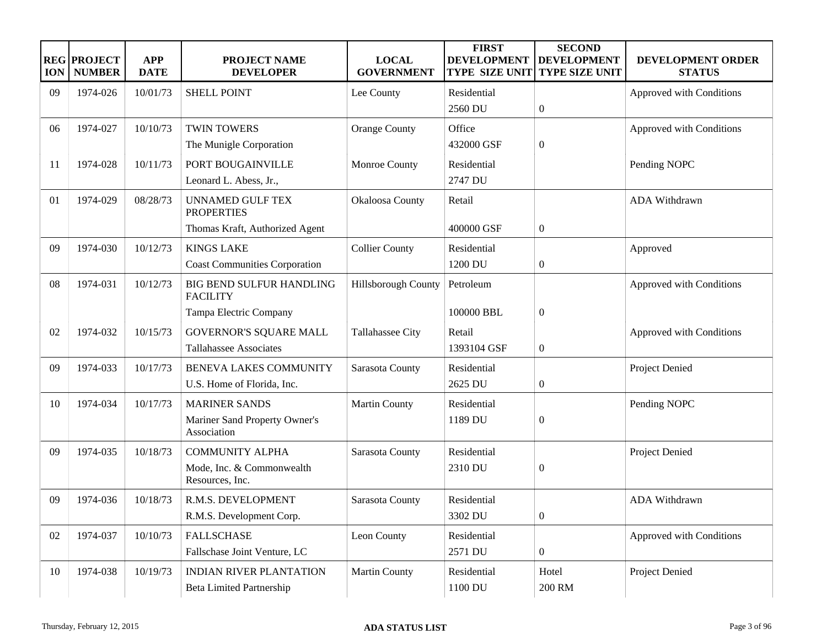| <b>ION</b> | <b>REG PROJECT</b><br><b>NUMBER</b> | <b>APP</b><br><b>DATE</b> | <b>PROJECT NAME</b><br><b>DEVELOPER</b>      | <b>LOCAL</b><br><b>GOVERNMENT</b> | <b>FIRST</b><br><b>DEVELOPMENT</b><br><b>TYPE SIZE UNIT</b> | <b>SECOND</b><br><b>DEVELOPMENT</b><br><b>TYPE SIZE UNIT</b> | DEVELOPMENT ORDER<br><b>STATUS</b> |
|------------|-------------------------------------|---------------------------|----------------------------------------------|-----------------------------------|-------------------------------------------------------------|--------------------------------------------------------------|------------------------------------|
| 09         | 1974-026                            | 10/01/73                  | <b>SHELL POINT</b>                           | Lee County                        | Residential                                                 |                                                              | Approved with Conditions           |
|            |                                     |                           |                                              |                                   | 2560 DU                                                     | $\boldsymbol{0}$                                             |                                    |
| 06         | 1974-027                            | 10/10/73                  | <b>TWIN TOWERS</b>                           | <b>Orange County</b>              | Office                                                      |                                                              | Approved with Conditions           |
|            |                                     |                           | The Munigle Corporation                      |                                   | 432000 GSF                                                  | $\boldsymbol{0}$                                             |                                    |
| 11         | 1974-028                            | 10/11/73                  | PORT BOUGAINVILLE                            | Monroe County                     | Residential                                                 |                                                              | Pending NOPC                       |
|            |                                     |                           | Leonard L. Abess, Jr.,                       |                                   | 2747 DU                                                     |                                                              |                                    |
| 01         | 1974-029                            | 08/28/73                  | <b>UNNAMED GULF TEX</b><br><b>PROPERTIES</b> | Okaloosa County                   | Retail                                                      |                                                              | ADA Withdrawn                      |
|            |                                     |                           | Thomas Kraft, Authorized Agent               |                                   | 400000 GSF                                                  | $\overline{0}$                                               |                                    |
| 09         | 1974-030                            | 10/12/73                  | <b>KINGS LAKE</b>                            | <b>Collier County</b>             | Residential                                                 |                                                              | Approved                           |
|            |                                     |                           | <b>Coast Communities Corporation</b>         |                                   | 1200 DU                                                     | $\boldsymbol{0}$                                             |                                    |
| 08         | 1974-031                            | 10/12/73                  | BIG BEND SULFUR HANDLING<br><b>FACILITY</b>  | Hillsborough County               | Petroleum                                                   |                                                              | Approved with Conditions           |
|            |                                     |                           | Tampa Electric Company                       |                                   | 100000 BBL                                                  | $\overline{0}$                                               |                                    |
| 02         | 1974-032                            | 10/15/73                  | <b>GOVERNOR'S SQUARE MALL</b>                | <b>Tallahassee City</b>           | Retail                                                      |                                                              | Approved with Conditions           |
|            |                                     |                           | <b>Tallahassee Associates</b>                |                                   | 1393104 GSF                                                 | $\overline{0}$                                               |                                    |
| 09         | 1974-033                            | 10/17/73                  | <b>BENEVA LAKES COMMUNITY</b>                | Sarasota County                   | Residential                                                 |                                                              | Project Denied                     |
|            |                                     |                           | U.S. Home of Florida, Inc.                   |                                   | 2625 DU                                                     | $\boldsymbol{0}$                                             |                                    |
| 10         | 1974-034                            | 10/17/73                  | <b>MARINER SANDS</b>                         | <b>Martin County</b>              | Residential                                                 |                                                              | Pending NOPC                       |
|            |                                     |                           | Mariner Sand Property Owner's<br>Association |                                   | 1189 DU                                                     | $\overline{0}$                                               |                                    |
| 09         | 1974-035                            | 10/18/73                  | <b>COMMUNITY ALPHA</b>                       | Sarasota County                   | Residential                                                 |                                                              | Project Denied                     |
|            |                                     |                           | Mode, Inc. & Commonwealth<br>Resources, Inc. |                                   | 2310 DU                                                     | $\overline{0}$                                               |                                    |
| 09         | 1974-036                            | 10/18/73                  | R.M.S. DEVELOPMENT                           | Sarasota County                   | Residential                                                 |                                                              | ADA Withdrawn                      |
|            |                                     |                           | R.M.S. Development Corp.                     |                                   | 3302 DU                                                     | $\mathbf{0}$                                                 |                                    |
| 02         | 1974-037                            | 10/10/73                  | <b>FALLSCHASE</b>                            | Leon County                       | Residential                                                 |                                                              | Approved with Conditions           |
|            |                                     |                           | Fallschase Joint Venture, LC                 |                                   | 2571 DU                                                     | $\overline{0}$                                               |                                    |
| 10         | 1974-038                            | 10/19/73                  | <b>INDIAN RIVER PLANTATION</b>               | <b>Martin County</b>              | Residential                                                 | Hotel                                                        | Project Denied                     |
|            |                                     |                           | <b>Beta Limited Partnership</b>              |                                   | 1100 DU                                                     | 200 RM                                                       |                                    |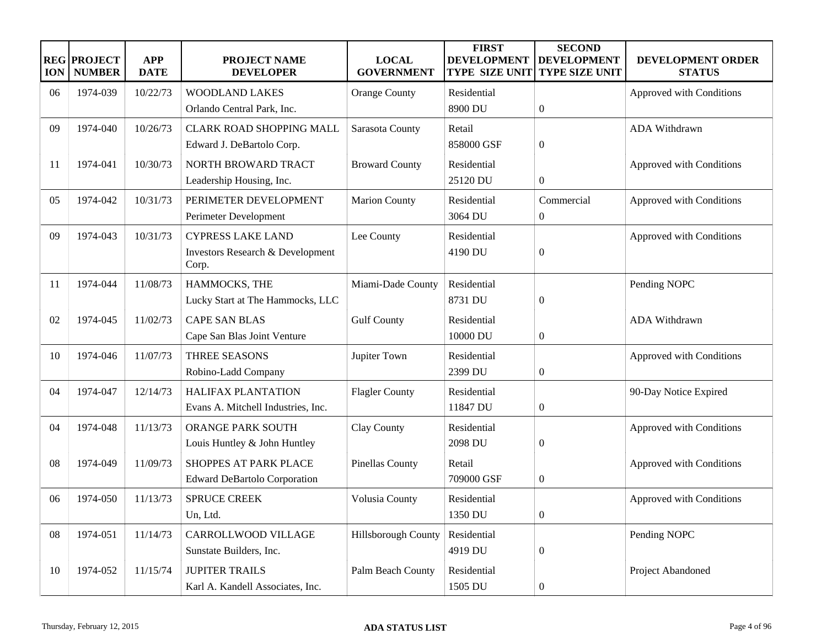| <b>ION</b> | <b>REG PROJECT</b><br><b>NUMBER</b> | <b>APP</b><br><b>DATE</b> | <b>PROJECT NAME</b><br><b>DEVELOPER</b> | <b>LOCAL</b><br><b>GOVERNMENT</b> | <b>FIRST</b><br><b>DEVELOPMENT</b><br><b>TYPE SIZE UNIT</b> | <b>SECOND</b><br><b>DEVELOPMENT</b><br><b>TYPE SIZE UNIT</b> | DEVELOPMENT ORDER<br><b>STATUS</b> |
|------------|-------------------------------------|---------------------------|-----------------------------------------|-----------------------------------|-------------------------------------------------------------|--------------------------------------------------------------|------------------------------------|
| 06         | 1974-039                            | 10/22/73                  | <b>WOODLAND LAKES</b>                   | <b>Orange County</b>              | Residential                                                 |                                                              | Approved with Conditions           |
|            |                                     |                           | Orlando Central Park, Inc.              |                                   | 8900 DU                                                     | $\boldsymbol{0}$                                             |                                    |
| 09         | 1974-040                            | 10/26/73                  | <b>CLARK ROAD SHOPPING MALL</b>         | Sarasota County                   | Retail                                                      |                                                              | ADA Withdrawn                      |
|            |                                     |                           | Edward J. DeBartolo Corp.               |                                   | 858000 GSF                                                  | $\boldsymbol{0}$                                             |                                    |
| 11         | 1974-041                            | 10/30/73                  | NORTH BROWARD TRACT                     | <b>Broward County</b>             | Residential                                                 |                                                              | Approved with Conditions           |
|            |                                     |                           | Leadership Housing, Inc.                |                                   | 25120 DU                                                    | $\mathbf{0}$                                                 |                                    |
| 05         | 1974-042                            | 10/31/73                  | PERIMETER DEVELOPMENT                   | <b>Marion County</b>              | Residential                                                 | Commercial                                                   | Approved with Conditions           |
|            |                                     |                           | Perimeter Development                   |                                   | 3064 DU                                                     | $\mathbf{0}$                                                 |                                    |
| 09         | 1974-043                            | 10/31/73                  | <b>CYPRESS LAKE LAND</b>                | Lee County                        | Residential                                                 |                                                              | Approved with Conditions           |
|            |                                     |                           | Investors Research & Development        |                                   | 4190 DU                                                     | $\boldsymbol{0}$                                             |                                    |
|            |                                     |                           | Corp.                                   |                                   |                                                             |                                                              |                                    |
| 11         | 1974-044                            | 11/08/73                  | HAMMOCKS, THE                           | Miami-Dade County                 | Residential                                                 |                                                              | Pending NOPC                       |
|            |                                     |                           | Lucky Start at The Hammocks, LLC        |                                   | 8731 DU                                                     | $\boldsymbol{0}$                                             |                                    |
| 02         | 1974-045                            | 11/02/73                  | <b>CAPE SAN BLAS</b>                    | <b>Gulf County</b>                | Residential                                                 |                                                              | ADA Withdrawn                      |
|            |                                     |                           | Cape San Blas Joint Venture             |                                   | 10000 DU                                                    | $\mathbf{0}$                                                 |                                    |
| 10         | 1974-046                            | 11/07/73                  | THREE SEASONS                           | Jupiter Town                      | Residential                                                 |                                                              | Approved with Conditions           |
|            |                                     |                           | Robino-Ladd Company                     |                                   | 2399 DU                                                     | $\boldsymbol{0}$                                             |                                    |
| 04         | 1974-047                            | 12/14/73                  | <b>HALIFAX PLANTATION</b>               | <b>Flagler County</b>             | Residential                                                 |                                                              | 90-Day Notice Expired              |
|            |                                     |                           | Evans A. Mitchell Industries, Inc.      |                                   | 11847 DU                                                    | $\boldsymbol{0}$                                             |                                    |
| 04         | 1974-048                            | 11/13/73                  | ORANGE PARK SOUTH                       | Clay County                       | Residential                                                 |                                                              | Approved with Conditions           |
|            |                                     |                           | Louis Huntley & John Huntley            |                                   | 2098 DU                                                     | $\overline{0}$                                               |                                    |
| 08         | 1974-049                            | 11/09/73                  | SHOPPES AT PARK PLACE                   | <b>Pinellas County</b>            | Retail                                                      |                                                              | Approved with Conditions           |
|            |                                     |                           | <b>Edward DeBartolo Corporation</b>     |                                   | 709000 GSF                                                  | $\boldsymbol{0}$                                             |                                    |
| 06         | 1974-050                            | 11/13/73                  | <b>SPRUCE CREEK</b>                     | Volusia County                    | Residential                                                 |                                                              | Approved with Conditions           |
|            |                                     |                           | Un, Ltd.                                |                                   | 1350 DU                                                     | $\boldsymbol{0}$                                             |                                    |
| ${\bf 08}$ | 1974-051                            | 11/14/73                  | CARROLLWOOD VILLAGE                     | Hillsborough County               | Residential                                                 |                                                              | Pending NOPC                       |
|            |                                     |                           | Sunstate Builders, Inc.                 |                                   | 4919 DU                                                     | $\boldsymbol{0}$                                             |                                    |
| 10         | 1974-052                            | 11/15/74                  | <b>JUPITER TRAILS</b>                   | Palm Beach County                 | Residential                                                 |                                                              | Project Abandoned                  |
|            |                                     |                           | Karl A. Kandell Associates, Inc.        |                                   | 1505 DU                                                     | $\boldsymbol{0}$                                             |                                    |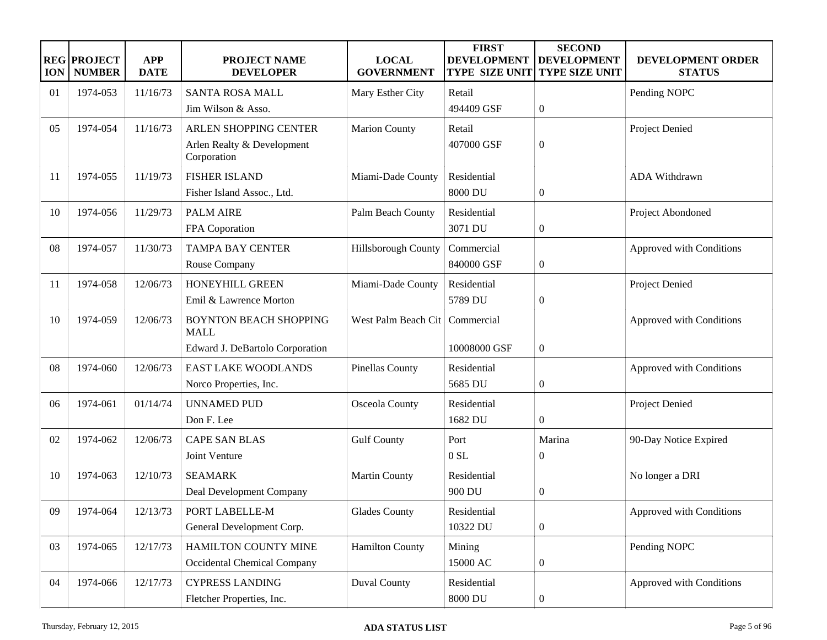| <b>ION</b> | <b>REG PROJECT</b><br><b>NUMBER</b> | <b>APP</b><br><b>DATE</b> | <b>PROJECT NAME</b><br><b>DEVELOPER</b>      | <b>LOCAL</b><br><b>GOVERNMENT</b> | <b>FIRST</b><br><b>DEVELOPMENT</b><br><b>TYPE SIZE UNIT</b> | <b>SECOND</b><br><b>DEVELOPMENT</b><br><b>TYPE SIZE UNIT</b> | DEVELOPMENT ORDER<br><b>STATUS</b> |
|------------|-------------------------------------|---------------------------|----------------------------------------------|-----------------------------------|-------------------------------------------------------------|--------------------------------------------------------------|------------------------------------|
| 01         | 1974-053                            | 11/16/73                  | <b>SANTA ROSA MALL</b>                       | Mary Esther City                  | Retail                                                      |                                                              | Pending NOPC                       |
|            |                                     |                           | Jim Wilson & Asso.                           |                                   | 494409 GSF                                                  | $\boldsymbol{0}$                                             |                                    |
| 05         | 1974-054                            | 11/16/73                  | ARLEN SHOPPING CENTER                        | <b>Marion County</b>              | Retail                                                      |                                                              | Project Denied                     |
|            |                                     |                           | Arlen Realty & Development<br>Corporation    |                                   | 407000 GSF                                                  | $\boldsymbol{0}$                                             |                                    |
| 11         | 1974-055                            | 11/19/73                  | <b>FISHER ISLAND</b>                         | Miami-Dade County                 | Residential                                                 |                                                              | ADA Withdrawn                      |
|            |                                     |                           | Fisher Island Assoc., Ltd.                   |                                   | 8000 DU                                                     | $\boldsymbol{0}$                                             |                                    |
| 10         | 1974-056                            | 11/29/73                  | <b>PALM AIRE</b>                             | Palm Beach County                 | Residential                                                 |                                                              | Project Abondoned                  |
|            |                                     |                           | FPA Coporation                               |                                   | 3071 DU                                                     | $\boldsymbol{0}$                                             |                                    |
| 08         | 1974-057                            | 11/30/73                  | <b>TAMPA BAY CENTER</b>                      | Hillsborough County               | Commercial                                                  |                                                              | Approved with Conditions           |
|            |                                     |                           | Rouse Company                                |                                   | 840000 GSF                                                  | $\boldsymbol{0}$                                             |                                    |
| 11         | 1974-058                            | 12/06/73                  | HONEYHILL GREEN                              | Miami-Dade County                 | Residential                                                 |                                                              | Project Denied                     |
|            |                                     |                           | Emil & Lawrence Morton                       |                                   | 5789 DU                                                     | $\boldsymbol{0}$                                             |                                    |
| 10         | 1974-059                            | 12/06/73                  | <b>BOYNTON BEACH SHOPPING</b><br><b>MALL</b> | West Palm Beach Cit               | Commercial                                                  |                                                              | Approved with Conditions           |
|            |                                     |                           | Edward J. DeBartolo Corporation              |                                   | 10008000 GSF                                                | $\overline{0}$                                               |                                    |
| 08         | 1974-060                            | 12/06/73                  | <b>EAST LAKE WOODLANDS</b>                   | <b>Pinellas County</b>            | Residential                                                 |                                                              | Approved with Conditions           |
|            |                                     |                           | Norco Properties, Inc.                       |                                   | 5685 DU                                                     | $\boldsymbol{0}$                                             |                                    |
| 06         | 1974-061                            | 01/14/74                  | <b>UNNAMED PUD</b>                           | Osceola County                    | Residential                                                 |                                                              | Project Denied                     |
|            |                                     |                           | Don F. Lee                                   |                                   | 1682 DU                                                     | $\overline{0}$                                               |                                    |
| 02         | 1974-062                            | 12/06/73                  | <b>CAPE SAN BLAS</b>                         | <b>Gulf County</b>                | Port                                                        | Marina                                                       | 90-Day Notice Expired              |
|            |                                     |                           | Joint Venture                                |                                   | $0$ SL                                                      | $\overline{0}$                                               |                                    |
| 10         | 1974-063                            | 12/10/73                  | <b>SEAMARK</b>                               | <b>Martin County</b>              | Residential                                                 |                                                              | No longer a DRI                    |
|            |                                     |                           | Deal Development Company                     |                                   | 900 DU                                                      | $\boldsymbol{0}$                                             |                                    |
| 09         | 1974-064                            | 12/13/73                  | PORT LABELLE-M                               | <b>Glades County</b>              | Residential                                                 |                                                              | Approved with Conditions           |
|            |                                     |                           | General Development Corp.                    |                                   | 10322 DU                                                    | $\boldsymbol{0}$                                             |                                    |
| 03         | 1974-065                            | 12/17/73                  | HAMILTON COUNTY MINE                         | <b>Hamilton County</b>            | Mining                                                      |                                                              | Pending NOPC                       |
|            |                                     |                           | Occidental Chemical Company                  |                                   | 15000 AC                                                    | $\boldsymbol{0}$                                             |                                    |
| 04         | 1974-066                            | 12/17/73                  | <b>CYPRESS LANDING</b>                       | <b>Duval County</b>               | Residential                                                 |                                                              | Approved with Conditions           |
|            |                                     |                           | Fletcher Properties, Inc.                    |                                   | 8000 DU                                                     | $\boldsymbol{0}$                                             |                                    |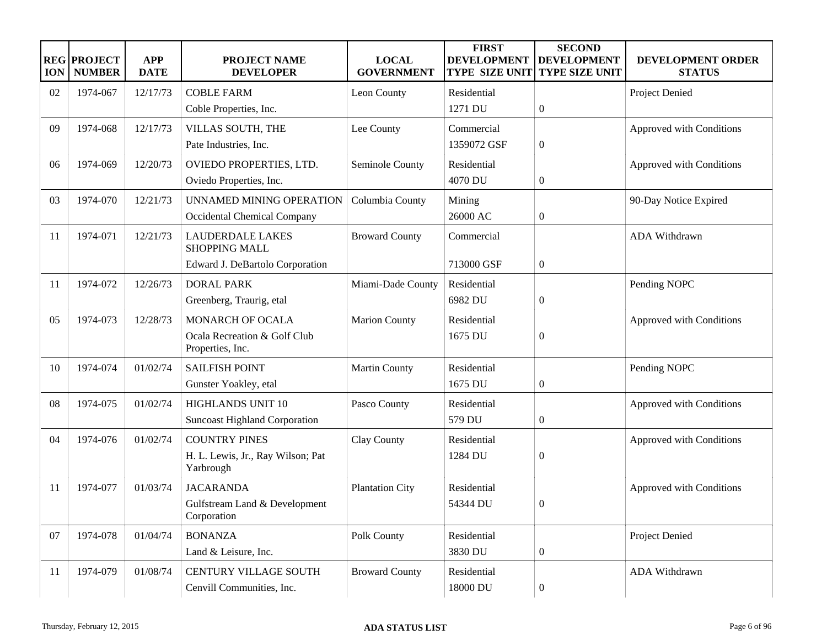| <b>ION</b> | <b>REG PROJECT</b><br><b>NUMBER</b> | <b>APP</b><br><b>DATE</b> | <b>PROJECT NAME</b><br><b>DEVELOPER</b>          | <b>LOCAL</b><br><b>GOVERNMENT</b> | <b>FIRST</b><br><b>DEVELOPMENT</b><br>TYPE SIZE UNIT | <b>SECOND</b><br><b>DEVELOPMENT</b><br><b>TYPE SIZE UNIT</b> | DEVELOPMENT ORDER<br><b>STATUS</b> |
|------------|-------------------------------------|---------------------------|--------------------------------------------------|-----------------------------------|------------------------------------------------------|--------------------------------------------------------------|------------------------------------|
| 02         | 1974-067                            | 12/17/73                  | <b>COBLE FARM</b>                                | Leon County                       | Residential                                          |                                                              | Project Denied                     |
|            |                                     |                           | Coble Properties, Inc.                           |                                   | 1271 DU                                              | $\boldsymbol{0}$                                             |                                    |
| 09         | 1974-068                            | 12/17/73                  | VILLAS SOUTH, THE                                | Lee County                        | Commercial                                           |                                                              | Approved with Conditions           |
|            |                                     |                           | Pate Industries, Inc.                            |                                   | 1359072 GSF                                          | $\boldsymbol{0}$                                             |                                    |
| 06         | 1974-069                            | 12/20/73                  | OVIEDO PROPERTIES, LTD.                          | Seminole County                   | Residential                                          |                                                              | Approved with Conditions           |
|            |                                     |                           | Oviedo Properties, Inc.                          |                                   | 4070 DU                                              | $\overline{0}$                                               |                                    |
| 03         | 1974-070                            | 12/21/73                  | UNNAMED MINING OPERATION                         | Columbia County                   | Mining                                               |                                                              | 90-Day Notice Expired              |
|            |                                     |                           | Occidental Chemical Company                      |                                   | 26000 AC                                             | $\boldsymbol{0}$                                             |                                    |
| 11         | 1974-071                            | 12/21/73                  | <b>LAUDERDALE LAKES</b><br><b>SHOPPING MALL</b>  | <b>Broward County</b>             | Commercial                                           |                                                              | ADA Withdrawn                      |
|            |                                     |                           | Edward J. DeBartolo Corporation                  |                                   | 713000 GSF                                           | $\boldsymbol{0}$                                             |                                    |
| 11         | 1974-072                            | 12/26/73                  | <b>DORAL PARK</b>                                | Miami-Dade County                 | Residential                                          |                                                              | Pending NOPC                       |
|            |                                     |                           | Greenberg, Traurig, etal                         |                                   | 6982 DU                                              | $\overline{0}$                                               |                                    |
| 05         | 1974-073                            | 12/28/73                  | <b>MONARCH OF OCALA</b>                          | <b>Marion County</b>              | Residential                                          |                                                              | Approved with Conditions           |
|            |                                     |                           | Ocala Recreation & Golf Club<br>Properties, Inc. |                                   | 1675 DU                                              | $\overline{0}$                                               |                                    |
| 10         | 1974-074                            | 01/02/74                  | <b>SAILFISH POINT</b>                            | <b>Martin County</b>              | Residential                                          |                                                              | Pending NOPC                       |
|            |                                     |                           | Gunster Yoakley, etal                            |                                   | 1675 DU                                              | $\boldsymbol{0}$                                             |                                    |
| 08         | 1974-075                            | 01/02/74                  | HIGHLANDS UNIT 10                                | Pasco County                      | Residential                                          |                                                              | Approved with Conditions           |
|            |                                     |                           | <b>Suncoast Highland Corporation</b>             |                                   | 579 DU                                               | $\boldsymbol{0}$                                             |                                    |
| 04         | 1974-076                            | 01/02/74                  | <b>COUNTRY PINES</b>                             | Clay County                       | Residential                                          |                                                              | Approved with Conditions           |
|            |                                     |                           | H. L. Lewis, Jr., Ray Wilson; Pat<br>Yarbrough   |                                   | 1284 DU                                              | $\overline{0}$                                               |                                    |
| 11         | 1974-077                            | 01/03/74                  | <b>JACARANDA</b>                                 | <b>Plantation City</b>            | Residential                                          |                                                              | Approved with Conditions           |
|            |                                     |                           | Gulfstream Land & Development<br>Corporation     |                                   | 54344 DU                                             | $\overline{0}$                                               |                                    |
| 07         | 1974-078                            | 01/04/74                  | <b>BONANZA</b>                                   | Polk County                       | Residential                                          |                                                              | Project Denied                     |
|            |                                     |                           | Land & Leisure, Inc.                             |                                   | 3830 DU                                              | $\boldsymbol{0}$                                             |                                    |
| 11         | 1974-079                            | 01/08/74                  | CENTURY VILLAGE SOUTH                            | <b>Broward County</b>             | Residential                                          |                                                              | ADA Withdrawn                      |
|            |                                     |                           | Cenvill Communities, Inc.                        |                                   | 18000 DU                                             | $\boldsymbol{0}$                                             |                                    |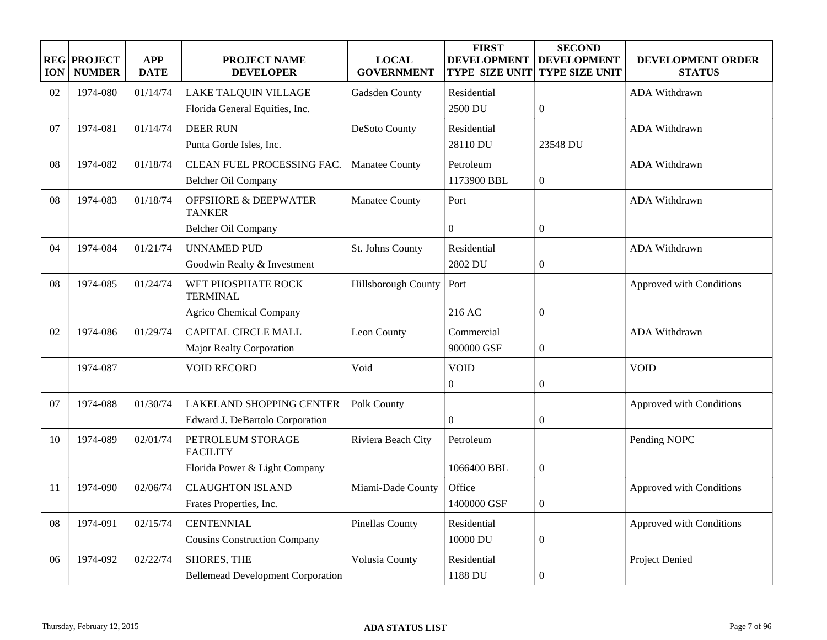| <b>ION</b> | <b>REG PROJECT</b><br><b>NUMBER</b> | <b>APP</b><br><b>DATE</b> | PROJECT NAME<br><b>DEVELOPER</b>                 | <b>LOCAL</b><br><b>GOVERNMENT</b> | <b>FIRST</b><br><b>DEVELOPMENT</b><br><b>TYPE SIZE UNIT</b> | <b>SECOND</b><br><b>DEVELOPMENT</b><br><b>TYPE SIZE UNIT</b> | DEVELOPMENT ORDER<br><b>STATUS</b> |
|------------|-------------------------------------|---------------------------|--------------------------------------------------|-----------------------------------|-------------------------------------------------------------|--------------------------------------------------------------|------------------------------------|
| 02         | 1974-080                            | 01/14/74                  | LAKE TALQUIN VILLAGE                             | Gadsden County                    | Residential                                                 |                                                              | <b>ADA Withdrawn</b>               |
|            |                                     |                           | Florida General Equities, Inc.                   |                                   | 2500 DU                                                     | $\overline{0}$                                               |                                    |
| 07         | 1974-081                            | 01/14/74                  | <b>DEER RUN</b>                                  | DeSoto County                     | Residential                                                 |                                                              | ADA Withdrawn                      |
|            |                                     |                           | Punta Gorde Isles, Inc.                          |                                   | 28110 DU                                                    | 23548 DU                                                     |                                    |
| 08         | 1974-082                            | 01/18/74                  | CLEAN FUEL PROCESSING FAC.                       | Manatee County                    | Petroleum                                                   |                                                              | ADA Withdrawn                      |
|            |                                     |                           | Belcher Oil Company                              |                                   | 1173900 BBL                                                 | $\boldsymbol{0}$                                             |                                    |
| 08         | 1974-083                            | 01/18/74                  | <b>OFFSHORE &amp; DEEPWATER</b><br><b>TANKER</b> | <b>Manatee County</b>             | Port                                                        |                                                              | ADA Withdrawn                      |
|            |                                     |                           | Belcher Oil Company                              |                                   | $\boldsymbol{0}$                                            | $\mathbf{0}$                                                 |                                    |
| 04         | 1974-084                            | 01/21/74                  | <b>UNNAMED PUD</b>                               | St. Johns County                  | Residential                                                 |                                                              | ADA Withdrawn                      |
|            |                                     |                           | Goodwin Realty & Investment                      |                                   | 2802 DU                                                     | $\boldsymbol{0}$                                             |                                    |
| 08         | 1974-085                            | 01/24/74                  | WET PHOSPHATE ROCK<br><b>TERMINAL</b>            | Hillsborough County               | Port                                                        |                                                              | Approved with Conditions           |
|            |                                     |                           | Agrico Chemical Company                          |                                   | 216 AC                                                      | $\mathbf{0}$                                                 |                                    |
| 02         | 1974-086                            | 01/29/74                  | <b>CAPITAL CIRCLE MALL</b>                       | Leon County                       | Commercial                                                  |                                                              | <b>ADA Withdrawn</b>               |
|            |                                     |                           | Major Realty Corporation                         |                                   | 900000 GSF                                                  | $\boldsymbol{0}$                                             |                                    |
|            | 1974-087                            |                           | <b>VOID RECORD</b>                               | Void                              | <b>VOID</b>                                                 |                                                              | <b>VOID</b>                        |
|            |                                     |                           |                                                  |                                   | $\overline{0}$                                              | $\theta$                                                     |                                    |
| 07         | 1974-088                            | 01/30/74                  | <b>LAKELAND SHOPPING CENTER</b>                  | Polk County                       |                                                             |                                                              | Approved with Conditions           |
|            |                                     |                           | Edward J. DeBartolo Corporation                  |                                   | $\mathbf{0}$                                                | $\boldsymbol{0}$                                             |                                    |
| 10         | 1974-089                            | 02/01/74                  | PETROLEUM STORAGE<br><b>FACILITY</b>             | Riviera Beach City                | Petroleum                                                   |                                                              | Pending NOPC                       |
|            |                                     |                           | Florida Power & Light Company                    |                                   | 1066400 BBL                                                 | $\boldsymbol{0}$                                             |                                    |
| 11         | 1974-090                            | 02/06/74                  | <b>CLAUGHTON ISLAND</b>                          | Miami-Dade County                 | Office                                                      |                                                              | Approved with Conditions           |
|            |                                     |                           | Frates Properties, Inc.                          |                                   | 1400000 GSF                                                 | $\mathbf{0}$                                                 |                                    |
| 08         | 1974-091                            | 02/15/74                  | <b>CENTENNIAL</b>                                | <b>Pinellas County</b>            | Residential                                                 |                                                              | Approved with Conditions           |
|            |                                     |                           | <b>Cousins Construction Company</b>              |                                   | 10000 DU                                                    | $\overline{0}$                                               |                                    |
| 06         | 1974-092                            | 02/22/74                  | <b>SHORES, THE</b>                               | Volusia County                    | Residential                                                 |                                                              | Project Denied                     |
|            |                                     |                           | <b>Bellemead Development Corporation</b>         |                                   | 1188 DU                                                     | $\boldsymbol{0}$                                             |                                    |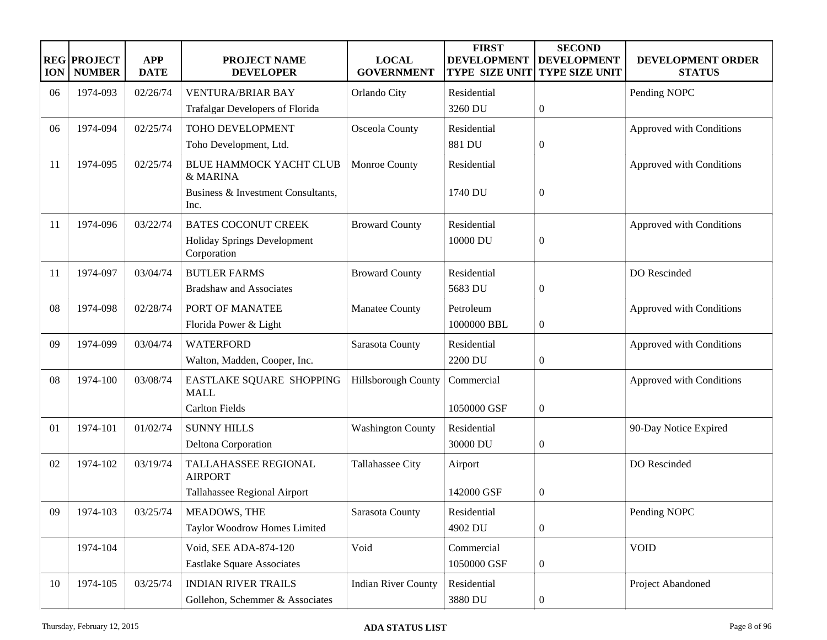| <b>ION</b> | <b>REG PROJECT</b><br><b>NUMBER</b> | <b>APP</b><br><b>DATE</b> | <b>PROJECT NAME</b><br><b>DEVELOPER</b>           | <b>LOCAL</b><br><b>GOVERNMENT</b> | <b>FIRST</b><br><b>DEVELOPMENT</b><br><b>TYPE SIZE UNIT</b> | <b>SECOND</b><br><b>DEVELOPMENT</b><br><b>TYPE SIZE UNIT</b> | DEVELOPMENT ORDER<br><b>STATUS</b> |
|------------|-------------------------------------|---------------------------|---------------------------------------------------|-----------------------------------|-------------------------------------------------------------|--------------------------------------------------------------|------------------------------------|
| 06         | 1974-093                            | 02/26/74                  | <b>VENTURA/BRIAR BAY</b>                          | Orlando City                      | Residential                                                 |                                                              | Pending NOPC                       |
|            |                                     |                           | <b>Trafalgar Developers of Florida</b>            |                                   | 3260 DU                                                     | $\boldsymbol{0}$                                             |                                    |
| 06         | 1974-094                            | 02/25/74                  | TOHO DEVELOPMENT                                  | Osceola County                    | Residential                                                 |                                                              | Approved with Conditions           |
|            |                                     |                           | Toho Development, Ltd.                            |                                   | 881 DU                                                      | $\boldsymbol{0}$                                             |                                    |
| 11         | 1974-095                            | 02/25/74                  | <b>BLUE HAMMOCK YACHT CLUB</b><br>& MARINA        | Monroe County                     | Residential                                                 |                                                              | Approved with Conditions           |
|            |                                     |                           | Business & Investment Consultants,<br>Inc.        |                                   | 1740 DU                                                     | $\boldsymbol{0}$                                             |                                    |
| 11         | 1974-096                            | 03/22/74                  | <b>BATES COCONUT CREEK</b>                        | <b>Broward County</b>             | Residential                                                 |                                                              | Approved with Conditions           |
|            |                                     |                           | <b>Holiday Springs Development</b><br>Corporation |                                   | 10000 DU                                                    | $\boldsymbol{0}$                                             |                                    |
| 11         | 1974-097                            | 03/04/74                  | <b>BUTLER FARMS</b>                               | <b>Broward County</b>             | Residential                                                 |                                                              | DO Rescinded                       |
|            |                                     |                           | <b>Bradshaw and Associates</b>                    |                                   | 5683 DU                                                     | $\boldsymbol{0}$                                             |                                    |
| 08         | 1974-098                            | 02/28/74                  | PORT OF MANATEE                                   | Manatee County                    | Petroleum                                                   |                                                              | Approved with Conditions           |
|            |                                     |                           | Florida Power & Light                             |                                   | 1000000 BBL                                                 | $\boldsymbol{0}$                                             |                                    |
| 09         | 1974-099                            | 03/04/74                  | <b>WATERFORD</b>                                  | Sarasota County                   | Residential                                                 |                                                              | Approved with Conditions           |
|            |                                     |                           | Walton, Madden, Cooper, Inc.                      |                                   | 2200 DU                                                     | $\boldsymbol{0}$                                             |                                    |
| 08         | 1974-100                            | 03/08/74                  | EASTLAKE SQUARE SHOPPING<br><b>MALL</b>           | <b>Hillsborough County</b>        | Commercial                                                  |                                                              | Approved with Conditions           |
|            |                                     |                           | <b>Carlton Fields</b>                             |                                   | 1050000 GSF                                                 | $\boldsymbol{0}$                                             |                                    |
| 01         | 1974-101                            | 01/02/74                  | <b>SUNNY HILLS</b>                                | <b>Washington County</b>          | Residential                                                 |                                                              | 90-Day Notice Expired              |
|            |                                     |                           | Deltona Corporation                               |                                   | 30000 DU                                                    | $\boldsymbol{0}$                                             |                                    |
| 02         | 1974-102                            | 03/19/74                  | TALLAHASSEE REGIONAL<br><b>AIRPORT</b>            | Tallahassee City                  | Airport                                                     |                                                              | DO Rescinded                       |
|            |                                     |                           | Tallahassee Regional Airport                      |                                   | 142000 GSF                                                  | $\boldsymbol{0}$                                             |                                    |
| 09         | 1974-103                            | 03/25/74                  | MEADOWS, THE                                      | Sarasota County                   | Residential                                                 |                                                              | Pending NOPC                       |
|            |                                     |                           | Taylor Woodrow Homes Limited                      |                                   | 4902 DU                                                     | $\boldsymbol{0}$                                             |                                    |
|            | 1974-104                            |                           | Void, SEE ADA-874-120                             | Void                              | Commercial                                                  |                                                              | <b>VOID</b>                        |
|            |                                     |                           | <b>Eastlake Square Associates</b>                 |                                   | 1050000 GSF                                                 | $\boldsymbol{0}$                                             |                                    |
| 10         | 1974-105                            | 03/25/74                  | <b>INDIAN RIVER TRAILS</b>                        | <b>Indian River County</b>        | Residential                                                 |                                                              | Project Abandoned                  |
|            |                                     |                           | Gollehon, Schemmer & Associates                   |                                   | 3880 DU                                                     | $\boldsymbol{0}$                                             |                                    |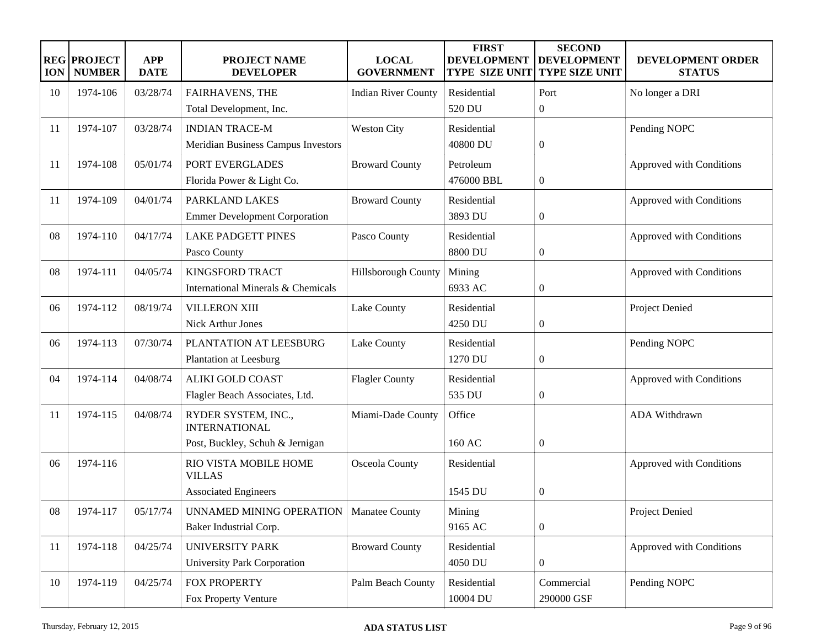| <b>ION</b> | <b>REG PROJECT</b><br><b>NUMBER</b> | <b>APP</b><br><b>DATE</b> | <b>PROJECT NAME</b><br><b>DEVELOPER</b>     | <b>LOCAL</b><br><b>GOVERNMENT</b> | <b>FIRST</b><br><b>DEVELOPMENT</b><br><b>TYPE SIZE UNIT</b> | <b>SECOND</b><br><b>DEVELOPMENT</b><br><b>TYPE SIZE UNIT</b> | DEVELOPMENT ORDER<br><b>STATUS</b> |
|------------|-------------------------------------|---------------------------|---------------------------------------------|-----------------------------------|-------------------------------------------------------------|--------------------------------------------------------------|------------------------------------|
| 10         | 1974-106                            | 03/28/74                  | <b>FAIRHAVENS, THE</b>                      | <b>Indian River County</b>        | Residential                                                 | Port                                                         | No longer a DRI                    |
|            |                                     |                           | Total Development, Inc.                     |                                   | 520 DU                                                      | $\overline{0}$                                               |                                    |
| 11         | 1974-107                            | 03/28/74                  | <b>INDIAN TRACE-M</b>                       | <b>Weston City</b>                | Residential                                                 |                                                              | Pending NOPC                       |
|            |                                     |                           | Meridian Business Campus Investors          |                                   | 40800 DU                                                    | $\boldsymbol{0}$                                             |                                    |
| 11         | 1974-108                            | 05/01/74                  | PORT EVERGLADES                             | <b>Broward County</b>             | Petroleum                                                   |                                                              | Approved with Conditions           |
|            |                                     |                           | Florida Power & Light Co.                   |                                   | 476000 BBL                                                  | $\overline{0}$                                               |                                    |
| 11         | 1974-109                            | 04/01/74                  | PARKLAND LAKES                              | <b>Broward County</b>             | Residential                                                 |                                                              | Approved with Conditions           |
|            |                                     |                           | <b>Emmer Development Corporation</b>        |                                   | 3893 DU                                                     | $\boldsymbol{0}$                                             |                                    |
| 08         | 1974-110                            | 04/17/74                  | <b>LAKE PADGETT PINES</b>                   | Pasco County                      | Residential                                                 |                                                              | Approved with Conditions           |
|            |                                     |                           | Pasco County                                |                                   | 8800 DU                                                     | $\boldsymbol{0}$                                             |                                    |
| 08         | 1974-111                            | 04/05/74                  | <b>KINGSFORD TRACT</b>                      | Hillsborough County               | Mining                                                      |                                                              | Approved with Conditions           |
|            |                                     |                           | International Minerals & Chemicals          |                                   | 6933 AC                                                     | $\boldsymbol{0}$                                             |                                    |
| 06         | 1974-112                            | 08/19/74                  | <b>VILLERON XIII</b>                        | Lake County                       | Residential                                                 |                                                              | Project Denied                     |
|            |                                     |                           | Nick Arthur Jones                           |                                   | 4250 DU                                                     | $\boldsymbol{0}$                                             |                                    |
| 06         | 1974-113                            | 07/30/74                  | PLANTATION AT LEESBURG                      | Lake County                       | Residential                                                 |                                                              | Pending NOPC                       |
|            |                                     |                           | <b>Plantation at Leesburg</b>               |                                   | 1270 DU                                                     | $\boldsymbol{0}$                                             |                                    |
| 04         | 1974-114                            | 04/08/74                  | <b>ALIKI GOLD COAST</b>                     | <b>Flagler County</b>             | Residential                                                 |                                                              | Approved with Conditions           |
|            |                                     |                           | Flagler Beach Associates, Ltd.              |                                   | 535 DU                                                      | $\boldsymbol{0}$                                             |                                    |
| 11         | 1974-115                            | 04/08/74                  | RYDER SYSTEM, INC.,<br><b>INTERNATIONAL</b> | Miami-Dade County                 | Office                                                      |                                                              | ADA Withdrawn                      |
|            |                                     |                           | Post, Buckley, Schuh & Jernigan             |                                   | 160 AC                                                      | $\boldsymbol{0}$                                             |                                    |
| 06         | 1974-116                            |                           | RIO VISTA MOBILE HOME<br><b>VILLAS</b>      | Osceola County                    | Residential                                                 |                                                              | Approved with Conditions           |
|            |                                     |                           | <b>Associated Engineers</b>                 |                                   | 1545 DU                                                     | $\boldsymbol{0}$                                             |                                    |
| 08         | 1974-117                            | 05/17/74                  | UNNAMED MINING OPERATION                    | Manatee County                    | Mining                                                      |                                                              | Project Denied                     |
|            |                                     |                           | Baker Industrial Corp.                      |                                   | 9165 AC                                                     | $\boldsymbol{0}$                                             |                                    |
| 11         | 1974-118                            | 04/25/74                  | <b>UNIVERSITY PARK</b>                      | <b>Broward County</b>             | Residential                                                 |                                                              | Approved with Conditions           |
|            |                                     |                           | University Park Corporation                 |                                   | 4050 DU                                                     | $\boldsymbol{0}$                                             |                                    |
| 10         | 1974-119                            | 04/25/74                  | FOX PROPERTY                                | Palm Beach County                 | Residential                                                 | Commercial                                                   | Pending NOPC                       |
|            |                                     |                           | Fox Property Venture                        |                                   | 10004 DU                                                    | 290000 GSF                                                   |                                    |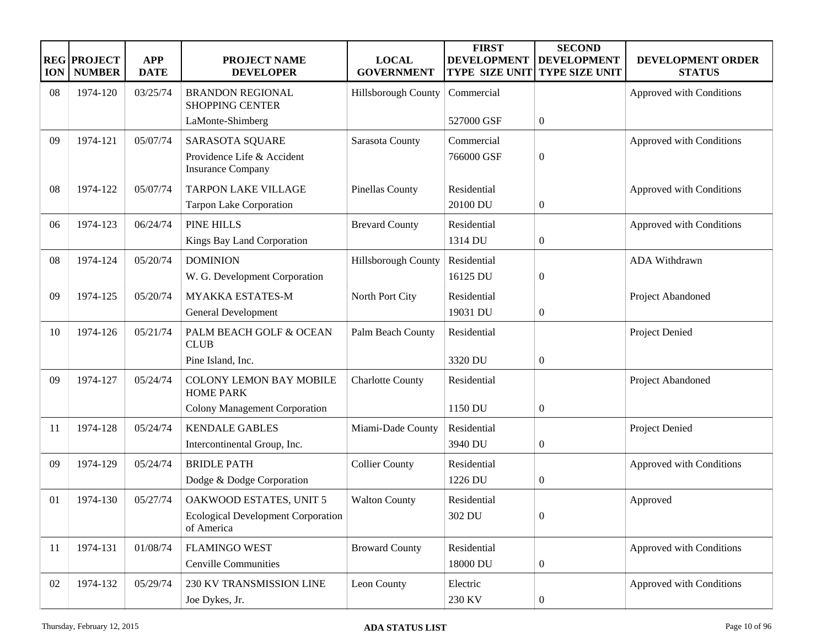| <b>ION</b> | <b>REG PROJECT</b><br><b>NUMBER</b> | <b>APP</b><br><b>DATE</b> | <b>PROJECT NAME</b><br><b>DEVELOPER</b>                                            | <b>LOCAL</b><br><b>GOVERNMENT</b> | <b>FIRST</b><br><b>DEVELOPMENT</b><br><b>TYPE SIZE UNIT</b> | <b>SECOND</b><br><b>DEVELOPMENT</b><br><b>TYPE SIZE UNIT</b> | <b>DEVELOPMENT ORDER</b><br><b>STATUS</b> |
|------------|-------------------------------------|---------------------------|------------------------------------------------------------------------------------|-----------------------------------|-------------------------------------------------------------|--------------------------------------------------------------|-------------------------------------------|
| 08         | 1974-120                            | 03/25/74                  | <b>BRANDON REGIONAL</b><br><b>SHOPPING CENTER</b>                                  | Hillsborough County               | Commercial                                                  |                                                              | Approved with Conditions                  |
|            |                                     |                           | LaMonte-Shimberg                                                                   |                                   | 527000 GSF                                                  | $\boldsymbol{0}$                                             |                                           |
| 09         | 1974-121                            | 05/07/74                  | SARASOTA SQUARE<br>Providence Life & Accident<br><b>Insurance Company</b>          | Sarasota County                   | Commercial<br>766000 GSF                                    | $\boldsymbol{0}$                                             | Approved with Conditions                  |
| 08         | 1974-122                            | 05/07/74                  | <b>TARPON LAKE VILLAGE</b><br><b>Tarpon Lake Corporation</b>                       | <b>Pinellas County</b>            | Residential<br>20100 DU                                     | $\boldsymbol{0}$                                             | Approved with Conditions                  |
| 06         | 1974-123                            | 06/24/74                  | PINE HILLS<br>Kings Bay Land Corporation                                           | <b>Brevard County</b>             | Residential<br>1314 DU                                      | $\boldsymbol{0}$                                             | Approved with Conditions                  |
| 08         | 1974-124                            | 05/20/74                  | <b>DOMINION</b><br>W. G. Development Corporation                                   | Hillsborough County               | Residential<br>16125 DU                                     | $\boldsymbol{0}$                                             | ADA Withdrawn                             |
| 09         | 1974-125                            | 05/20/74                  | <b>MYAKKA ESTATES-M</b><br><b>General Development</b>                              | North Port City                   | Residential<br>19031 DU                                     | $\boldsymbol{0}$                                             | Project Abandoned                         |
| 10         | 1974-126                            | 05/21/74                  | PALM BEACH GOLF & OCEAN<br><b>CLUB</b>                                             | Palm Beach County                 | Residential                                                 |                                                              | Project Denied                            |
|            |                                     |                           | Pine Island, Inc.                                                                  |                                   | 3320 DU                                                     | $\boldsymbol{0}$                                             |                                           |
| 09         | 1974-127                            | 05/24/74                  | <b>COLONY LEMON BAY MOBILE</b><br><b>HOME PARK</b>                                 | <b>Charlotte County</b>           | Residential                                                 |                                                              | Project Abandoned                         |
|            |                                     |                           | <b>Colony Management Corporation</b>                                               |                                   | 1150 DU                                                     | $\boldsymbol{0}$                                             |                                           |
| -11        | 1974-128                            | 05/24/74                  | <b>KENDALE GABLES</b><br>Intercontinental Group, Inc.                              | Miami-Dade County                 | Residential<br>3940 DU                                      | $\boldsymbol{0}$                                             | Project Denied                            |
| 09         | 1974-129                            | 05/24/74                  | <b>BRIDLE PATH</b><br>Dodge & Dodge Corporation                                    | <b>Collier County</b>             | Residential<br>1226 DU                                      | $\boldsymbol{0}$                                             | Approved with Conditions                  |
| 01         | 1974-130                            | 05/27/74                  | OAKWOOD ESTATES, UNIT 5<br><b>Ecological Development Corporation</b><br>of America | <b>Walton County</b>              | Residential<br>302 DU                                       | $\boldsymbol{0}$                                             | Approved                                  |
| 11         | 1974-131                            | 01/08/74                  | <b>FLAMINGO WEST</b><br>Cenville Communities                                       | <b>Broward County</b>             | Residential<br>18000 DU                                     | $\boldsymbol{0}$                                             | Approved with Conditions                  |
| 02         | 1974-132                            | 05/29/74                  | 230 KV TRANSMISSION LINE<br>Joe Dykes, Jr.                                         | Leon County                       | Electric<br>230 KV                                          | $\boldsymbol{0}$                                             | Approved with Conditions                  |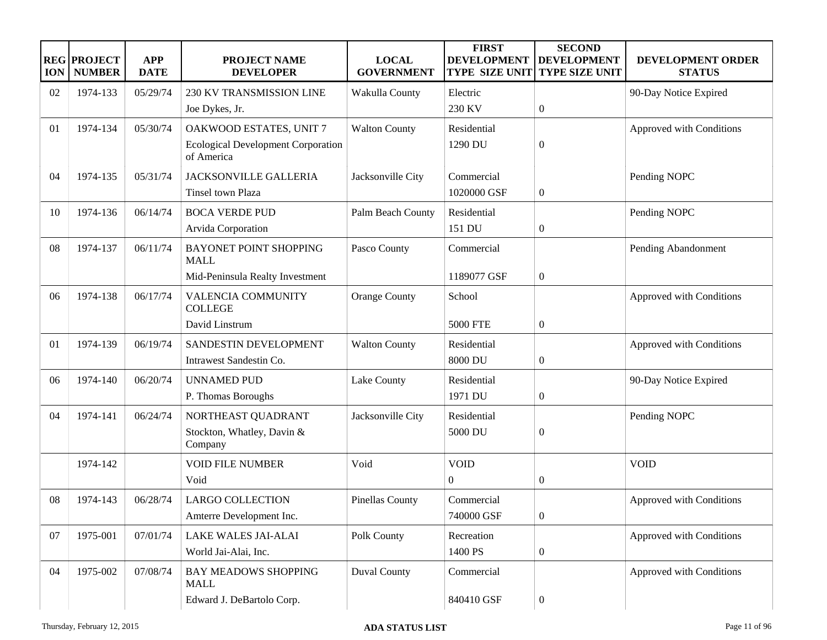| <b>ION</b> | <b>REG PROJECT</b><br><b>NUMBER</b> | <b>APP</b><br><b>DATE</b> | PROJECT NAME<br><b>DEVELOPER</b>                        | <b>LOCAL</b><br><b>GOVERNMENT</b> | <b>FIRST</b><br><b>DEVELOPMENT</b><br><b>TYPE SIZE UNIT</b> | <b>SECOND</b><br><b>DEVELOPMENT</b><br>TYPE SIZE UNIT | DEVELOPMENT ORDER<br><b>STATUS</b> |
|------------|-------------------------------------|---------------------------|---------------------------------------------------------|-----------------------------------|-------------------------------------------------------------|-------------------------------------------------------|------------------------------------|
| 02         | 1974-133                            | 05/29/74                  | 230 KV TRANSMISSION LINE                                | Wakulla County                    | Electric                                                    |                                                       | 90-Day Notice Expired              |
|            |                                     |                           | Joe Dykes, Jr.                                          |                                   | 230 KV                                                      | $\boldsymbol{0}$                                      |                                    |
| 01         | 1974-134                            | 05/30/74                  | OAKWOOD ESTATES, UNIT 7                                 | <b>Walton County</b>              | Residential                                                 |                                                       | Approved with Conditions           |
|            |                                     |                           | <b>Ecological Development Corporation</b><br>of America |                                   | 1290 DU                                                     | $\boldsymbol{0}$                                      |                                    |
| 04         | 1974-135                            | 05/31/74                  | <b>JACKSONVILLE GALLERIA</b>                            | Jacksonville City                 | Commercial                                                  |                                                       | Pending NOPC                       |
|            |                                     |                           | Tinsel town Plaza                                       |                                   | 1020000 GSF                                                 | $\boldsymbol{0}$                                      |                                    |
| 10         | 1974-136                            | 06/14/74                  | <b>BOCA VERDE PUD</b>                                   | Palm Beach County                 | Residential                                                 |                                                       | Pending NOPC                       |
|            |                                     |                           | Arvida Corporation                                      |                                   | 151 DU                                                      | $\boldsymbol{0}$                                      |                                    |
| 08         | 1974-137                            | 06/11/74                  | BAYONET POINT SHOPPING<br><b>MALL</b>                   | Pasco County                      | Commercial                                                  |                                                       | Pending Abandonment                |
|            |                                     |                           | Mid-Peninsula Realty Investment                         |                                   | 1189077 GSF                                                 | $\boldsymbol{0}$                                      |                                    |
| 06         | 1974-138                            | 06/17/74                  | <b>VALENCIA COMMUNITY</b><br><b>COLLEGE</b>             | <b>Orange County</b>              | School                                                      |                                                       | Approved with Conditions           |
|            |                                     |                           | David Linstrum                                          |                                   | <b>5000 FTE</b>                                             | $\boldsymbol{0}$                                      |                                    |
| 01         | 1974-139                            | 06/19/74                  | SANDESTIN DEVELOPMENT                                   | <b>Walton County</b>              | Residential                                                 |                                                       | Approved with Conditions           |
|            |                                     |                           | Intrawest Sandestin Co.                                 |                                   | 8000 DU                                                     | $\boldsymbol{0}$                                      |                                    |
| 06         | 1974-140                            | 06/20/74                  | <b>UNNAMED PUD</b>                                      | Lake County                       | Residential                                                 |                                                       | 90-Day Notice Expired              |
|            |                                     |                           | P. Thomas Boroughs                                      |                                   | 1971 DU                                                     | $\boldsymbol{0}$                                      |                                    |
| 04         | 1974-141                            | 06/24/74                  | NORTHEAST QUADRANT                                      | Jacksonville City                 | Residential                                                 |                                                       | Pending NOPC                       |
|            |                                     |                           | Stockton, Whatley, Davin &<br>Company                   |                                   | 5000 DU                                                     | $\boldsymbol{0}$                                      |                                    |
|            | 1974-142                            |                           | <b>VOID FILE NUMBER</b>                                 | Void                              | <b>VOID</b>                                                 |                                                       | <b>VOID</b>                        |
|            |                                     |                           | Void                                                    |                                   | $\overline{0}$                                              | $\boldsymbol{0}$                                      |                                    |
| 08         | 1974-143                            | 06/28/74                  | <b>LARGO COLLECTION</b>                                 | Pinellas County                   | Commercial                                                  |                                                       | Approved with Conditions           |
|            |                                     |                           | Amterre Development Inc.                                |                                   | 740000 GSF                                                  | $\boldsymbol{0}$                                      |                                    |
| 07         | 1975-001                            | 07/01/74                  | <b>LAKE WALES JAI-ALAI</b>                              | Polk County                       | Recreation                                                  |                                                       | Approved with Conditions           |
|            |                                     |                           | World Jai-Alai, Inc.                                    |                                   | 1400 PS                                                     | $\boldsymbol{0}$                                      |                                    |
| 04         | 1975-002                            | 07/08/74                  | <b>BAY MEADOWS SHOPPING</b><br><b>MALL</b>              | <b>Duval County</b>               | Commercial                                                  |                                                       | Approved with Conditions           |
|            |                                     |                           | Edward J. DeBartolo Corp.                               |                                   | 840410 GSF                                                  | $\boldsymbol{0}$                                      |                                    |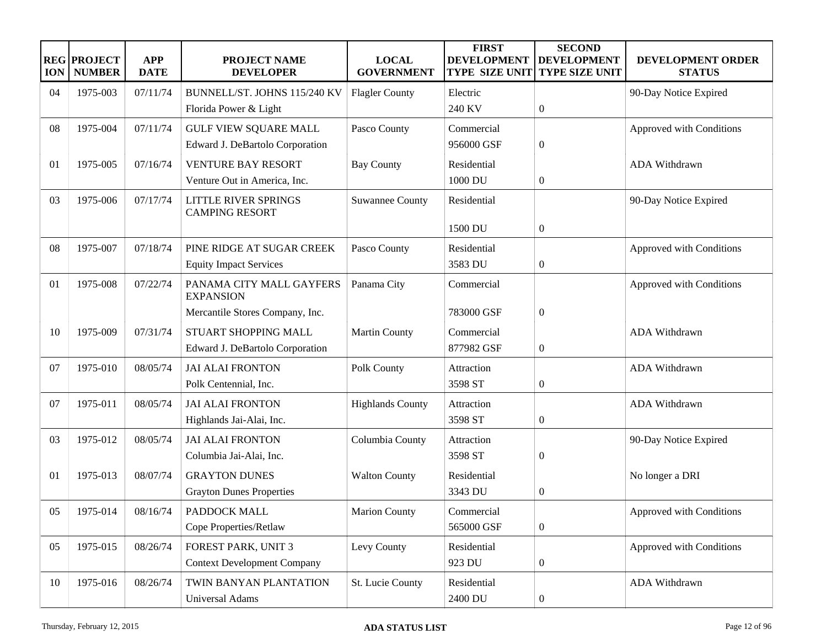| <b>ION</b> | <b>REG PROJECT</b><br><b>NUMBER</b> | <b>APP</b><br><b>DATE</b> | <b>PROJECT NAME</b><br><b>DEVELOPER</b>              | <b>LOCAL</b><br><b>GOVERNMENT</b> | <b>FIRST</b><br><b>DEVELOPMENT</b><br><b>TYPE SIZE UNIT</b> | <b>SECOND</b><br><b>DEVELOPMENT</b><br><b>TYPE SIZE UNIT</b> | DEVELOPMENT ORDER<br><b>STATUS</b> |
|------------|-------------------------------------|---------------------------|------------------------------------------------------|-----------------------------------|-------------------------------------------------------------|--------------------------------------------------------------|------------------------------------|
| 04         | 1975-003                            | 07/11/74                  | BUNNELL/ST. JOHNS 115/240 KV                         | <b>Flagler County</b>             | Electric                                                    |                                                              | 90-Day Notice Expired              |
|            |                                     |                           | Florida Power & Light                                |                                   | 240 KV                                                      | $\boldsymbol{0}$                                             |                                    |
| 08         | 1975-004                            | 07/11/74                  | <b>GULF VIEW SQUARE MALL</b>                         | Pasco County                      | Commercial                                                  |                                                              | Approved with Conditions           |
|            |                                     |                           | Edward J. DeBartolo Corporation                      |                                   | 956000 GSF                                                  | $\boldsymbol{0}$                                             |                                    |
| 01         | 1975-005                            | 07/16/74                  | <b>VENTURE BAY RESORT</b>                            | <b>Bay County</b>                 | Residential                                                 |                                                              | ADA Withdrawn                      |
|            |                                     |                           | Venture Out in America, Inc.                         |                                   | 1000 DU                                                     | $\mathbf{0}$                                                 |                                    |
| 03         | 1975-006                            | 07/17/74                  | <b>LITTLE RIVER SPRINGS</b><br><b>CAMPING RESORT</b> | <b>Suwannee County</b>            | Residential                                                 |                                                              | 90-Day Notice Expired              |
|            |                                     |                           |                                                      |                                   | 1500 DU                                                     | $\boldsymbol{0}$                                             |                                    |
| 08         | 1975-007                            | 07/18/74                  | PINE RIDGE AT SUGAR CREEK                            | Pasco County                      | Residential                                                 |                                                              | Approved with Conditions           |
|            |                                     |                           | <b>Equity Impact Services</b>                        |                                   | 3583 DU                                                     | $\boldsymbol{0}$                                             |                                    |
| 01         | 1975-008                            | 07/22/74                  | PANAMA CITY MALL GAYFERS<br><b>EXPANSION</b>         | Panama City                       | Commercial                                                  |                                                              | Approved with Conditions           |
|            |                                     |                           | Mercantile Stores Company, Inc.                      |                                   | 783000 GSF                                                  | $\boldsymbol{0}$                                             |                                    |
| 10         | 1975-009                            | 07/31/74                  | STUART SHOPPING MALL                                 | <b>Martin County</b>              | Commercial                                                  |                                                              | <b>ADA Withdrawn</b>               |
|            |                                     |                           | Edward J. DeBartolo Corporation                      |                                   | 877982 GSF                                                  | $\mathbf{0}$                                                 |                                    |
| 07         | 1975-010                            | 08/05/74                  | <b>JAI ALAI FRONTON</b>                              | Polk County                       | Attraction                                                  |                                                              | <b>ADA Withdrawn</b>               |
|            |                                     |                           | Polk Centennial, Inc.                                |                                   | 3598 ST                                                     | $\mathbf{0}$                                                 |                                    |
| 07         | 1975-011                            | 08/05/74                  | <b>JAI ALAI FRONTON</b>                              | <b>Highlands County</b>           | Attraction                                                  |                                                              | <b>ADA Withdrawn</b>               |
|            |                                     |                           | Highlands Jai-Alai, Inc.                             |                                   | 3598 ST                                                     | $\boldsymbol{0}$                                             |                                    |
| 03         | 1975-012                            | 08/05/74                  | <b>JAI ALAI FRONTON</b>                              | Columbia County                   | Attraction                                                  |                                                              | 90-Day Notice Expired              |
|            |                                     |                           | Columbia Jai-Alai, Inc.                              |                                   | 3598 ST                                                     | $\overline{0}$                                               |                                    |
| 01         | 1975-013                            | 08/07/74                  | <b>GRAYTON DUNES</b>                                 | <b>Walton County</b>              | Residential                                                 |                                                              | No longer a DRI                    |
|            |                                     |                           | <b>Grayton Dunes Properties</b>                      |                                   | 3343 DU                                                     | $\boldsymbol{0}$                                             |                                    |
| 05         | 1975-014                            | 08/16/74                  | PADDOCK MALL                                         | <b>Marion County</b>              | Commercial                                                  |                                                              | Approved with Conditions           |
|            |                                     |                           | Cope Properties/Retlaw                               |                                   | 565000 GSF                                                  | $\boldsymbol{0}$                                             |                                    |
| 05         | 1975-015                            | 08/26/74                  | FOREST PARK, UNIT 3                                  | Levy County                       | Residential                                                 |                                                              | Approved with Conditions           |
|            |                                     |                           | <b>Context Development Company</b>                   |                                   | 923 DU                                                      | $\boldsymbol{0}$                                             |                                    |
| 10         | 1975-016                            | 08/26/74                  | TWIN BANYAN PLANTATION                               | St. Lucie County                  | Residential                                                 |                                                              | ADA Withdrawn                      |
|            |                                     |                           | Universal Adams                                      |                                   | 2400 DU                                                     | $\boldsymbol{0}$                                             |                                    |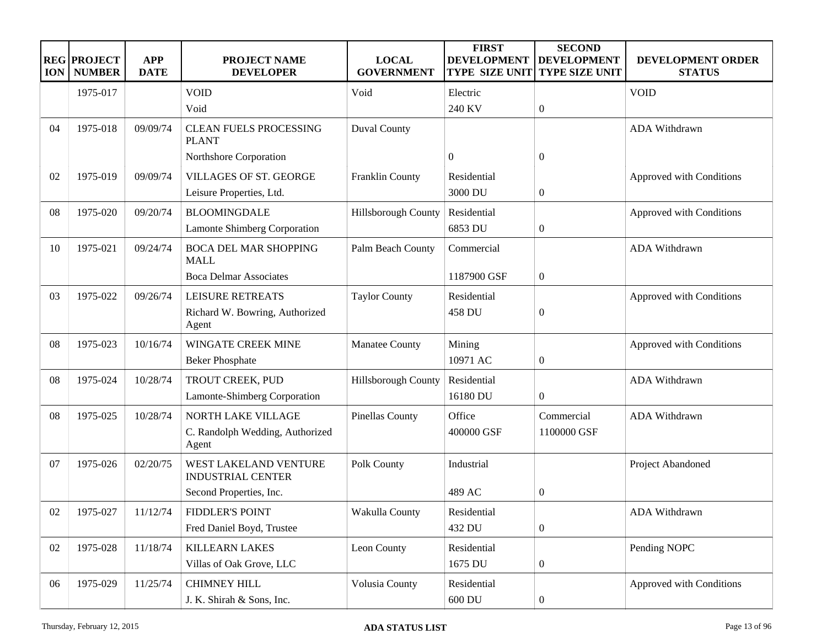| <b>ION</b> | <b>REG PROJECT</b><br><b>NUMBER</b> | <b>APP</b><br><b>DATE</b> | PROJECT NAME<br><b>DEVELOPER</b>                  | <b>LOCAL</b><br><b>GOVERNMENT</b> | <b>FIRST</b><br><b>DEVELOPMENT</b><br><b>TYPE SIZE UNIT</b> | <b>SECOND</b><br><b>DEVELOPMENT</b><br>TYPE SIZE UNIT | <b>DEVELOPMENT ORDER</b><br><b>STATUS</b> |
|------------|-------------------------------------|---------------------------|---------------------------------------------------|-----------------------------------|-------------------------------------------------------------|-------------------------------------------------------|-------------------------------------------|
|            | 1975-017                            |                           | <b>VOID</b>                                       | Void                              | Electric                                                    |                                                       | <b>VOID</b>                               |
|            |                                     |                           | Void                                              |                                   | 240 KV                                                      | $\boldsymbol{0}$                                      |                                           |
| 04         | 1975-018                            | 09/09/74                  | <b>CLEAN FUELS PROCESSING</b><br><b>PLANT</b>     | <b>Duval County</b>               |                                                             |                                                       | <b>ADA Withdrawn</b>                      |
|            |                                     |                           | Northshore Corporation                            |                                   | $\overline{0}$                                              | 0                                                     |                                           |
| 02         | 1975-019                            | 09/09/74                  | VILLAGES OF ST. GEORGE                            | Franklin County                   | Residential                                                 |                                                       | Approved with Conditions                  |
|            |                                     |                           | Leisure Properties, Ltd.                          |                                   | 3000 DU                                                     | $\boldsymbol{0}$                                      |                                           |
| 08         | 1975-020                            | 09/20/74                  | <b>BLOOMINGDALE</b>                               | Hillsborough County               | Residential                                                 |                                                       | Approved with Conditions                  |
|            |                                     |                           | Lamonte Shimberg Corporation                      |                                   | 6853 DU                                                     | $\boldsymbol{0}$                                      |                                           |
| 10         | 1975-021                            | 09/24/74                  | <b>BOCA DEL MAR SHOPPING</b><br><b>MALL</b>       | Palm Beach County                 | Commercial                                                  |                                                       | ADA Withdrawn                             |
|            |                                     |                           | <b>Boca Delmar Associates</b>                     |                                   | 1187900 GSF                                                 | $\boldsymbol{0}$                                      |                                           |
| 03         | 1975-022                            | 09/26/74                  | LEISURE RETREATS                                  | <b>Taylor County</b>              | Residential                                                 |                                                       | Approved with Conditions                  |
|            |                                     |                           | Richard W. Bowring, Authorized<br>Agent           |                                   | 458 DU                                                      | $\boldsymbol{0}$                                      |                                           |
| 08         | 1975-023                            | 10/16/74                  | WINGATE CREEK MINE                                | <b>Manatee County</b>             | Mining                                                      |                                                       | Approved with Conditions                  |
|            |                                     |                           | <b>Beker Phosphate</b>                            |                                   | 10971 AC                                                    | $\boldsymbol{0}$                                      |                                           |
| 08         | 1975-024                            | 10/28/74                  | TROUT CREEK, PUD                                  | Hillsborough County               | Residential                                                 |                                                       | <b>ADA Withdrawn</b>                      |
|            |                                     |                           | Lamonte-Shimberg Corporation                      |                                   | 16180 DU                                                    | $\boldsymbol{0}$                                      |                                           |
| 08         | 1975-025                            | 10/28/74                  | NORTH LAKE VILLAGE                                | Pinellas County                   | Office                                                      | Commercial                                            | <b>ADA Withdrawn</b>                      |
|            |                                     |                           | C. Randolph Wedding, Authorized<br>Agent          |                                   | 400000 GSF                                                  | 1100000 GSF                                           |                                           |
| 07         | 1975-026                            | 02/20/75                  | WEST LAKELAND VENTURE<br><b>INDUSTRIAL CENTER</b> | Polk County                       | Industrial                                                  |                                                       | Project Abandoned                         |
|            |                                     |                           | Second Properties, Inc.                           |                                   | 489 AC                                                      | 0                                                     |                                           |
| 02         | 1975-027                            | 11/12/74                  | <b>FIDDLER'S POINT</b>                            | Wakulla County                    | Residential                                                 |                                                       | ADA Withdrawn                             |
|            |                                     |                           | Fred Daniel Boyd, Trustee                         |                                   | 432 DU                                                      | $\boldsymbol{0}$                                      |                                           |
| 02         | 1975-028                            | 11/18/74                  | <b>KILLEARN LAKES</b>                             | Leon County                       | Residential                                                 |                                                       | Pending NOPC                              |
|            |                                     |                           | Villas of Oak Grove, LLC                          |                                   | 1675 DU                                                     | $\boldsymbol{0}$                                      |                                           |
| 06         | 1975-029                            | 11/25/74                  | <b>CHIMNEY HILL</b>                               | Volusia County                    | Residential                                                 |                                                       | Approved with Conditions                  |
|            |                                     |                           | J. K. Shirah & Sons, Inc.                         |                                   | 600 DU                                                      | 0                                                     |                                           |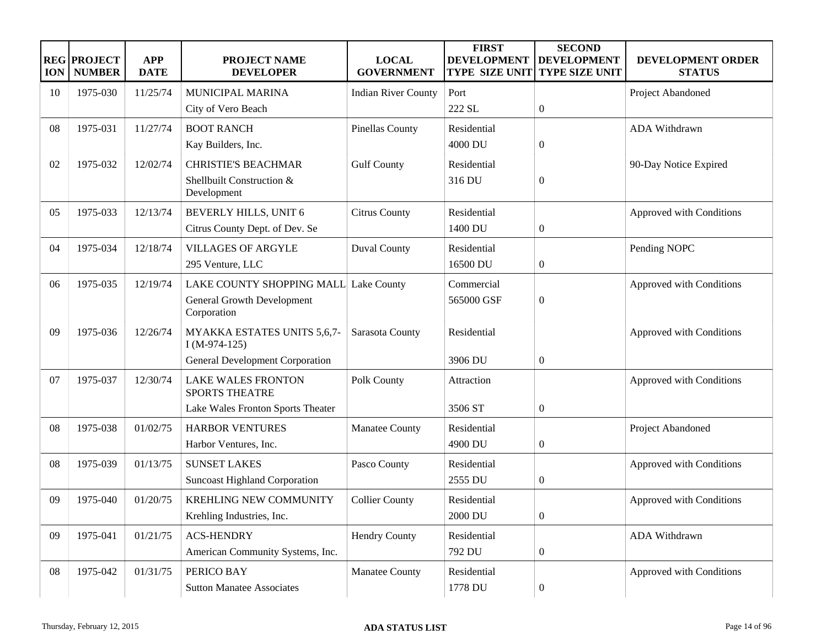| <b>ION</b> | <b>REG PROJECT</b><br><b>NUMBER</b> | <b>APP</b><br><b>DATE</b> | <b>PROJECT NAME</b><br><b>DEVELOPER</b>            | <b>LOCAL</b><br><b>GOVERNMENT</b> | <b>FIRST</b><br><b>DEVELOPMENT</b><br><b>TYPE SIZE UNIT</b> | <b>SECOND</b><br><b>DEVELOPMENT</b><br><b>TYPE SIZE UNIT</b> | DEVELOPMENT ORDER<br><b>STATUS</b> |
|------------|-------------------------------------|---------------------------|----------------------------------------------------|-----------------------------------|-------------------------------------------------------------|--------------------------------------------------------------|------------------------------------|
| 10         | 1975-030                            | 11/25/74                  | <b>MUNICIPAL MARINA</b>                            | <b>Indian River County</b>        | Port                                                        |                                                              | Project Abandoned                  |
|            |                                     |                           | City of Vero Beach                                 |                                   | 222 SL                                                      | $\boldsymbol{0}$                                             |                                    |
| 08         | 1975-031                            | 11/27/74                  | <b>BOOT RANCH</b>                                  | <b>Pinellas County</b>            | Residential                                                 |                                                              | ADA Withdrawn                      |
|            |                                     |                           | Kay Builders, Inc.                                 |                                   | 4000 DU                                                     | $\boldsymbol{0}$                                             |                                    |
| 02         | 1975-032                            | 12/02/74                  | <b>CHRISTIE'S BEACHMAR</b>                         | <b>Gulf County</b>                | Residential                                                 |                                                              | 90-Day Notice Expired              |
|            |                                     |                           | Shellbuilt Construction &<br>Development           |                                   | 316 DU                                                      | $\overline{0}$                                               |                                    |
| 05         | 1975-033                            | 12/13/74                  | BEVERLY HILLS, UNIT 6                              | <b>Citrus County</b>              | Residential                                                 |                                                              | Approved with Conditions           |
|            |                                     |                           | Citrus County Dept. of Dev. Se                     |                                   | 1400 DU                                                     | $\boldsymbol{0}$                                             |                                    |
| 04         | 1975-034                            | 12/18/74                  | <b>VILLAGES OF ARGYLE</b>                          | <b>Duval County</b>               | Residential                                                 |                                                              | Pending NOPC                       |
|            |                                     |                           | 295 Venture, LLC                                   |                                   | 16500 DU                                                    | $\boldsymbol{0}$                                             |                                    |
| 06         | 1975-035                            | 12/19/74                  | LAKE COUNTY SHOPPING MALL Lake County              |                                   | Commercial                                                  |                                                              | Approved with Conditions           |
|            |                                     |                           | General Growth Development<br>Corporation          |                                   | 565000 GSF                                                  | $\boldsymbol{0}$                                             |                                    |
| 09         | 1975-036                            | 12/26/74                  | MYAKKA ESTATES UNITS 5,6,7-<br>$I(M-974-125)$      | Sarasota County                   | Residential                                                 |                                                              | Approved with Conditions           |
|            |                                     |                           | <b>General Development Corporation</b>             |                                   | 3906 DU                                                     | $\boldsymbol{0}$                                             |                                    |
| 07         | 1975-037                            | 12/30/74                  | <b>LAKE WALES FRONTON</b><br><b>SPORTS THEATRE</b> | Polk County                       | Attraction                                                  |                                                              | Approved with Conditions           |
|            |                                     |                           | Lake Wales Fronton Sports Theater                  |                                   | 3506 ST                                                     | $\boldsymbol{0}$                                             |                                    |
| 08         | 1975-038                            | 01/02/75                  | <b>HARBOR VENTURES</b>                             | Manatee County                    | Residential                                                 |                                                              | Project Abandoned                  |
|            |                                     |                           | Harbor Ventures, Inc.                              |                                   | 4900 DU                                                     | $\boldsymbol{0}$                                             |                                    |
| 08         | 1975-039                            | 01/13/75                  | <b>SUNSET LAKES</b>                                | Pasco County                      | Residential                                                 |                                                              | Approved with Conditions           |
|            |                                     |                           | <b>Suncoast Highland Corporation</b>               |                                   | 2555 DU                                                     | $\boldsymbol{0}$                                             |                                    |
| 09         | 1975-040                            | 01/20/75                  | KREHLING NEW COMMUNITY                             | <b>Collier County</b>             | Residential                                                 |                                                              | Approved with Conditions           |
|            |                                     |                           | Krehling Industries, Inc.                          |                                   | 2000 DU                                                     | $\boldsymbol{0}$                                             |                                    |
| 09         | 1975-041                            | 01/21/75                  | <b>ACS-HENDRY</b>                                  | <b>Hendry County</b>              | Residential                                                 |                                                              | ADA Withdrawn                      |
|            |                                     |                           | American Community Systems, Inc.                   |                                   | 792 DU                                                      | $\boldsymbol{0}$                                             |                                    |
| 08         | 1975-042                            | 01/31/75                  | PERICO BAY                                         | Manatee County                    | Residential                                                 |                                                              | Approved with Conditions           |
|            |                                     |                           | <b>Sutton Manatee Associates</b>                   |                                   | 1778 DU                                                     | $\boldsymbol{0}$                                             |                                    |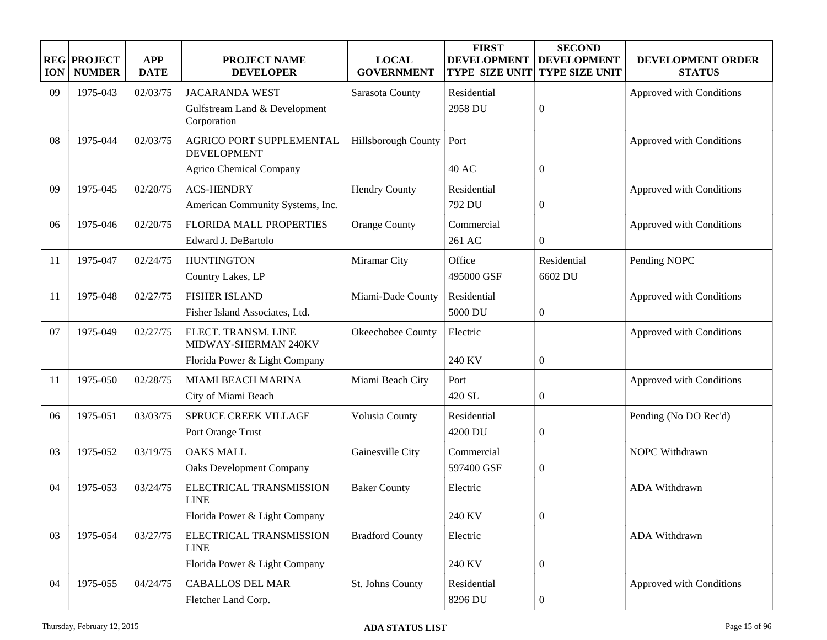| <b>ION</b> | <b>REG PROJECT</b><br><b>NUMBER</b> | <b>APP</b><br><b>DATE</b> | PROJECT NAME<br><b>DEVELOPER</b>               | <b>LOCAL</b><br><b>GOVERNMENT</b> | <b>FIRST</b><br><b>DEVELOPMENT</b><br><b>TYPE SIZE UNIT</b> | <b>SECOND</b><br><b>DEVELOPMENT</b><br>TYPE SIZE UNIT | DEVELOPMENT ORDER<br><b>STATUS</b> |
|------------|-------------------------------------|---------------------------|------------------------------------------------|-----------------------------------|-------------------------------------------------------------|-------------------------------------------------------|------------------------------------|
| 09         | 1975-043                            | 02/03/75                  | <b>JACARANDA WEST</b>                          | Sarasota County                   | Residential                                                 |                                                       | Approved with Conditions           |
|            |                                     |                           | Gulfstream Land & Development<br>Corporation   |                                   | 2958 DU                                                     | $\boldsymbol{0}$                                      |                                    |
| 08         | 1975-044                            | 02/03/75                  | AGRICO PORT SUPPLEMENTAL<br><b>DEVELOPMENT</b> | Hillsborough County               | Port                                                        |                                                       | Approved with Conditions           |
|            |                                     |                           | <b>Agrico Chemical Company</b>                 |                                   | <b>40 AC</b>                                                | $\overline{0}$                                        |                                    |
| 09         | 1975-045                            | 02/20/75                  | <b>ACS-HENDRY</b>                              | <b>Hendry County</b>              | Residential                                                 |                                                       | Approved with Conditions           |
|            |                                     |                           | American Community Systems, Inc.               |                                   | 792 DU                                                      | $\boldsymbol{0}$                                      |                                    |
| 06         | 1975-046                            | 02/20/75                  | FLORIDA MALL PROPERTIES                        | <b>Orange County</b>              | Commercial                                                  |                                                       | Approved with Conditions           |
|            |                                     |                           | Edward J. DeBartolo                            |                                   | 261 AC                                                      | $\boldsymbol{0}$                                      |                                    |
| -11        | 1975-047                            | 02/24/75                  | <b>HUNTINGTON</b>                              | Miramar City                      | Office                                                      | Residential                                           | Pending NOPC                       |
|            |                                     |                           | Country Lakes, LP                              |                                   | 495000 GSF                                                  | 6602 DU                                               |                                    |
| 11         | 1975-048                            | 02/27/75                  | <b>FISHER ISLAND</b>                           | Miami-Dade County                 | Residential                                                 |                                                       | Approved with Conditions           |
|            |                                     |                           | Fisher Island Associates, Ltd.                 |                                   | 5000 DU                                                     | $\boldsymbol{0}$                                      |                                    |
| 07         | 1975-049                            | 02/27/75                  | ELECT. TRANSM. LINE<br>MIDWAY-SHERMAN 240KV    | Okeechobee County                 | Electric                                                    |                                                       | Approved with Conditions           |
|            |                                     |                           | Florida Power & Light Company                  |                                   | 240 KV                                                      | $\boldsymbol{0}$                                      |                                    |
| 11         | 1975-050                            | 02/28/75                  | <b>MIAMI BEACH MARINA</b>                      | Miami Beach City                  | Port                                                        |                                                       | Approved with Conditions           |
|            |                                     |                           | City of Miami Beach                            |                                   | 420 SL                                                      | $\boldsymbol{0}$                                      |                                    |
| 06         | 1975-051                            | 03/03/75                  | SPRUCE CREEK VILLAGE                           | Volusia County                    | Residential                                                 |                                                       | Pending (No DO Rec'd)              |
|            |                                     |                           | Port Orange Trust                              |                                   | 4200 DU                                                     | $\boldsymbol{0}$                                      |                                    |
| 03         | 1975-052                            | 03/19/75                  | <b>OAKS MALL</b>                               | Gainesville City                  | Commercial                                                  |                                                       | NOPC Withdrawn                     |
|            |                                     |                           | <b>Oaks Development Company</b>                |                                   | 597400 GSF                                                  | $\boldsymbol{0}$                                      |                                    |
| 04         | 1975-053                            | 03/24/75                  | ELECTRICAL TRANSMISSION<br><b>LINE</b>         | <b>Baker County</b>               | Electric                                                    |                                                       | <b>ADA Withdrawn</b>               |
|            |                                     |                           | Florida Power & Light Company                  |                                   | 240 KV                                                      | $\boldsymbol{0}$                                      |                                    |
| 03         | 1975-054                            | 03/27/75                  | ELECTRICAL TRANSMISSION<br><b>LINE</b>         | <b>Bradford County</b>            | Electric                                                    |                                                       | ADA Withdrawn                      |
|            |                                     |                           | Florida Power & Light Company                  |                                   | 240 KV                                                      | $\boldsymbol{0}$                                      |                                    |
| 04         | 1975-055                            | 04/24/75                  | <b>CABALLOS DEL MAR</b>                        | St. Johns County                  | Residential                                                 |                                                       | Approved with Conditions           |
|            |                                     |                           | Fletcher Land Corp.                            |                                   | 8296 DU                                                     | $\boldsymbol{0}$                                      |                                    |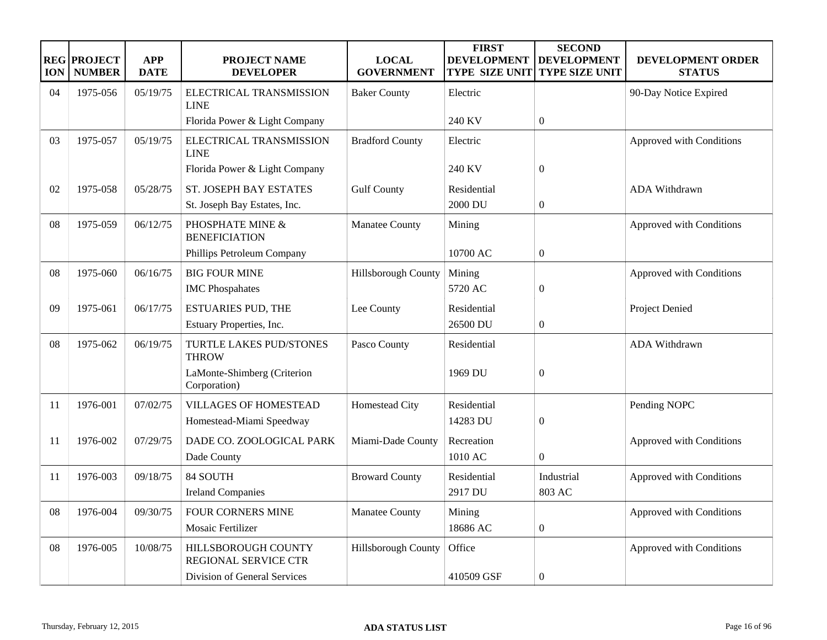| <b>ION</b> | <b>REG PROJECT</b><br><b>NUMBER</b> | <b>APP</b><br><b>DATE</b> | <b>PROJECT NAME</b><br><b>DEVELOPER</b>            | <b>LOCAL</b><br><b>GOVERNMENT</b> | <b>FIRST</b><br><b>DEVELOPMENT</b><br><b>TYPE SIZE UNIT</b> | <b>SECOND</b><br><b>DEVELOPMENT</b><br><b>TYPE SIZE UNIT</b> | DEVELOPMENT ORDER<br><b>STATUS</b> |
|------------|-------------------------------------|---------------------------|----------------------------------------------------|-----------------------------------|-------------------------------------------------------------|--------------------------------------------------------------|------------------------------------|
| 04         | 1975-056                            | 05/19/75                  | ELECTRICAL TRANSMISSION<br><b>LINE</b>             | <b>Baker County</b>               | Electric                                                    |                                                              | 90-Day Notice Expired              |
|            |                                     |                           | Florida Power & Light Company                      |                                   | 240 KV                                                      | $\Omega$                                                     |                                    |
| 03         | 1975-057                            | 05/19/75                  | ELECTRICAL TRANSMISSION<br><b>LINE</b>             | <b>Bradford County</b>            | Electric                                                    |                                                              | Approved with Conditions           |
|            |                                     |                           | Florida Power & Light Company                      |                                   | 240 KV                                                      | $\overline{0}$                                               |                                    |
| 02         | 1975-058                            | 05/28/75                  | ST. JOSEPH BAY ESTATES                             | <b>Gulf County</b>                | Residential                                                 |                                                              | <b>ADA Withdrawn</b>               |
|            |                                     |                           | St. Joseph Bay Estates, Inc.                       |                                   | 2000 DU                                                     | $\boldsymbol{0}$                                             |                                    |
| 08         | 1975-059                            | 06/12/75                  | PHOSPHATE MINE &<br><b>BENEFICIATION</b>           | Manatee County                    | Mining                                                      |                                                              | Approved with Conditions           |
|            |                                     |                           | Phillips Petroleum Company                         |                                   | 10700 AC                                                    | $\boldsymbol{0}$                                             |                                    |
| 08         | 1975-060                            | 06/16/75                  | <b>BIG FOUR MINE</b>                               | Hillsborough County               | Mining                                                      |                                                              | Approved with Conditions           |
|            |                                     |                           | <b>IMC</b> Phospahates                             |                                   | 5720 AC                                                     | $\boldsymbol{0}$                                             |                                    |
| 09         | 1975-061                            | 06/17/75                  | <b>ESTUARIES PUD, THE</b>                          | Lee County                        | Residential                                                 |                                                              | Project Denied                     |
|            |                                     |                           | Estuary Properties, Inc.                           |                                   | 26500 DU                                                    | $\boldsymbol{0}$                                             |                                    |
| 08         | 1975-062                            | 06/19/75                  | TURTLE LAKES PUD/STONES<br><b>THROW</b>            | Pasco County                      | Residential                                                 |                                                              | ADA Withdrawn                      |
|            |                                     |                           | LaMonte-Shimberg (Criterion<br>Corporation)        |                                   | 1969 DU                                                     | $\mathbf{0}$                                                 |                                    |
| 11         | 1976-001                            | 07/02/75                  | <b>VILLAGES OF HOMESTEAD</b>                       | Homestead City                    | Residential                                                 |                                                              | Pending NOPC                       |
|            |                                     |                           | Homestead-Miami Speedway                           |                                   | 14283 DU                                                    | $\boldsymbol{0}$                                             |                                    |
| 11         | 1976-002                            | 07/29/75                  | DADE CO. ZOOLOGICAL PARK                           | Miami-Dade County                 | Recreation                                                  |                                                              | Approved with Conditions           |
|            |                                     |                           | Dade County                                        |                                   | 1010 AC                                                     | $\boldsymbol{0}$                                             |                                    |
| 11         | 1976-003                            | 09/18/75                  | 84 SOUTH                                           | <b>Broward County</b>             | Residential                                                 | Industrial                                                   | Approved with Conditions           |
|            |                                     |                           | <b>Ireland Companies</b>                           |                                   | 2917 DU                                                     | 803 AC                                                       |                                    |
| 08         | 1976-004                            | 09/30/75                  | <b>FOUR CORNERS MINE</b>                           | Manatee County                    | Mining                                                      |                                                              | Approved with Conditions           |
|            |                                     |                           | Mosaic Fertilizer                                  |                                   | 18686 AC                                                    | $\boldsymbol{0}$                                             |                                    |
| 08         | 1976-005                            | 10/08/75                  | HILLSBOROUGH COUNTY<br><b>REGIONAL SERVICE CTR</b> | Hillsborough County               | Office                                                      |                                                              | Approved with Conditions           |
|            |                                     |                           | Division of General Services                       |                                   | 410509 GSF                                                  | $\boldsymbol{0}$                                             |                                    |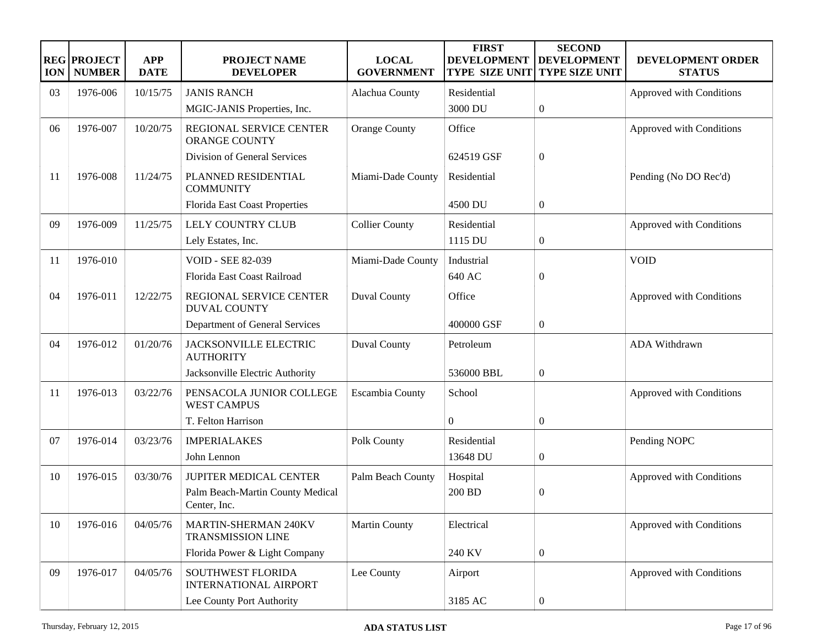| <b>ION</b> | <b>REG PROJECT</b><br><b>NUMBER</b> | <b>APP</b><br><b>DATE</b> | PROJECT NAME<br><b>DEVELOPER</b>                         | <b>LOCAL</b><br><b>GOVERNMENT</b> | <b>FIRST</b><br><b>DEVELOPMENT</b><br><b>TYPE SIZE UNIT</b> | <b>SECOND</b><br><b>DEVELOPMENT</b><br>TYPE SIZE UNIT | DEVELOPMENT ORDER<br><b>STATUS</b> |
|------------|-------------------------------------|---------------------------|----------------------------------------------------------|-----------------------------------|-------------------------------------------------------------|-------------------------------------------------------|------------------------------------|
| 03         | 1976-006                            | 10/15/75                  | <b>JANIS RANCH</b>                                       | Alachua County                    | Residential                                                 |                                                       | Approved with Conditions           |
|            |                                     |                           | MGIC-JANIS Properties, Inc.                              |                                   | 3000 DU                                                     | $\boldsymbol{0}$                                      |                                    |
| 06         | 1976-007                            | 10/20/75                  | REGIONAL SERVICE CENTER<br><b>ORANGE COUNTY</b>          | <b>Orange County</b>              | Office                                                      |                                                       | Approved with Conditions           |
|            |                                     |                           | Division of General Services                             |                                   | 624519 GSF                                                  | $\boldsymbol{0}$                                      |                                    |
| 11         | 1976-008                            | 11/24/75                  | PLANNED RESIDENTIAL<br><b>COMMUNITY</b>                  | Miami-Dade County                 | Residential                                                 |                                                       | Pending (No DO Rec'd)              |
|            |                                     |                           | Florida East Coast Properties                            |                                   | 4500 DU                                                     | $\boldsymbol{0}$                                      |                                    |
| 09         | 1976-009                            | 11/25/75                  | LELY COUNTRY CLUB                                        | <b>Collier County</b>             | Residential                                                 |                                                       | Approved with Conditions           |
|            |                                     |                           | Lely Estates, Inc.                                       |                                   | 1115 DU                                                     | $\boldsymbol{0}$                                      |                                    |
| 11         | 1976-010                            |                           | <b>VOID - SEE 82-039</b>                                 | Miami-Dade County                 | Industrial                                                  |                                                       | <b>VOID</b>                        |
|            |                                     |                           | Florida East Coast Railroad                              |                                   | 640 AC                                                      | $\boldsymbol{0}$                                      |                                    |
| 04         | 1976-011                            | 12/22/75                  | REGIONAL SERVICE CENTER<br><b>DUVAL COUNTY</b>           | <b>Duval County</b>               | Office                                                      |                                                       | Approved with Conditions           |
|            |                                     |                           | Department of General Services                           |                                   | 400000 GSF                                                  | $\overline{0}$                                        |                                    |
| 04         | 1976-012                            | 01/20/76                  | JACKSONVILLE ELECTRIC<br><b>AUTHORITY</b>                | <b>Duval County</b>               | Petroleum                                                   |                                                       | ADA Withdrawn                      |
|            |                                     |                           | Jacksonville Electric Authority                          |                                   | 536000 BBL                                                  | $\boldsymbol{0}$                                      |                                    |
| 11         | 1976-013                            | 03/22/76                  | PENSACOLA JUNIOR COLLEGE<br><b>WEST CAMPUS</b>           | Escambia County                   | School                                                      |                                                       | Approved with Conditions           |
|            |                                     |                           | T. Felton Harrison                                       |                                   | $\overline{0}$                                              | $\boldsymbol{0}$                                      |                                    |
| 07         | 1976-014                            | 03/23/76                  | <b>IMPERIALAKES</b>                                      | Polk County                       | Residential                                                 |                                                       | Pending NOPC                       |
|            |                                     |                           | John Lennon                                              |                                   | 13648 DU                                                    | $\boldsymbol{0}$                                      |                                    |
| 10         | 1976-015                            | 03/30/76                  | <b>JUPITER MEDICAL CENTER</b>                            | Palm Beach County                 | Hospital                                                    |                                                       | Approved with Conditions           |
|            |                                     |                           | Palm Beach-Martin County Medical<br>Center, Inc.         |                                   | 200 BD                                                      | 0                                                     |                                    |
| 10         | 1976-016                            | 04/05/76                  | <b>MARTIN-SHERMAN 240KV</b><br><b>TRANSMISSION LINE</b>  | <b>Martin County</b>              | Electrical                                                  |                                                       | Approved with Conditions           |
|            |                                     |                           | Florida Power & Light Company                            |                                   | 240 KV                                                      | $\boldsymbol{0}$                                      |                                    |
| 09         | 1976-017                            | 04/05/76                  | <b>SOUTHWEST FLORIDA</b><br><b>INTERNATIONAL AIRPORT</b> | Lee County                        | Airport                                                     |                                                       | Approved with Conditions           |
|            |                                     |                           | Lee County Port Authority                                |                                   | 3185 AC                                                     | 0                                                     |                                    |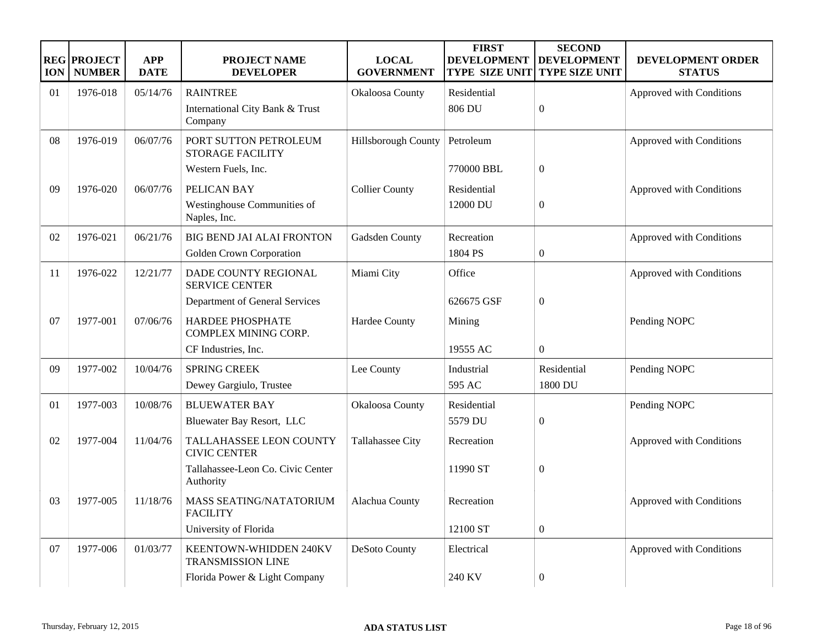| <b>ION</b> | <b>REG PROJECT</b><br><b>NUMBER</b> | <b>APP</b><br><b>DATE</b> | <b>PROJECT NAME</b><br><b>DEVELOPER</b>                | <b>LOCAL</b><br><b>GOVERNMENT</b> | <b>FIRST</b><br><b>DEVELOPMENT</b><br><b>TYPE SIZE UNIT</b> | <b>SECOND</b><br><b>DEVELOPMENT</b><br><b>TYPE SIZE UNIT</b> | DEVELOPMENT ORDER<br><b>STATUS</b> |
|------------|-------------------------------------|---------------------------|--------------------------------------------------------|-----------------------------------|-------------------------------------------------------------|--------------------------------------------------------------|------------------------------------|
| 01         | 1976-018                            | 05/14/76                  | <b>RAINTREE</b>                                        | Okaloosa County                   | Residential                                                 |                                                              | Approved with Conditions           |
|            |                                     |                           | International City Bank & Trust<br>Company             |                                   | 806 DU                                                      | $\mathbf{0}$                                                 |                                    |
| 08         | 1976-019                            | 06/07/76                  | PORT SUTTON PETROLEUM<br><b>STORAGE FACILITY</b>       | Hillsborough County               | Petroleum                                                   |                                                              | Approved with Conditions           |
|            |                                     |                           | Western Fuels, Inc.                                    |                                   | 770000 BBL                                                  | $\boldsymbol{0}$                                             |                                    |
| 09         | 1976-020                            | 06/07/76                  | PELICAN BAY                                            | <b>Collier County</b>             | Residential                                                 |                                                              | Approved with Conditions           |
|            |                                     |                           | Westinghouse Communities of<br>Naples, Inc.            |                                   | 12000 DU                                                    | $\overline{0}$                                               |                                    |
| 02         | 1976-021                            | 06/21/76                  | <b>BIG BEND JAI ALAI FRONTON</b>                       | Gadsden County                    | Recreation                                                  |                                                              | Approved with Conditions           |
|            |                                     |                           | Golden Crown Corporation                               |                                   | 1804 PS                                                     | $\boldsymbol{0}$                                             |                                    |
| 11         | 1976-022                            | 12/21/77                  | DADE COUNTY REGIONAL<br><b>SERVICE CENTER</b>          | Miami City                        | Office                                                      |                                                              | Approved with Conditions           |
|            |                                     |                           | Department of General Services                         |                                   | 626675 GSF                                                  | $\boldsymbol{0}$                                             |                                    |
| 07         | 1977-001                            | 07/06/76                  | <b>HARDEE PHOSPHATE</b><br><b>COMPLEX MINING CORP.</b> | Hardee County                     | Mining                                                      |                                                              | Pending NOPC                       |
|            |                                     |                           | CF Industries, Inc.                                    |                                   | 19555 AC                                                    | $\overline{0}$                                               |                                    |
| 09         | 1977-002                            | 10/04/76                  | <b>SPRING CREEK</b>                                    | Lee County                        | Industrial                                                  | Residential                                                  | Pending NOPC                       |
|            |                                     |                           | Dewey Gargiulo, Trustee                                |                                   | 595 AC                                                      | 1800 DU                                                      |                                    |
| 01         | 1977-003                            | 10/08/76                  | <b>BLUEWATER BAY</b>                                   | Okaloosa County                   | Residential                                                 |                                                              | Pending NOPC                       |
|            |                                     |                           | Bluewater Bay Resort, LLC                              |                                   | 5579 DU                                                     | $\boldsymbol{0}$                                             |                                    |
| 02         | 1977-004                            | 11/04/76                  | TALLAHASSEE LEON COUNTY<br><b>CIVIC CENTER</b>         | Tallahassee City                  | Recreation                                                  |                                                              | Approved with Conditions           |
|            |                                     |                           | Tallahassee-Leon Co. Civic Center<br>Authority         |                                   | 11990 ST                                                    | $\boldsymbol{0}$                                             |                                    |
| 03         | 1977-005                            | 11/18/76                  | MASS SEATING/NATATORIUM<br><b>FACILITY</b>             | Alachua County                    | Recreation                                                  |                                                              | Approved with Conditions           |
|            |                                     |                           | University of Florida                                  |                                   | 12100 ST                                                    | $\boldsymbol{0}$                                             |                                    |
| 07         | 1977-006                            | 01/03/77                  | KEENTOWN-WHIDDEN 240KV<br><b>TRANSMISSION LINE</b>     | DeSoto County                     | Electrical                                                  |                                                              | Approved with Conditions           |
|            |                                     |                           | Florida Power & Light Company                          |                                   | 240 KV                                                      | $\boldsymbol{0}$                                             |                                    |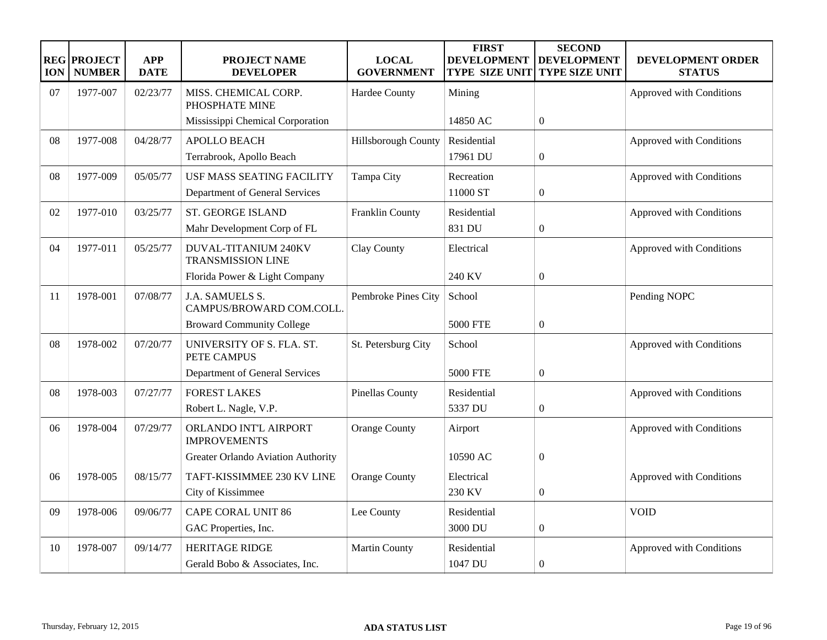| <b>ION</b> | <b>REG PROJECT</b><br><b>NUMBER</b> | <b>APP</b><br><b>DATE</b> | <b>PROJECT NAME</b><br><b>DEVELOPER</b>          | <b>LOCAL</b><br><b>GOVERNMENT</b> | <b>FIRST</b><br><b>DEVELOPMENT</b><br><b>TYPE SIZE UNIT</b> | <b>SECOND</b><br><b>DEVELOPMENT</b><br><b>TYPE SIZE UNIT</b> | <b>DEVELOPMENT ORDER</b><br><b>STATUS</b> |
|------------|-------------------------------------|---------------------------|--------------------------------------------------|-----------------------------------|-------------------------------------------------------------|--------------------------------------------------------------|-------------------------------------------|
| 07         | 1977-007                            | 02/23/77                  | MISS. CHEMICAL CORP.<br>PHOSPHATE MINE           | Hardee County                     | Mining                                                      |                                                              | Approved with Conditions                  |
|            |                                     |                           | Mississippi Chemical Corporation                 |                                   | 14850 AC                                                    | $\overline{0}$                                               |                                           |
| 08         | 1977-008                            | 04/28/77                  | <b>APOLLO BEACH</b>                              | <b>Hillsborough County</b>        | Residential                                                 |                                                              | Approved with Conditions                  |
|            |                                     |                           | Terrabrook, Apollo Beach                         |                                   | 17961 DU                                                    | $\boldsymbol{0}$                                             |                                           |
| 08         | 1977-009                            | 05/05/77                  | <b>USF MASS SEATING FACILITY</b>                 | Tampa City                        | Recreation                                                  |                                                              | Approved with Conditions                  |
|            |                                     |                           | Department of General Services                   |                                   | 11000 ST                                                    | $\overline{0}$                                               |                                           |
| 02         | 1977-010                            | 03/25/77                  | <b>ST. GEORGE ISLAND</b>                         | Franklin County                   | Residential                                                 |                                                              | Approved with Conditions                  |
|            |                                     |                           | Mahr Development Corp of FL                      |                                   | 831 DU                                                      | $\boldsymbol{0}$                                             |                                           |
| 04         | 1977-011                            | 05/25/77                  | DUVAL-TITANIUM 240KV<br><b>TRANSMISSION LINE</b> | Clay County                       | Electrical                                                  |                                                              | Approved with Conditions                  |
|            |                                     |                           | Florida Power & Light Company                    |                                   | 240 KV                                                      | $\boldsymbol{0}$                                             |                                           |
| 11         | 1978-001                            | 07/08/77                  | J.A. SAMUELS S.<br>CAMPUS/BROWARD COM.COLL.      | Pembroke Pines City               | School                                                      |                                                              | Pending NOPC                              |
|            |                                     |                           | <b>Broward Community College</b>                 |                                   | <b>5000 FTE</b>                                             | $\overline{0}$                                               |                                           |
| 08         | 1978-002                            | 07/20/77                  | UNIVERSITY OF S. FLA. ST.<br>PETE CAMPUS         | St. Petersburg City               | School                                                      |                                                              | Approved with Conditions                  |
|            |                                     |                           | Department of General Services                   |                                   | <b>5000 FTE</b>                                             | $\overline{0}$                                               |                                           |
| 08         | 1978-003                            | 07/27/77                  | <b>FOREST LAKES</b>                              | Pinellas County                   | Residential                                                 |                                                              | Approved with Conditions                  |
|            |                                     |                           | Robert L. Nagle, V.P.                            |                                   | 5337 DU                                                     | $\boldsymbol{0}$                                             |                                           |
| 06         | 1978-004                            | 07/29/77                  | ORLANDO INT'L AIRPORT<br><b>IMPROVEMENTS</b>     | <b>Orange County</b>              | Airport                                                     |                                                              | Approved with Conditions                  |
|            |                                     |                           | Greater Orlando Aviation Authority               |                                   | 10590 AC                                                    | $\overline{0}$                                               |                                           |
| 06         | 1978-005                            | 08/15/77                  | TAFT-KISSIMMEE 230 KV LINE                       | <b>Orange County</b>              | Electrical                                                  |                                                              | Approved with Conditions                  |
|            |                                     |                           | City of Kissimmee                                |                                   | 230 KV                                                      | $\overline{0}$                                               |                                           |
| 09         | 1978-006                            | 09/06/77                  | <b>CAPE CORAL UNIT 86</b>                        | Lee County                        | Residential                                                 |                                                              | <b>VOID</b>                               |
|            |                                     |                           | GAC Properties, Inc.                             |                                   | 3000 DU                                                     | $\boldsymbol{0}$                                             |                                           |
| 10         | 1978-007                            | 09/14/77                  | <b>HERITAGE RIDGE</b>                            | Martin County                     | Residential                                                 |                                                              | Approved with Conditions                  |
|            |                                     |                           | Gerald Bobo & Associates, Inc.                   |                                   | 1047 DU                                                     | $\overline{0}$                                               |                                           |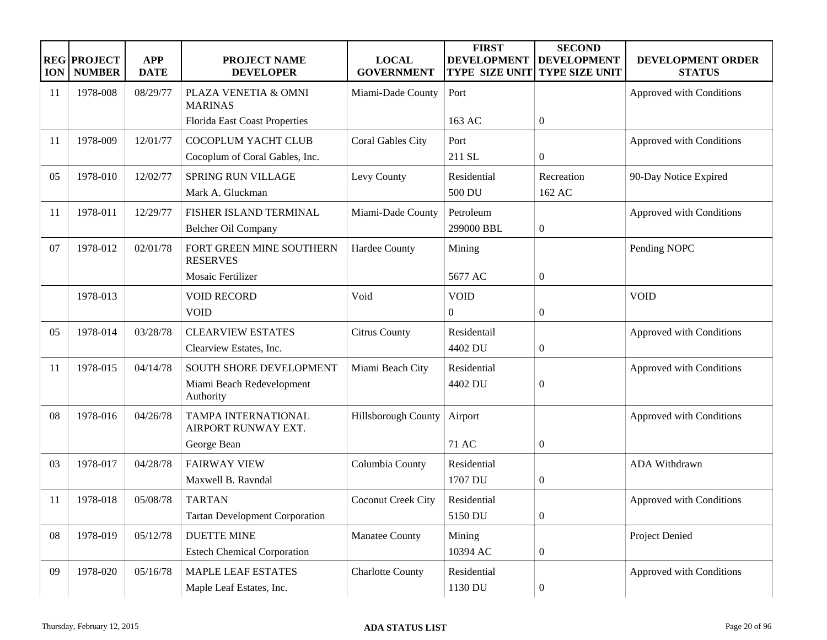| <b>ION</b> | <b>REG PROJECT</b><br><b>NUMBER</b> | <b>APP</b><br><b>DATE</b> | <b>PROJECT NAME</b><br><b>DEVELOPER</b>                           | <b>LOCAL</b><br><b>GOVERNMENT</b> | <b>FIRST</b><br><b>DEVELOPMENT</b><br><b>TYPE SIZE UNIT</b> | <b>SECOND</b><br><b>DEVELOPMENT</b><br><b>TYPE SIZE UNIT</b> | DEVELOPMENT ORDER<br><b>STATUS</b> |
|------------|-------------------------------------|---------------------------|-------------------------------------------------------------------|-----------------------------------|-------------------------------------------------------------|--------------------------------------------------------------|------------------------------------|
| 11         | 1978-008                            | 08/29/77                  | PLAZA VENETIA & OMNI<br><b>MARINAS</b>                            | Miami-Dade County                 | Port                                                        |                                                              | Approved with Conditions           |
|            |                                     |                           | <b>Florida East Coast Properties</b>                              |                                   | 163 AC                                                      | $\boldsymbol{0}$                                             |                                    |
| 11         | 1978-009                            | 12/01/77                  | COCOPLUM YACHT CLUB<br>Cocoplum of Coral Gables, Inc.             | <b>Coral Gables City</b>          | Port<br>211 SL                                              | $\overline{0}$                                               | Approved with Conditions           |
| 05         | 1978-010                            | 12/02/77                  | <b>SPRING RUN VILLAGE</b><br>Mark A. Gluckman                     | Levy County                       | Residential<br>500 DU                                       | Recreation<br>162 AC                                         | 90-Day Notice Expired              |
| 11         | 1978-011                            | 12/29/77                  | FISHER ISLAND TERMINAL<br>Belcher Oil Company                     | Miami-Dade County                 | Petroleum<br>299000 BBL                                     | $\boldsymbol{0}$                                             | Approved with Conditions           |
| 07         | 1978-012                            | 02/01/78                  | FORT GREEN MINE SOUTHERN<br><b>RESERVES</b>                       | Hardee County                     | Mining                                                      |                                                              | Pending NOPC                       |
|            |                                     |                           | Mosaic Fertilizer                                                 |                                   | 5677 AC                                                     | $\boldsymbol{0}$                                             |                                    |
|            | 1978-013                            |                           | <b>VOID RECORD</b><br><b>VOID</b>                                 | Void                              | <b>VOID</b><br>$\overline{0}$                               | $\boldsymbol{0}$                                             | <b>VOID</b>                        |
| 05         | 1978-014                            | 03/28/78                  | <b>CLEARVIEW ESTATES</b><br>Clearview Estates, Inc.               | <b>Citrus County</b>              | Residentail<br>4402 DU                                      | $\boldsymbol{0}$                                             | Approved with Conditions           |
| 11         | 1978-015                            | 04/14/78                  | SOUTH SHORE DEVELOPMENT<br>Miami Beach Redevelopment<br>Authority | Miami Beach City                  | Residential<br>4402 DU                                      | $\boldsymbol{0}$                                             | Approved with Conditions           |
| 08         | 1978-016                            | 04/26/78                  | TAMPA INTERNATIONAL<br>AIRPORT RUNWAY EXT.                        | Hillsborough County               | Airport                                                     |                                                              | Approved with Conditions           |
|            |                                     |                           | George Bean                                                       |                                   | 71 AC                                                       | $\boldsymbol{0}$                                             |                                    |
| 03         | 1978-017                            | 04/28/78                  | <b>FAIRWAY VIEW</b><br>Maxwell B. Ravndal                         | Columbia County                   | Residential<br>1707 DU                                      | $\boldsymbol{0}$                                             | ADA Withdrawn                      |
| 11         | 1978-018                            | 05/08/78                  | <b>TARTAN</b><br><b>Tartan Development Corporation</b>            | Coconut Creek City                | Residential<br>5150 DU                                      | $\boldsymbol{0}$                                             | Approved with Conditions           |
| 08         | 1978-019                            | 05/12/78                  | <b>DUETTE MINE</b><br><b>Estech Chemical Corporation</b>          | <b>Manatee County</b>             | Mining<br>10394 AC                                          | $\boldsymbol{0}$                                             | Project Denied                     |
| 09         | 1978-020                            | 05/16/78                  | <b>MAPLE LEAF ESTATES</b><br>Maple Leaf Estates, Inc.             | <b>Charlotte County</b>           | Residential<br>1130 DU                                      | $\boldsymbol{0}$                                             | Approved with Conditions           |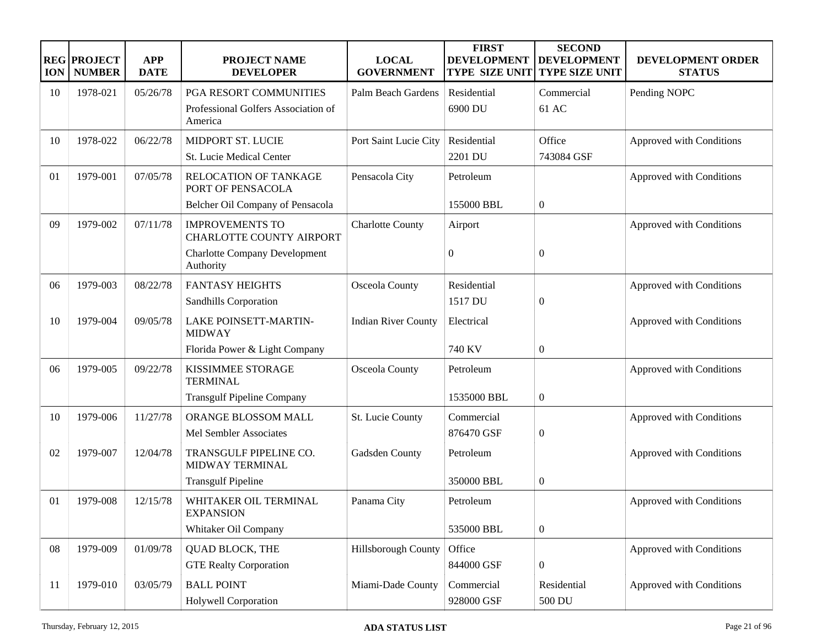| <b>ION</b> | <b>REG PROJECT</b><br><b>NUMBER</b> | <b>APP</b><br><b>DATE</b> | <b>PROJECT NAME</b><br><b>DEVELOPER</b>            | <b>LOCAL</b><br><b>GOVERNMENT</b> | <b>FIRST</b><br><b>DEVELOPMENT</b><br><b>TYPE SIZE UNIT</b> | <b>SECOND</b><br><b>DEVELOPMENT</b><br><b>TYPE SIZE UNIT</b> | DEVELOPMENT ORDER<br><b>STATUS</b> |
|------------|-------------------------------------|---------------------------|----------------------------------------------------|-----------------------------------|-------------------------------------------------------------|--------------------------------------------------------------|------------------------------------|
| 10         | 1978-021                            | 05/26/78                  | PGA RESORT COMMUNITIES                             | Palm Beach Gardens                | Residential                                                 | Commercial                                                   | Pending NOPC                       |
|            |                                     |                           | Professional Golfers Association of<br>America     |                                   | 6900 DU                                                     | 61 AC                                                        |                                    |
| 10         | 1978-022                            | 06/22/78                  | MIDPORT ST. LUCIE                                  | Port Saint Lucie City             | Residential                                                 | Office                                                       | Approved with Conditions           |
|            |                                     |                           | St. Lucie Medical Center                           |                                   | 2201 DU                                                     | 743084 GSF                                                   |                                    |
| 01         | 1979-001                            | 07/05/78                  | <b>RELOCATION OF TANKAGE</b><br>PORT OF PENSACOLA  | Pensacola City                    | Petroleum                                                   |                                                              | Approved with Conditions           |
|            |                                     |                           | Belcher Oil Company of Pensacola                   |                                   | 155000 BBL                                                  | $\boldsymbol{0}$                                             |                                    |
| 09         | 1979-002                            | 07/11/78                  | <b>IMPROVEMENTS TO</b><br>CHARLOTTE COUNTY AIRPORT | <b>Charlotte County</b>           | Airport                                                     |                                                              | Approved with Conditions           |
|            |                                     |                           | <b>Charlotte Company Development</b><br>Authority  |                                   | $\boldsymbol{0}$                                            | $\theta$                                                     |                                    |
| 06         | 1979-003                            | 08/22/78                  | <b>FANTASY HEIGHTS</b>                             | Osceola County                    | Residential                                                 |                                                              | Approved with Conditions           |
|            |                                     |                           | Sandhills Corporation                              |                                   | 1517 DU                                                     | $\boldsymbol{0}$                                             |                                    |
| 10         | 1979-004                            | 09/05/78                  | LAKE POINSETT-MARTIN-<br><b>MIDWAY</b>             | <b>Indian River County</b>        | Electrical                                                  |                                                              | Approved with Conditions           |
|            |                                     |                           | Florida Power & Light Company                      |                                   | 740 KV                                                      | $\boldsymbol{0}$                                             |                                    |
| 06         | 1979-005                            | 09/22/78                  | <b>KISSIMMEE STORAGE</b><br><b>TERMINAL</b>        | Osceola County                    | Petroleum                                                   |                                                              | Approved with Conditions           |
|            |                                     |                           | <b>Transgulf Pipeline Company</b>                  |                                   | 1535000 BBL                                                 | $\boldsymbol{0}$                                             |                                    |
| 10         | 1979-006                            | 11/27/78                  | ORANGE BLOSSOM MALL                                | St. Lucie County                  | Commercial                                                  |                                                              | Approved with Conditions           |
|            |                                     |                           | Mel Sembler Associates                             |                                   | 876470 GSF                                                  | $\boldsymbol{0}$                                             |                                    |
| 02         | 1979-007                            | 12/04/78                  | TRANSGULF PIPELINE CO.<br>MIDWAY TERMINAL          | Gadsden County                    | Petroleum                                                   |                                                              | Approved with Conditions           |
|            |                                     |                           | <b>Transgulf Pipeline</b>                          |                                   | 350000 BBL                                                  | $\boldsymbol{0}$                                             |                                    |
| 01         | 1979-008                            | 12/15/78                  | WHITAKER OIL TERMINAL<br><b>EXPANSION</b>          | Panama City                       | Petroleum                                                   |                                                              | Approved with Conditions           |
|            |                                     |                           | Whitaker Oil Company                               |                                   | 535000 BBL                                                  | $\boldsymbol{0}$                                             |                                    |
| 08         | 1979-009                            | 01/09/78                  | <b>QUAD BLOCK, THE</b>                             | Hillsborough County               | Office                                                      |                                                              | Approved with Conditions           |
|            |                                     |                           | <b>GTE Realty Corporation</b>                      |                                   | 844000 GSF                                                  | $\boldsymbol{0}$                                             |                                    |
| 11         | 1979-010                            | 03/05/79                  | <b>BALL POINT</b>                                  | Miami-Dade County                 | Commercial                                                  | Residential                                                  | Approved with Conditions           |
|            |                                     |                           | Holywell Corporation                               |                                   | 928000 GSF                                                  | 500 DU                                                       |                                    |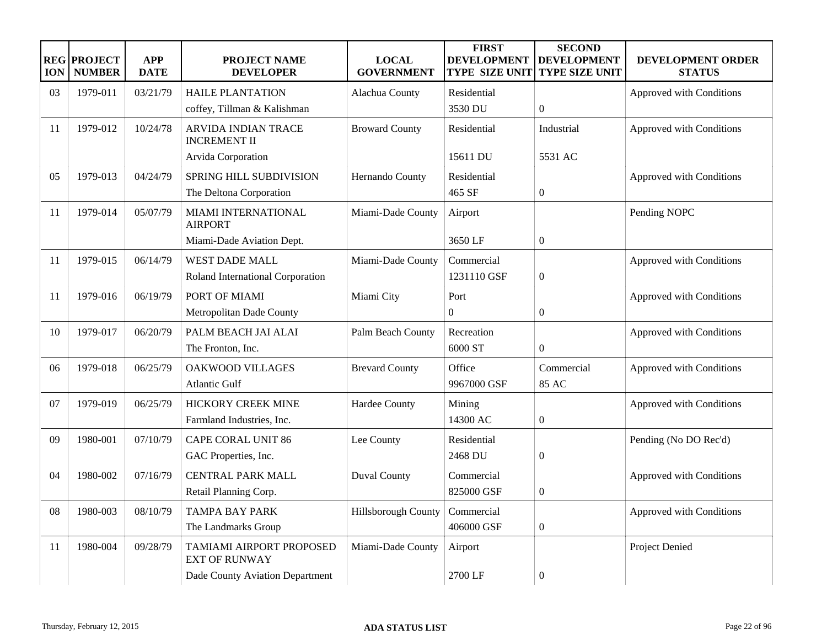| <b>ION</b> | <b>REG PROJECT</b><br><b>NUMBER</b> | <b>APP</b><br><b>DATE</b> | PROJECT NAME<br><b>DEVELOPER</b>                  | <b>LOCAL</b><br><b>GOVERNMENT</b> | <b>FIRST</b><br><b>DEVELOPMENT</b><br><b>TYPE SIZE UNIT</b> | <b>SECOND</b><br><b>DEVELOPMENT</b><br><b>TYPE SIZE UNIT</b> | DEVELOPMENT ORDER<br><b>STATUS</b> |
|------------|-------------------------------------|---------------------------|---------------------------------------------------|-----------------------------------|-------------------------------------------------------------|--------------------------------------------------------------|------------------------------------|
| 03         | 1979-011                            | 03/21/79                  | <b>HAILE PLANTATION</b>                           | Alachua County                    | Residential                                                 |                                                              | Approved with Conditions           |
|            |                                     |                           | coffey, Tillman & Kalishman                       |                                   | 3530 DU                                                     | $\overline{0}$                                               |                                    |
| 11         | 1979-012                            | 10/24/78                  | <b>ARVIDA INDIAN TRACE</b><br><b>INCREMENT II</b> | <b>Broward County</b>             | Residential                                                 | Industrial                                                   | Approved with Conditions           |
|            |                                     |                           | Arvida Corporation                                |                                   | 15611 DU                                                    | 5531 AC                                                      |                                    |
| 05         | 1979-013                            | 04/24/79                  | SPRING HILL SUBDIVISION                           | Hernando County                   | Residential                                                 |                                                              | Approved with Conditions           |
|            |                                     |                           | The Deltona Corporation                           |                                   | 465 SF                                                      | $\boldsymbol{0}$                                             |                                    |
| 11         | 1979-014                            | 05/07/79                  | MIAMI INTERNATIONAL<br><b>AIRPORT</b>             | Miami-Dade County                 | Airport                                                     |                                                              | Pending NOPC                       |
|            |                                     |                           | Miami-Dade Aviation Dept.                         |                                   | 3650 LF                                                     | $\overline{0}$                                               |                                    |
| 11         | 1979-015                            | 06/14/79                  | <b>WEST DADE MALL</b>                             | Miami-Dade County                 | Commercial                                                  |                                                              | Approved with Conditions           |
|            |                                     |                           | Roland International Corporation                  |                                   | 1231110 GSF                                                 | $\boldsymbol{0}$                                             |                                    |
| 11         | 1979-016                            | 06/19/79                  | PORT OF MIAMI                                     | Miami City                        | Port                                                        |                                                              | Approved with Conditions           |
|            |                                     |                           | Metropolitan Dade County                          |                                   | $\Omega$                                                    | $\boldsymbol{0}$                                             |                                    |
| 10         | 1979-017                            | 06/20/79                  | PALM BEACH JAI ALAI                               | Palm Beach County                 | Recreation                                                  |                                                              | Approved with Conditions           |
|            |                                     |                           | The Fronton, Inc.                                 |                                   | 6000 ST                                                     | $\overline{0}$                                               |                                    |
| 06         | 1979-018                            | 06/25/79                  | <b>OAKWOOD VILLAGES</b>                           | <b>Brevard County</b>             | Office                                                      | Commercial                                                   | Approved with Conditions           |
|            |                                     |                           | <b>Atlantic Gulf</b>                              |                                   | 9967000 GSF                                                 | 85 AC                                                        |                                    |
| 07         | 1979-019                            | 06/25/79                  | HICKORY CREEK MINE                                | Hardee County                     | Mining                                                      |                                                              | Approved with Conditions           |
|            |                                     |                           | Farmland Industries, Inc.                         |                                   | 14300 AC                                                    | $\boldsymbol{0}$                                             |                                    |
| 09         | 1980-001                            | 07/10/79                  | <b>CAPE CORAL UNIT 86</b>                         | Lee County                        | Residential                                                 |                                                              | Pending (No DO Rec'd)              |
|            |                                     |                           | GAC Properties, Inc.                              |                                   | 2468 DU                                                     | $\mathbf{0}$                                                 |                                    |
| 04         | 1980-002                            | 07/16/79                  | <b>CENTRAL PARK MALL</b>                          | <b>Duval County</b>               | Commercial                                                  |                                                              | Approved with Conditions           |
|            |                                     |                           | Retail Planning Corp.                             |                                   | 825000 GSF                                                  | $\boldsymbol{0}$                                             |                                    |
| 08         | 1980-003                            | 08/10/79                  | <b>TAMPA BAY PARK</b>                             | Hillsborough County               | Commercial                                                  |                                                              | Approved with Conditions           |
|            |                                     |                           | The Landmarks Group                               |                                   | 406000 GSF                                                  | $\boldsymbol{0}$                                             |                                    |
| 11         | 1980-004                            | 09/28/79                  | TAMIAMI AIRPORT PROPOSED<br><b>EXT OF RUNWAY</b>  | Miami-Dade County                 | Airport                                                     |                                                              | <b>Project Denied</b>              |
|            |                                     |                           | Dade County Aviation Department                   |                                   | 2700 LF                                                     | $\overline{0}$                                               |                                    |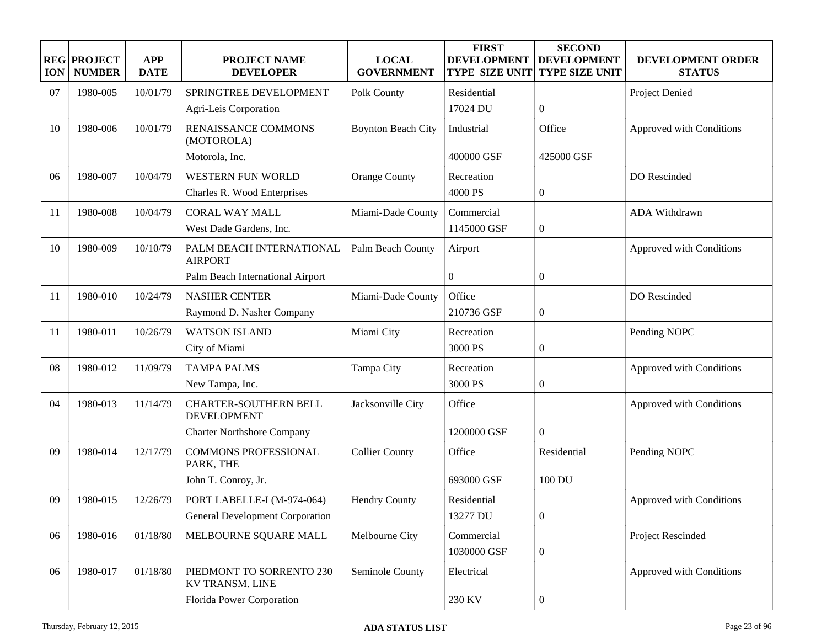| <b>ION</b> | <b>REG PROJECT</b><br><b>NUMBER</b> | <b>APP</b><br><b>DATE</b> | <b>PROJECT NAME</b><br><b>DEVELOPER</b>            | <b>LOCAL</b><br><b>GOVERNMENT</b> | <b>FIRST</b><br><b>DEVELOPMENT</b><br><b>TYPE SIZE UNIT</b> | <b>SECOND</b><br><b>DEVELOPMENT</b><br>TYPE SIZE UNIT | DEVELOPMENT ORDER<br><b>STATUS</b> |
|------------|-------------------------------------|---------------------------|----------------------------------------------------|-----------------------------------|-------------------------------------------------------------|-------------------------------------------------------|------------------------------------|
| 07         | 1980-005                            | 10/01/79                  | SPRINGTREE DEVELOPMENT                             | Polk County                       | Residential                                                 |                                                       | Project Denied                     |
|            |                                     |                           | Agri-Leis Corporation                              |                                   | 17024 DU                                                    | $\boldsymbol{0}$                                      |                                    |
| 10         | 1980-006                            | 10/01/79                  | RENAISSANCE COMMONS<br>(MOTOROLA)                  | <b>Boynton Beach City</b>         | Industrial                                                  | Office                                                | Approved with Conditions           |
|            |                                     |                           | Motorola, Inc.                                     |                                   | 400000 GSF                                                  | 425000 GSF                                            |                                    |
| 06         | 1980-007                            | 10/04/79                  | WESTERN FUN WORLD                                  | <b>Orange County</b>              | Recreation                                                  |                                                       | DO Rescinded                       |
|            |                                     |                           | Charles R. Wood Enterprises                        |                                   | 4000 PS                                                     | $\boldsymbol{0}$                                      |                                    |
| 11         | 1980-008                            | 10/04/79                  | <b>CORAL WAY MALL</b>                              | Miami-Dade County                 | Commercial                                                  |                                                       | <b>ADA Withdrawn</b>               |
|            |                                     |                           | West Dade Gardens, Inc.                            |                                   | 1145000 GSF                                                 | $\boldsymbol{0}$                                      |                                    |
| 10         | 1980-009                            | 10/10/79                  | PALM BEACH INTERNATIONAL<br><b>AIRPORT</b>         | Palm Beach County                 | Airport                                                     |                                                       | Approved with Conditions           |
|            |                                     |                           | Palm Beach International Airport                   |                                   | $\overline{0}$                                              | $\boldsymbol{0}$                                      |                                    |
| 11         | 1980-010                            | 10/24/79                  | <b>NASHER CENTER</b>                               | Miami-Dade County                 | Office                                                      |                                                       | DO Rescinded                       |
|            |                                     |                           | Raymond D. Nasher Company                          |                                   | 210736 GSF                                                  | $\boldsymbol{0}$                                      |                                    |
| 11         | 1980-011                            | 10/26/79                  | <b>WATSON ISLAND</b>                               | Miami City                        | Recreation                                                  |                                                       | Pending NOPC                       |
|            |                                     |                           | City of Miami                                      |                                   | 3000 PS                                                     | $\boldsymbol{0}$                                      |                                    |
| 08         | 1980-012                            | 11/09/79                  | <b>TAMPA PALMS</b>                                 | Tampa City                        | Recreation                                                  |                                                       | Approved with Conditions           |
|            |                                     |                           | New Tampa, Inc.                                    |                                   | 3000 PS                                                     | $\boldsymbol{0}$                                      |                                    |
| 04         | 1980-013                            | 11/14/79                  | <b>CHARTER-SOUTHERN BELL</b><br><b>DEVELOPMENT</b> | Jacksonville City                 | Office                                                      |                                                       | Approved with Conditions           |
|            |                                     |                           | <b>Charter Northshore Company</b>                  |                                   | 1200000 GSF                                                 | $\boldsymbol{0}$                                      |                                    |
| 09         | 1980-014                            | 12/17/79                  | <b>COMMONS PROFESSIONAL</b><br>PARK, THE           | <b>Collier County</b>             | Office                                                      | Residential                                           | Pending NOPC                       |
|            |                                     |                           | John T. Conroy, Jr.                                |                                   | 693000 GSF                                                  | 100 DU                                                |                                    |
| 09         | 1980-015                            | 12/26/79                  | PORT LABELLE-I (M-974-064)                         | <b>Hendry County</b>              | Residential                                                 |                                                       | Approved with Conditions           |
|            |                                     |                           | <b>General Development Corporation</b>             |                                   | 13277 DU                                                    | $\boldsymbol{0}$                                      |                                    |
| 06         | 1980-016                            | 01/18/80                  | MELBOURNE SQUARE MALL                              | Melbourne City                    | Commercial                                                  |                                                       | Project Rescinded                  |
|            |                                     |                           |                                                    |                                   | 1030000 GSF                                                 | $\boldsymbol{0}$                                      |                                    |
| 06         | 1980-017                            | 01/18/80                  | PIEDMONT TO SORRENTO 230<br>KV TRANSM. LINE        | Seminole County                   | Electrical                                                  |                                                       | Approved with Conditions           |
|            |                                     |                           | Florida Power Corporation                          |                                   | 230 KV                                                      | $\boldsymbol{0}$                                      |                                    |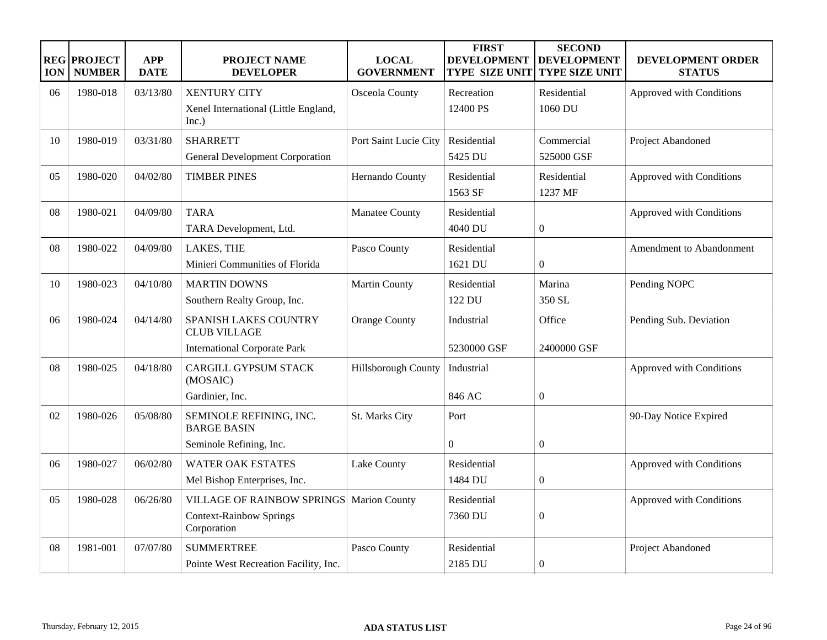| <b>ION</b> | <b>REG PROJECT</b><br><b>NUMBER</b> | <b>APP</b><br><b>DATE</b> | <b>PROJECT NAME</b><br><b>DEVELOPER</b>                                            | <b>LOCAL</b><br><b>GOVERNMENT</b> | <b>FIRST</b><br><b>DEVELOPMENT</b><br><b>TYPE SIZE UNIT</b> | <b>SECOND</b><br><b>DEVELOPMENT</b><br><b>TYPE SIZE UNIT</b> | <b>DEVELOPMENT ORDER</b><br><b>STATUS</b> |
|------------|-------------------------------------|---------------------------|------------------------------------------------------------------------------------|-----------------------------------|-------------------------------------------------------------|--------------------------------------------------------------|-------------------------------------------|
| 06         | 1980-018                            | 03/13/80                  | <b>XENTURY CITY</b><br>Xenel International (Little England,<br>Inc.)               | Osceola County                    | Recreation<br>12400 PS                                      | Residential<br>1060 DU                                       | Approved with Conditions                  |
| 10         | 1980-019                            | 03/31/80                  | <b>SHARRETT</b><br><b>General Development Corporation</b>                          | Port Saint Lucie City             | Residential<br>5425 DU                                      | Commercial<br>525000 GSF                                     | Project Abandoned                         |
| 05         | 1980-020                            | 04/02/80                  | <b>TIMBER PINES</b>                                                                | Hernando County                   | Residential<br>1563 SF                                      | Residential<br>1237 MF                                       | Approved with Conditions                  |
| 08         | 1980-021                            | 04/09/80                  | <b>TARA</b><br>TARA Development, Ltd.                                              | Manatee County                    | Residential<br>4040 DU                                      | $\boldsymbol{0}$                                             | Approved with Conditions                  |
| 08         | 1980-022                            | 04/09/80                  | LAKES, THE<br>Minieri Communities of Florida                                       | Pasco County                      | Residential<br>1621 DU                                      | $\theta$                                                     | Amendment to Abandonment                  |
| 10         | 1980-023                            | 04/10/80                  | <b>MARTIN DOWNS</b><br>Southern Realty Group, Inc.                                 | Martin County                     | Residential<br>122 DU                                       | Marina<br>350 SL                                             | Pending NOPC                              |
| 06         | 1980-024                            | 04/14/80                  | SPANISH LAKES COUNTRY<br><b>CLUB VILLAGE</b>                                       | <b>Orange County</b>              | Industrial                                                  | Office                                                       | Pending Sub. Deviation                    |
|            |                                     |                           | <b>International Corporate Park</b>                                                |                                   | 5230000 GSF                                                 | 2400000 GSF                                                  |                                           |
| 08         | 1980-025                            | 04/18/80                  | <b>CARGILL GYPSUM STACK</b><br>(MOSAIC)                                            | <b>Hillsborough County</b>        | Industrial                                                  |                                                              | Approved with Conditions                  |
|            |                                     |                           | Gardinier, Inc.                                                                    |                                   | 846 AC                                                      | $\boldsymbol{0}$                                             |                                           |
| 02         | 1980-026                            | 05/08/80                  | SEMINOLE REFINING, INC.<br><b>BARGE BASIN</b>                                      | St. Marks City                    | Port                                                        |                                                              | 90-Day Notice Expired                     |
|            |                                     |                           | Seminole Refining, Inc.                                                            |                                   | $\overline{0}$                                              | $\overline{0}$                                               |                                           |
| 06         | 1980-027                            | 06/02/80                  | <b>WATER OAK ESTATES</b><br>Mel Bishop Enterprises, Inc.                           | Lake County                       | Residential<br>1484 DU                                      | $\overline{0}$                                               | Approved with Conditions                  |
|            |                                     |                           |                                                                                    |                                   |                                                             |                                                              |                                           |
| 05         | 1980-028                            | 06/26/80                  | <b>VILLAGE OF RAINBOW SPRINGS</b><br><b>Context-Rainbow Springs</b><br>Corporation | <b>Marion County</b>              | Residential<br>7360 DU                                      | $\overline{0}$                                               | Approved with Conditions                  |
| 08         | 1981-001                            | 07/07/80                  | <b>SUMMERTREE</b><br>Pointe West Recreation Facility, Inc.                         | Pasco County                      | Residential<br>2185 DU                                      | $\boldsymbol{0}$                                             | Project Abandoned                         |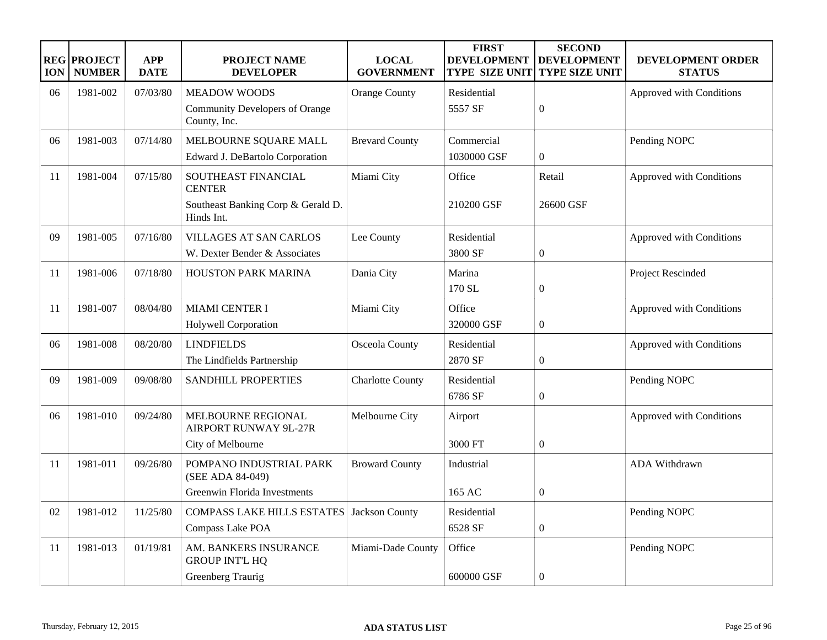| <b>ION</b> | <b>REG PROJECT</b><br><b>NUMBER</b> | <b>APP</b><br><b>DATE</b> | <b>PROJECT NAME</b><br><b>DEVELOPER</b>               | <b>LOCAL</b><br><b>GOVERNMENT</b> | <b>FIRST</b><br><b>DEVELOPMENT</b><br><b>TYPE SIZE UNIT</b> | <b>SECOND</b><br><b>DEVELOPMENT</b><br><b>TYPE SIZE UNIT</b> | DEVELOPMENT ORDER<br><b>STATUS</b> |
|------------|-------------------------------------|---------------------------|-------------------------------------------------------|-----------------------------------|-------------------------------------------------------------|--------------------------------------------------------------|------------------------------------|
| 06         | 1981-002                            | 07/03/80                  | <b>MEADOW WOODS</b>                                   | <b>Orange County</b>              | Residential                                                 |                                                              | Approved with Conditions           |
|            |                                     |                           | <b>Community Developers of Orange</b><br>County, Inc. |                                   | 5557 SF                                                     | $\boldsymbol{0}$                                             |                                    |
| 06         | 1981-003                            | 07/14/80                  | MELBOURNE SQUARE MALL                                 | <b>Brevard County</b>             | Commercial                                                  |                                                              | Pending NOPC                       |
|            |                                     |                           | Edward J. DeBartolo Corporation                       |                                   | 1030000 GSF                                                 | $\boldsymbol{0}$                                             |                                    |
| 11         | 1981-004                            | 07/15/80                  | SOUTHEAST FINANCIAL<br><b>CENTER</b>                  | Miami City                        | Office                                                      | Retail                                                       | Approved with Conditions           |
|            |                                     |                           | Southeast Banking Corp & Gerald D.<br>Hinds Int.      |                                   | 210200 GSF                                                  | 26600 GSF                                                    |                                    |
| 09         | 1981-005                            | 07/16/80                  | <b>VILLAGES AT SAN CARLOS</b>                         | Lee County                        | Residential                                                 |                                                              | Approved with Conditions           |
|            |                                     |                           | W. Dexter Bender & Associates                         |                                   | 3800 SF                                                     | $\boldsymbol{0}$                                             |                                    |
| 11         | 1981-006                            | 07/18/80                  | HOUSTON PARK MARINA                                   | Dania City                        | Marina                                                      |                                                              | Project Rescinded                  |
|            |                                     |                           |                                                       |                                   | 170 SL                                                      | $\boldsymbol{0}$                                             |                                    |
| 11         | 1981-007                            | 08/04/80                  | <b>MIAMI CENTER I</b>                                 | Miami City                        | Office                                                      |                                                              | Approved with Conditions           |
|            |                                     |                           | Holywell Corporation                                  |                                   | 320000 GSF                                                  | $\boldsymbol{0}$                                             |                                    |
| 06         | 1981-008                            | 08/20/80                  | <b>LINDFIELDS</b>                                     | Osceola County                    | Residential                                                 |                                                              | Approved with Conditions           |
|            |                                     |                           | The Lindfields Partnership                            |                                   | 2870 SF                                                     | $\boldsymbol{0}$                                             |                                    |
| 09         | 1981-009                            | 09/08/80                  | <b>SANDHILL PROPERTIES</b>                            | <b>Charlotte County</b>           | Residential                                                 |                                                              | Pending NOPC                       |
|            |                                     |                           |                                                       |                                   | 6786 SF                                                     | $\overline{0}$                                               |                                    |
| 06         | 1981-010                            | 09/24/80                  | MELBOURNE REGIONAL<br><b>AIRPORT RUNWAY 9L-27R</b>    | Melbourne City                    | Airport                                                     |                                                              | Approved with Conditions           |
|            |                                     |                           | City of Melbourne                                     |                                   | 3000 FT                                                     | $\boldsymbol{0}$                                             |                                    |
| 11         | 1981-011                            | 09/26/80                  | POMPANO INDUSTRIAL PARK<br>(SEE ADA 84-049)           | <b>Broward County</b>             | Industrial                                                  |                                                              | ADA Withdrawn                      |
|            |                                     |                           | Greenwin Florida Investments                          |                                   | 165 AC                                                      | $\boldsymbol{0}$                                             |                                    |
| 02         | 1981-012                            | 11/25/80                  | <b>COMPASS LAKE HILLS ESTATES</b>                     | Jackson County                    | Residential                                                 |                                                              | Pending NOPC                       |
|            |                                     |                           | Compass Lake POA                                      |                                   | 6528 SF                                                     | $\boldsymbol{0}$                                             |                                    |
| 11         | 1981-013                            | 01/19/81                  | AM. BANKERS INSURANCE<br><b>GROUP INT'L HQ</b>        | Miami-Dade County                 | Office                                                      |                                                              | Pending NOPC                       |
|            |                                     |                           | Greenberg Traurig                                     |                                   | 600000 GSF                                                  | $\overline{0}$                                               |                                    |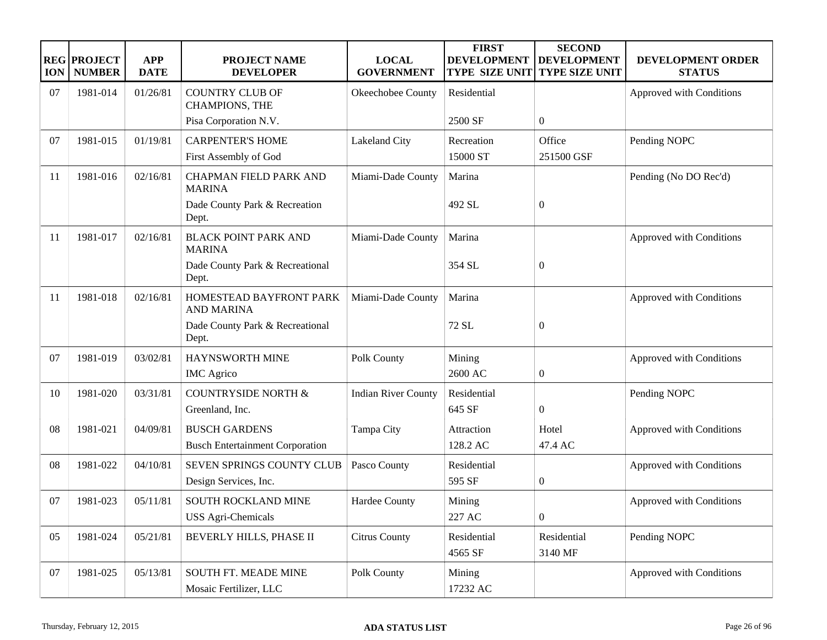| <b>ION</b> | <b>REG PROJECT</b><br><b>NUMBER</b> | <b>APP</b><br><b>DATE</b> | <b>PROJECT NAME</b><br><b>DEVELOPER</b>            | <b>LOCAL</b><br><b>GOVERNMENT</b> | <b>FIRST</b><br><b>DEVELOPMENT</b><br><b>TYPE SIZE UNIT</b> | <b>SECOND</b><br><b>DEVELOPMENT</b><br><b>TYPE SIZE UNIT</b> | DEVELOPMENT ORDER<br><b>STATUS</b> |
|------------|-------------------------------------|---------------------------|----------------------------------------------------|-----------------------------------|-------------------------------------------------------------|--------------------------------------------------------------|------------------------------------|
| 07         | 1981-014                            | 01/26/81                  | <b>COUNTRY CLUB OF</b><br><b>CHAMPIONS, THE</b>    | Okeechobee County                 | Residential                                                 |                                                              | Approved with Conditions           |
|            |                                     |                           | Pisa Corporation N.V.                              |                                   | 2500 SF                                                     | $\boldsymbol{0}$                                             |                                    |
| 07         | 1981-015                            | 01/19/81                  | <b>CARPENTER'S HOME</b><br>First Assembly of God   | Lakeland City                     | Recreation<br>15000 ST                                      | Office<br>251500 GSF                                         | Pending NOPC                       |
| 11         | 1981-016                            | 02/16/81                  | <b>CHAPMAN FIELD PARK AND</b><br><b>MARINA</b>     | Miami-Dade County                 | Marina                                                      |                                                              | Pending (No DO Rec'd)              |
|            |                                     |                           | Dade County Park & Recreation<br>Dept.             |                                   | 492 SL                                                      | $\overline{0}$                                               |                                    |
| 11         | 1981-017                            | 02/16/81                  | <b>BLACK POINT PARK AND</b><br><b>MARINA</b>       | Miami-Dade County                 | Marina                                                      |                                                              | Approved with Conditions           |
|            |                                     |                           | Dade County Park & Recreational<br>Dept.           |                                   | 354 SL                                                      | $\boldsymbol{0}$                                             |                                    |
| 11         | 1981-018                            | 02/16/81                  | HOMESTEAD BAYFRONT PARK<br><b>AND MARINA</b>       | Miami-Dade County                 | Marina                                                      |                                                              | Approved with Conditions           |
|            |                                     |                           | Dade County Park & Recreational<br>Dept.           |                                   | 72 SL                                                       | $\overline{0}$                                               |                                    |
| 07         | 1981-019                            | 03/02/81                  | HAYNSWORTH MINE                                    | Polk County                       | Mining                                                      |                                                              | Approved with Conditions           |
|            |                                     |                           | <b>IMC</b> Agrico                                  |                                   | 2600 AC                                                     | 0                                                            |                                    |
| 10         | 1981-020                            | 03/31/81                  | <b>COUNTRYSIDE NORTH &amp;</b>                     | <b>Indian River County</b>        | Residential                                                 |                                                              | Pending NOPC                       |
|            |                                     |                           | Greenland, Inc.                                    |                                   | 645 SF                                                      | $\mathbf{0}$                                                 |                                    |
| 08         | 1981-021                            | 04/09/81                  | <b>BUSCH GARDENS</b>                               | Tampa City                        | Attraction                                                  | Hotel                                                        | Approved with Conditions           |
|            |                                     |                           | <b>Busch Entertainment Corporation</b>             |                                   | 128.2 AC                                                    | 47.4 AC                                                      |                                    |
| 08         | 1981-022                            | 04/10/81                  | SEVEN SPRINGS COUNTY CLUB<br>Design Services, Inc. | Pasco County                      | Residential<br>595 SF                                       | $\boldsymbol{0}$                                             | Approved with Conditions           |
| 07         | 1981-023                            | 05/11/81                  | SOUTH ROCKLAND MINE                                | Hardee County                     | Mining                                                      |                                                              | Approved with Conditions           |
|            |                                     |                           | <b>USS Agri-Chemicals</b>                          |                                   | 227 AC                                                      | $\boldsymbol{0}$                                             |                                    |
| 05         | 1981-024                            | 05/21/81                  | BEVERLY HILLS, PHASE II                            | <b>Citrus County</b>              | Residential<br>4565 SF                                      | Residential<br>3140 MF                                       | Pending NOPC                       |
| 07         | 1981-025                            | 05/13/81                  | SOUTH FT. MEADE MINE<br>Mosaic Fertilizer, LLC     | Polk County                       | Mining<br>17232 AC                                          |                                                              | Approved with Conditions           |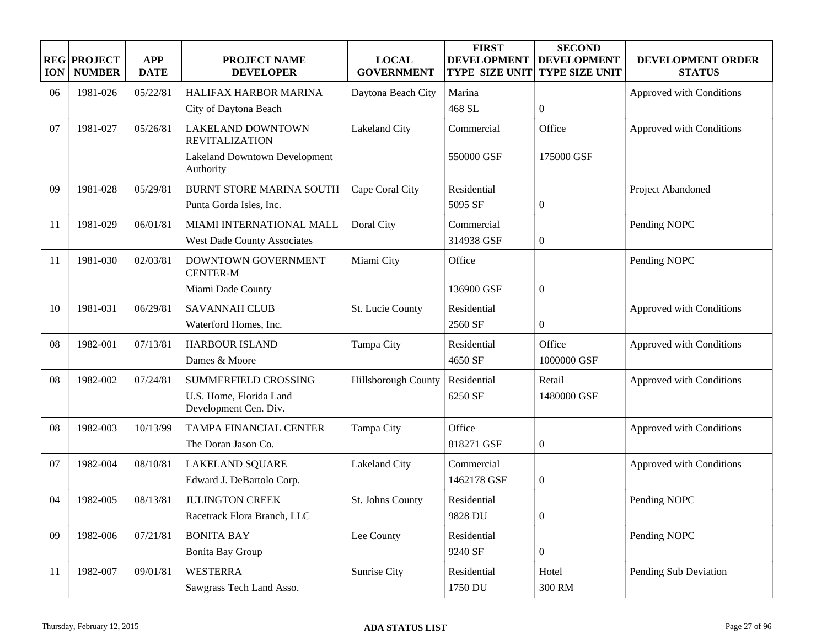| <b>ION</b> | <b>REG PROJECT</b><br><b>NUMBER</b> | <b>APP</b><br><b>DATE</b> | <b>PROJECT NAME</b><br><b>DEVELOPER</b>           | <b>LOCAL</b><br><b>GOVERNMENT</b> | <b>FIRST</b><br><b>DEVELOPMENT</b><br><b>TYPE SIZE UNIT</b> | <b>SECOND</b><br><b>DEVELOPMENT</b><br><b>TYPE SIZE UNIT</b> | <b>DEVELOPMENT ORDER</b><br><b>STATUS</b> |
|------------|-------------------------------------|---------------------------|---------------------------------------------------|-----------------------------------|-------------------------------------------------------------|--------------------------------------------------------------|-------------------------------------------|
| 06         | 1981-026                            | 05/22/81                  | HALIFAX HARBOR MARINA                             | Daytona Beach City                | Marina                                                      |                                                              | Approved with Conditions                  |
|            |                                     |                           | City of Daytona Beach                             |                                   | 468 SL                                                      | $\overline{0}$                                               |                                           |
| 07         | 1981-027                            | 05/26/81                  | <b>LAKELAND DOWNTOWN</b><br><b>REVITALIZATION</b> | Lakeland City                     | Commercial                                                  | Office                                                       | Approved with Conditions                  |
|            |                                     |                           | Lakeland Downtown Development<br>Authority        |                                   | 550000 GSF                                                  | 175000 GSF                                                   |                                           |
| 09         | 1981-028                            | 05/29/81                  | <b>BURNT STORE MARINA SOUTH</b>                   | Cape Coral City                   | Residential                                                 |                                                              | Project Abandoned                         |
|            |                                     |                           | Punta Gorda Isles, Inc.                           |                                   | 5095 SF                                                     | $\boldsymbol{0}$                                             |                                           |
| 11         | 1981-029                            | 06/01/81                  | MIAMI INTERNATIONAL MALL                          | Doral City                        | Commercial                                                  |                                                              | Pending NOPC                              |
|            |                                     |                           | <b>West Dade County Associates</b>                |                                   | 314938 GSF                                                  | $\boldsymbol{0}$                                             |                                           |
| 11         | 1981-030                            | 02/03/81                  | DOWNTOWN GOVERNMENT<br><b>CENTER-M</b>            | Miami City                        | Office                                                      |                                                              | Pending NOPC                              |
|            |                                     |                           | Miami Dade County                                 |                                   | 136900 GSF                                                  | $\boldsymbol{0}$                                             |                                           |
| 10         | 1981-031                            | 06/29/81                  | <b>SAVANNAH CLUB</b>                              | St. Lucie County                  | Residential                                                 |                                                              | Approved with Conditions                  |
|            |                                     |                           | Waterford Homes, Inc.                             |                                   | 2560 SF                                                     | $\boldsymbol{0}$                                             |                                           |
| 08         | 1982-001                            | 07/13/81                  | <b>HARBOUR ISLAND</b>                             | Tampa City                        | Residential                                                 | Office                                                       | Approved with Conditions                  |
|            |                                     |                           | Dames & Moore                                     |                                   | 4650 SF                                                     | 1000000 GSF                                                  |                                           |
| 08         | 1982-002                            | 07/24/81                  | SUMMERFIELD CROSSING                              | Hillsborough County               | Residential                                                 | Retail                                                       | Approved with Conditions                  |
|            |                                     |                           | U.S. Home, Florida Land<br>Development Cen. Div.  |                                   | 6250 SF                                                     | 1480000 GSF                                                  |                                           |
| 08         | 1982-003                            | 10/13/99                  | TAMPA FINANCIAL CENTER                            | Tampa City                        | Office                                                      |                                                              | Approved with Conditions                  |
|            |                                     |                           | The Doran Jason Co.                               |                                   | 818271 GSF                                                  | $\boldsymbol{0}$                                             |                                           |
| 07         | 1982-004                            | 08/10/81                  | <b>LAKELAND SQUARE</b>                            | Lakeland City                     | Commercial                                                  |                                                              | Approved with Conditions                  |
|            |                                     |                           | Edward J. DeBartolo Corp.                         |                                   | 1462178 GSF                                                 | $\boldsymbol{0}$                                             |                                           |
| 04         | 1982-005                            | 08/13/81                  | <b>JULINGTON CREEK</b>                            | St. Johns County                  | Residential                                                 |                                                              | Pending NOPC                              |
|            |                                     |                           | Racetrack Flora Branch, LLC                       |                                   | 9828 DU                                                     | $\boldsymbol{0}$                                             |                                           |
| 09         | 1982-006                            | 07/21/81                  | <b>BONITA BAY</b>                                 | Lee County                        | Residential                                                 |                                                              | Pending NOPC                              |
|            |                                     |                           | Bonita Bay Group                                  |                                   | 9240 SF                                                     | $\boldsymbol{0}$                                             |                                           |
| 11         | 1982-007                            | 09/01/81                  | <b>WESTERRA</b>                                   | Sunrise City                      | Residential                                                 | Hotel                                                        | Pending Sub Deviation                     |
|            |                                     |                           | Sawgrass Tech Land Asso.                          |                                   | 1750 DU                                                     | 300 RM                                                       |                                           |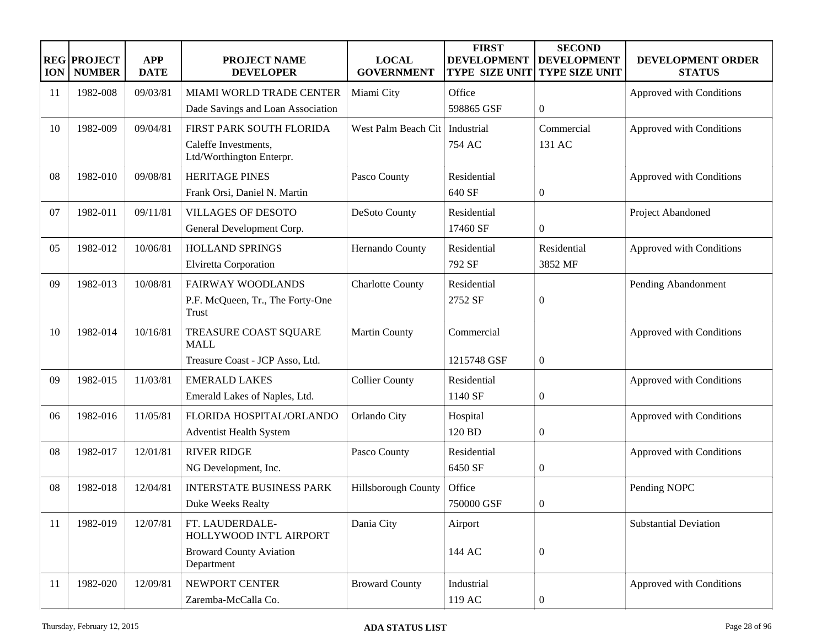| <b>ION</b> | <b>REG PROJECT</b><br><b>NUMBER</b> | <b>APP</b><br><b>DATE</b> | <b>PROJECT NAME</b><br><b>DEVELOPER</b>          | <b>LOCAL</b><br><b>GOVERNMENT</b> | <b>FIRST</b><br><b>DEVELOPMENT</b><br><b>TYPE SIZE UNIT</b> | <b>SECOND</b><br><b>DEVELOPMENT</b><br><b>TYPE SIZE UNIT</b> | DEVELOPMENT ORDER<br><b>STATUS</b> |
|------------|-------------------------------------|---------------------------|--------------------------------------------------|-----------------------------------|-------------------------------------------------------------|--------------------------------------------------------------|------------------------------------|
| 11         | 1982-008                            | 09/03/81                  | MIAMI WORLD TRADE CENTER                         | Miami City                        | Office                                                      |                                                              | Approved with Conditions           |
|            |                                     |                           | Dade Savings and Loan Association                |                                   | 598865 GSF                                                  | $\overline{0}$                                               |                                    |
| 10         | 1982-009                            | 09/04/81                  | FIRST PARK SOUTH FLORIDA                         | West Palm Beach Cit               | Industrial                                                  | Commercial                                                   | Approved with Conditions           |
|            |                                     |                           | Caleffe Investments,<br>Ltd/Worthington Enterpr. |                                   | 754 AC                                                      | 131 AC                                                       |                                    |
| 08         | 1982-010                            | 09/08/81                  | <b>HERITAGE PINES</b>                            | Pasco County                      | Residential                                                 |                                                              | Approved with Conditions           |
|            |                                     |                           | Frank Orsi, Daniel N. Martin                     |                                   | 640 SF                                                      | $\boldsymbol{0}$                                             |                                    |
| 07         | 1982-011                            | 09/11/81                  | <b>VILLAGES OF DESOTO</b>                        | DeSoto County                     | Residential                                                 |                                                              | Project Abandoned                  |
|            |                                     |                           | General Development Corp.                        |                                   | 17460 SF                                                    | $\boldsymbol{0}$                                             |                                    |
| 05         | 1982-012                            | 10/06/81                  | HOLLAND SPRINGS                                  | Hernando County                   | Residential                                                 | Residential                                                  | Approved with Conditions           |
|            |                                     |                           | Elviretta Corporation                            |                                   | 792 SF                                                      | 3852 MF                                                      |                                    |
| 09         | 1982-013                            | 10/08/81                  | <b>FAIRWAY WOODLANDS</b>                         | <b>Charlotte County</b>           | Residential                                                 |                                                              | Pending Abandonment                |
|            |                                     |                           | P.F. McQueen, Tr., The Forty-One<br><b>Trust</b> |                                   | 2752 SF                                                     | $\boldsymbol{0}$                                             |                                    |
| 10         | 1982-014                            | 10/16/81                  | TREASURE COAST SQUARE<br><b>MALL</b>             | <b>Martin County</b>              | Commercial                                                  |                                                              | Approved with Conditions           |
|            |                                     |                           | Treasure Coast - JCP Asso, Ltd.                  |                                   | 1215748 GSF                                                 | $\boldsymbol{0}$                                             |                                    |
| 09         | 1982-015                            | 11/03/81                  | <b>EMERALD LAKES</b>                             | <b>Collier County</b>             | Residential                                                 |                                                              | Approved with Conditions           |
|            |                                     |                           | Emerald Lakes of Naples, Ltd.                    |                                   | 1140 SF                                                     | $\boldsymbol{0}$                                             |                                    |
| 06         | 1982-016                            | 11/05/81                  | FLORIDA HOSPITAL/ORLANDO                         | Orlando City                      | Hospital                                                    |                                                              | Approved with Conditions           |
|            |                                     |                           | <b>Adventist Health System</b>                   |                                   | 120 BD                                                      | $\boldsymbol{0}$                                             |                                    |
| 08         | 1982-017                            | 12/01/81                  | <b>RIVER RIDGE</b>                               | Pasco County                      | Residential                                                 |                                                              | Approved with Conditions           |
|            |                                     |                           | NG Development, Inc.                             |                                   | 6450 SF                                                     | $\boldsymbol{0}$                                             |                                    |
| 08         | 1982-018                            | 12/04/81                  | <b>INTERSTATE BUSINESS PARK</b>                  | Hillsborough County               | Office                                                      |                                                              | Pending NOPC                       |
|            |                                     |                           | Duke Weeks Realty                                |                                   | 750000 GSF                                                  | $\boldsymbol{0}$                                             |                                    |
| 11         | 1982-019                            | 12/07/81                  | FT. LAUDERDALE-<br>HOLLYWOOD INT'L AIRPORT       | Dania City                        | Airport                                                     |                                                              | <b>Substantial Deviation</b>       |
|            |                                     |                           | <b>Broward County Aviation</b><br>Department     |                                   | 144 AC                                                      | $\overline{0}$                                               |                                    |
| 11         | 1982-020                            | 12/09/81                  | NEWPORT CENTER                                   | <b>Broward County</b>             | Industrial                                                  |                                                              | Approved with Conditions           |
|            |                                     |                           | Zaremba-McCalla Co.                              |                                   | 119 AC                                                      | $\boldsymbol{0}$                                             |                                    |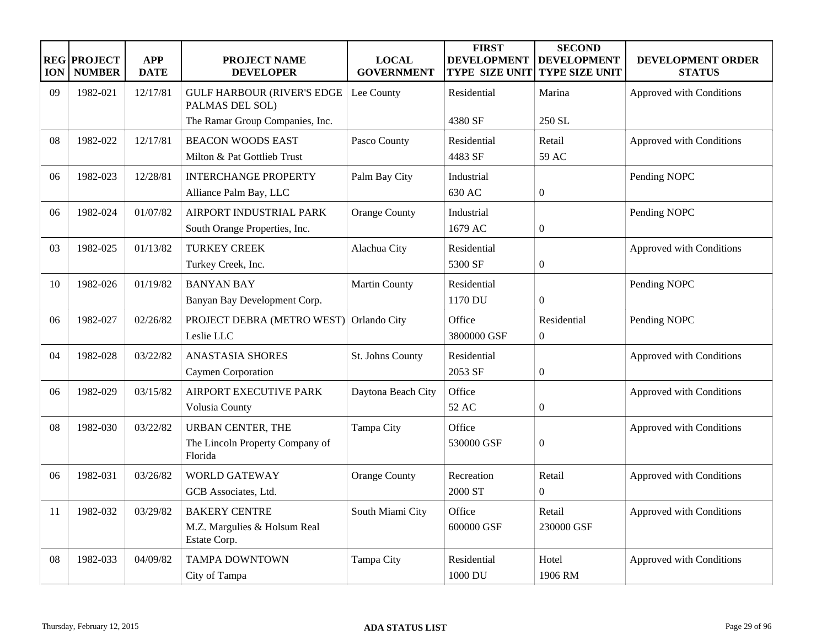| <b>ION</b> | <b>REG PROJECT</b><br><b>NUMBER</b> | <b>APP</b><br><b>DATE</b> | <b>PROJECT NAME</b><br><b>DEVELOPER</b>                                | <b>LOCAL</b><br><b>GOVERNMENT</b> | <b>FIRST</b><br><b>DEVELOPMENT</b><br><b>TYPE SIZE UNIT</b> | <b>SECOND</b><br><b>DEVELOPMENT</b><br><b>TYPE SIZE UNIT</b> | <b>DEVELOPMENT ORDER</b><br><b>STATUS</b> |
|------------|-------------------------------------|---------------------------|------------------------------------------------------------------------|-----------------------------------|-------------------------------------------------------------|--------------------------------------------------------------|-------------------------------------------|
| 09         | 1982-021                            | 12/17/81                  | <b>GULF HARBOUR (RIVER'S EDGE</b><br>PALMAS DEL SOL)                   | Lee County                        | Residential                                                 | Marina                                                       | Approved with Conditions                  |
|            |                                     |                           | The Ramar Group Companies, Inc.                                        |                                   | 4380 SF                                                     | 250 SL                                                       |                                           |
| 08         | 1982-022                            | 12/17/81                  | <b>BEACON WOODS EAST</b><br>Milton & Pat Gottlieb Trust                | Pasco County                      | Residential<br>4483 SF                                      | Retail<br>59 AC                                              | Approved with Conditions                  |
| 06         | 1982-023                            | 12/28/81                  | <b>INTERCHANGE PROPERTY</b><br>Alliance Palm Bay, LLC                  | Palm Bay City                     | Industrial<br>630 AC                                        | $\boldsymbol{0}$                                             | Pending NOPC                              |
| 06         | 1982-024                            | 01/07/82                  | AIRPORT INDUSTRIAL PARK<br>South Orange Properties, Inc.               | <b>Orange County</b>              | Industrial<br>1679 AC                                       | $\boldsymbol{0}$                                             | Pending NOPC                              |
| 03         | 1982-025                            | 01/13/82                  | <b>TURKEY CREEK</b><br>Turkey Creek, Inc.                              | Alachua City                      | Residential<br>5300 SF                                      | $\boldsymbol{0}$                                             | Approved with Conditions                  |
| 10         | 1982-026                            | 01/19/82                  | <b>BANYAN BAY</b><br>Banyan Bay Development Corp.                      | <b>Martin County</b>              | Residential<br>1170 DU                                      | $\boldsymbol{0}$                                             | Pending NOPC                              |
| 06         | 1982-027                            | 02/26/82                  | PROJECT DEBRA (METRO WEST)<br>Leslie LLC                               | Orlando City                      | Office<br>3800000 GSF                                       | Residential<br>$\overline{0}$                                | Pending NOPC                              |
| 04         | 1982-028                            | 03/22/82                  | <b>ANASTASIA SHORES</b><br>Caymen Corporation                          | St. Johns County                  | Residential<br>2053 SF                                      | $\boldsymbol{0}$                                             | Approved with Conditions                  |
| 06         | 1982-029                            | 03/15/82                  | AIRPORT EXECUTIVE PARK<br>Volusia County                               | Daytona Beach City                | Office<br>52 AC                                             | $\boldsymbol{0}$                                             | Approved with Conditions                  |
| 08         | 1982-030                            | 03/22/82                  | <b>URBAN CENTER, THE</b><br>The Lincoln Property Company of<br>Florida | Tampa City                        | Office<br>530000 GSF                                        | $\overline{0}$                                               | Approved with Conditions                  |
| 06         | 1982-031                            | 03/26/82                  | <b>WORLD GATEWAY</b><br>GCB Associates, Ltd.                           | <b>Orange County</b>              | Recreation<br>2000 ST                                       | Retail<br>$\boldsymbol{0}$                                   | Approved with Conditions                  |
| 11         | 1982-032                            | 03/29/82                  | <b>BAKERY CENTRE</b><br>M.Z. Margulies & Holsum Real<br>Estate Corp.   | South Miami City                  | Office<br>600000 GSF                                        | Retail<br>230000 GSF                                         | Approved with Conditions                  |
| 08         | 1982-033                            | 04/09/82                  | <b>TAMPA DOWNTOWN</b><br>City of Tampa                                 | Tampa City                        | Residential<br>1000 DU                                      | Hotel<br>1906 RM                                             | Approved with Conditions                  |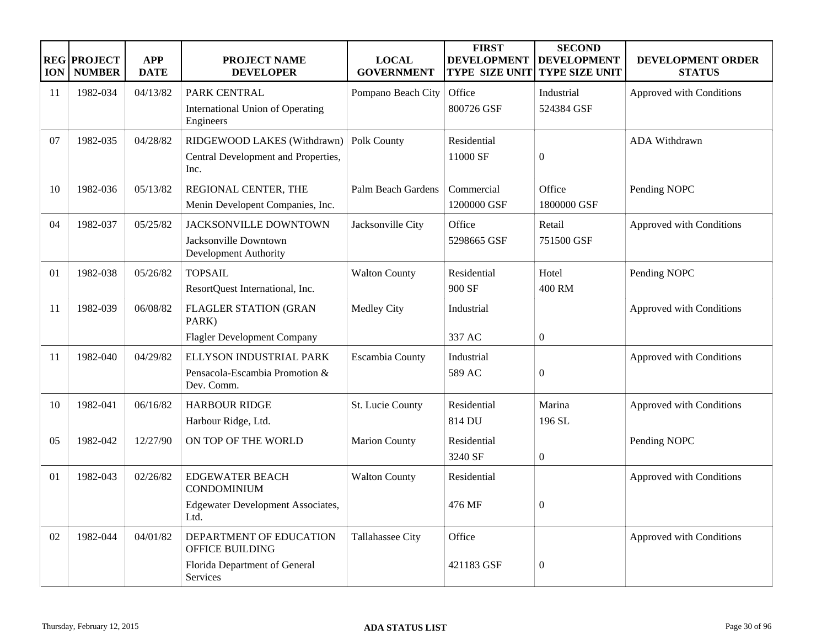| <b>ION</b> | <b>REG PROJECT</b><br><b>NUMBER</b> | <b>APP</b><br><b>DATE</b> | <b>PROJECT NAME</b><br><b>DEVELOPER</b>              | <b>LOCAL</b><br><b>GOVERNMENT</b> | <b>FIRST</b><br><b>DEVELOPMENT</b><br><b>TYPE SIZE UNIT</b> | <b>SECOND</b><br><b>DEVELOPMENT</b><br><b>TYPE SIZE UNIT</b> | DEVELOPMENT ORDER<br><b>STATUS</b> |
|------------|-------------------------------------|---------------------------|------------------------------------------------------|-----------------------------------|-------------------------------------------------------------|--------------------------------------------------------------|------------------------------------|
| 11         | 1982-034                            | 04/13/82                  | PARK CENTRAL                                         | Pompano Beach City                | Office                                                      | Industrial                                                   | Approved with Conditions           |
|            |                                     |                           | <b>International Union of Operating</b><br>Engineers |                                   | 800726 GSF                                                  | 524384 GSF                                                   |                                    |
| 07         | 1982-035                            | 04/28/82                  | RIDGEWOOD LAKES (Withdrawn)                          | Polk County                       | Residential                                                 |                                                              | ADA Withdrawn                      |
|            |                                     |                           | Central Development and Properties,<br>Inc.          |                                   | 11000 SF                                                    | $\boldsymbol{0}$                                             |                                    |
| 10         | 1982-036                            | 05/13/82                  | REGIONAL CENTER, THE                                 | Palm Beach Gardens                | Commercial                                                  | Office                                                       | Pending NOPC                       |
|            |                                     |                           | Menin Developent Companies, Inc.                     |                                   | 1200000 GSF                                                 | 1800000 GSF                                                  |                                    |
| 04         | 1982-037                            | 05/25/82                  | <b>JACKSONVILLE DOWNTOWN</b>                         | Jacksonville City                 | Office                                                      | Retail                                                       | Approved with Conditions           |
|            |                                     |                           | Jacksonville Downtown<br>Development Authority       |                                   | 5298665 GSF                                                 | 751500 GSF                                                   |                                    |
| 01         | 1982-038                            | 05/26/82                  | <b>TOPSAIL</b>                                       | <b>Walton County</b>              | Residential                                                 | Hotel                                                        | Pending NOPC                       |
|            |                                     |                           | ResortQuest International, Inc.                      |                                   | 900 SF                                                      | 400 RM                                                       |                                    |
| 11         | 1982-039                            | 06/08/82                  | <b>FLAGLER STATION (GRAN</b><br>PARK)                | <b>Medley City</b>                | Industrial                                                  |                                                              | Approved with Conditions           |
|            |                                     |                           | <b>Flagler Development Company</b>                   |                                   | 337 AC                                                      | $\boldsymbol{0}$                                             |                                    |
| 11         | 1982-040                            | 04/29/82                  | ELLYSON INDUSTRIAL PARK                              | Escambia County                   | Industrial                                                  |                                                              | Approved with Conditions           |
|            |                                     |                           | Pensacola-Escambia Promotion &<br>Dev. Comm.         |                                   | 589 AC                                                      | $\overline{0}$                                               |                                    |
| 10         | 1982-041                            | 06/16/82                  | <b>HARBOUR RIDGE</b>                                 | St. Lucie County                  | Residential                                                 | Marina                                                       | Approved with Conditions           |
|            |                                     |                           | Harbour Ridge, Ltd.                                  |                                   | 814 DU                                                      | 196 SL                                                       |                                    |
| 05         | 1982-042                            | 12/27/90                  | ON TOP OF THE WORLD                                  | <b>Marion County</b>              | Residential                                                 |                                                              | Pending NOPC                       |
|            |                                     |                           |                                                      |                                   | 3240 SF                                                     | $\boldsymbol{0}$                                             |                                    |
| 01         | 1982-043                            | 02/26/82                  | <b>EDGEWATER BEACH</b><br><b>CONDOMINIUM</b>         | <b>Walton County</b>              | Residential                                                 |                                                              | Approved with Conditions           |
|            |                                     |                           | <b>Edgewater Development Associates,</b><br>Ltd.     |                                   | 476 MF                                                      | $\mathbf{0}$                                                 |                                    |
| 02         | 1982-044                            | 04/01/82                  | DEPARTMENT OF EDUCATION<br><b>OFFICE BUILDING</b>    | Tallahassee City                  | Office                                                      |                                                              | Approved with Conditions           |
|            |                                     |                           | Florida Department of General<br>Services            |                                   | 421183 GSF                                                  | $\overline{0}$                                               |                                    |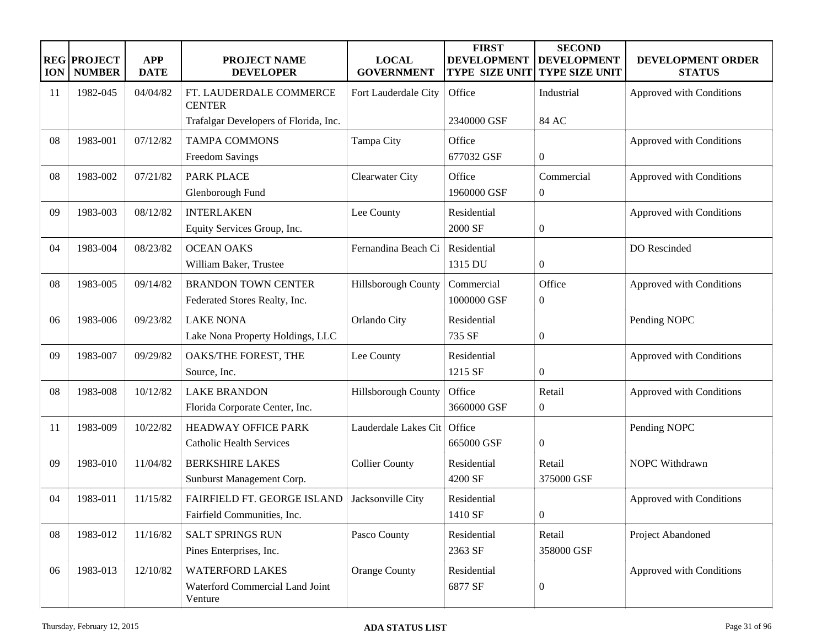| <b>ION</b> | <b>REG PROJECT</b><br><b>NUMBER</b> | <b>APP</b><br><b>DATE</b> | <b>PROJECT NAME</b><br><b>DEVELOPER</b>                              | <b>LOCAL</b><br><b>GOVERNMENT</b> | <b>FIRST</b><br><b>DEVELOPMENT</b><br><b>TYPE SIZE UNIT</b> | <b>SECOND</b><br><b>DEVELOPMENT</b><br><b>TYPE SIZE UNIT</b> | <b>DEVELOPMENT ORDER</b><br><b>STATUS</b> |
|------------|-------------------------------------|---------------------------|----------------------------------------------------------------------|-----------------------------------|-------------------------------------------------------------|--------------------------------------------------------------|-------------------------------------------|
| 11         | 1982-045                            | 04/04/82                  | FT. LAUDERDALE COMMERCE<br><b>CENTER</b>                             | Fort Lauderdale City              | Office                                                      | Industrial                                                   | Approved with Conditions                  |
|            |                                     |                           | Trafalgar Developers of Florida, Inc.                                |                                   | 2340000 GSF                                                 | 84 AC                                                        |                                           |
| 08         | 1983-001                            | 07/12/82                  | <b>TAMPA COMMONS</b><br>Freedom Savings                              | Tampa City                        | Office<br>677032 GSF                                        | $\boldsymbol{0}$                                             | Approved with Conditions                  |
| 08         | 1983-002                            | 07/21/82                  | <b>PARK PLACE</b><br>Glenborough Fund                                | Clearwater City                   | Office<br>1960000 GSF                                       | Commercial<br>$\boldsymbol{0}$                               | Approved with Conditions                  |
| 09         | 1983-003                            | 08/12/82                  | <b>INTERLAKEN</b><br>Equity Services Group, Inc.                     | Lee County                        | Residential<br>2000 SF                                      | $\boldsymbol{0}$                                             | Approved with Conditions                  |
| 04         | 1983-004                            | 08/23/82                  | <b>OCEAN OAKS</b><br>William Baker, Trustee                          | Fernandina Beach Ci               | Residential<br>1315 DU                                      | $\boldsymbol{0}$                                             | DO Rescinded                              |
| 08         | 1983-005                            | 09/14/82                  | <b>BRANDON TOWN CENTER</b><br>Federated Stores Realty, Inc.          | Hillsborough County               | Commercial<br>1000000 GSF                                   | Office<br>$\boldsymbol{0}$                                   | Approved with Conditions                  |
| 06         | 1983-006                            | 09/23/82                  | <b>LAKE NONA</b><br>Lake Nona Property Holdings, LLC                 | Orlando City                      | Residential<br>735 SF                                       | $\boldsymbol{0}$                                             | Pending NOPC                              |
| 09         | 1983-007                            | 09/29/82                  | OAKS/THE FOREST, THE<br>Source, Inc.                                 | Lee County                        | Residential<br>1215 SF                                      | $\boldsymbol{0}$                                             | Approved with Conditions                  |
| 08         | 1983-008                            | 10/12/82                  | <b>LAKE BRANDON</b><br>Florida Corporate Center, Inc.                | Hillsborough County               | Office<br>3660000 GSF                                       | Retail<br>$\boldsymbol{0}$                                   | Approved with Conditions                  |
| 11         | 1983-009                            | 10/22/82                  | <b>HEADWAY OFFICE PARK</b><br><b>Catholic Health Services</b>        | Lauderdale Lakes Cit              | Office<br>665000 GSF                                        | $\boldsymbol{0}$                                             | Pending NOPC                              |
| 09         | 1983-010                            | 11/04/82                  | <b>BERKSHIRE LAKES</b><br>Sunburst Management Corp.                  | <b>Collier County</b>             | Residential<br>4200 SF                                      | Retail<br>375000 GSF                                         | NOPC Withdrawn                            |
| 04         | 1983-011                            | 11/15/82                  | FAIRFIELD FT. GEORGE ISLAND<br>Fairfield Communities, Inc.           | Jacksonville City                 | Residential<br>1410 SF                                      | $\boldsymbol{0}$                                             | Approved with Conditions                  |
| ${\bf 08}$ | 1983-012                            | 11/16/82                  | SALT SPRINGS RUN<br>Pines Enterprises, Inc.                          | Pasco County                      | Residential<br>2363 SF                                      | Retail<br>358000 GSF                                         | Project Abandoned                         |
| 06         | 1983-013                            | 12/10/82                  | <b>WATERFORD LAKES</b><br>Waterford Commercial Land Joint<br>Venture | <b>Orange County</b>              | Residential<br>6877 SF                                      | $\boldsymbol{0}$                                             | Approved with Conditions                  |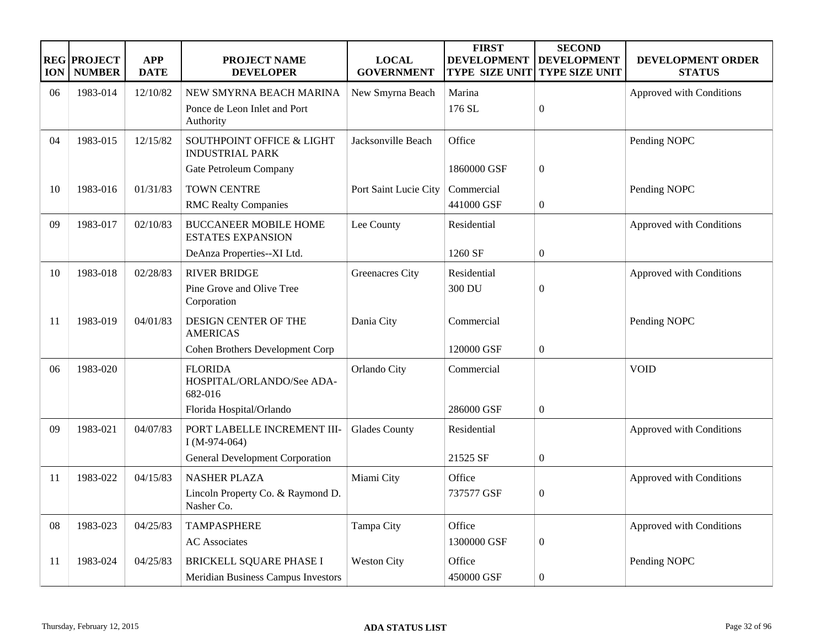| <b>ION</b> | <b>REG PROJECT</b><br><b>NUMBER</b> | <b>APP</b><br><b>DATE</b> | PROJECT NAME<br><b>DEVELOPER</b>                         | <b>LOCAL</b><br><b>GOVERNMENT</b> | <b>FIRST</b><br><b>DEVELOPMENT</b><br><b>TYPE SIZE UNIT</b> | <b>SECOND</b><br><b>DEVELOPMENT</b><br><b>TYPE SIZE UNIT</b> | DEVELOPMENT ORDER<br><b>STATUS</b> |
|------------|-------------------------------------|---------------------------|----------------------------------------------------------|-----------------------------------|-------------------------------------------------------------|--------------------------------------------------------------|------------------------------------|
| 06         | 1983-014                            | 12/10/82                  | NEW SMYRNA BEACH MARINA                                  | New Smyrna Beach                  | Marina                                                      |                                                              | Approved with Conditions           |
|            |                                     |                           | Ponce de Leon Inlet and Port<br>Authority                |                                   | 176 SL                                                      | $\mathbf{0}$                                                 |                                    |
| 04         | 1983-015                            | 12/15/82                  | SOUTHPOINT OFFICE & LIGHT<br><b>INDUSTRIAL PARK</b>      | Jacksonville Beach                | Office                                                      |                                                              | Pending NOPC                       |
|            |                                     |                           | Gate Petroleum Company                                   |                                   | 1860000 GSF                                                 | $\mathbf{0}$                                                 |                                    |
| 10         | 1983-016                            | 01/31/83                  | <b>TOWN CENTRE</b>                                       | Port Saint Lucie City             | Commercial                                                  |                                                              | Pending NOPC                       |
|            |                                     |                           | <b>RMC Realty Companies</b>                              |                                   | 441000 GSF                                                  | $\boldsymbol{0}$                                             |                                    |
| 09         | 1983-017                            | 02/10/83                  | <b>BUCCANEER MOBILE HOME</b><br><b>ESTATES EXPANSION</b> | Lee County                        | Residential                                                 |                                                              | Approved with Conditions           |
|            |                                     |                           | DeAnza Properties--XI Ltd.                               |                                   | 1260 SF                                                     | $\boldsymbol{0}$                                             |                                    |
| 10         | 1983-018                            | 02/28/83                  | <b>RIVER BRIDGE</b>                                      | <b>Greenacres City</b>            | Residential                                                 |                                                              | Approved with Conditions           |
|            |                                     |                           | Pine Grove and Olive Tree<br>Corporation                 |                                   | 300 DU                                                      | $\boldsymbol{0}$                                             |                                    |
| 11         | 1983-019                            | 04/01/83                  | DESIGN CENTER OF THE<br><b>AMERICAS</b>                  | Dania City                        | Commercial                                                  |                                                              | Pending NOPC                       |
|            |                                     |                           | Cohen Brothers Development Corp                          |                                   | 120000 GSF                                                  | $\mathbf{0}$                                                 |                                    |
| 06         | 1983-020                            |                           | <b>FLORIDA</b><br>HOSPITAL/ORLANDO/See ADA-<br>682-016   | Orlando City                      | Commercial                                                  |                                                              | <b>VOID</b>                        |
|            |                                     |                           | Florida Hospital/Orlando                                 |                                   | 286000 GSF                                                  | $\overline{0}$                                               |                                    |
| 09         | 1983-021                            | 04/07/83                  | PORT LABELLE INCREMENT III-<br>$I(M-974-064)$            | <b>Glades County</b>              | Residential                                                 |                                                              | Approved with Conditions           |
|            |                                     |                           | <b>General Development Corporation</b>                   |                                   | 21525 SF                                                    | $\boldsymbol{0}$                                             |                                    |
| 11         | 1983-022                            | 04/15/83                  | <b>NASHER PLAZA</b>                                      | Miami City                        | Office                                                      |                                                              | Approved with Conditions           |
|            |                                     |                           | Lincoln Property Co. & Raymond D.<br>Nasher Co.          |                                   | 737577 GSF                                                  | $\boldsymbol{0}$                                             |                                    |
| 08         | 1983-023                            | 04/25/83                  | <b>TAMPASPHERE</b>                                       | Tampa City                        | Office                                                      |                                                              | Approved with Conditions           |
|            |                                     |                           | <b>AC</b> Associates                                     |                                   | 1300000 GSF                                                 | $\overline{0}$                                               |                                    |
| 11         | 1983-024                            | 04/25/83                  | <b>BRICKELL SQUARE PHASE I</b>                           | Weston City                       | Office                                                      |                                                              | Pending NOPC                       |
|            |                                     |                           | Meridian Business Campus Investors                       |                                   | 450000 GSF                                                  | $\boldsymbol{0}$                                             |                                    |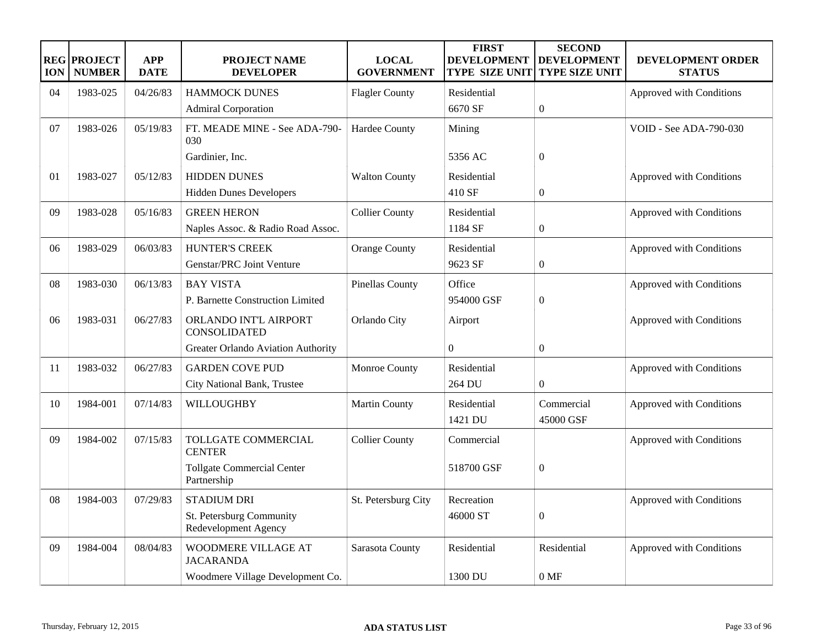| <b>ION</b> | <b>REG PROJECT</b><br><b>NUMBER</b> | <b>APP</b><br><b>DATE</b> | <b>PROJECT NAME</b><br><b>DEVELOPER</b>          | <b>LOCAL</b><br><b>GOVERNMENT</b> | <b>FIRST</b><br><b>DEVELOPMENT</b><br><b>TYPE SIZE UNIT</b> | <b>SECOND</b><br><b>DEVELOPMENT</b><br><b>TYPE SIZE UNIT</b> | DEVELOPMENT ORDER<br><b>STATUS</b> |
|------------|-------------------------------------|---------------------------|--------------------------------------------------|-----------------------------------|-------------------------------------------------------------|--------------------------------------------------------------|------------------------------------|
| 04         | 1983-025                            | 04/26/83                  | <b>HAMMOCK DUNES</b>                             | <b>Flagler County</b>             | Residential                                                 |                                                              | Approved with Conditions           |
|            |                                     |                           | <b>Admiral Corporation</b>                       |                                   | 6670 SF                                                     | $\boldsymbol{0}$                                             |                                    |
| 07         | 1983-026                            | 05/19/83                  | FT. MEADE MINE - See ADA-790-<br>030             | <b>Hardee County</b>              | Mining                                                      |                                                              | <b>VOID - See ADA-790-030</b>      |
|            |                                     |                           | Gardinier, Inc.                                  |                                   | 5356 AC                                                     | $\boldsymbol{0}$                                             |                                    |
| 01         | 1983-027                            | 05/12/83                  | <b>HIDDEN DUNES</b>                              | <b>Walton County</b>              | Residential                                                 |                                                              | Approved with Conditions           |
|            |                                     |                           | <b>Hidden Dunes Developers</b>                   |                                   | 410 SF                                                      | $\boldsymbol{0}$                                             |                                    |
| 09         | 1983-028                            | 05/16/83                  | <b>GREEN HERON</b>                               | <b>Collier County</b>             | Residential                                                 |                                                              | Approved with Conditions           |
|            |                                     |                           | Naples Assoc. & Radio Road Assoc.                |                                   | 1184 SF                                                     | $\boldsymbol{0}$                                             |                                    |
| 06         | 1983-029                            | 06/03/83                  | <b>HUNTER'S CREEK</b>                            | <b>Orange County</b>              | Residential                                                 |                                                              | Approved with Conditions           |
|            |                                     |                           | Genstar/PRC Joint Venture                        |                                   | 9623 SF                                                     | $\boldsymbol{0}$                                             |                                    |
| 08         | 1983-030                            | 06/13/83                  | <b>BAY VISTA</b>                                 | <b>Pinellas County</b>            | Office                                                      |                                                              | Approved with Conditions           |
|            |                                     |                           | P. Barnette Construction Limited                 |                                   | 954000 GSF                                                  | $\boldsymbol{0}$                                             |                                    |
| 06         | 1983-031                            | 06/27/83                  | ORLANDO INT'L AIRPORT<br><b>CONSOLIDATED</b>     | Orlando City                      | Airport                                                     |                                                              | Approved with Conditions           |
|            |                                     |                           | Greater Orlando Aviation Authority               |                                   | $\boldsymbol{0}$                                            | $\boldsymbol{0}$                                             |                                    |
| 11         | 1983-032                            | 06/27/83                  | <b>GARDEN COVE PUD</b>                           | Monroe County                     | Residential                                                 |                                                              | Approved with Conditions           |
|            |                                     |                           | City National Bank, Trustee                      |                                   | 264 DU                                                      | $\mathbf{0}$                                                 |                                    |
| 10         | 1984-001                            | 07/14/83                  | WILLOUGHBY                                       | <b>Martin County</b>              | Residential<br>1421 DU                                      | Commercial<br>45000 GSF                                      | Approved with Conditions           |
| 09         | 1984-002                            | 07/15/83                  | TOLLGATE COMMERCIAL<br><b>CENTER</b>             | <b>Collier County</b>             | Commercial                                                  |                                                              | Approved with Conditions           |
|            |                                     |                           | <b>Tollgate Commercial Center</b><br>Partnership |                                   | 518700 GSF                                                  | $\boldsymbol{0}$                                             |                                    |
| 08         | 1984-003                            | 07/29/83                  | <b>STADIUM DRI</b>                               | St. Petersburg City               | Recreation                                                  |                                                              | Approved with Conditions           |
|            |                                     |                           | St. Petersburg Community<br>Redevelopment Agency |                                   | 46000 ST                                                    | $\boldsymbol{0}$                                             |                                    |
| 09         | 1984-004                            | 08/04/83                  | WOODMERE VILLAGE AT<br><b>JACARANDA</b>          | Sarasota County                   | Residential                                                 | Residential                                                  | Approved with Conditions           |
|            |                                     |                           | Woodmere Village Development Co.                 |                                   | 1300 DU                                                     | 0 MF                                                         |                                    |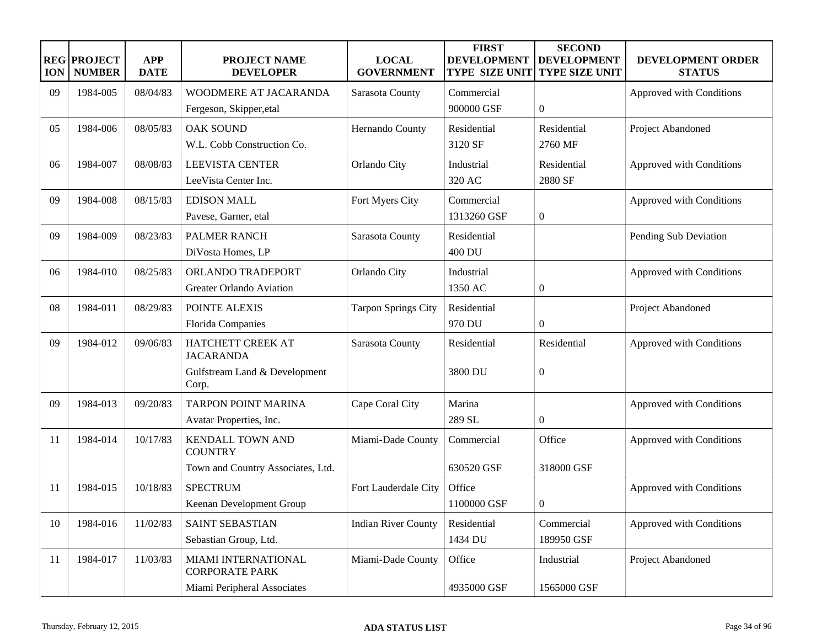| <b>ION</b> | <b>REG PROJECT</b><br><b>NUMBER</b> | <b>APP</b><br><b>DATE</b> | <b>PROJECT NAME</b><br><b>DEVELOPER</b>             | <b>LOCAL</b><br><b>GOVERNMENT</b> | <b>FIRST</b><br><b>DEVELOPMENT</b><br><b>TYPE SIZE UNIT</b> | <b>SECOND</b><br><b>DEVELOPMENT</b><br><b>TYPE SIZE UNIT</b> | DEVELOPMENT ORDER<br><b>STATUS</b> |
|------------|-------------------------------------|---------------------------|-----------------------------------------------------|-----------------------------------|-------------------------------------------------------------|--------------------------------------------------------------|------------------------------------|
| 09         | 1984-005                            | 08/04/83                  | WOODMERE AT JACARANDA                               | Sarasota County                   | Commercial                                                  |                                                              | Approved with Conditions           |
|            |                                     |                           | Fergeson, Skipper, etal                             |                                   | 900000 GSF                                                  | $\boldsymbol{0}$                                             |                                    |
| 05         | 1984-006                            | 08/05/83                  | <b>OAK SOUND</b>                                    | Hernando County                   | Residential                                                 | Residential                                                  | Project Abandoned                  |
|            |                                     |                           | W.L. Cobb Construction Co.                          |                                   | 3120 SF                                                     | 2760 MF                                                      |                                    |
| 06         | 1984-007                            | 08/08/83                  | <b>LEEVISTA CENTER</b>                              | Orlando City                      | Industrial                                                  | Residential                                                  | Approved with Conditions           |
|            |                                     |                           | LeeVista Center Inc.                                |                                   | 320 AC                                                      | 2880 SF                                                      |                                    |
| 09         | 1984-008                            | 08/15/83                  | <b>EDISON MALL</b>                                  | Fort Myers City                   | Commercial                                                  |                                                              | Approved with Conditions           |
|            |                                     |                           | Pavese, Garner, etal                                |                                   | 1313260 GSF                                                 | $\boldsymbol{0}$                                             |                                    |
| 09         | 1984-009                            | 08/23/83                  | <b>PALMER RANCH</b>                                 | Sarasota County                   | Residential                                                 |                                                              | Pending Sub Deviation              |
|            |                                     |                           | DiVosta Homes, LP                                   |                                   | 400 DU                                                      |                                                              |                                    |
| 06         | 1984-010                            | 08/25/83                  | ORLANDO TRADEPORT                                   | Orlando City                      | Industrial                                                  |                                                              | Approved with Conditions           |
|            |                                     |                           | Greater Orlando Aviation                            |                                   | 1350 AC                                                     | $\mathbf{0}$                                                 |                                    |
| 08         | 1984-011                            | 08/29/83                  | POINTE ALEXIS                                       | <b>Tarpon Springs City</b>        | Residential                                                 |                                                              | Project Abandoned                  |
|            |                                     |                           | Florida Companies                                   |                                   | 970 DU                                                      | $\overline{0}$                                               |                                    |
| 09         | 1984-012                            | 09/06/83                  | HATCHETT CREEK AT<br><b>JACARANDA</b>               | Sarasota County                   | Residential                                                 | Residential                                                  | Approved with Conditions           |
|            |                                     |                           | Gulfstream Land & Development<br>Corp.              |                                   | 3800 DU                                                     | $\overline{0}$                                               |                                    |
| 09         | 1984-013                            | 09/20/83                  | TARPON POINT MARINA                                 | Cape Coral City                   | Marina                                                      |                                                              | Approved with Conditions           |
|            |                                     |                           | Avatar Properties, Inc.                             |                                   | 289 SL                                                      | $\mathbf{0}$                                                 |                                    |
| 11         | 1984-014                            | 10/17/83                  | <b>KENDALL TOWN AND</b><br><b>COUNTRY</b>           | Miami-Dade County                 | Commercial                                                  | Office                                                       | Approved with Conditions           |
|            |                                     |                           | Town and Country Associates, Ltd.                   |                                   | 630520 GSF                                                  | 318000 GSF                                                   |                                    |
| 11         | 1984-015                            | 10/18/83                  | <b>SPECTRUM</b>                                     | Fort Lauderdale City              | Office                                                      |                                                              | Approved with Conditions           |
|            |                                     |                           | Keenan Development Group                            |                                   | 1100000 GSF                                                 | $\overline{0}$                                               |                                    |
| 10         | 1984-016                            | 11/02/83                  | SAINT SEBASTIAN                                     | <b>Indian River County</b>        | Residential                                                 | Commercial                                                   | Approved with Conditions           |
|            |                                     |                           | Sebastian Group, Ltd.                               |                                   | 1434 DU                                                     | 189950 GSF                                                   |                                    |
| 11         | 1984-017                            | 11/03/83                  | <b>MIAMI INTERNATIONAL</b><br><b>CORPORATE PARK</b> | Miami-Dade County                 | Office                                                      | Industrial                                                   | Project Abandoned                  |
|            |                                     |                           | Miami Peripheral Associates                         |                                   | 4935000 GSF                                                 | 1565000 GSF                                                  |                                    |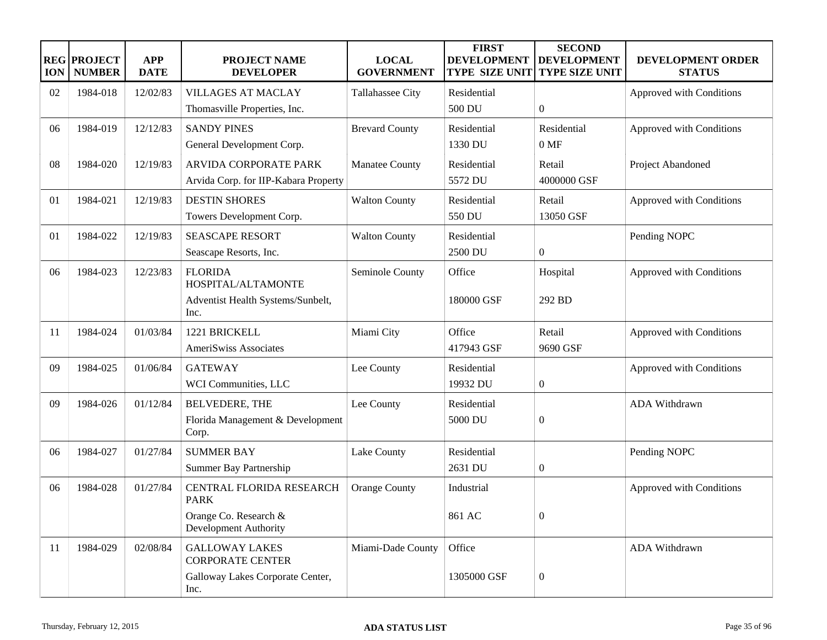| <b>ION</b> | <b>REG PROJECT</b><br><b>NUMBER</b> | <b>APP</b><br><b>DATE</b> | <b>PROJECT NAME</b><br><b>DEVELOPER</b>          | <b>LOCAL</b><br><b>GOVERNMENT</b> | <b>FIRST</b><br><b>DEVELOPMENT</b><br><b>TYPE SIZE UNIT</b> | <b>SECOND</b><br><b>DEVELOPMENT</b><br><b>TYPE SIZE UNIT</b> | DEVELOPMENT ORDER<br><b>STATUS</b> |
|------------|-------------------------------------|---------------------------|--------------------------------------------------|-----------------------------------|-------------------------------------------------------------|--------------------------------------------------------------|------------------------------------|
| 02         | 1984-018                            | 12/02/83                  | <b>VILLAGES AT MACLAY</b>                        | Tallahassee City                  | Residential                                                 |                                                              | Approved with Conditions           |
|            |                                     |                           | Thomasville Properties, Inc.                     |                                   | 500 DU                                                      | $\boldsymbol{0}$                                             |                                    |
| 06         | 1984-019                            | 12/12/83                  | <b>SANDY PINES</b>                               | <b>Brevard County</b>             | Residential                                                 | Residential                                                  | Approved with Conditions           |
|            |                                     |                           | General Development Corp.                        |                                   | 1330 DU                                                     | 0 MF                                                         |                                    |
| 08         | 1984-020                            | 12/19/83                  | ARVIDA CORPORATE PARK                            | Manatee County                    | Residential                                                 | Retail                                                       | Project Abandoned                  |
|            |                                     |                           | Arvida Corp. for IIP-Kabara Property             |                                   | 5572 DU                                                     | 4000000 GSF                                                  |                                    |
| 01         | 1984-021                            | 12/19/83                  | <b>DESTIN SHORES</b>                             | <b>Walton County</b>              | Residential                                                 | Retail                                                       | Approved with Conditions           |
|            |                                     |                           | Towers Development Corp.                         |                                   | 550 DU                                                      | 13050 GSF                                                    |                                    |
| 01         | 1984-022                            | 12/19/83                  | <b>SEASCAPE RESORT</b>                           | <b>Walton County</b>              | Residential                                                 |                                                              | Pending NOPC                       |
|            |                                     |                           | Seascape Resorts, Inc.                           |                                   | 2500 DU                                                     | $\boldsymbol{0}$                                             |                                    |
| 06         | 1984-023                            | 12/23/83                  | <b>FLORIDA</b><br>HOSPITAL/ALTAMONTE             | Seminole County                   | Office                                                      | Hospital                                                     | Approved with Conditions           |
|            |                                     |                           | Adventist Health Systems/Sunbelt,                |                                   | 180000 GSF                                                  | 292 BD                                                       |                                    |
|            |                                     |                           | Inc.                                             |                                   |                                                             |                                                              |                                    |
| 11         | 1984-024                            | 01/03/84                  | 1221 BRICKELL                                    | Miami City                        | Office                                                      | Retail                                                       | Approved with Conditions           |
|            |                                     |                           | AmeriSwiss Associates                            |                                   | 417943 GSF                                                  | 9690 GSF                                                     |                                    |
| 09         | 1984-025                            | 01/06/84                  | <b>GATEWAY</b>                                   | Lee County                        | Residential                                                 |                                                              | Approved with Conditions           |
|            |                                     |                           | WCI Communities, LLC                             |                                   | 19932 DU                                                    | $\boldsymbol{0}$                                             |                                    |
| 09         | 1984-026                            | 01/12/84                  | BELVEDERE, THE                                   | Lee County                        | Residential                                                 |                                                              | ADA Withdrawn                      |
|            |                                     |                           | Florida Management & Development                 |                                   | 5000 DU                                                     | $\overline{0}$                                               |                                    |
|            |                                     |                           | Corp.                                            |                                   |                                                             |                                                              |                                    |
| 06         | 1984-027                            | 01/27/84                  | <b>SUMMER BAY</b>                                | Lake County                       | Residential                                                 |                                                              | Pending NOPC                       |
|            |                                     |                           | Summer Bay Partnership                           |                                   | 2631 DU                                                     | $\boldsymbol{0}$                                             |                                    |
| 06         | 1984-028                            | 01/27/84                  | CENTRAL FLORIDA RESEARCH<br><b>PARK</b>          | Orange County                     | Industrial                                                  |                                                              | Approved with Conditions           |
|            |                                     |                           | Orange Co. Research &                            |                                   | 861 AC                                                      | $\overline{0}$                                               |                                    |
|            |                                     |                           | <b>Development Authority</b>                     |                                   |                                                             |                                                              |                                    |
| 11         | 1984-029                            | 02/08/84                  | <b>GALLOWAY LAKES</b><br><b>CORPORATE CENTER</b> | Miami-Dade County                 | Office                                                      |                                                              | ADA Withdrawn                      |
|            |                                     |                           | Galloway Lakes Corporate Center,<br>Inc.         |                                   | 1305000 GSF                                                 | $\boldsymbol{0}$                                             |                                    |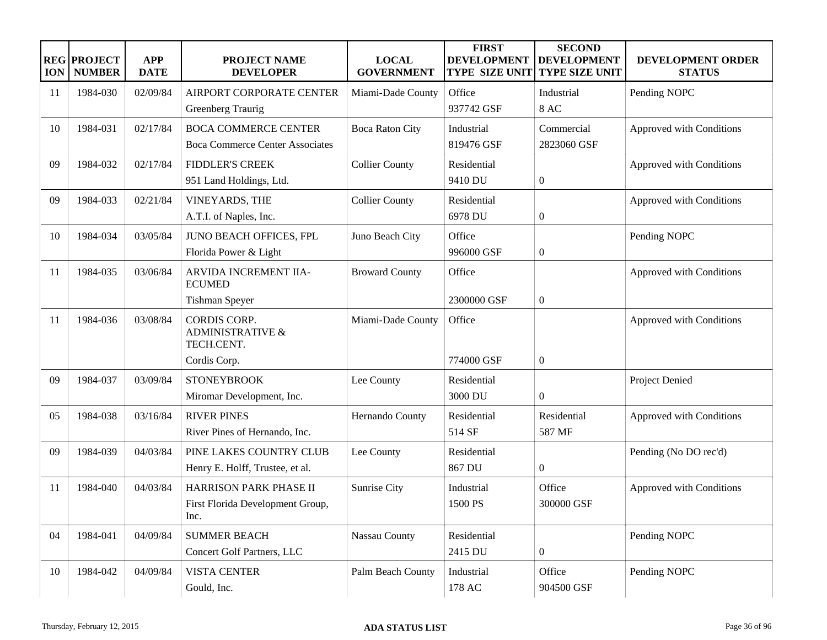| <b>ION</b> | <b>REG PROJECT</b><br><b>NUMBER</b> | <b>APP</b><br><b>DATE</b> | <b>PROJECT NAME</b><br><b>DEVELOPER</b>                          | <b>LOCAL</b><br><b>GOVERNMENT</b> | <b>FIRST</b><br><b>DEVELOPMENT</b><br><b>TYPE SIZE UNIT</b> | <b>SECOND</b><br><b>DEVELOPMENT</b><br><b>TYPE SIZE UNIT</b> | DEVELOPMENT ORDER<br><b>STATUS</b> |
|------------|-------------------------------------|---------------------------|------------------------------------------------------------------|-----------------------------------|-------------------------------------------------------------|--------------------------------------------------------------|------------------------------------|
| 11         | 1984-030                            | 02/09/84                  | AIRPORT CORPORATE CENTER                                         | Miami-Dade County                 | Office                                                      | Industrial                                                   | Pending NOPC                       |
|            |                                     |                           | Greenberg Traurig                                                |                                   | 937742 GSF                                                  | <b>8 AC</b>                                                  |                                    |
| 10         | 1984-031                            | 02/17/84                  | <b>BOCA COMMERCE CENTER</b>                                      | <b>Boca Raton City</b>            | Industrial                                                  | Commercial                                                   | Approved with Conditions           |
|            |                                     |                           | <b>Boca Commerce Center Associates</b>                           |                                   | 819476 GSF                                                  | 2823060 GSF                                                  |                                    |
| 09         | 1984-032                            | 02/17/84                  | <b>FIDDLER'S CREEK</b>                                           | <b>Collier County</b>             | Residential                                                 |                                                              | Approved with Conditions           |
|            |                                     |                           | 951 Land Holdings, Ltd.                                          |                                   | 9410 DU                                                     | $\mathbf{0}$                                                 |                                    |
| 09         | 1984-033                            | 02/21/84                  | VINEYARDS, THE                                                   | <b>Collier County</b>             | Residential                                                 |                                                              | Approved with Conditions           |
|            |                                     |                           | A.T.I. of Naples, Inc.                                           |                                   | 6978 DU                                                     | $\mathbf{0}$                                                 |                                    |
| 10         | 1984-034                            | 03/05/84                  | JUNO BEACH OFFICES, FPL                                          | Juno Beach City                   | Office                                                      |                                                              | Pending NOPC                       |
|            |                                     |                           | Florida Power & Light                                            |                                   | 996000 GSF                                                  | $\mathbf{0}$                                                 |                                    |
| 11         | 1984-035                            | 03/06/84                  | ARVIDA INCREMENT IIA-<br><b>ECUMED</b>                           | <b>Broward County</b>             | Office                                                      |                                                              | Approved with Conditions           |
|            |                                     |                           | Tishman Speyer                                                   |                                   | 2300000 GSF                                                 | $\mathbf{0}$                                                 |                                    |
| 11         | 1984-036                            | 03/08/84                  | <b>CORDIS CORP.</b><br><b>ADMINISTRATIVE &amp;</b><br>TECH.CENT. | Miami-Dade County                 | Office                                                      |                                                              | Approved with Conditions           |
|            |                                     |                           | Cordis Corp.                                                     |                                   | 774000 GSF                                                  | $\mathbf{0}$                                                 |                                    |
| 09         | 1984-037                            | 03/09/84                  | <b>STONEYBROOK</b>                                               | Lee County                        | Residential                                                 |                                                              | Project Denied                     |
|            |                                     |                           | Miromar Development, Inc.                                        |                                   | 3000 DU                                                     | $\boldsymbol{0}$                                             |                                    |
| 05         | 1984-038                            | 03/16/84                  | <b>RIVER PINES</b>                                               | Hernando County                   | Residential                                                 | Residential                                                  | Approved with Conditions           |
|            |                                     |                           | River Pines of Hernando, Inc.                                    |                                   | 514 SF                                                      | 587 MF                                                       |                                    |
| 09         | 1984-039                            | 04/03/84                  | PINE LAKES COUNTRY CLUB                                          | Lee County                        | Residential                                                 |                                                              | Pending (No DO rec'd)              |
|            |                                     |                           | Henry E. Holff, Trustee, et al.                                  |                                   | 867 DU                                                      | $\mathbf{0}$                                                 |                                    |
| 11         | 1984-040                            | 04/03/84                  | HARRISON PARK PHASE II                                           | Sunrise City                      | Industrial                                                  | Office                                                       | Approved with Conditions           |
|            |                                     |                           | First Florida Development Group,<br>Inc.                         |                                   | 1500 PS                                                     | 300000 GSF                                                   |                                    |
| 04         | 1984-041                            | 04/09/84                  | <b>SUMMER BEACH</b>                                              | Nassau County                     | Residential                                                 |                                                              | Pending NOPC                       |
|            |                                     |                           | Concert Golf Partners, LLC                                       |                                   | 2415 DU                                                     | $\boldsymbol{0}$                                             |                                    |
| 10         | 1984-042                            | 04/09/84                  | <b>VISTA CENTER</b>                                              | Palm Beach County                 | Industrial                                                  | Office                                                       | Pending NOPC                       |
|            |                                     |                           | Gould, Inc.                                                      |                                   | 178 AC                                                      | 904500 GSF                                                   |                                    |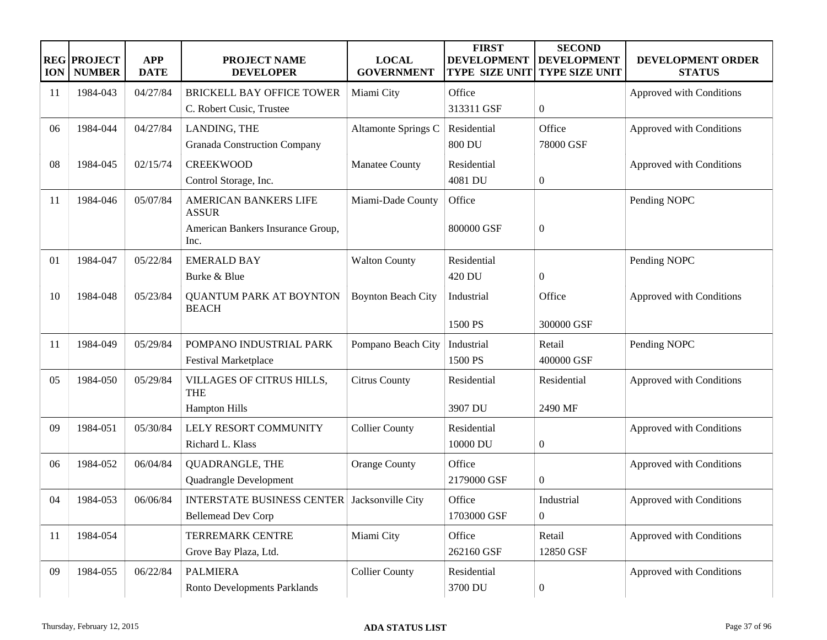| <b>ION</b> | <b>REG PROJECT</b><br><b>NUMBER</b> | <b>APP</b><br><b>DATE</b> | <b>PROJECT NAME</b><br><b>DEVELOPER</b>             | <b>LOCAL</b><br><b>GOVERNMENT</b> | <b>FIRST</b><br><b>DEVELOPMENT</b><br><b>TYPE SIZE UNIT</b> | <b>SECOND</b><br><b>DEVELOPMENT</b><br><b>TYPE SIZE UNIT</b> | DEVELOPMENT ORDER<br><b>STATUS</b> |
|------------|-------------------------------------|---------------------------|-----------------------------------------------------|-----------------------------------|-------------------------------------------------------------|--------------------------------------------------------------|------------------------------------|
| 11         | 1984-043                            | 04/27/84                  | BRICKELL BAY OFFICE TOWER                           | Miami City                        | Office                                                      |                                                              | Approved with Conditions           |
|            |                                     |                           | C. Robert Cusic, Trustee                            |                                   | 313311 GSF                                                  | $\boldsymbol{0}$                                             |                                    |
| 06         | 1984-044                            | 04/27/84                  | LANDING, THE                                        | Altamonte Springs C               | Residential                                                 | Office                                                       | Approved with Conditions           |
|            |                                     |                           | <b>Granada Construction Company</b>                 |                                   | <b>800 DU</b>                                               | 78000 GSF                                                    |                                    |
| 08         | 1984-045                            | 02/15/74                  | <b>CREEKWOOD</b>                                    | Manatee County                    | Residential                                                 |                                                              | Approved with Conditions           |
|            |                                     |                           | Control Storage, Inc.                               |                                   | 4081 DU                                                     | $\boldsymbol{0}$                                             |                                    |
| 11         | 1984-046                            | 05/07/84                  | AMERICAN BANKERS LIFE<br><b>ASSUR</b>               | Miami-Dade County                 | Office                                                      |                                                              | Pending NOPC                       |
|            |                                     |                           | American Bankers Insurance Group,<br>Inc.           |                                   | 800000 GSF                                                  | $\boldsymbol{0}$                                             |                                    |
| 01         | 1984-047                            | 05/22/84                  | <b>EMERALD BAY</b>                                  | <b>Walton County</b>              | Residential                                                 |                                                              | Pending NOPC                       |
|            |                                     |                           | Burke & Blue                                        |                                   | 420 DU                                                      | $\boldsymbol{0}$                                             |                                    |
| 10         | 1984-048                            | 05/23/84                  | <b>QUANTUM PARK AT BOYNTON</b><br><b>BEACH</b>      | <b>Boynton Beach City</b>         | Industrial                                                  | Office                                                       | Approved with Conditions           |
|            |                                     |                           |                                                     |                                   | 1500 PS                                                     | 300000 GSF                                                   |                                    |
| 11         | 1984-049                            | 05/29/84                  | POMPANO INDUSTRIAL PARK                             | Pompano Beach City                | Industrial                                                  | Retail                                                       | Pending NOPC                       |
|            |                                     |                           | Festival Marketplace                                |                                   | 1500 PS                                                     | 400000 GSF                                                   |                                    |
| 05         | 1984-050                            | 05/29/84                  | VILLAGES OF CITRUS HILLS,<br><b>THE</b>             | <b>Citrus County</b>              | Residential                                                 | Residential                                                  | Approved with Conditions           |
|            |                                     |                           | <b>Hampton Hills</b>                                |                                   | 3907 DU                                                     | 2490 MF                                                      |                                    |
| 09         | 1984-051                            | 05/30/84                  | LELY RESORT COMMUNITY                               | <b>Collier County</b>             | Residential                                                 |                                                              | Approved with Conditions           |
|            |                                     |                           | Richard L. Klass                                    |                                   | 10000 DU                                                    | $\boldsymbol{0}$                                             |                                    |
| 06         | 1984-052                            | 06/04/84                  | QUADRANGLE, THE                                     | <b>Orange County</b>              | Office                                                      |                                                              | Approved with Conditions           |
|            |                                     |                           | Quadrangle Development                              |                                   | 2179000 GSF                                                 | $\overline{0}$                                               |                                    |
| 04         | 1984-053                            | 06/06/84                  | <b>INTERSTATE BUSINESS CENTER</b> Jacksonville City |                                   | Office                                                      | Industrial                                                   | Approved with Conditions           |
|            |                                     |                           | <b>Bellemead Dev Corp</b>                           |                                   | 1703000 GSF                                                 | $\boldsymbol{0}$                                             |                                    |
| 11         | 1984-054                            |                           | <b>TERREMARK CENTRE</b>                             | Miami City                        | Office                                                      | Retail                                                       | Approved with Conditions           |
|            |                                     |                           | Grove Bay Plaza, Ltd.                               |                                   | 262160 GSF                                                  | 12850 GSF                                                    |                                    |
| 09         | 1984-055                            | 06/22/84                  | <b>PALMIERA</b>                                     | <b>Collier County</b>             | Residential                                                 |                                                              | Approved with Conditions           |
|            |                                     |                           | Ronto Developments Parklands                        |                                   | 3700 DU                                                     | $\boldsymbol{0}$                                             |                                    |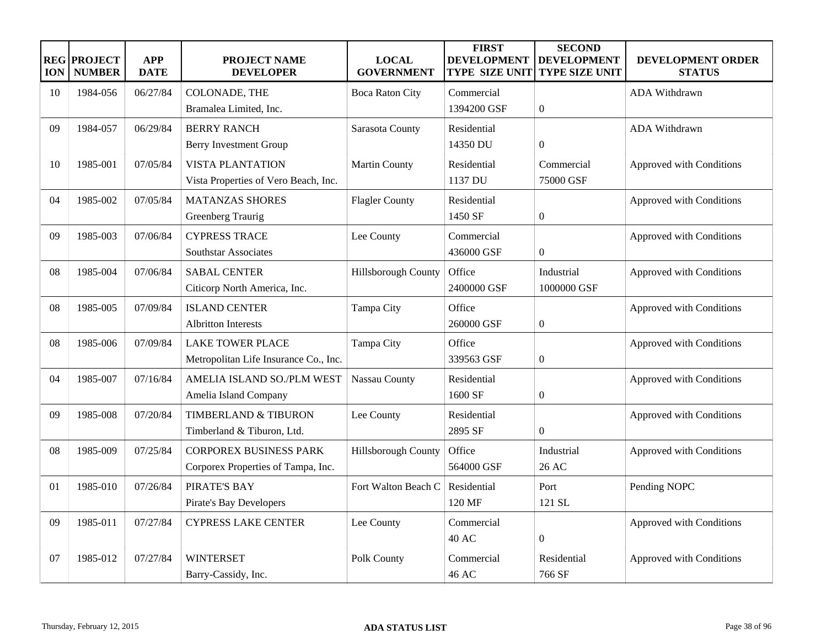| <b>ION</b> | <b>REG PROJECT</b><br><b>NUMBER</b> | <b>APP</b><br><b>DATE</b> | <b>PROJECT NAME</b><br><b>DEVELOPER</b> | <b>LOCAL</b><br><b>GOVERNMENT</b> | <b>FIRST</b><br><b>DEVELOPMENT</b><br><b>TYPE SIZE UNIT</b> | <b>SECOND</b><br><b>DEVELOPMENT</b><br><b>TYPE SIZE UNIT</b> | <b>DEVELOPMENT ORDER</b><br><b>STATUS</b> |
|------------|-------------------------------------|---------------------------|-----------------------------------------|-----------------------------------|-------------------------------------------------------------|--------------------------------------------------------------|-------------------------------------------|
| 10         | 1984-056                            | 06/27/84                  | COLONADE, THE                           | <b>Boca Raton City</b>            | Commercial                                                  |                                                              | <b>ADA Withdrawn</b>                      |
|            |                                     |                           | Bramalea Limited, Inc.                  |                                   | 1394200 GSF                                                 | $\mathbf{0}$                                                 |                                           |
| 09         | 1984-057                            | 06/29/84                  | <b>BERRY RANCH</b>                      | Sarasota County                   | Residential                                                 |                                                              | ADA Withdrawn                             |
|            |                                     |                           | Berry Investment Group                  |                                   | 14350 DU                                                    | $\overline{0}$                                               |                                           |
| 10         | 1985-001                            | 07/05/84                  | <b>VISTA PLANTATION</b>                 | <b>Martin County</b>              | Residential                                                 | Commercial                                                   | Approved with Conditions                  |
|            |                                     |                           | Vista Properties of Vero Beach, Inc.    |                                   | 1137 DU                                                     | 75000 GSF                                                    |                                           |
| 04         | 1985-002                            | 07/05/84                  | <b>MATANZAS SHORES</b>                  | <b>Flagler County</b>             | Residential                                                 |                                                              | Approved with Conditions                  |
|            |                                     |                           | Greenberg Traurig                       |                                   | 1450 SF                                                     | $\boldsymbol{0}$                                             |                                           |
| 09         | 1985-003                            | 07/06/84                  | <b>CYPRESS TRACE</b>                    | Lee County                        | Commercial                                                  |                                                              | Approved with Conditions                  |
|            |                                     |                           | Southstar Associates                    |                                   | 436000 GSF                                                  | $\boldsymbol{0}$                                             |                                           |
| 08         | 1985-004                            | 07/06/84                  | <b>SABAL CENTER</b>                     | Hillsborough County               | Office                                                      | Industrial                                                   | Approved with Conditions                  |
|            |                                     |                           | Citicorp North America, Inc.            |                                   | 2400000 GSF                                                 | 1000000 GSF                                                  |                                           |
| 08         | 1985-005                            | 07/09/84                  | <b>ISLAND CENTER</b>                    | Tampa City                        | Office                                                      |                                                              | Approved with Conditions                  |
|            |                                     |                           | <b>Albritton Interests</b>              |                                   | 260000 GSF                                                  | $\boldsymbol{0}$                                             |                                           |
| 08         | 1985-006                            | 07/09/84                  | <b>LAKE TOWER PLACE</b>                 | Tampa City                        | Office                                                      |                                                              | Approved with Conditions                  |
|            |                                     |                           | Metropolitan Life Insurance Co., Inc.   |                                   | 339563 GSF                                                  | $\boldsymbol{0}$                                             |                                           |
| 04         | 1985-007                            | 07/16/84                  | AMELIA ISLAND SO./PLM WEST              | Nassau County                     | Residential                                                 |                                                              | Approved with Conditions                  |
|            |                                     |                           | Amelia Island Company                   |                                   | 1600 SF                                                     | $\boldsymbol{0}$                                             |                                           |
| 09         | 1985-008                            | 07/20/84                  | <b>TIMBERLAND &amp; TIBURON</b>         | Lee County                        | Residential                                                 |                                                              | Approved with Conditions                  |
|            |                                     |                           | Timberland & Tiburon, Ltd.              |                                   | 2895 SF                                                     | $\boldsymbol{0}$                                             |                                           |
| 08         | 1985-009                            | 07/25/84                  | <b>CORPOREX BUSINESS PARK</b>           | Hillsborough County               | Office                                                      | Industrial                                                   | Approved with Conditions                  |
|            |                                     |                           | Corporex Properties of Tampa, Inc.      |                                   | 564000 GSF                                                  | 26 AC                                                        |                                           |
| 01         | 1985-010                            | 07/26/84                  | PIRATE'S BAY                            | Fort Walton Beach C               | Residential                                                 | Port                                                         | Pending NOPC                              |
|            |                                     |                           | Pirate's Bay Developers                 |                                   | 120 MF                                                      | 121 SL                                                       |                                           |
| 09         | 1985-011                            | 07/27/84                  | <b>CYPRESS LAKE CENTER</b>              | Lee County                        | Commercial                                                  |                                                              | Approved with Conditions                  |
|            |                                     |                           |                                         |                                   | <b>40 AC</b>                                                | $\boldsymbol{0}$                                             |                                           |
| 07         | 1985-012                            | 07/27/84                  | <b>WINTERSET</b>                        | Polk County                       | Commercial                                                  | Residential                                                  | Approved with Conditions                  |
|            |                                     |                           | Barry-Cassidy, Inc.                     |                                   | 46 AC                                                       | 766 SF                                                       |                                           |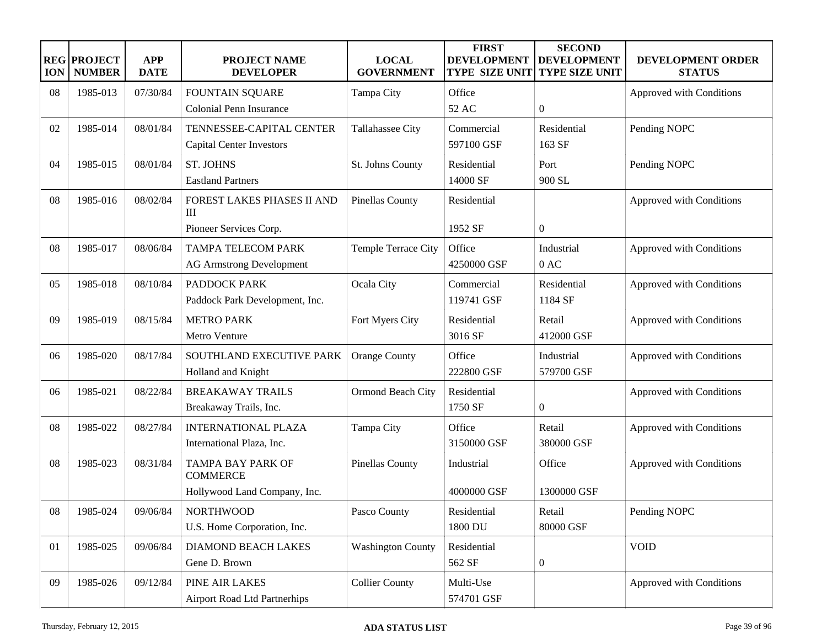| <b>ION</b> | <b>REG PROJECT</b><br><b>NUMBER</b> | <b>APP</b><br><b>DATE</b> | <b>PROJECT NAME</b><br><b>DEVELOPER</b>     | <b>LOCAL</b><br><b>GOVERNMENT</b> | <b>FIRST</b><br><b>DEVELOPMENT</b><br><b>TYPE SIZE UNIT</b> | <b>SECOND</b><br><b>DEVELOPMENT</b><br><b>TYPE SIZE UNIT</b> | DEVELOPMENT ORDER<br><b>STATUS</b> |
|------------|-------------------------------------|---------------------------|---------------------------------------------|-----------------------------------|-------------------------------------------------------------|--------------------------------------------------------------|------------------------------------|
| 08         | 1985-013                            | 07/30/84                  | <b>FOUNTAIN SQUARE</b>                      | Tampa City                        | Office                                                      |                                                              | Approved with Conditions           |
|            |                                     |                           | Colonial Penn Insurance                     |                                   | 52 AC                                                       | $\mathbf{0}$                                                 |                                    |
| 02         | 1985-014                            | 08/01/84                  | TENNESSEE-CAPITAL CENTER                    | Tallahassee City                  | Commercial                                                  | Residential                                                  | Pending NOPC                       |
|            |                                     |                           | <b>Capital Center Investors</b>             |                                   | 597100 GSF                                                  | 163 SF                                                       |                                    |
| 04         | 1985-015                            | 08/01/84                  | <b>ST. JOHNS</b>                            | St. Johns County                  | Residential                                                 | Port                                                         | Pending NOPC                       |
|            |                                     |                           | <b>Eastland Partners</b>                    |                                   | 14000 SF                                                    | 900 SL                                                       |                                    |
| 08         | 1985-016                            | 08/02/84                  | FOREST LAKES PHASES II AND<br>III           | <b>Pinellas County</b>            | Residential                                                 |                                                              | Approved with Conditions           |
|            |                                     |                           | Pioneer Services Corp.                      |                                   | 1952 SF                                                     | $\mathbf{0}$                                                 |                                    |
| 08         | 1985-017                            | 08/06/84                  | <b>TAMPA TELECOM PARK</b>                   | Temple Terrace City               | Office                                                      | Industrial                                                   | Approved with Conditions           |
|            |                                     |                           | <b>AG Armstrong Development</b>             |                                   | 4250000 GSF                                                 | 0AC                                                          |                                    |
| 05         | 1985-018                            | 08/10/84                  | PADDOCK PARK                                | Ocala City                        | Commercial                                                  | Residential                                                  | Approved with Conditions           |
|            |                                     |                           | Paddock Park Development, Inc.              |                                   | 119741 GSF                                                  | 1184 SF                                                      |                                    |
| 09         | 1985-019                            | 08/15/84                  | <b>METRO PARK</b>                           | Fort Myers City                   | Residential                                                 | Retail                                                       | Approved with Conditions           |
|            |                                     |                           | Metro Venture                               |                                   | 3016 SF                                                     | 412000 GSF                                                   |                                    |
| 06         | 1985-020                            | 08/17/84                  | SOUTHLAND EXECUTIVE PARK                    | <b>Orange County</b>              | Office                                                      | Industrial                                                   | Approved with Conditions           |
|            |                                     |                           | Holland and Knight                          |                                   | 222800 GSF                                                  | 579700 GSF                                                   |                                    |
| 06         | 1985-021                            | 08/22/84                  | <b>BREAKAWAY TRAILS</b>                     | Ormond Beach City                 | Residential                                                 |                                                              | Approved with Conditions           |
|            |                                     |                           | Breakaway Trails, Inc.                      |                                   | 1750 SF                                                     | $\boldsymbol{0}$                                             |                                    |
| 08         | 1985-022                            | 08/27/84                  | <b>INTERNATIONAL PLAZA</b>                  | Tampa City                        | Office                                                      | Retail                                                       | Approved with Conditions           |
|            |                                     |                           | International Plaza, Inc.                   |                                   | 3150000 GSF                                                 | 380000 GSF                                                   |                                    |
| 08         | 1985-023                            | 08/31/84                  | <b>TAMPA BAY PARK OF</b><br><b>COMMERCE</b> | <b>Pinellas County</b>            | Industrial                                                  | Office                                                       | Approved with Conditions           |
|            |                                     |                           | Hollywood Land Company, Inc.                |                                   | 4000000 GSF                                                 | 1300000 GSF                                                  |                                    |
| 08         | 1985-024                            | 09/06/84                  | <b>NORTHWOOD</b>                            | Pasco County                      | Residential                                                 | Retail                                                       | Pending NOPC                       |
|            |                                     |                           | U.S. Home Corporation, Inc.                 |                                   | 1800 DU                                                     | 80000 GSF                                                    |                                    |
| 01         | 1985-025                            | 09/06/84                  | DIAMOND BEACH LAKES                         | <b>Washington County</b>          | Residential                                                 |                                                              | <b>VOID</b>                        |
|            |                                     |                           | Gene D. Brown                               |                                   | 562 SF                                                      | $\boldsymbol{0}$                                             |                                    |
| 09         | 1985-026                            | 09/12/84                  | PINE AIR LAKES                              | <b>Collier County</b>             | Multi-Use                                                   |                                                              | Approved with Conditions           |
|            |                                     |                           | <b>Airport Road Ltd Partnerhips</b>         |                                   | 574701 GSF                                                  |                                                              |                                    |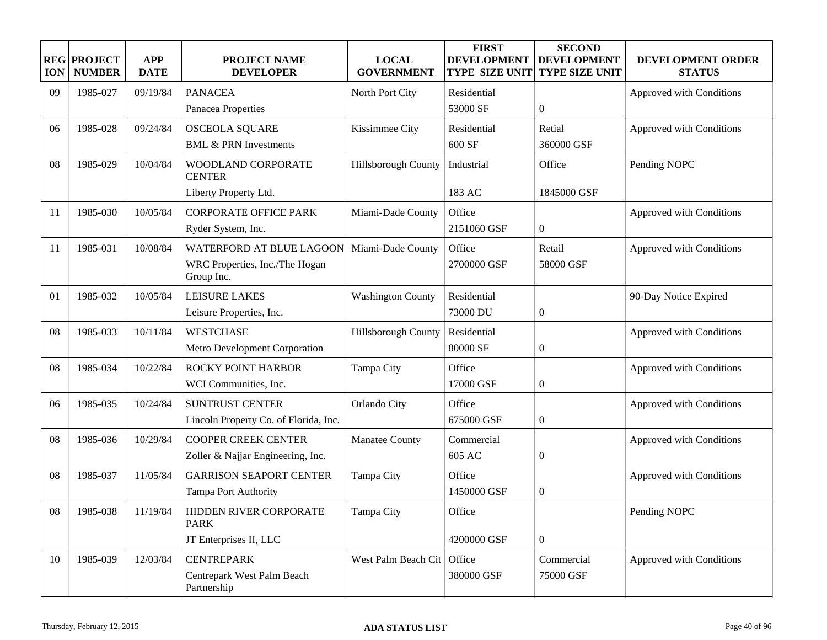| <b>ION</b> | <b>REG PROJECT</b><br><b>NUMBER</b> | <b>APP</b><br><b>DATE</b> | <b>PROJECT NAME</b><br><b>DEVELOPER</b>      | <b>LOCAL</b><br><b>GOVERNMENT</b> | <b>FIRST</b><br><b>DEVELOPMENT</b><br><b>TYPE SIZE UNIT</b> | <b>SECOND</b><br><b>DEVELOPMENT</b><br><b>TYPE SIZE UNIT</b> | DEVELOPMENT ORDER<br><b>STATUS</b> |
|------------|-------------------------------------|---------------------------|----------------------------------------------|-----------------------------------|-------------------------------------------------------------|--------------------------------------------------------------|------------------------------------|
| 09         | 1985-027                            | 09/19/84                  | <b>PANACEA</b>                               | North Port City                   | Residential                                                 |                                                              | Approved with Conditions           |
|            |                                     |                           | Panacea Properties                           |                                   | 53000 SF                                                    | $\overline{0}$                                               |                                    |
| 06         | 1985-028                            | 09/24/84                  | <b>OSCEOLA SQUARE</b>                        | Kissimmee City                    | Residential                                                 | Retial                                                       | Approved with Conditions           |
|            |                                     |                           | <b>BML &amp; PRN Investments</b>             |                                   | 600 SF                                                      | 360000 GSF                                                   |                                    |
| 08         | 1985-029                            | 10/04/84                  | WOODLAND CORPORATE<br><b>CENTER</b>          | Hillsborough County               | Industrial                                                  | Office                                                       | Pending NOPC                       |
|            |                                     |                           | Liberty Property Ltd.                        |                                   | 183 AC                                                      | 1845000 GSF                                                  |                                    |
| 11         | 1985-030                            | 10/05/84                  | <b>CORPORATE OFFICE PARK</b>                 | Miami-Dade County                 | Office                                                      |                                                              | Approved with Conditions           |
|            |                                     |                           | Ryder System, Inc.                           |                                   | 2151060 GSF                                                 | $\boldsymbol{0}$                                             |                                    |
| 11         | 1985-031                            | 10/08/84                  | WATERFORD AT BLUE LAGOON                     | Miami-Dade County                 | Office                                                      | Retail                                                       | Approved with Conditions           |
|            |                                     |                           | WRC Properties, Inc./The Hogan<br>Group Inc. |                                   | 2700000 GSF                                                 | 58000 GSF                                                    |                                    |
| 01         | 1985-032                            | 10/05/84                  | <b>LEISURE LAKES</b>                         | <b>Washington County</b>          | Residential                                                 |                                                              | 90-Day Notice Expired              |
|            |                                     |                           | Leisure Properties, Inc.                     |                                   | 73000 DU                                                    | $\overline{0}$                                               |                                    |
| 08         | 1985-033                            | 10/11/84                  | <b>WESTCHASE</b>                             | Hillsborough County               | Residential                                                 |                                                              | Approved with Conditions           |
|            |                                     |                           | Metro Development Corporation                |                                   | 80000 SF                                                    | $\boldsymbol{0}$                                             |                                    |
| 08         | 1985-034                            | 10/22/84                  | <b>ROCKY POINT HARBOR</b>                    | Tampa City                        | Office                                                      |                                                              | Approved with Conditions           |
|            |                                     |                           | WCI Communities, Inc.                        |                                   | 17000 GSF                                                   | $\boldsymbol{0}$                                             |                                    |
| 06         | 1985-035                            | 10/24/84                  | <b>SUNTRUST CENTER</b>                       | Orlando City                      | Office                                                      |                                                              | Approved with Conditions           |
|            |                                     |                           | Lincoln Property Co. of Florida, Inc.        |                                   | 675000 GSF                                                  | $\mathbf{0}$                                                 |                                    |
| 08         | 1985-036                            | 10/29/84                  | <b>COOPER CREEK CENTER</b>                   | Manatee County                    | Commercial                                                  |                                                              | Approved with Conditions           |
|            |                                     |                           | Zoller & Najjar Engineering, Inc.            |                                   | 605 AC                                                      | $\overline{0}$                                               |                                    |
| 08         | 1985-037                            | 11/05/84                  | <b>GARRISON SEAPORT CENTER</b>               | Tampa City                        | Office                                                      |                                                              | Approved with Conditions           |
|            |                                     |                           | Tampa Port Authority                         |                                   | 1450000 GSF                                                 | $\mathbf{0}$                                                 |                                    |
| 08         | 1985-038                            | 11/19/84                  | HIDDEN RIVER CORPORATE<br><b>PARK</b>        | Tampa City                        | Office                                                      |                                                              | Pending NOPC                       |
|            |                                     |                           | JT Enterprises II, LLC                       |                                   | 4200000 GSF                                                 | $\overline{0}$                                               |                                    |
| 10         | 1985-039                            | 12/03/84                  | <b>CENTREPARK</b>                            | West Palm Beach Cit               | Office                                                      | Commercial                                                   | Approved with Conditions           |
|            |                                     |                           | Centrepark West Palm Beach<br>Partnership    |                                   | 380000 GSF                                                  | 75000 GSF                                                    |                                    |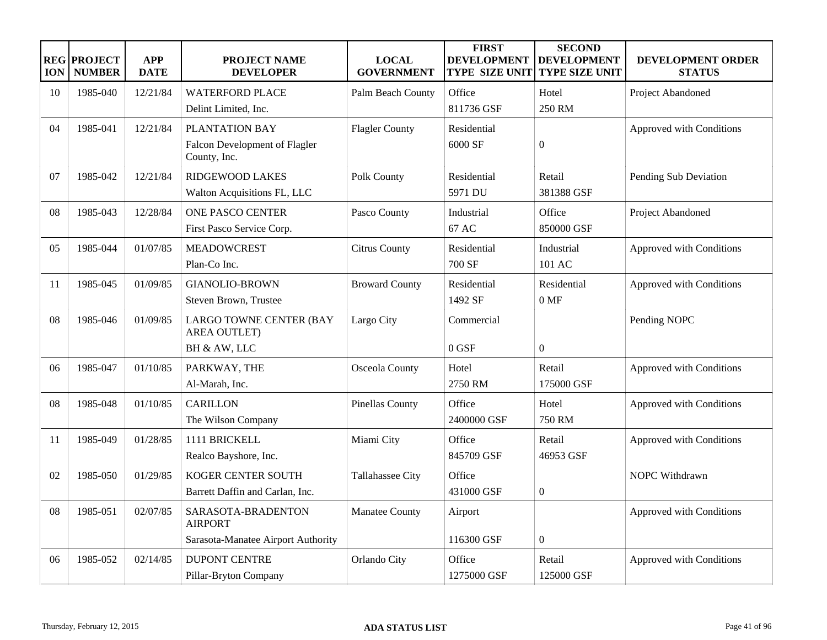| <b>ION</b> | <b>REG PROJECT</b><br><b>NUMBER</b> | <b>APP</b><br><b>DATE</b> | PROJECT NAME<br><b>DEVELOPER</b>               | <b>LOCAL</b><br><b>GOVERNMENT</b> | <b>FIRST</b><br><b>DEVELOPMENT</b><br><b>TYPE SIZE UNIT</b> | <b>SECOND</b><br><b>DEVELOPMENT</b><br><b>TYPE SIZE UNIT</b> | DEVELOPMENT ORDER<br><b>STATUS</b> |
|------------|-------------------------------------|---------------------------|------------------------------------------------|-----------------------------------|-------------------------------------------------------------|--------------------------------------------------------------|------------------------------------|
| 10         | 1985-040                            | 12/21/84                  | <b>WATERFORD PLACE</b>                         | Palm Beach County                 | Office                                                      | Hotel                                                        | Project Abandoned                  |
|            |                                     |                           | Delint Limited, Inc.                           |                                   | 811736 GSF                                                  | 250 RM                                                       |                                    |
| 04         | 1985-041                            | 12/21/84                  | PLANTATION BAY                                 | <b>Flagler County</b>             | Residential                                                 |                                                              | Approved with Conditions           |
|            |                                     |                           | Falcon Development of Flagler<br>County, Inc.  |                                   | 6000 SF                                                     | $\boldsymbol{0}$                                             |                                    |
| 07         | 1985-042                            | 12/21/84                  | <b>RIDGEWOOD LAKES</b>                         | Polk County                       | Residential                                                 | Retail                                                       | Pending Sub Deviation              |
|            |                                     |                           | Walton Acquisitions FL, LLC                    |                                   | 5971 DU                                                     | 381388 GSF                                                   |                                    |
| 08         | 1985-043                            | 12/28/84                  | <b>ONE PASCO CENTER</b>                        | Pasco County                      | Industrial                                                  | Office                                                       | Project Abandoned                  |
|            |                                     |                           | First Pasco Service Corp.                      |                                   | 67 AC                                                       | 850000 GSF                                                   |                                    |
| 05         | 1985-044                            | 01/07/85                  | <b>MEADOWCREST</b>                             | <b>Citrus County</b>              | Residential                                                 | Industrial                                                   | Approved with Conditions           |
|            |                                     |                           | Plan-Co Inc.                                   |                                   | 700 SF                                                      | 101 AC                                                       |                                    |
| 11         | 1985-045                            | 01/09/85                  | <b>GIANOLIO-BROWN</b>                          | <b>Broward County</b>             | Residential                                                 | Residential                                                  | Approved with Conditions           |
|            |                                     |                           | Steven Brown, Trustee                          |                                   | 1492 SF                                                     | $0$ MF                                                       |                                    |
| 08         | 1985-046                            | 01/09/85                  | LARGO TOWNE CENTER (BAY<br><b>AREA OUTLET)</b> | Largo City                        | Commercial                                                  |                                                              | Pending NOPC                       |
|            |                                     |                           | BH & AW, LLC                                   |                                   | $0$ GSF                                                     | $\overline{0}$                                               |                                    |
| 06         | 1985-047                            | 01/10/85                  | PARKWAY, THE                                   | Osceola County                    | Hotel                                                       | Retail                                                       | Approved with Conditions           |
|            |                                     |                           | Al-Marah, Inc.                                 |                                   | 2750 RM                                                     | 175000 GSF                                                   |                                    |
| 08         | 1985-048                            | 01/10/85                  | <b>CARILLON</b>                                | Pinellas County                   | Office                                                      | Hotel                                                        | Approved with Conditions           |
|            |                                     |                           | The Wilson Company                             |                                   | 2400000 GSF                                                 | <b>750 RM</b>                                                |                                    |
| 11         | 1985-049                            | 01/28/85                  | 1111 BRICKELL                                  | Miami City                        | Office                                                      | Retail                                                       | Approved with Conditions           |
|            |                                     |                           | Realco Bayshore, Inc.                          |                                   | 845709 GSF                                                  | 46953 GSF                                                    |                                    |
| 02         | 1985-050                            | 01/29/85                  | KOGER CENTER SOUTH                             | Tallahassee City                  | Office                                                      |                                                              | <b>NOPC Withdrawn</b>              |
|            |                                     |                           | Barrett Daffin and Carlan, Inc.                |                                   | 431000 GSF                                                  | $\boldsymbol{0}$                                             |                                    |
| 08         | 1985-051                            | 02/07/85                  | SARASOTA-BRADENTON<br><b>AIRPORT</b>           | Manatee County                    | Airport                                                     |                                                              | Approved with Conditions           |
|            |                                     |                           | Sarasota-Manatee Airport Authority             |                                   | 116300 GSF                                                  | $\mathbf{0}$                                                 |                                    |
| 06         | 1985-052                            | 02/14/85                  | <b>DUPONT CENTRE</b>                           | Orlando City                      | Office                                                      | Retail                                                       | Approved with Conditions           |
|            |                                     |                           | Pillar-Bryton Company                          |                                   | 1275000 GSF                                                 | 125000 GSF                                                   |                                    |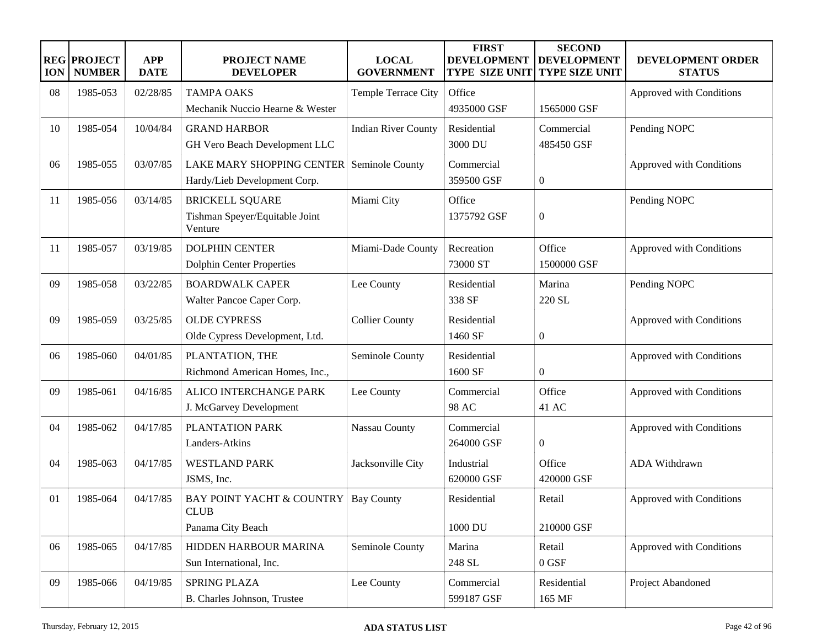| <b>ION</b> | <b>REG PROJECT</b><br><b>NUMBER</b> | <b>APP</b><br><b>DATE</b> | <b>PROJECT NAME</b><br><b>DEVELOPER</b>             | <b>LOCAL</b><br><b>GOVERNMENT</b> | <b>FIRST</b><br><b>DEVELOPMENT</b><br><b>TYPE SIZE UNIT</b> | <b>SECOND</b><br><b>DEVELOPMENT</b><br><b>TYPE SIZE UNIT</b> | DEVELOPMENT ORDER<br><b>STATUS</b> |
|------------|-------------------------------------|---------------------------|-----------------------------------------------------|-----------------------------------|-------------------------------------------------------------|--------------------------------------------------------------|------------------------------------|
| 08         | 1985-053                            | 02/28/85                  | <b>TAMPA OAKS</b>                                   | Temple Terrace City               | Office                                                      |                                                              | Approved with Conditions           |
|            |                                     |                           | Mechanik Nuccio Hearne & Wester                     |                                   | 4935000 GSF                                                 | 1565000 GSF                                                  |                                    |
| 10         | 1985-054                            | 10/04/84                  | <b>GRAND HARBOR</b>                                 | <b>Indian River County</b>        | Residential                                                 | Commercial                                                   | Pending NOPC                       |
|            |                                     |                           | GH Vero Beach Development LLC                       |                                   | 3000 DU                                                     | 485450 GSF                                                   |                                    |
| 06         | 1985-055                            | 03/07/85                  | <b>LAKE MARY SHOPPING CENTER</b>                    | Seminole County                   | Commercial                                                  |                                                              | Approved with Conditions           |
|            |                                     |                           | Hardy/Lieb Development Corp.                        |                                   | 359500 GSF                                                  | $\mathbf{0}$                                                 |                                    |
| 11         | 1985-056                            | 03/14/85                  | <b>BRICKELL SQUARE</b>                              | Miami City                        | Office                                                      |                                                              | Pending NOPC                       |
|            |                                     |                           | Tishman Speyer/Equitable Joint<br>Venture           |                                   | 1375792 GSF                                                 | $\boldsymbol{0}$                                             |                                    |
| 11         | 1985-057                            | 03/19/85                  | <b>DOLPHIN CENTER</b>                               | Miami-Dade County                 | Recreation                                                  | Office                                                       | Approved with Conditions           |
|            |                                     |                           | <b>Dolphin Center Properties</b>                    |                                   | 73000 ST                                                    | 1500000 GSF                                                  |                                    |
| 09         | 1985-058                            | 03/22/85                  | <b>BOARDWALK CAPER</b>                              | Lee County                        | Residential                                                 | Marina                                                       | Pending NOPC                       |
|            |                                     |                           | Walter Pancoe Caper Corp.                           |                                   | 338 SF                                                      | 220 SL                                                       |                                    |
| 09         | 1985-059                            | 03/25/85                  | <b>OLDE CYPRESS</b>                                 | <b>Collier County</b>             | Residential                                                 |                                                              | Approved with Conditions           |
|            |                                     |                           | Olde Cypress Development, Ltd.                      |                                   | 1460 SF                                                     | $\mathbf{0}$                                                 |                                    |
| 06         | 1985-060                            | 04/01/85                  | PLANTATION, THE                                     | Seminole County                   | Residential                                                 |                                                              | Approved with Conditions           |
|            |                                     |                           | Richmond American Homes, Inc.,                      |                                   | 1600 SF                                                     | $\mathbf{0}$                                                 |                                    |
| 09         | 1985-061                            | 04/16/85                  | ALICO INTERCHANGE PARK                              | Lee County                        | Commercial                                                  | Office                                                       | Approved with Conditions           |
|            |                                     |                           | J. McGarvey Development                             |                                   | 98 AC                                                       | 41 AC                                                        |                                    |
| 04         | 1985-062                            | 04/17/85                  | PLANTATION PARK                                     | Nassau County                     | Commercial                                                  |                                                              | Approved with Conditions           |
|            |                                     |                           | Landers-Atkins                                      |                                   | 264000 GSF                                                  | $\mathbf{0}$                                                 |                                    |
| 04         | 1985-063                            | 04/17/85                  | <b>WESTLAND PARK</b>                                | Jacksonville City                 | Industrial                                                  | Office                                                       | ADA Withdrawn                      |
|            |                                     |                           | JSMS, Inc.                                          |                                   | 620000 GSF                                                  | 420000 GSF                                                   |                                    |
| 01         | 1985-064                            | 04/17/85                  | <b>BAY POINT YACHT &amp; COUNTRY</b><br><b>CLUB</b> | <b>Bay County</b>                 | Residential                                                 | Retail                                                       | Approved with Conditions           |
|            |                                     |                           | Panama City Beach                                   |                                   | 1000 DU                                                     | 210000 GSF                                                   |                                    |
| 06         | 1985-065                            | 04/17/85                  | HIDDEN HARBOUR MARINA                               | Seminole County                   | Marina                                                      | Retail                                                       | Approved with Conditions           |
|            |                                     |                           | Sun International, Inc.                             |                                   | 248 SL                                                      | $0$ GSF                                                      |                                    |
| 09         | 1985-066                            | 04/19/85                  | <b>SPRING PLAZA</b>                                 | Lee County                        | Commercial                                                  | Residential                                                  | Project Abandoned                  |
|            |                                     |                           | B. Charles Johnson, Trustee                         |                                   | 599187 GSF                                                  | 165 MF                                                       |                                    |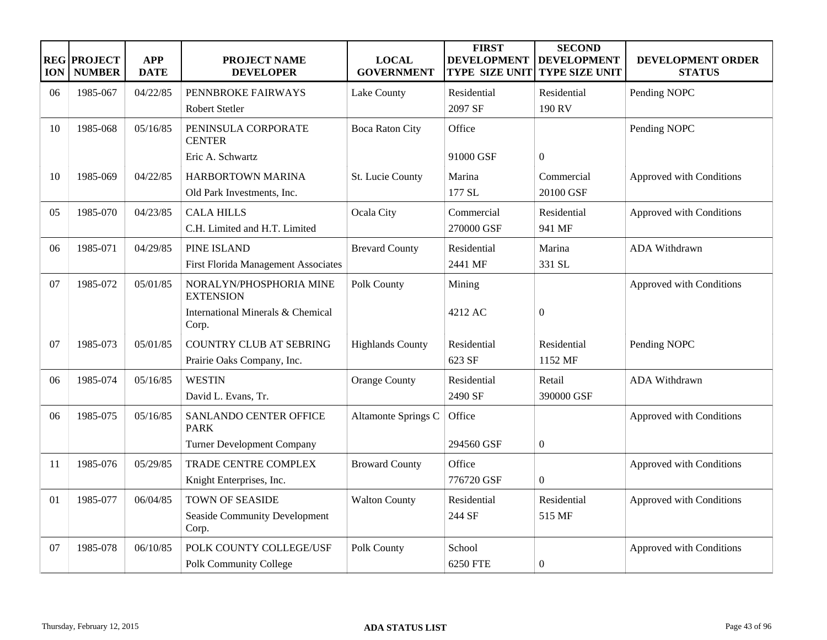| <b>ION</b> | <b>REG PROJECT</b><br><b>NUMBER</b> | <b>APP</b><br><b>DATE</b> | <b>PROJECT NAME</b><br><b>DEVELOPER</b>            | <b>LOCAL</b><br><b>GOVERNMENT</b> | <b>FIRST</b><br><b>DEVELOPMENT</b><br><b>TYPE SIZE UNIT</b> | <b>SECOND</b><br><b>DEVELOPMENT</b><br>TYPE SIZE UNIT | DEVELOPMENT ORDER<br><b>STATUS</b> |
|------------|-------------------------------------|---------------------------|----------------------------------------------------|-----------------------------------|-------------------------------------------------------------|-------------------------------------------------------|------------------------------------|
| 06         | 1985-067                            | 04/22/85                  | PENNBROKE FAIRWAYS                                 | Lake County                       | Residential                                                 | Residential                                           | Pending NOPC                       |
|            |                                     |                           | Robert Stetler                                     |                                   | 2097 SF                                                     | 190 RV                                                |                                    |
| 10         | 1985-068                            | 05/16/85                  | PENINSULA CORPORATE<br><b>CENTER</b>               | <b>Boca Raton City</b>            | Office                                                      |                                                       | Pending NOPC                       |
|            |                                     |                           | Eric A. Schwartz                                   |                                   | 91000 GSF                                                   | $\theta$                                              |                                    |
| 10         | 1985-069                            | 04/22/85                  | HARBORTOWN MARINA<br>Old Park Investments, Inc.    | St. Lucie County                  | Marina<br>177 SL                                            | Commercial<br>20100 GSF                               | Approved with Conditions           |
|            |                                     |                           |                                                    |                                   |                                                             |                                                       |                                    |
| 05         | 1985-070                            | 04/23/85                  | <b>CALA HILLS</b><br>C.H. Limited and H.T. Limited | Ocala City                        | Commercial<br>270000 GSF                                    | Residential<br>941 MF                                 | Approved with Conditions           |
| 06         | 1985-071                            | 04/29/85                  | PINE ISLAND                                        | <b>Brevard County</b>             | Residential                                                 | Marina                                                | ADA Withdrawn                      |
|            |                                     |                           | First Florida Management Associates                |                                   | 2441 MF                                                     | 331 SL                                                |                                    |
| 07         | 1985-072                            | 05/01/85                  | NORALYN/PHOSPHORIA MINE<br><b>EXTENSION</b>        | Polk County                       | Mining                                                      |                                                       | Approved with Conditions           |
|            |                                     |                           | International Minerals & Chemical<br>Corp.         |                                   | 4212 AC                                                     | $\overline{0}$                                        |                                    |
| 07         | 1985-073                            | 05/01/85                  | <b>COUNTRY CLUB AT SEBRING</b>                     | <b>Highlands County</b>           | Residential                                                 | Residential                                           | Pending NOPC                       |
|            |                                     |                           | Prairie Oaks Company, Inc.                         |                                   | 623 SF                                                      | 1152 MF                                               |                                    |
| 06         | 1985-074                            | 05/16/85                  | <b>WESTIN</b>                                      | <b>Orange County</b>              | Residential                                                 | Retail                                                | ADA Withdrawn                      |
|            |                                     |                           | David L. Evans, Tr.                                |                                   | 2490 SF                                                     | 390000 GSF                                            |                                    |
| 06         | 1985-075                            | 05/16/85                  | SANLANDO CENTER OFFICE<br><b>PARK</b>              | Altamonte Springs C               | Office                                                      |                                                       | Approved with Conditions           |
|            |                                     |                           | <b>Turner Development Company</b>                  |                                   | 294560 GSF                                                  | $\boldsymbol{0}$                                      |                                    |
| 11         | 1985-076                            | 05/29/85                  | TRADE CENTRE COMPLEX                               | <b>Broward County</b>             | Office                                                      |                                                       | Approved with Conditions           |
|            |                                     |                           | Knight Enterprises, Inc.                           |                                   | 776720 GSF                                                  | $\theta$                                              |                                    |
| 01         | 1985-077                            | 06/04/85                  | TOWN OF SEASIDE                                    | <b>Walton County</b>              | Residential                                                 | Residential                                           | Approved with Conditions           |
|            |                                     |                           | <b>Seaside Community Development</b><br>Corp.      |                                   | 244 SF                                                      | 515 MF                                                |                                    |
| 07         | 1985-078                            | 06/10/85                  | POLK COUNTY COLLEGE/USF                            | Polk County                       | School                                                      |                                                       | Approved with Conditions           |
|            |                                     |                           | Polk Community College                             |                                   | 6250 FTE                                                    | $\boldsymbol{0}$                                      |                                    |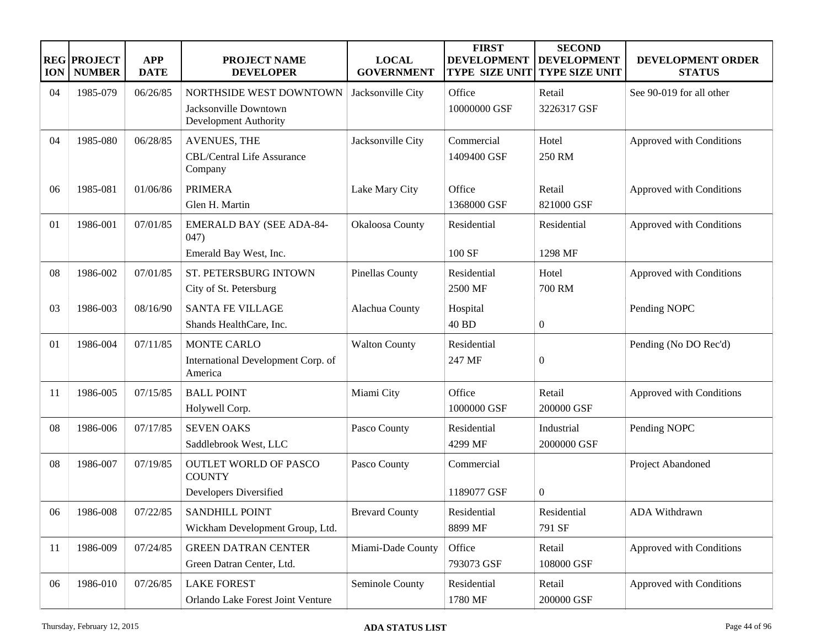| <b>ION</b> | <b>REG PROJECT</b><br><b>NUMBER</b> | <b>APP</b><br><b>DATE</b> | PROJECT NAME<br><b>DEVELOPER</b>                                    | <b>LOCAL</b><br><b>GOVERNMENT</b> | <b>FIRST</b><br><b>DEVELOPMENT</b><br><b>TYPE SIZE UNIT</b> | <b>SECOND</b><br><b>DEVELOPMENT</b><br>TYPE SIZE UNIT | DEVELOPMENT ORDER<br><b>STATUS</b> |
|------------|-------------------------------------|---------------------------|---------------------------------------------------------------------|-----------------------------------|-------------------------------------------------------------|-------------------------------------------------------|------------------------------------|
| 04         | 1985-079                            | 06/26/85                  | NORTHSIDE WEST DOWNTOWN                                             | Jacksonville City                 | Office                                                      | Retail                                                | See 90-019 for all other           |
|            |                                     |                           | Jacksonville Downtown<br>Development Authority                      |                                   | 10000000 GSF                                                | 3226317 GSF                                           |                                    |
| 04         | 1985-080                            | 06/28/85                  | <b>AVENUES, THE</b><br><b>CBL/Central Life Assurance</b><br>Company | Jacksonville City                 | Commercial<br>1409400 GSF                                   | Hotel<br>250 RM                                       | Approved with Conditions           |
| 06         | 1985-081                            | 01/06/86                  | <b>PRIMERA</b><br>Glen H. Martin                                    | Lake Mary City                    | Office<br>1368000 GSF                                       | Retail<br>821000 GSF                                  | Approved with Conditions           |
| 01         | 1986-001                            | 07/01/85                  | <b>EMERALD BAY (SEE ADA-84-</b><br>047)                             | Okaloosa County                   | Residential                                                 | Residential                                           | Approved with Conditions           |
|            |                                     |                           | Emerald Bay West, Inc.                                              |                                   | 100 SF                                                      | 1298 MF                                               |                                    |
| 08         | 1986-002                            | 07/01/85                  | ST. PETERSBURG INTOWN<br>City of St. Petersburg                     | <b>Pinellas County</b>            | Residential<br>2500 MF                                      | Hotel<br><b>700 RM</b>                                | Approved with Conditions           |
| 03         | 1986-003                            | 08/16/90                  | <b>SANTA FE VILLAGE</b><br>Shands HealthCare, Inc.                  | Alachua County                    | Hospital<br>40 BD                                           | $\boldsymbol{0}$                                      | Pending NOPC                       |
| 01         | 1986-004                            | 07/11/85                  | <b>MONTE CARLO</b><br>International Development Corp. of<br>America | <b>Walton County</b>              | Residential<br>247 MF                                       | $\overline{0}$                                        | Pending (No DO Rec'd)              |
| 11         | 1986-005                            | 07/15/85                  | <b>BALL POINT</b><br>Holywell Corp.                                 | Miami City                        | Office<br>1000000 GSF                                       | Retail<br>200000 GSF                                  | Approved with Conditions           |
| 08         | 1986-006                            | 07/17/85                  | <b>SEVEN OAKS</b><br>Saddlebrook West, LLC                          | Pasco County                      | Residential<br>4299 MF                                      | Industrial<br>2000000 GSF                             | Pending NOPC                       |
| 08         | 1986-007                            | 07/19/85                  | <b>OUTLET WORLD OF PASCO</b><br><b>COUNTY</b>                       | Pasco County                      | Commercial                                                  |                                                       | Project Abandoned                  |
|            |                                     |                           | Developers Diversified                                              |                                   | 1189077 GSF                                                 | $\overline{0}$                                        |                                    |
| 06         | 1986-008                            | 07/22/85                  | <b>SANDHILL POINT</b>                                               | <b>Brevard County</b>             | Residential                                                 | Residential                                           | ADA Withdrawn                      |
|            |                                     |                           | Wickham Development Group, Ltd.                                     |                                   | 8899 MF                                                     | 791 SF                                                |                                    |
| 11         | 1986-009                            | 07/24/85                  | <b>GREEN DATRAN CENTER</b>                                          | Miami-Dade County                 | Office                                                      | Retail                                                | Approved with Conditions           |
|            |                                     |                           | Green Datran Center, Ltd.                                           |                                   | 793073 GSF                                                  | 108000 GSF                                            |                                    |
| 06         | 1986-010                            | 07/26/85                  | <b>LAKE FOREST</b>                                                  | Seminole County                   | Residential                                                 | Retail                                                | Approved with Conditions           |
|            |                                     |                           | Orlando Lake Forest Joint Venture                                   |                                   | 1780 MF                                                     | 200000 GSF                                            |                                    |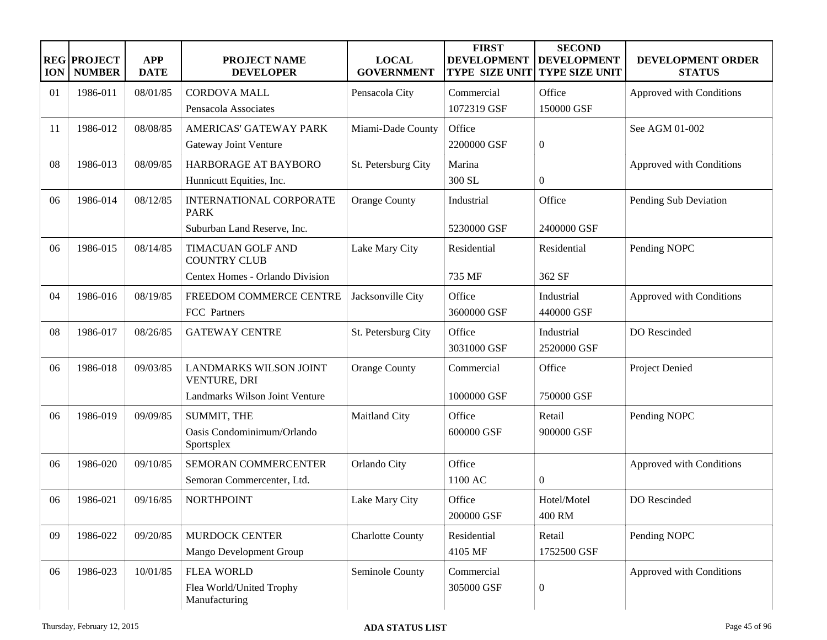| <b>ION</b> | <b>REG PROJECT</b><br><b>NUMBER</b> | <b>APP</b><br><b>DATE</b> | <b>PROJECT NAME</b><br><b>DEVELOPER</b>       | <b>LOCAL</b><br><b>GOVERNMENT</b> | <b>FIRST</b><br><b>DEVELOPMENT</b><br><b>TYPE SIZE UNIT</b> | <b>SECOND</b><br><b>DEVELOPMENT</b><br><b>TYPE SIZE UNIT</b> | DEVELOPMENT ORDER<br><b>STATUS</b> |
|------------|-------------------------------------|---------------------------|-----------------------------------------------|-----------------------------------|-------------------------------------------------------------|--------------------------------------------------------------|------------------------------------|
| 01         | 1986-011                            | 08/01/85                  | <b>CORDOVA MALL</b>                           | Pensacola City                    | Commercial                                                  | Office                                                       | Approved with Conditions           |
|            |                                     |                           | Pensacola Associates                          |                                   | 1072319 GSF                                                 | 150000 GSF                                                   |                                    |
| 11         | 1986-012                            | 08/08/85                  | AMERICAS' GATEWAY PARK                        | Miami-Dade County                 | Office                                                      |                                                              | See AGM 01-002                     |
|            |                                     |                           | Gateway Joint Venture                         |                                   | 2200000 GSF                                                 | $\boldsymbol{0}$                                             |                                    |
| 08         | 1986-013                            | 08/09/85                  | HARBORAGE AT BAYBORO                          | St. Petersburg City               | Marina                                                      |                                                              | Approved with Conditions           |
|            |                                     |                           | Hunnicutt Equities, Inc.                      |                                   | 300 SL                                                      | $\boldsymbol{0}$                                             |                                    |
| 06         | 1986-014                            | 08/12/85                  | INTERNATIONAL CORPORATE<br><b>PARK</b>        | <b>Orange County</b>              | Industrial                                                  | Office                                                       | Pending Sub Deviation              |
|            |                                     |                           | Suburban Land Reserve, Inc.                   |                                   | 5230000 GSF                                                 | 2400000 GSF                                                  |                                    |
| 06         | 1986-015                            | 08/14/85                  | TIMACUAN GOLF AND<br><b>COUNTRY CLUB</b>      | Lake Mary City                    | Residential                                                 | Residential                                                  | Pending NOPC                       |
|            |                                     |                           | Centex Homes - Orlando Division               |                                   | 735 MF                                                      | 362 SF                                                       |                                    |
| 04         | 1986-016                            | 08/19/85                  | FREEDOM COMMERCE CENTRE                       | Jacksonville City                 | Office                                                      | Industrial                                                   | Approved with Conditions           |
|            |                                     |                           | FCC Partners                                  |                                   | 3600000 GSF                                                 | 440000 GSF                                                   |                                    |
| 08         | 1986-017                            | 08/26/85                  | <b>GATEWAY CENTRE</b>                         | St. Petersburg City               | Office                                                      | Industrial                                                   | DO Rescinded                       |
|            |                                     |                           |                                               |                                   | 3031000 GSF                                                 | 2520000 GSF                                                  |                                    |
| 06         | 1986-018                            | 09/03/85                  | <b>LANDMARKS WILSON JOINT</b><br>VENTURE, DRI | <b>Orange County</b>              | Commercial                                                  | Office                                                       | Project Denied                     |
|            |                                     |                           | Landmarks Wilson Joint Venture                |                                   | 1000000 GSF                                                 | 750000 GSF                                                   |                                    |
| 06         | 1986-019                            | 09/09/85                  | SUMMIT, THE                                   | Maitland City                     | Office                                                      | Retail                                                       | Pending NOPC                       |
|            |                                     |                           | Oasis Condominimum/Orlando<br>Sportsplex      |                                   | 600000 GSF                                                  | 900000 GSF                                                   |                                    |
| 06         | 1986-020                            | 09/10/85                  | SEMORAN COMMERCENTER                          | Orlando City                      | Office                                                      |                                                              | Approved with Conditions           |
|            |                                     |                           | Semoran Commercenter, Ltd.                    |                                   | 1100 AC                                                     | $\boldsymbol{0}$                                             |                                    |
| 06         | 1986-021                            | 09/16/85                  | <b>NORTHPOINT</b>                             | Lake Mary City                    | Office<br>200000 GSF                                        | Hotel/Motel<br>400 RM                                        | DO Rescinded                       |
| 09         | 1986-022                            | 09/20/85                  | MURDOCK CENTER                                | <b>Charlotte County</b>           | Residential                                                 | Retail                                                       | Pending NOPC                       |
|            |                                     |                           | Mango Development Group                       |                                   | 4105 MF                                                     | 1752500 GSF                                                  |                                    |
| 06         | 1986-023                            | 10/01/85                  | <b>FLEA WORLD</b>                             | Seminole County                   | Commercial                                                  |                                                              | Approved with Conditions           |
|            |                                     |                           | Flea World/United Trophy<br>Manufacturing     |                                   | 305000 GSF                                                  | $\boldsymbol{0}$                                             |                                    |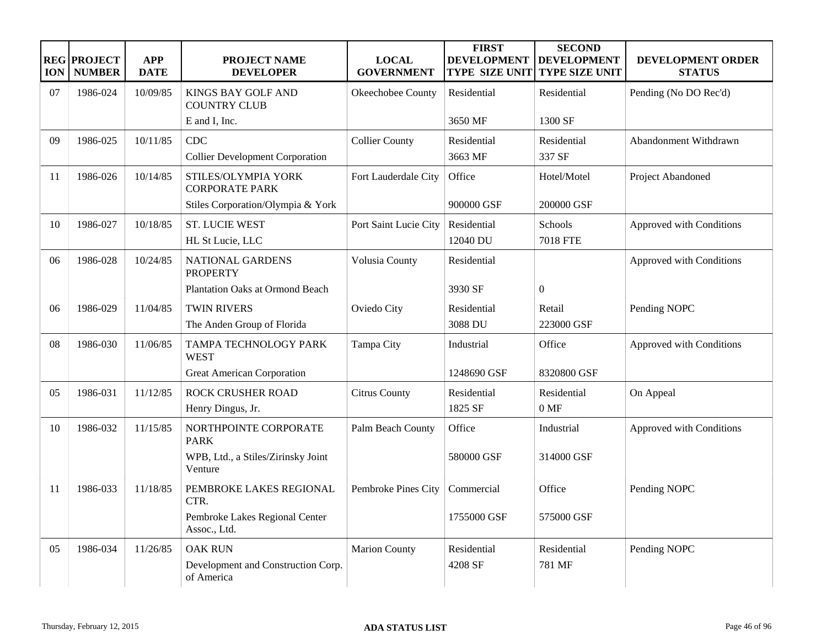| <b>ION</b> | <b>REG PROJECT</b><br><b>NUMBER</b> | <b>APP</b><br><b>DATE</b> | <b>PROJECT NAME</b><br><b>DEVELOPER</b>                            | <b>LOCAL</b><br><b>GOVERNMENT</b> | <b>FIRST</b><br><b>DEVELOPMENT</b><br><b>TYPE SIZE UNIT</b> | <b>SECOND</b><br><b>DEVELOPMENT</b><br><b>TYPE SIZE UNIT</b> | DEVELOPMENT ORDER<br><b>STATUS</b> |
|------------|-------------------------------------|---------------------------|--------------------------------------------------------------------|-----------------------------------|-------------------------------------------------------------|--------------------------------------------------------------|------------------------------------|
| 07         | 1986-024                            | 10/09/85                  | <b>KINGS BAY GOLF AND</b><br><b>COUNTRY CLUB</b>                   | Okeechobee County                 | Residential                                                 | Residential                                                  | Pending (No DO Rec'd)              |
|            |                                     |                           | E and I, Inc.                                                      |                                   | 3650 MF                                                     | 1300 SF                                                      |                                    |
| 09         | 1986-025                            | 10/11/85                  | <b>CDC</b><br><b>Collier Development Corporation</b>               | <b>Collier County</b>             | Residential<br>3663 MF                                      | Residential<br>337 SF                                        | Abandonment Withdrawn              |
| 11         | 1986-026                            | 10/14/85                  | STILES/OLYMPIA YORK<br><b>CORPORATE PARK</b>                       | Fort Lauderdale City              | Office                                                      | Hotel/Motel                                                  | Project Abandoned                  |
|            |                                     |                           | Stiles Corporation/Olympia & York                                  |                                   | 900000 GSF                                                  | 200000 GSF                                                   |                                    |
| 10         | 1986-027                            | 10/18/85                  | <b>ST. LUCIE WEST</b><br>HL St Lucie, LLC                          | Port Saint Lucie City             | Residential<br>12040 DU                                     | Schools<br><b>7018 FTE</b>                                   | Approved with Conditions           |
| 06         | 1986-028                            | 10/24/85                  | NATIONAL GARDENS<br><b>PROPERTY</b>                                | Volusia County                    | Residential                                                 |                                                              | Approved with Conditions           |
|            |                                     |                           | <b>Plantation Oaks at Ormond Beach</b>                             |                                   | 3930 SF                                                     | $\mathbf{0}$                                                 |                                    |
| 06         | 1986-029                            | 11/04/85                  | <b>TWIN RIVERS</b>                                                 | Oviedo City                       | Residential                                                 | Retail                                                       | Pending NOPC                       |
|            |                                     |                           | The Anden Group of Florida                                         |                                   | 3088 DU                                                     | 223000 GSF                                                   |                                    |
| 08         | 1986-030                            | 11/06/85                  | TAMPA TECHNOLOGY PARK<br><b>WEST</b>                               | Tampa City                        | Industrial                                                  | Office                                                       | Approved with Conditions           |
|            |                                     |                           | <b>Great American Corporation</b>                                  |                                   | 1248690 GSF                                                 | 8320800 GSF                                                  |                                    |
| 05         | 1986-031                            | 11/12/85                  | <b>ROCK CRUSHER ROAD</b><br>Henry Dingus, Jr.                      | <b>Citrus County</b>              | Residential<br>1825 SF                                      | Residential<br>0 MF                                          | On Appeal                          |
| 10         | 1986-032                            | 11/15/85                  | NORTHPOINTE CORPORATE<br><b>PARK</b>                               | Palm Beach County                 | Office                                                      | Industrial                                                   | Approved with Conditions           |
|            |                                     |                           | WPB, Ltd., a Stiles/Zirinsky Joint<br>Venture                      |                                   | 580000 GSF                                                  | 314000 GSF                                                   |                                    |
| 11         | 1986-033                            | 11/18/85                  | PEMBROKE LAKES REGIONAL<br>CTR.                                    | Pembroke Pines City               | Commercial                                                  | Office                                                       | Pending NOPC                       |
|            |                                     |                           | Pembroke Lakes Regional Center<br>Assoc., Ltd.                     |                                   | 1755000 GSF                                                 | 575000 GSF                                                   |                                    |
| 05         | 1986-034                            | 11/26/85                  | <b>OAK RUN</b><br>Development and Construction Corp.<br>of America | <b>Marion County</b>              | Residential<br>4208 SF                                      | Residential<br>781 MF                                        | Pending NOPC                       |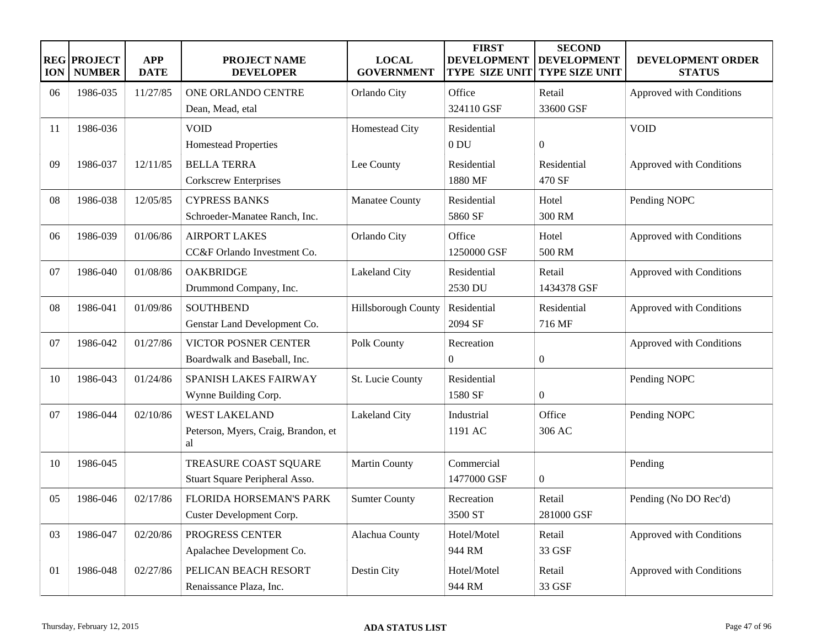| <b>ION</b> | <b>REG PROJECT</b><br><b>NUMBER</b> | <b>APP</b><br><b>DATE</b> | <b>PROJECT NAME</b><br><b>DEVELOPER</b>   | <b>LOCAL</b><br><b>GOVERNMENT</b> | <b>FIRST</b><br><b>DEVELOPMENT</b><br><b>TYPE SIZE UNIT</b> | <b>SECOND</b><br><b>DEVELOPMENT</b><br><b>TYPE SIZE UNIT</b> | DEVELOPMENT ORDER<br><b>STATUS</b> |
|------------|-------------------------------------|---------------------------|-------------------------------------------|-----------------------------------|-------------------------------------------------------------|--------------------------------------------------------------|------------------------------------|
| 06         | 1986-035                            | 11/27/85                  | ONE ORLANDO CENTRE                        | Orlando City                      | Office                                                      | Retail                                                       | Approved with Conditions           |
|            |                                     |                           | Dean, Mead, etal                          |                                   | 324110 GSF                                                  | 33600 GSF                                                    |                                    |
| 11         | 1986-036                            |                           | <b>VOID</b>                               | Homestead City                    | Residential                                                 |                                                              | <b>VOID</b>                        |
|            |                                     |                           | <b>Homestead Properties</b>               |                                   | 0 <sub>DU</sub>                                             | $\boldsymbol{0}$                                             |                                    |
| 09         | 1986-037                            | 12/11/85                  | <b>BELLA TERRA</b>                        | Lee County                        | Residential                                                 | Residential                                                  | Approved with Conditions           |
|            |                                     |                           | Corkscrew Enterprises                     |                                   | 1880 MF                                                     | 470 SF                                                       |                                    |
| 08         | 1986-038                            | 12/05/85                  | <b>CYPRESS BANKS</b>                      | Manatee County                    | Residential                                                 | Hotel                                                        | Pending NOPC                       |
|            |                                     |                           | Schroeder-Manatee Ranch, Inc.             |                                   | 5860 SF                                                     | 300 RM                                                       |                                    |
| 06         | 1986-039                            | 01/06/86                  | <b>AIRPORT LAKES</b>                      | Orlando City                      | Office                                                      | Hotel                                                        | Approved with Conditions           |
|            |                                     |                           | CC&F Orlando Investment Co.               |                                   | 1250000 GSF                                                 | 500 RM                                                       |                                    |
| 07         | 1986-040                            | 01/08/86                  | <b>OAKBRIDGE</b>                          | Lakeland City                     | Residential                                                 | Retail                                                       | Approved with Conditions           |
|            |                                     |                           | Drummond Company, Inc.                    |                                   | 2530 DU                                                     | 1434378 GSF                                                  |                                    |
| 08         | 1986-041                            | 01/09/86                  | <b>SOUTHBEND</b>                          | Hillsborough County               | Residential                                                 | Residential                                                  | Approved with Conditions           |
|            |                                     |                           | Genstar Land Development Co.              |                                   | 2094 SF                                                     | 716 MF                                                       |                                    |
| 07         | 1986-042                            | 01/27/86                  | VICTOR POSNER CENTER                      | Polk County                       | Recreation                                                  |                                                              | Approved with Conditions           |
|            |                                     |                           | Boardwalk and Baseball, Inc.              |                                   | $\overline{0}$                                              | $\boldsymbol{0}$                                             |                                    |
| 10         | 1986-043                            | 01/24/86                  | SPANISH LAKES FAIRWAY                     | St. Lucie County                  | Residential                                                 |                                                              | Pending NOPC                       |
|            |                                     |                           | Wynne Building Corp.                      |                                   | 1580 SF                                                     | $\overline{0}$                                               |                                    |
| 07         | 1986-044                            | 02/10/86                  | <b>WEST LAKELAND</b>                      | Lakeland City                     | Industrial                                                  | Office                                                       | Pending NOPC                       |
|            |                                     |                           | Peterson, Myers, Craig, Brandon, et<br>al |                                   | 1191 AC                                                     | 306 AC                                                       |                                    |
| 10         | 1986-045                            |                           | TREASURE COAST SQUARE                     | <b>Martin County</b>              | Commercial                                                  |                                                              | Pending                            |
|            |                                     |                           | Stuart Square Peripheral Asso.            |                                   | 1477000 GSF                                                 | $\overline{0}$                                               |                                    |
| 05         | 1986-046                            | 02/17/86                  | FLORIDA HORSEMAN'S PARK                   | <b>Sumter County</b>              | Recreation                                                  | Retail                                                       | Pending (No DO Rec'd)              |
|            |                                     |                           | Custer Development Corp.                  |                                   | 3500 ST                                                     | 281000 GSF                                                   |                                    |
| 03         | 1986-047                            | 02/20/86                  | PROGRESS CENTER                           | Alachua County                    | Hotel/Motel                                                 | Retail                                                       | Approved with Conditions           |
|            |                                     |                           | Apalachee Development Co.                 |                                   | 944 RM                                                      | 33 GSF                                                       |                                    |
| 01         | 1986-048                            | 02/27/86                  | PELICAN BEACH RESORT                      | Destin City                       | Hotel/Motel                                                 | Retail                                                       | Approved with Conditions           |
|            |                                     |                           | Renaissance Plaza, Inc.                   |                                   | 944 RM                                                      | 33 GSF                                                       |                                    |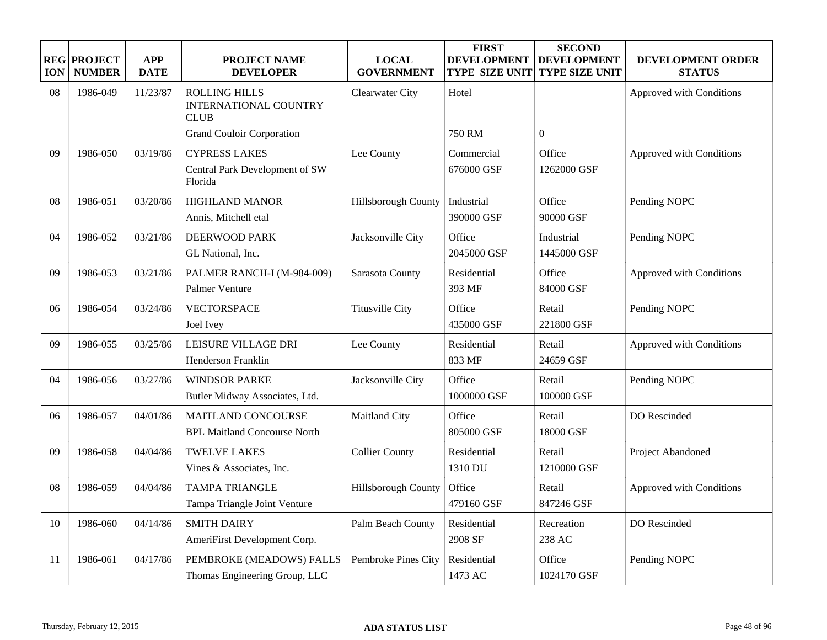| <b>ION</b> | <b>REG PROJECT</b><br><b>NUMBER</b> | <b>APP</b><br><b>DATE</b> | <b>PROJECT NAME</b><br><b>DEVELOPER</b>                             | <b>LOCAL</b><br><b>GOVERNMENT</b> | <b>FIRST</b><br><b>DEVELOPMENT</b><br><b>TYPE SIZE UNIT</b> | <b>SECOND</b><br><b>DEVELOPMENT</b><br><b>TYPE SIZE UNIT</b> | DEVELOPMENT ORDER<br><b>STATUS</b> |
|------------|-------------------------------------|---------------------------|---------------------------------------------------------------------|-----------------------------------|-------------------------------------------------------------|--------------------------------------------------------------|------------------------------------|
| 08         | 1986-049                            | 11/23/87                  | <b>ROLLING HILLS</b><br><b>INTERNATIONAL COUNTRY</b><br><b>CLUB</b> | Clearwater City                   | Hotel                                                       |                                                              | Approved with Conditions           |
|            |                                     |                           | <b>Grand Couloir Corporation</b>                                    |                                   | <b>750 RM</b>                                               | $\overline{0}$                                               |                                    |
| 09         | 1986-050                            | 03/19/86                  | <b>CYPRESS LAKES</b>                                                | Lee County                        | Commercial                                                  | Office                                                       | Approved with Conditions           |
|            |                                     |                           | Central Park Development of SW<br>Florida                           |                                   | 676000 GSF                                                  | 1262000 GSF                                                  |                                    |
| 08         | 1986-051                            | 03/20/86                  | <b>HIGHLAND MANOR</b>                                               | Hillsborough County               | Industrial                                                  | Office                                                       | Pending NOPC                       |
|            |                                     |                           | Annis, Mitchell etal                                                |                                   | 390000 GSF                                                  | 90000 GSF                                                    |                                    |
| 04         | 1986-052                            | 03/21/86                  | <b>DEERWOOD PARK</b>                                                | Jacksonville City                 | Office                                                      | Industrial                                                   | Pending NOPC                       |
|            |                                     |                           | GL National, Inc.                                                   |                                   | 2045000 GSF                                                 | 1445000 GSF                                                  |                                    |
| 09         | 1986-053                            | 03/21/86                  | PALMER RANCH-I (M-984-009)                                          | Sarasota County                   | Residential                                                 | Office                                                       | Approved with Conditions           |
|            |                                     |                           | Palmer Venture                                                      |                                   | 393 MF                                                      | 84000 GSF                                                    |                                    |
| 06         | 1986-054                            | 03/24/86                  | VECTORSPACE                                                         | <b>Titusville City</b>            | Office                                                      | Retail                                                       | Pending NOPC                       |
|            |                                     |                           | Joel Ivey                                                           |                                   | 435000 GSF                                                  | 221800 GSF                                                   |                                    |
| 09         | 1986-055                            | 03/25/86                  | LEISURE VILLAGE DRI                                                 | Lee County                        | Residential                                                 | Retail                                                       | Approved with Conditions           |
|            |                                     |                           | Henderson Franklin                                                  |                                   | 833 MF                                                      | 24659 GSF                                                    |                                    |
| 04         | 1986-056                            | 03/27/86                  | <b>WINDSOR PARKE</b>                                                | Jacksonville City                 | Office                                                      | Retail                                                       | Pending NOPC                       |
|            |                                     |                           | Butler Midway Associates, Ltd.                                      |                                   | 1000000 GSF                                                 | 100000 GSF                                                   |                                    |
| 06         | 1986-057                            | 04/01/86                  | MAITLAND CONCOURSE                                                  | Maitland City                     | Office                                                      | Retail                                                       | DO Rescinded                       |
|            |                                     |                           | <b>BPL Maitland Concourse North</b>                                 |                                   | 805000 GSF                                                  | 18000 GSF                                                    |                                    |
| 09         | 1986-058                            | 04/04/86                  | <b>TWELVE LAKES</b>                                                 | <b>Collier County</b>             | Residential                                                 | Retail                                                       | Project Abandoned                  |
|            |                                     |                           | Vines & Associates, Inc.                                            |                                   | 1310 DU                                                     | 1210000 GSF                                                  |                                    |
| 08         | 1986-059                            | 04/04/86                  | <b>TAMPA TRIANGLE</b>                                               | Hillsborough County               | Office                                                      | Retail                                                       | Approved with Conditions           |
|            |                                     |                           | Tampa Triangle Joint Venture                                        |                                   | 479160 GSF                                                  | 847246 GSF                                                   |                                    |
| 10         | 1986-060                            | 04/14/86                  | <b>SMITH DAIRY</b>                                                  | Palm Beach County                 | Residential                                                 | Recreation                                                   | DO Rescinded                       |
|            |                                     |                           | AmeriFirst Development Corp.                                        |                                   | 2908 SF                                                     | 238 AC                                                       |                                    |
| 11         | 1986-061                            | 04/17/86                  | PEMBROKE (MEADOWS) FALLS                                            | Pembroke Pines City               | Residential                                                 | Office                                                       | Pending NOPC                       |
|            |                                     |                           | Thomas Engineering Group, LLC                                       |                                   | 1473 AC                                                     | 1024170 GSF                                                  |                                    |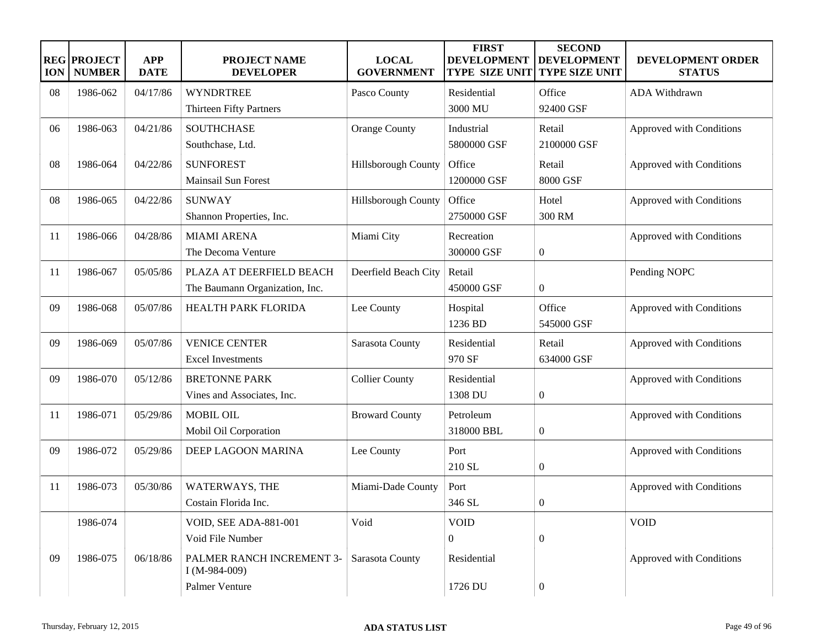| <b>ION</b> | <b>REG PROJECT</b><br><b>NUMBER</b> | <b>APP</b><br><b>DATE</b> | <b>PROJECT NAME</b><br><b>DEVELOPER</b>    | <b>LOCAL</b><br><b>GOVERNMENT</b> | <b>FIRST</b><br><b>DEVELOPMENT</b><br><b>TYPE SIZE UNIT</b> | <b>SECOND</b><br><b>DEVELOPMENT</b><br><b>TYPE SIZE UNIT</b> | DEVELOPMENT ORDER<br><b>STATUS</b> |
|------------|-------------------------------------|---------------------------|--------------------------------------------|-----------------------------------|-------------------------------------------------------------|--------------------------------------------------------------|------------------------------------|
| 08         | 1986-062                            | 04/17/86                  | <b>WYNDRTREE</b>                           | Pasco County                      | Residential                                                 | Office                                                       | ADA Withdrawn                      |
|            |                                     |                           | Thirteen Fifty Partners                    |                                   | 3000 MU                                                     | 92400 GSF                                                    |                                    |
| 06         | 1986-063                            | 04/21/86                  | <b>SOUTHCHASE</b>                          | <b>Orange County</b>              | Industrial                                                  | Retail                                                       | Approved with Conditions           |
|            |                                     |                           | Southchase, Ltd.                           |                                   | 5800000 GSF                                                 | 2100000 GSF                                                  |                                    |
| 08         | 1986-064                            | 04/22/86                  | <b>SUNFOREST</b>                           | Hillsborough County               | Office                                                      | Retail                                                       | Approved with Conditions           |
|            |                                     |                           | <b>Mainsail Sun Forest</b>                 |                                   | 1200000 GSF                                                 | 8000 GSF                                                     |                                    |
| 08         | 1986-065                            | 04/22/86                  | <b>SUNWAY</b>                              | Hillsborough County               | Office                                                      | Hotel                                                        | Approved with Conditions           |
|            |                                     |                           | Shannon Properties, Inc.                   |                                   | 2750000 GSF                                                 | 300 RM                                                       |                                    |
| 11         | 1986-066                            | 04/28/86                  | <b>MIAMI ARENA</b>                         | Miami City                        | Recreation                                                  |                                                              | Approved with Conditions           |
|            |                                     |                           | The Decoma Venture                         |                                   | 300000 GSF                                                  | $\boldsymbol{0}$                                             |                                    |
| -11        | 1986-067                            | 05/05/86                  | PLAZA AT DEERFIELD BEACH                   | Deerfield Beach City              | Retail                                                      |                                                              | Pending NOPC                       |
|            |                                     |                           | The Baumann Organization, Inc.             |                                   | 450000 GSF                                                  | $\overline{0}$                                               |                                    |
| 09         | 1986-068                            | 05/07/86                  | HEALTH PARK FLORIDA                        | Lee County                        | Hospital                                                    | Office                                                       | Approved with Conditions           |
|            |                                     |                           |                                            |                                   | 1236 BD                                                     | 545000 GSF                                                   |                                    |
| 09         | 1986-069                            | 05/07/86                  | <b>VENICE CENTER</b>                       | Sarasota County                   | Residential                                                 | Retail                                                       | Approved with Conditions           |
|            |                                     |                           | <b>Excel Investments</b>                   |                                   | 970 SF                                                      | 634000 GSF                                                   |                                    |
| 09         | 1986-070                            | 05/12/86                  | <b>BRETONNE PARK</b>                       | <b>Collier County</b>             | Residential                                                 |                                                              | Approved with Conditions           |
|            |                                     |                           | Vines and Associates, Inc.                 |                                   | 1308 DU                                                     | $\boldsymbol{0}$                                             |                                    |
| 11         | 1986-071                            | 05/29/86                  | <b>MOBIL OIL</b>                           | <b>Broward County</b>             | Petroleum                                                   |                                                              | Approved with Conditions           |
|            |                                     |                           | Mobil Oil Corporation                      |                                   | 318000 BBL                                                  | $\overline{0}$                                               |                                    |
| 09         | 1986-072                            | 05/29/86                  | DEEP LAGOON MARINA                         | Lee County                        | Port                                                        |                                                              | Approved with Conditions           |
|            |                                     |                           |                                            |                                   | 210 SL                                                      | $\overline{0}$                                               |                                    |
| 11         | 1986-073                            | 05/30/86                  | WATERWAYS, THE                             | Miami-Dade County                 | Port                                                        |                                                              | Approved with Conditions           |
|            |                                     |                           | Costain Florida Inc.                       |                                   | 346 SL                                                      | $\theta$                                                     |                                    |
|            | 1986-074                            |                           | <b>VOID, SEE ADA-881-001</b>               | Void                              | <b>VOID</b>                                                 |                                                              | <b>VOID</b>                        |
|            |                                     |                           | Void File Number                           |                                   | $\overline{0}$                                              | $\overline{0}$                                               |                                    |
| 09         | 1986-075                            | 06/18/86                  | PALMER RANCH INCREMENT 3-<br>I (M-984-009) | Sarasota County                   | Residential                                                 |                                                              | Approved with Conditions           |
|            |                                     |                           | Palmer Venture                             |                                   | 1726 DU                                                     | $\overline{0}$                                               |                                    |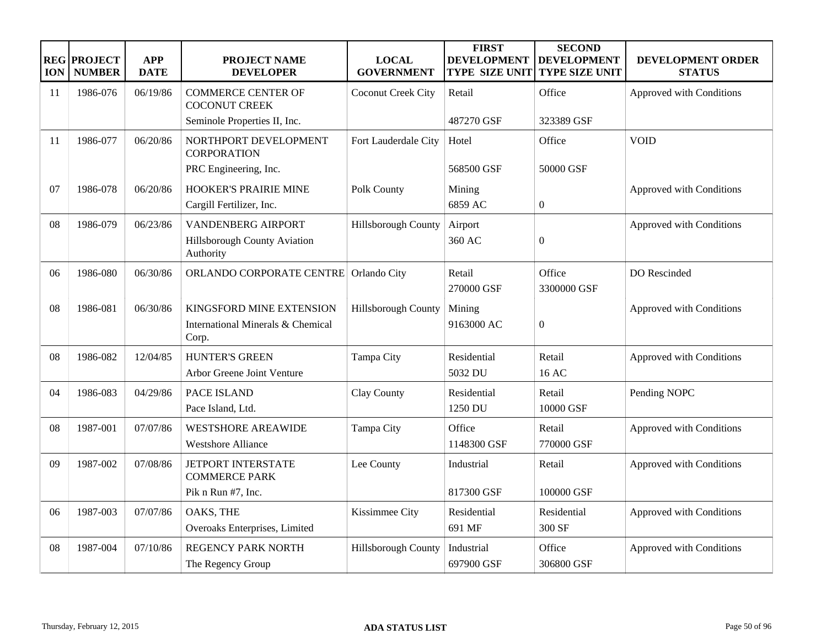| <b>ION</b> | <b>REG PROJECT</b><br><b>NUMBER</b> | <b>APP</b><br><b>DATE</b> | <b>PROJECT NAME</b><br><b>DEVELOPER</b>           | <b>LOCAL</b><br><b>GOVERNMENT</b> | <b>FIRST</b><br><b>DEVELOPMENT</b><br>TYPE SIZE UNIT | <b>SECOND</b><br><b>DEVELOPMENT</b><br><b>TYPE SIZE UNIT</b> | <b>DEVELOPMENT ORDER</b><br><b>STATUS</b> |
|------------|-------------------------------------|---------------------------|---------------------------------------------------|-----------------------------------|------------------------------------------------------|--------------------------------------------------------------|-------------------------------------------|
| 11         | 1986-076                            | 06/19/86                  | <b>COMMERCE CENTER OF</b><br><b>COCONUT CREEK</b> | Coconut Creek City                | Retail                                               | Office                                                       | Approved with Conditions                  |
|            |                                     |                           | Seminole Properties II, Inc.                      |                                   | 487270 GSF                                           | 323389 GSF                                                   |                                           |
| 11         | 1986-077                            | 06/20/86                  | NORTHPORT DEVELOPMENT<br><b>CORPORATION</b>       | Fort Lauderdale City              | Hotel                                                | Office                                                       | <b>VOID</b>                               |
|            |                                     |                           | PRC Engineering, Inc.                             |                                   | 568500 GSF                                           | 50000 GSF                                                    |                                           |
| 07         | 1986-078                            | 06/20/86                  | <b>HOOKER'S PRAIRIE MINE</b>                      | Polk County                       | Mining                                               |                                                              | Approved with Conditions                  |
|            |                                     |                           | Cargill Fertilizer, Inc.                          |                                   | 6859 AC                                              | $\overline{0}$                                               |                                           |
| 08         | 1986-079                            | 06/23/86                  | <b>VANDENBERG AIRPORT</b>                         | Hillsborough County               | Airport                                              |                                                              | Approved with Conditions                  |
|            |                                     |                           | Hillsborough County Aviation<br>Authority         |                                   | 360 AC                                               | $\boldsymbol{0}$                                             |                                           |
| 06         | 1986-080                            | 06/30/86                  | ORLANDO CORPORATE CENTRE                          | Orlando City                      | Retail                                               | Office                                                       | DO Rescinded                              |
|            |                                     |                           |                                                   |                                   | 270000 GSF                                           | 3300000 GSF                                                  |                                           |
| 08         | 1986-081                            | 06/30/86                  | KINGSFORD MINE EXTENSION                          | <b>Hillsborough County</b>        | Mining                                               |                                                              | Approved with Conditions                  |
|            |                                     |                           | International Minerals & Chemical<br>Corp.        |                                   | 9163000 AC                                           | $\overline{0}$                                               |                                           |
| 08         | 1986-082                            | 12/04/85                  | <b>HUNTER'S GREEN</b>                             | Tampa City                        | Residential                                          | Retail                                                       | Approved with Conditions                  |
|            |                                     |                           | <b>Arbor Greene Joint Venture</b>                 |                                   | 5032 DU                                              | 16 AC                                                        |                                           |
| 04         | 1986-083                            | 04/29/86                  | PACE ISLAND                                       | Clay County                       | Residential                                          | Retail                                                       | Pending NOPC                              |
|            |                                     |                           | Pace Island, Ltd.                                 |                                   | 1250 DU                                              | 10000 GSF                                                    |                                           |
| 08         | 1987-001                            | 07/07/86                  | <b>WESTSHORE AREAWIDE</b>                         | Tampa City                        | Office                                               | Retail                                                       | Approved with Conditions                  |
|            |                                     |                           | <b>Westshore Alliance</b>                         |                                   | 1148300 GSF                                          | 770000 GSF                                                   |                                           |
| 09         | 1987-002                            | 07/08/86                  | <b>JETPORT INTERSTATE</b><br><b>COMMERCE PARK</b> | Lee County                        | Industrial                                           | Retail                                                       | Approved with Conditions                  |
|            |                                     |                           | Pik n Run #7, Inc.                                |                                   | 817300 GSF                                           | 100000 GSF                                                   |                                           |
| 06         | 1987-003                            | 07/07/86                  | OAKS, THE                                         | Kissimmee City                    | Residential                                          | Residential                                                  | Approved with Conditions                  |
|            |                                     |                           | Overoaks Enterprises, Limited                     |                                   | 691 MF                                               | 300 SF                                                       |                                           |
| 08         | 1987-004                            | 07/10/86                  | <b>REGENCY PARK NORTH</b>                         | Hillsborough County               | Industrial                                           | Office                                                       | Approved with Conditions                  |
|            |                                     |                           | The Regency Group                                 |                                   | 697900 GSF                                           | 306800 GSF                                                   |                                           |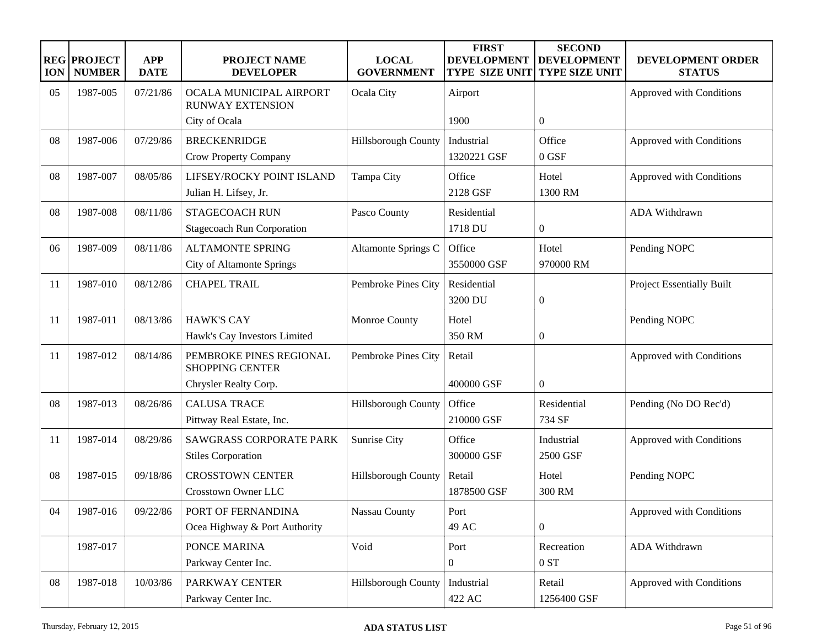| <b>ION</b> | <b>REG PROJECT</b><br><b>NUMBER</b> | <b>APP</b><br><b>DATE</b> | <b>PROJECT NAME</b><br><b>DEVELOPER</b>                     | <b>LOCAL</b><br><b>GOVERNMENT</b> | <b>FIRST</b><br><b>DEVELOPMENT</b><br><b>TYPE SIZE UNIT</b> | <b>SECOND</b><br><b>DEVELOPMENT</b><br><b>TYPE SIZE UNIT</b> | DEVELOPMENT ORDER<br><b>STATUS</b> |
|------------|-------------------------------------|---------------------------|-------------------------------------------------------------|-----------------------------------|-------------------------------------------------------------|--------------------------------------------------------------|------------------------------------|
| 05         | 1987-005                            | 07/21/86                  | OCALA MUNICIPAL AIRPORT<br><b>RUNWAY EXTENSION</b>          | Ocala City                        | Airport                                                     |                                                              | Approved with Conditions           |
|            |                                     |                           | City of Ocala                                               |                                   | 1900                                                        | $\overline{0}$                                               |                                    |
| 08         | 1987-006                            | 07/29/86                  | <b>BRECKENRIDGE</b><br>Crow Property Company                | Hillsborough County               | Industrial<br>1320221 GSF                                   | Office<br>0 GSF                                              | Approved with Conditions           |
| 08         | 1987-007                            | 08/05/86                  | LIFSEY/ROCKY POINT ISLAND<br>Julian H. Lifsey, Jr.          | Tampa City                        | Office<br>2128 GSF                                          | Hotel<br>1300 RM                                             | Approved with Conditions           |
| 08         | 1987-008                            | 08/11/86                  | <b>STAGECOACH RUN</b><br><b>Stagecoach Run Corporation</b>  | Pasco County                      | Residential<br>1718 DU                                      | $\boldsymbol{0}$                                             | ADA Withdrawn                      |
| 06         | 1987-009                            | 08/11/86                  | <b>ALTAMONTE SPRING</b><br><b>City of Altamonte Springs</b> | Altamonte Springs C               | Office<br>3550000 GSF                                       | Hotel<br>970000 RM                                           | Pending NOPC                       |
| 11         | 1987-010                            | 08/12/86                  | <b>CHAPEL TRAIL</b>                                         | Pembroke Pines City               | Residential<br>3200 DU                                      | $\boldsymbol{0}$                                             | <b>Project Essentially Built</b>   |
| 11         | 1987-011                            | 08/13/86                  | <b>HAWK'S CAY</b><br>Hawk's Cay Investors Limited           | Monroe County                     | Hotel<br>350 RM                                             | $\boldsymbol{0}$                                             | Pending NOPC                       |
| 11         | 1987-012                            | 08/14/86                  | PEMBROKE PINES REGIONAL<br><b>SHOPPING CENTER</b>           | Pembroke Pines City               | Retail                                                      |                                                              | Approved with Conditions           |
|            |                                     |                           | Chrysler Realty Corp.                                       |                                   | 400000 GSF                                                  | $\boldsymbol{0}$                                             |                                    |
| 08         | 1987-013                            | 08/26/86                  | <b>CALUSA TRACE</b><br>Pittway Real Estate, Inc.            | Hillsborough County               | Office<br>210000 GSF                                        | Residential<br>734 SF                                        | Pending (No DO Rec'd)              |
| 11         | 1987-014                            | 08/29/86                  | <b>SAWGRASS CORPORATE PARK</b><br><b>Stiles Corporation</b> | Sunrise City                      | Office<br>300000 GSF                                        | Industrial<br>2500 GSF                                       | Approved with Conditions           |
| 08         | 1987-015                            | 09/18/86                  | <b>CROSSTOWN CENTER</b><br>Crosstown Owner LLC              | Hillsborough County               | Retail<br>1878500 GSF                                       | Hotel<br>300 RM                                              | Pending NOPC                       |
| 04         | 1987-016                            | 09/22/86                  | PORT OF FERNANDINA<br>Ocea Highway & Port Authority         | Nassau County                     | Port<br>49 AC                                               | $\overline{0}$                                               | Approved with Conditions           |
|            | 1987-017                            |                           | PONCE MARINA<br>Parkway Center Inc.                         | Void                              | Port<br>$\overline{0}$                                      | Recreation<br>0 ST                                           | ADA Withdrawn                      |
| 08         | 1987-018                            | 10/03/86                  | PARKWAY CENTER<br>Parkway Center Inc.                       | Hillsborough County               | Industrial<br>422 AC                                        | Retail<br>1256400 GSF                                        | Approved with Conditions           |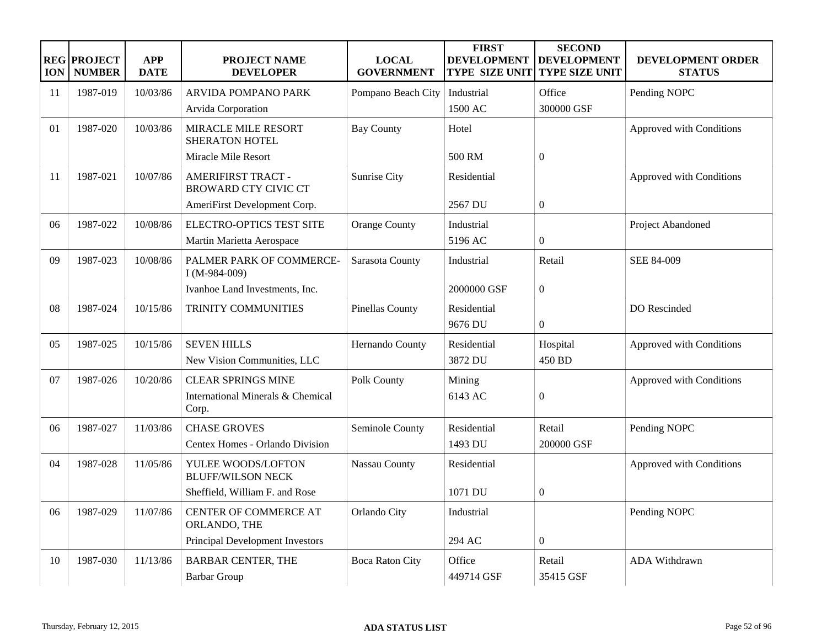| <b>ION</b> | <b>REG PROJECT</b><br><b>NUMBER</b> | <b>APP</b><br><b>DATE</b> | <b>PROJECT NAME</b><br><b>DEVELOPER</b>                  | <b>LOCAL</b><br><b>GOVERNMENT</b> | <b>FIRST</b><br><b>DEVELOPMENT</b><br><b>TYPE SIZE UNIT</b> | <b>SECOND</b><br><b>DEVELOPMENT</b><br><b>TYPE SIZE UNIT</b> | DEVELOPMENT ORDER<br><b>STATUS</b> |
|------------|-------------------------------------|---------------------------|----------------------------------------------------------|-----------------------------------|-------------------------------------------------------------|--------------------------------------------------------------|------------------------------------|
| 11         | 1987-019                            | 10/03/86                  | ARVIDA POMPANO PARK                                      | Pompano Beach City                | Industrial                                                  | Office                                                       | Pending NOPC                       |
|            |                                     |                           | Arvida Corporation                                       |                                   | 1500 AC                                                     | 300000 GSF                                                   |                                    |
| 01         | 1987-020                            | 10/03/86                  | MIRACLE MILE RESORT<br><b>SHERATON HOTEL</b>             | <b>Bay County</b>                 | Hotel                                                       |                                                              | Approved with Conditions           |
|            |                                     |                           | Miracle Mile Resort                                      |                                   | 500 RM                                                      | $\boldsymbol{0}$                                             |                                    |
| 11         | 1987-021                            | 10/07/86                  | <b>AMERIFIRST TRACT -</b><br><b>BROWARD CTY CIVIC CT</b> | Sunrise City                      | Residential                                                 |                                                              | Approved with Conditions           |
|            |                                     |                           | AmeriFirst Development Corp.                             |                                   | 2567 DU                                                     | $\mathbf{0}$                                                 |                                    |
| 06         | 1987-022                            | 10/08/86                  | ELECTRO-OPTICS TEST SITE                                 | <b>Orange County</b>              | Industrial                                                  |                                                              | Project Abandoned                  |
|            |                                     |                           | Martin Marietta Aerospace                                |                                   | 5196 AC                                                     | $\mathbf{0}$                                                 |                                    |
| 09         | 1987-023                            | 10/08/86                  | PALMER PARK OF COMMERCE-<br>$I(M-984-009)$               | Sarasota County                   | Industrial                                                  | Retail                                                       | SEE 84-009                         |
|            |                                     |                           | Ivanhoe Land Investments, Inc.                           |                                   | 2000000 GSF                                                 | $\boldsymbol{0}$                                             |                                    |
| 08         | 1987-024                            | 10/15/86                  | TRINITY COMMUNITIES                                      | Pinellas County                   | Residential                                                 |                                                              | DO Rescinded                       |
|            |                                     |                           |                                                          |                                   | 9676 DU                                                     | $\overline{0}$                                               |                                    |
| 05         | 1987-025                            | 10/15/86                  | <b>SEVEN HILLS</b>                                       | Hernando County                   | Residential                                                 | Hospital                                                     | Approved with Conditions           |
|            |                                     |                           | New Vision Communities, LLC                              |                                   | 3872 DU                                                     | 450 BD                                                       |                                    |
| 07         | 1987-026                            | 10/20/86                  | <b>CLEAR SPRINGS MINE</b>                                | Polk County                       | Mining                                                      |                                                              | Approved with Conditions           |
|            |                                     |                           | International Minerals & Chemical<br>Corp.               |                                   | 6143 AC                                                     | $\overline{0}$                                               |                                    |
| 06         | 1987-027                            | 11/03/86                  | <b>CHASE GROVES</b>                                      | Seminole County                   | Residential                                                 | Retail                                                       | Pending NOPC                       |
|            |                                     |                           | Centex Homes - Orlando Division                          |                                   | 1493 DU                                                     | 200000 GSF                                                   |                                    |
| 04         | 1987-028                            | 11/05/86                  | YULEE WOODS/LOFTON<br><b>BLUFF/WILSON NECK</b>           | Nassau County                     | Residential                                                 |                                                              | Approved with Conditions           |
|            |                                     |                           | Sheffield, William F. and Rose                           |                                   | 1071 DU                                                     | $\overline{0}$                                               |                                    |
| 06         | 1987-029                            | 11/07/86                  | CENTER OF COMMERCE AT<br>ORLANDO, THE                    | Orlando City                      | Industrial                                                  |                                                              | Pending NOPC                       |
|            |                                     |                           | Principal Development Investors                          |                                   | 294 AC                                                      | $\overline{0}$                                               |                                    |
| 10         | 1987-030                            | 11/13/86                  | <b>BARBAR CENTER, THE</b>                                | <b>Boca Raton City</b>            | Office                                                      | Retail                                                       | ADA Withdrawn                      |
|            |                                     |                           | <b>Barbar Group</b>                                      |                                   | 449714 GSF                                                  | 35415 GSF                                                    |                                    |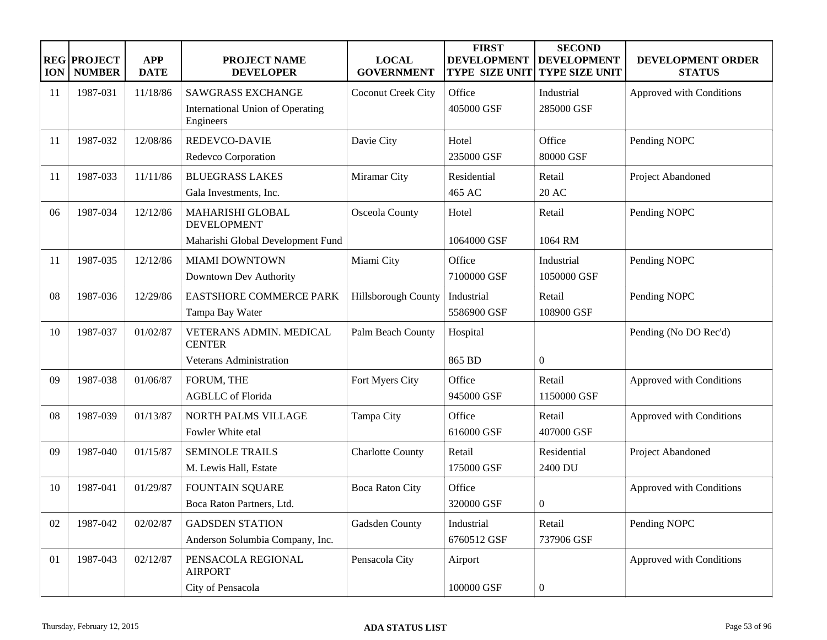| <b>ION</b> | <b>REG PROJECT</b><br><b>NUMBER</b> | <b>APP</b><br><b>DATE</b> | <b>PROJECT NAME</b><br><b>DEVELOPER</b>                                     | <b>LOCAL</b><br><b>GOVERNMENT</b> | <b>FIRST</b><br><b>DEVELOPMENT</b><br><b>TYPE SIZE UNIT</b> | <b>SECOND</b><br><b>DEVELOPMENT</b><br><b>TYPE SIZE UNIT</b> | DEVELOPMENT ORDER<br><b>STATUS</b> |
|------------|-------------------------------------|---------------------------|-----------------------------------------------------------------------------|-----------------------------------|-------------------------------------------------------------|--------------------------------------------------------------|------------------------------------|
| 11         | 1987-031                            | 11/18/86                  | <b>SAWGRASS EXCHANGE</b><br>International Union of Operating<br>Engineers   | Coconut Creek City                | Office<br>405000 GSF                                        | Industrial<br>285000 GSF                                     | Approved with Conditions           |
| 11         | 1987-032                            | 12/08/86                  | REDEVCO-DAVIE<br>Redevco Corporation                                        | Davie City                        | Hotel<br>235000 GSF                                         | Office<br>80000 GSF                                          | Pending NOPC                       |
| 11         | 1987-033                            | 11/11/86                  | <b>BLUEGRASS LAKES</b><br>Gala Investments, Inc.                            | Miramar City                      | Residential<br>465 AC                                       | Retail<br>20 AC                                              | Project Abandoned                  |
| 06         | 1987-034                            | 12/12/86                  | MAHARISHI GLOBAL<br><b>DEVELOPMENT</b><br>Maharishi Global Development Fund | Osceola County                    | Hotel<br>1064000 GSF                                        | Retail<br>1064 RM                                            | Pending NOPC                       |
| 11         | 1987-035                            | 12/12/86                  | <b>MIAMI DOWNTOWN</b><br>Downtown Dev Authority                             | Miami City                        | Office<br>7100000 GSF                                       | Industrial<br>1050000 GSF                                    | Pending NOPC                       |
| 08         | 1987-036                            | 12/29/86                  | <b>EASTSHORE COMMERCE PARK</b><br>Tampa Bay Water                           | Hillsborough County               | Industrial<br>5586900 GSF                                   | Retail<br>108900 GSF                                         | Pending NOPC                       |
| 10         | 1987-037                            | 01/02/87                  | VETERANS ADMIN. MEDICAL<br><b>CENTER</b>                                    | Palm Beach County                 | Hospital                                                    |                                                              | Pending (No DO Rec'd)              |
| 09         | 1987-038                            | 01/06/87                  | <b>Veterans Administration</b><br>FORUM, THE<br><b>AGBLLC</b> of Florida    | Fort Myers City                   | 865 BD<br>Office<br>945000 GSF                              | $\overline{0}$<br>Retail<br>1150000 GSF                      | Approved with Conditions           |
| 08         | 1987-039                            | 01/13/87                  | NORTH PALMS VILLAGE<br>Fowler White etal                                    | Tampa City                        | Office<br>616000 GSF                                        | Retail<br>407000 GSF                                         | Approved with Conditions           |
| 09         | 1987-040                            | 01/15/87                  | <b>SEMINOLE TRAILS</b><br>M. Lewis Hall, Estate                             | <b>Charlotte County</b>           | Retail<br>175000 GSF                                        | Residential<br>2400 DU                                       | Project Abandoned                  |
| 10         | 1987-041                            | 01/29/87                  | <b>FOUNTAIN SQUARE</b><br>Boca Raton Partners, Ltd.                         | <b>Boca Raton City</b>            | Office<br>320000 GSF                                        | $\overline{0}$                                               | Approved with Conditions           |
| 02         | 1987-042                            | 02/02/87                  | <b>GADSDEN STATION</b><br>Anderson Solumbia Company, Inc.                   | Gadsden County                    | Industrial<br>6760512 GSF                                   | Retail<br>737906 GSF                                         | Pending NOPC                       |
| 01         | 1987-043                            | 02/12/87                  | PENSACOLA REGIONAL<br><b>AIRPORT</b><br>City of Pensacola                   | Pensacola City                    | Airport<br>100000 GSF                                       | $\overline{0}$                                               | Approved with Conditions           |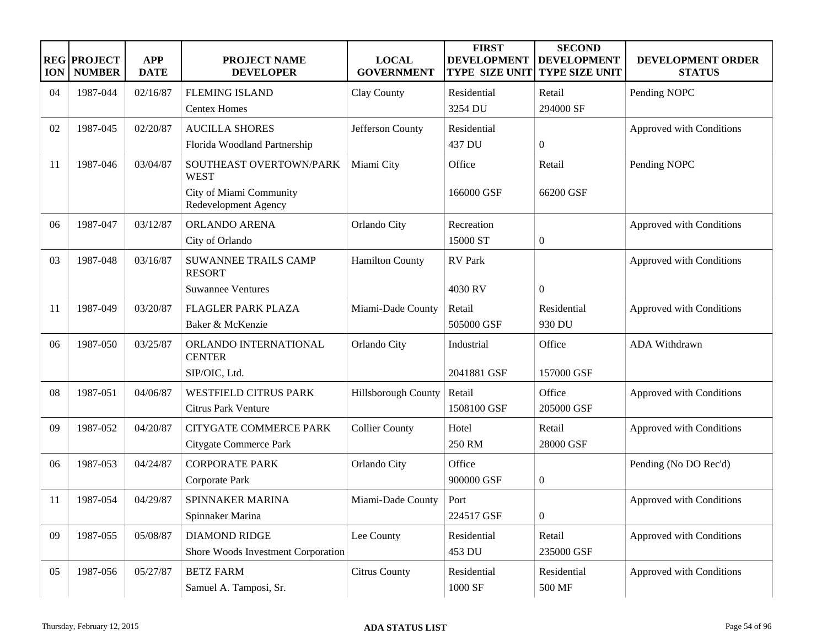| <b>ION</b> | <b>REG PROJECT</b><br><b>NUMBER</b> | <b>APP</b><br><b>DATE</b> | <b>PROJECT NAME</b><br><b>DEVELOPER</b>         | <b>LOCAL</b><br><b>GOVERNMENT</b> | <b>FIRST</b><br><b>DEVELOPMENT</b><br><b>TYPE SIZE UNIT</b> | <b>SECOND</b><br><b>DEVELOPMENT</b><br><b>TYPE SIZE UNIT</b> | DEVELOPMENT ORDER<br><b>STATUS</b> |
|------------|-------------------------------------|---------------------------|-------------------------------------------------|-----------------------------------|-------------------------------------------------------------|--------------------------------------------------------------|------------------------------------|
| 04         | 1987-044                            | 02/16/87                  | <b>FLEMING ISLAND</b>                           | Clay County                       | Residential                                                 | Retail                                                       | Pending NOPC                       |
|            |                                     |                           | <b>Centex Homes</b>                             |                                   | 3254 DU                                                     | 294000 SF                                                    |                                    |
| 02         | 1987-045                            | 02/20/87                  | <b>AUCILLA SHORES</b>                           | Jefferson County                  | Residential                                                 |                                                              | Approved with Conditions           |
|            |                                     |                           | Florida Woodland Partnership                    |                                   | 437 DU                                                      | $\boldsymbol{0}$                                             |                                    |
| 11         | 1987-046                            | 03/04/87                  | SOUTHEAST OVERTOWN/PARK<br><b>WEST</b>          | Miami City                        | Office                                                      | Retail                                                       | Pending NOPC                       |
|            |                                     |                           | City of Miami Community<br>Redevelopment Agency |                                   | 166000 GSF                                                  | 66200 GSF                                                    |                                    |
| 06         | 1987-047                            | 03/12/87                  | ORLANDO ARENA                                   | Orlando City                      | Recreation                                                  |                                                              | Approved with Conditions           |
|            |                                     |                           | City of Orlando                                 |                                   | 15000 ST                                                    | $\boldsymbol{0}$                                             |                                    |
| 03         | 1987-048                            | 03/16/87                  | SUWANNEE TRAILS CAMP<br><b>RESORT</b>           | <b>Hamilton County</b>            | <b>RV</b> Park                                              |                                                              | Approved with Conditions           |
|            |                                     |                           | <b>Suwannee Ventures</b>                        |                                   | 4030 RV                                                     | $\boldsymbol{0}$                                             |                                    |
| 11         | 1987-049                            | 03/20/87                  | FLAGLER PARK PLAZA                              | Miami-Dade County                 | Retail                                                      | Residential                                                  | Approved with Conditions           |
|            |                                     |                           | Baker & McKenzie                                |                                   | 505000 GSF                                                  | 930 DU                                                       |                                    |
| 06         | 1987-050                            | 03/25/87                  | ORLANDO INTERNATIONAL<br><b>CENTER</b>          | Orlando City                      | Industrial                                                  | Office                                                       | ADA Withdrawn                      |
|            |                                     |                           | SIP/OIC, Ltd.                                   |                                   | 2041881 GSF                                                 | 157000 GSF                                                   |                                    |
| 08         | 1987-051                            | 04/06/87                  | <b>WESTFIELD CITRUS PARK</b>                    | Hillsborough County               | Retail                                                      | Office                                                       | Approved with Conditions           |
|            |                                     |                           | <b>Citrus Park Venture</b>                      |                                   | 1508100 GSF                                                 | 205000 GSF                                                   |                                    |
| 09         | 1987-052                            | 04/20/87                  | <b>CITYGATE COMMERCE PARK</b>                   | <b>Collier County</b>             | Hotel                                                       | Retail                                                       | Approved with Conditions           |
|            |                                     |                           | Citygate Commerce Park                          |                                   | 250 RM                                                      | 28000 GSF                                                    |                                    |
| 06         | 1987-053                            | 04/24/87                  | <b>CORPORATE PARK</b>                           | Orlando City                      | Office                                                      |                                                              | Pending (No DO Rec'd)              |
|            |                                     |                           | Corporate Park                                  |                                   | 900000 GSF                                                  | $\boldsymbol{0}$                                             |                                    |
| 11         | 1987-054                            | 04/29/87                  | <b>SPINNAKER MARINA</b>                         | Miami-Dade County                 | Port                                                        |                                                              | Approved with Conditions           |
|            |                                     |                           | Spinnaker Marina                                |                                   | 224517 GSF                                                  | $\boldsymbol{0}$                                             |                                    |
| 09         | 1987-055                            | 05/08/87                  | <b>DIAMOND RIDGE</b>                            | Lee County                        | Residential                                                 | Retail                                                       | Approved with Conditions           |
|            |                                     |                           | Shore Woods Investment Corporation              |                                   | 453 DU                                                      | 235000 GSF                                                   |                                    |
| 05         | 1987-056                            | 05/27/87                  | <b>BETZ FARM</b>                                | <b>Citrus County</b>              | Residential                                                 | Residential                                                  | Approved with Conditions           |
|            |                                     |                           | Samuel A. Tamposi, Sr.                          |                                   | 1000 SF                                                     | 500 MF                                                       |                                    |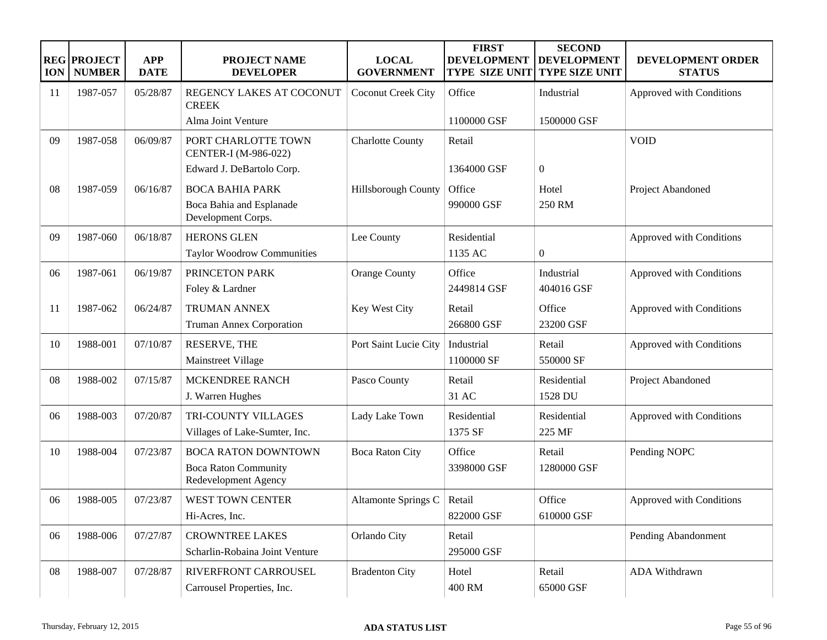| <b>ION</b> | <b>REG PROJECT</b><br><b>NUMBER</b> | <b>APP</b><br><b>DATE</b> | <b>PROJECT NAME</b><br><b>DEVELOPER</b>             | <b>LOCAL</b><br><b>GOVERNMENT</b> | <b>FIRST</b><br><b>DEVELOPMENT</b><br><b>TYPE SIZE UNIT</b> | <b>SECOND</b><br><b>DEVELOPMENT</b><br><b>TYPE SIZE UNIT</b> | DEVELOPMENT ORDER<br><b>STATUS</b> |
|------------|-------------------------------------|---------------------------|-----------------------------------------------------|-----------------------------------|-------------------------------------------------------------|--------------------------------------------------------------|------------------------------------|
| 11         | 1987-057                            | 05/28/87                  | REGENCY LAKES AT COCONUT<br><b>CREEK</b>            | Coconut Creek City                | Office                                                      | Industrial                                                   | Approved with Conditions           |
|            |                                     |                           | Alma Joint Venture                                  |                                   | 1100000 GSF                                                 | 1500000 GSF                                                  |                                    |
| 09         | 1987-058                            | 06/09/87                  | PORT CHARLOTTE TOWN<br>CENTER-I (M-986-022)         | <b>Charlotte County</b>           | Retail                                                      |                                                              | <b>VOID</b>                        |
|            |                                     |                           | Edward J. DeBartolo Corp.                           |                                   | 1364000 GSF                                                 | $\boldsymbol{0}$                                             |                                    |
| 08         | 1987-059                            | 06/16/87                  | <b>BOCA BAHIA PARK</b>                              | Hillsborough County               | Office                                                      | Hotel                                                        | Project Abandoned                  |
|            |                                     |                           | Boca Bahia and Esplanade<br>Development Corps.      |                                   | 990000 GSF                                                  | 250 RM                                                       |                                    |
| 09         | 1987-060                            | 06/18/87                  | <b>HERONS GLEN</b>                                  | Lee County                        | Residential                                                 |                                                              | Approved with Conditions           |
|            |                                     |                           | Taylor Woodrow Communities                          |                                   | 1135 AC                                                     | $\boldsymbol{0}$                                             |                                    |
| 06         | 1987-061                            | 06/19/87                  | PRINCETON PARK                                      | <b>Orange County</b>              | Office                                                      | Industrial                                                   | Approved with Conditions           |
|            |                                     |                           | Foley & Lardner                                     |                                   | 2449814 GSF                                                 | 404016 GSF                                                   |                                    |
| 11         | 1987-062                            | 06/24/87                  | <b>TRUMAN ANNEX</b>                                 | Key West City                     | Retail                                                      | Office                                                       | Approved with Conditions           |
|            |                                     |                           | <b>Truman Annex Corporation</b>                     |                                   | 266800 GSF                                                  | 23200 GSF                                                    |                                    |
| 10         | 1988-001                            | 07/10/87                  | RESERVE, THE                                        | Port Saint Lucie City             | Industrial                                                  | Retail                                                       | Approved with Conditions           |
|            |                                     |                           | Mainstreet Village                                  |                                   | 1100000 SF                                                  | 550000 SF                                                    |                                    |
| 08         | 1988-002                            | 07/15/87                  | MCKENDREE RANCH                                     | Pasco County                      | Retail                                                      | Residential                                                  | Project Abandoned                  |
|            |                                     |                           | J. Warren Hughes                                    |                                   | 31 AC                                                       | 1528 DU                                                      |                                    |
| 06         | 1988-003                            | 07/20/87                  | TRI-COUNTY VILLAGES                                 | Lady Lake Town                    | Residential                                                 | Residential                                                  | Approved with Conditions           |
|            |                                     |                           | Villages of Lake-Sumter, Inc.                       |                                   | 1375 SF                                                     | 225 MF                                                       |                                    |
| 10         | 1988-004                            | 07/23/87                  | <b>BOCA RATON DOWNTOWN</b>                          | <b>Boca Raton City</b>            | Office                                                      | Retail                                                       | Pending NOPC                       |
|            |                                     |                           | <b>Boca Raton Community</b><br>Redevelopment Agency |                                   | 3398000 GSF                                                 | 1280000 GSF                                                  |                                    |
| 06         | 1988-005                            | 07/23/87                  | <b>WEST TOWN CENTER</b>                             | Altamonte Springs C               | Retail                                                      | Office                                                       | Approved with Conditions           |
|            |                                     |                           | Hi-Acres, Inc.                                      |                                   | 822000 GSF                                                  | 610000 GSF                                                   |                                    |
| 06         | 1988-006                            | 07/27/87                  | <b>CROWNTREE LAKES</b>                              | Orlando City                      | Retail                                                      |                                                              | Pending Abandonment                |
|            |                                     |                           | Scharlin-Robaina Joint Venture                      |                                   | 295000 GSF                                                  |                                                              |                                    |
| 08         | 1988-007                            | 07/28/87                  | RIVERFRONT CARROUSEL                                | <b>Bradenton City</b>             | Hotel                                                       | Retail                                                       | ADA Withdrawn                      |
|            |                                     |                           | Carrousel Properties, Inc.                          |                                   | 400 RM                                                      | 65000 GSF                                                    |                                    |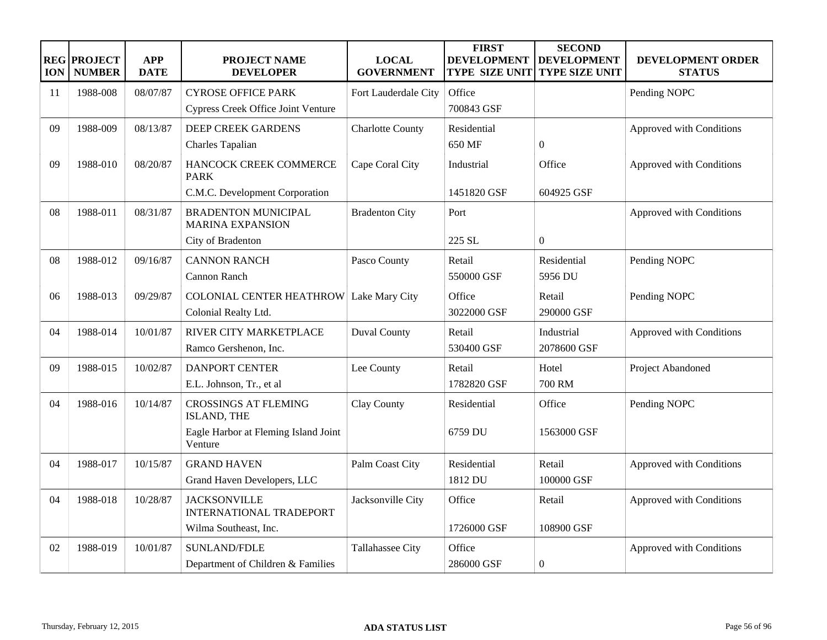| <b>ION</b> | <b>REG PROJECT</b><br><b>NUMBER</b> | <b>APP</b><br><b>DATE</b> | <b>PROJECT NAME</b><br><b>DEVELOPER</b>               | <b>LOCAL</b><br><b>GOVERNMENT</b> | <b>FIRST</b><br><b>DEVELOPMENT</b><br><b>TYPE SIZE UNIT</b> | <b>SECOND</b><br><b>DEVELOPMENT</b><br><b>TYPE SIZE UNIT</b> | DEVELOPMENT ORDER<br><b>STATUS</b> |
|------------|-------------------------------------|---------------------------|-------------------------------------------------------|-----------------------------------|-------------------------------------------------------------|--------------------------------------------------------------|------------------------------------|
| 11         | 1988-008                            | 08/07/87                  | <b>CYROSE OFFICE PARK</b>                             | Fort Lauderdale City              | Office                                                      |                                                              | Pending NOPC                       |
|            |                                     |                           | <b>Cypress Creek Office Joint Venture</b>             |                                   | 700843 GSF                                                  |                                                              |                                    |
| 09         | 1988-009                            | 08/13/87                  | <b>DEEP CREEK GARDENS</b>                             | <b>Charlotte County</b>           | Residential                                                 |                                                              | Approved with Conditions           |
|            |                                     |                           | Charles Tapalian                                      |                                   | 650 MF                                                      | $\Omega$                                                     |                                    |
| 09         | 1988-010                            | 08/20/87                  | HANCOCK CREEK COMMERCE<br><b>PARK</b>                 | Cape Coral City                   | Industrial                                                  | Office                                                       | Approved with Conditions           |
|            |                                     |                           | C.M.C. Development Corporation                        |                                   | 1451820 GSF                                                 | 604925 GSF                                                   |                                    |
| 08         | 1988-011                            | 08/31/87                  | <b>BRADENTON MUNICIPAL</b><br><b>MARINA EXPANSION</b> | <b>Bradenton City</b>             | Port                                                        |                                                              | Approved with Conditions           |
|            |                                     |                           | City of Bradenton                                     |                                   | 225 SL                                                      | $\overline{0}$                                               |                                    |
| 08         | 1988-012                            | 09/16/87                  | <b>CANNON RANCH</b>                                   | Pasco County                      | Retail                                                      | Residential                                                  | Pending NOPC                       |
|            |                                     |                           | <b>Cannon Ranch</b>                                   |                                   | 550000 GSF                                                  | 5956 DU                                                      |                                    |
| 06         | 1988-013                            | 09/29/87                  | <b>COLONIAL CENTER HEATHROW</b>                       | Lake Mary City                    | Office                                                      | Retail                                                       | Pending NOPC                       |
|            |                                     |                           | Colonial Realty Ltd.                                  |                                   | 3022000 GSF                                                 | 290000 GSF                                                   |                                    |
| 04         | 1988-014                            | 10/01/87                  | RIVER CITY MARKETPLACE                                | <b>Duval County</b>               | Retail                                                      | Industrial                                                   | Approved with Conditions           |
|            |                                     |                           | Ramco Gershenon, Inc.                                 |                                   | 530400 GSF                                                  | 2078600 GSF                                                  |                                    |
| 09         | 1988-015                            | 10/02/87                  | <b>DANPORT CENTER</b>                                 | Lee County                        | Retail                                                      | Hotel                                                        | Project Abandoned                  |
|            |                                     |                           | E.L. Johnson, Tr., et al                              |                                   | 1782820 GSF                                                 | <b>700 RM</b>                                                |                                    |
| 04         | 1988-016                            | 10/14/87                  | <b>CROSSINGS AT FLEMING</b><br>ISLAND, THE            | Clay County                       | Residential                                                 | Office                                                       | Pending NOPC                       |
|            |                                     |                           | Eagle Harbor at Fleming Island Joint<br>Venture       |                                   | 6759 DU                                                     | 1563000 GSF                                                  |                                    |
| 04         | 1988-017                            | 10/15/87                  | <b>GRAND HAVEN</b>                                    | Palm Coast City                   | Residential                                                 | Retail                                                       | Approved with Conditions           |
|            |                                     |                           | Grand Haven Developers, LLC                           |                                   | 1812 DU                                                     | 100000 GSF                                                   |                                    |
| 04         | 1988-018                            | 10/28/87                  | <b>JACKSONVILLE</b><br><b>INTERNATIONAL TRADEPORT</b> | Jacksonville City                 | Office                                                      | Retail                                                       | Approved with Conditions           |
|            |                                     |                           | Wilma Southeast, Inc.                                 |                                   | 1726000 GSF                                                 | 108900 GSF                                                   |                                    |
| 02         | 1988-019                            | 10/01/87                  | <b>SUNLAND/FDLE</b>                                   | Tallahassee City                  | Office                                                      |                                                              | Approved with Conditions           |
|            |                                     |                           | Department of Children & Families                     |                                   | 286000 GSF                                                  | $\overline{0}$                                               |                                    |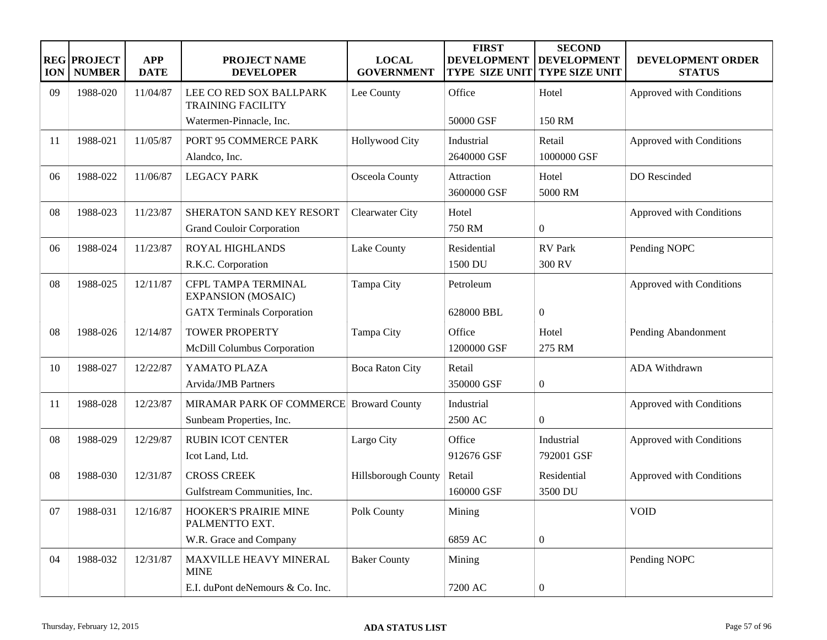| <b>ION</b> | <b>REG PROJECT</b><br><b>NUMBER</b> | <b>APP</b><br><b>DATE</b> | <b>PROJECT NAME</b><br><b>DEVELOPER</b>                             | <b>LOCAL</b><br><b>GOVERNMENT</b> | <b>FIRST</b><br><b>DEVELOPMENT</b><br><b>TYPE SIZE UNIT</b> | <b>SECOND</b><br><b>DEVELOPMENT</b><br><b>TYPE SIZE UNIT</b> | DEVELOPMENT ORDER<br><b>STATUS</b> |
|------------|-------------------------------------|---------------------------|---------------------------------------------------------------------|-----------------------------------|-------------------------------------------------------------|--------------------------------------------------------------|------------------------------------|
| 09         | 1988-020                            | 11/04/87                  | LEE CO RED SOX BALLPARK<br><b>TRAINING FACILITY</b>                 | Lee County                        | Office                                                      | Hotel                                                        | Approved with Conditions           |
|            |                                     |                           | Watermen-Pinnacle, Inc.                                             |                                   | 50000 GSF                                                   | 150 RM                                                       |                                    |
| 11         | 1988-021                            | 11/05/87                  | PORT 95 COMMERCE PARK<br>Alandco, Inc.                              | <b>Hollywood City</b>             | Industrial<br>2640000 GSF                                   | Retail<br>1000000 GSF                                        | Approved with Conditions           |
| 06         | 1988-022                            | 11/06/87                  | <b>LEGACY PARK</b>                                                  | Osceola County                    | Attraction<br>3600000 GSF                                   | Hotel<br>5000 RM                                             | DO Rescinded                       |
| 08         | 1988-023                            | 11/23/87                  | SHERATON SAND KEY RESORT<br><b>Grand Couloir Corporation</b>        | <b>Clearwater City</b>            | Hotel<br>750 RM                                             | $\boldsymbol{0}$                                             | Approved with Conditions           |
| 06         | 1988-024                            | 11/23/87                  | ROYAL HIGHLANDS<br>R.K.C. Corporation                               | Lake County                       | Residential<br>1500 DU                                      | RV Park<br>300 RV                                            | Pending NOPC                       |
| 08         | 1988-025                            | 12/11/87                  | CFPL TAMPA TERMINAL<br><b>EXPANSION (MOSAIC)</b>                    | Tampa City                        | Petroleum                                                   |                                                              | Approved with Conditions           |
|            |                                     |                           | <b>GATX Terminals Corporation</b>                                   |                                   | 628000 BBL                                                  | $\boldsymbol{0}$                                             |                                    |
| 08         | 1988-026                            | 12/14/87                  | <b>TOWER PROPERTY</b>                                               | Tampa City                        | Office                                                      | Hotel                                                        | Pending Abandonment                |
|            |                                     |                           | McDill Columbus Corporation                                         |                                   | 1200000 GSF                                                 | 275 RM                                                       |                                    |
| 10         | 1988-027                            | 12/22/87                  | YAMATO PLAZA                                                        | <b>Boca Raton City</b>            | Retail                                                      |                                                              | ADA Withdrawn                      |
|            |                                     |                           | Arvida/JMB Partners                                                 |                                   | 350000 GSF                                                  | $\boldsymbol{0}$                                             |                                    |
| -11        | 1988-028                            | 12/23/87                  | MIRAMAR PARK OF COMMERCE Broward County<br>Sunbeam Properties, Inc. |                                   | Industrial<br>2500 AC                                       | $\overline{0}$                                               | Approved with Conditions           |
| 08         | 1988-029                            | 12/29/87                  | <b>RUBIN ICOT CENTER</b><br>Icot Land, Ltd.                         | Largo City                        | Office<br>912676 GSF                                        | Industrial<br>792001 GSF                                     | Approved with Conditions           |
| 08         | 1988-030                            | 12/31/87                  | <b>CROSS CREEK</b><br>Gulfstream Communities, Inc.                  | Hillsborough County               | Retail<br>160000 GSF                                        | Residential<br>3500 DU                                       | Approved with Conditions           |
| 07         | 1988-031                            | 12/16/87                  | HOOKER'S PRAIRIE MINE<br>PALMENTTO EXT.                             | Polk County                       | Mining                                                      |                                                              | <b>VOID</b>                        |
|            |                                     |                           | W.R. Grace and Company                                              |                                   | 6859 AC                                                     | $\boldsymbol{0}$                                             |                                    |
| 04         | 1988-032                            | 12/31/87                  | MAXVILLE HEAVY MINERAL<br><b>MINE</b>                               | <b>Baker County</b>               | Mining                                                      |                                                              | Pending NOPC                       |
|            |                                     |                           | E.I. duPont deNemours & Co. Inc.                                    |                                   | 7200 AC                                                     | $\boldsymbol{0}$                                             |                                    |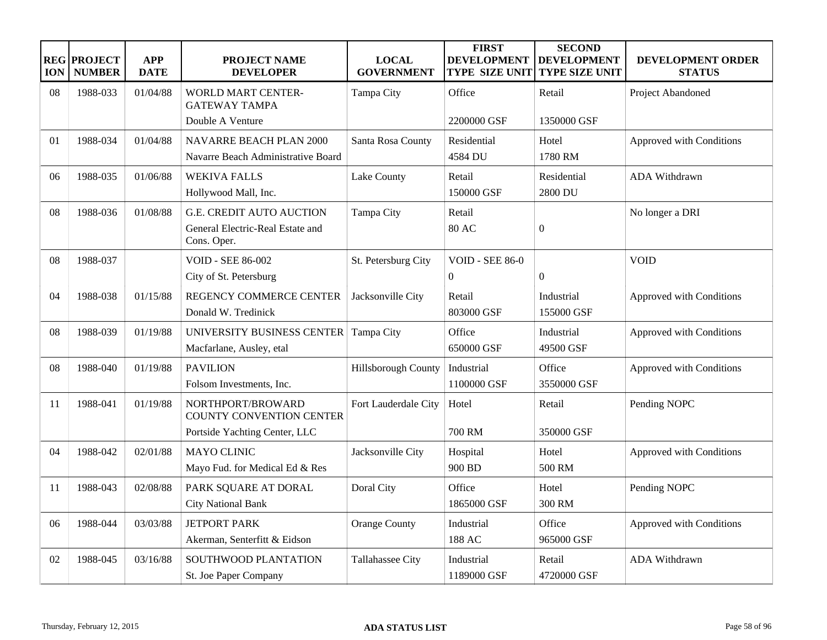| <b>ION</b> | <b>REG PROJECT</b><br><b>NUMBER</b> | <b>APP</b><br><b>DATE</b> | <b>PROJECT NAME</b><br><b>DEVELOPER</b>                                            | <b>LOCAL</b><br><b>GOVERNMENT</b> | <b>FIRST</b><br><b>DEVELOPMENT</b><br><b>TYPE SIZE UNIT</b> | <b>SECOND</b><br><b>DEVELOPMENT</b><br><b>TYPE SIZE UNIT</b> | <b>DEVELOPMENT ORDER</b><br><b>STATUS</b> |
|------------|-------------------------------------|---------------------------|------------------------------------------------------------------------------------|-----------------------------------|-------------------------------------------------------------|--------------------------------------------------------------|-------------------------------------------|
| 08         | 1988-033                            | 01/04/88                  | <b>WORLD MART CENTER-</b><br><b>GATEWAY TAMPA</b>                                  | Tampa City                        | Office                                                      | Retail                                                       | Project Abandoned                         |
|            |                                     |                           | Double A Venture                                                                   |                                   | 2200000 GSF                                                 | 1350000 GSF                                                  |                                           |
| 01         | 1988-034                            | 01/04/88                  | <b>NAVARRE BEACH PLAN 2000</b><br>Navarre Beach Administrative Board               | Santa Rosa County                 | Residential<br>4584 DU                                      | Hotel<br>1780 RM                                             | Approved with Conditions                  |
| 06         | 1988-035                            | 01/06/88                  | <b>WEKIVA FALLS</b><br>Hollywood Mall, Inc.                                        | Lake County                       | Retail<br>150000 GSF                                        | Residential<br>2800 DU                                       | ADA Withdrawn                             |
| 08         | 1988-036                            | 01/08/88                  | <b>G.E. CREDIT AUTO AUCTION</b><br>General Electric-Real Estate and<br>Cons. Oper. | Tampa City                        | Retail<br><b>80 AC</b>                                      | $\mathbf{0}$                                                 | No longer a DRI                           |
| 08         | 1988-037                            |                           | <b>VOID - SEE 86-002</b><br>City of St. Petersburg                                 | St. Petersburg City               | <b>VOID - SEE 86-0</b><br>$\Omega$                          | $\Omega$                                                     | <b>VOID</b>                               |
| 04         | 1988-038                            | 01/15/88                  | REGENCY COMMERCE CENTER<br>Donald W. Tredinick                                     | Jacksonville City                 | Retail<br>803000 GSF                                        | Industrial<br>155000 GSF                                     | Approved with Conditions                  |
| 08         | 1988-039                            | 01/19/88                  | UNIVERSITY BUSINESS CENTER<br>Macfarlane, Ausley, etal                             | Tampa City                        | Office<br>650000 GSF                                        | Industrial<br>49500 GSF                                      | Approved with Conditions                  |
| 08         | 1988-040                            | 01/19/88                  | <b>PAVILION</b><br>Folsom Investments, Inc.                                        | Hillsborough County               | Industrial<br>1100000 GSF                                   | Office<br>3550000 GSF                                        | Approved with Conditions                  |
| 11         | 1988-041                            | 01/19/88                  | NORTHPORT/BROWARD<br>COUNTY CONVENTION CENTER<br>Portside Yachting Center, LLC     | Fort Lauderdale City              | Hotel<br><b>700 RM</b>                                      | Retail<br>350000 GSF                                         | Pending NOPC                              |
| 04         | 1988-042                            | 02/01/88                  | <b>MAYO CLINIC</b><br>Mayo Fud. for Medical Ed & Res                               | Jacksonville City                 | Hospital<br>900 BD                                          | Hotel<br>500 RM                                              | Approved with Conditions                  |
| 11         | 1988-043                            | 02/08/88                  | PARK SQUARE AT DORAL<br><b>City National Bank</b>                                  | Doral City                        | Office<br>1865000 GSF                                       | Hotel<br>300 RM                                              | Pending NOPC                              |
| 06         | 1988-044                            | 03/03/88                  | <b>JETPORT PARK</b><br>Akerman, Senterfitt & Eidson                                | <b>Orange County</b>              | Industrial<br>188 AC                                        | Office<br>965000 GSF                                         | Approved with Conditions                  |
| 02         | 1988-045                            | 03/16/88                  | SOUTHWOOD PLANTATION<br>St. Joe Paper Company                                      | Tallahassee City                  | Industrial<br>1189000 GSF                                   | Retail<br>4720000 GSF                                        | ADA Withdrawn                             |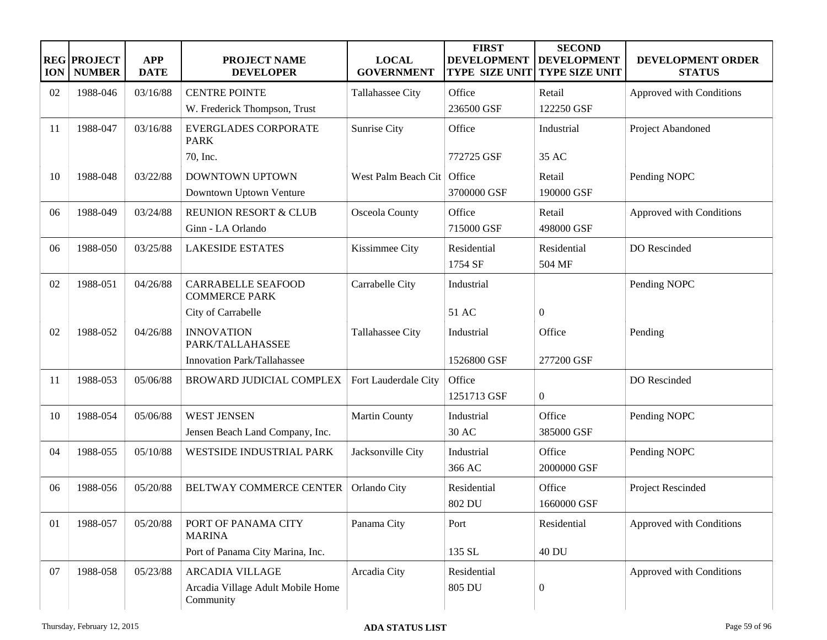| <b>ION</b> | <b>REG PROJECT</b><br><b>NUMBER</b> | <b>APP</b><br><b>DATE</b> | <b>PROJECT NAME</b><br><b>DEVELOPER</b>           | <b>LOCAL</b><br><b>GOVERNMENT</b> | <b>FIRST</b><br><b>DEVELOPMENT</b><br>TYPE SIZE UNIT | <b>SECOND</b><br><b>DEVELOPMENT</b><br><b>TYPE SIZE UNIT</b> | DEVELOPMENT ORDER<br><b>STATUS</b> |
|------------|-------------------------------------|---------------------------|---------------------------------------------------|-----------------------------------|------------------------------------------------------|--------------------------------------------------------------|------------------------------------|
| 02         | 1988-046                            | 03/16/88                  | <b>CENTRE POINTE</b>                              | Tallahassee City                  | Office                                               | Retail                                                       | Approved with Conditions           |
|            |                                     |                           | W. Frederick Thompson, Trust                      |                                   | 236500 GSF                                           | 122250 GSF                                                   |                                    |
| -11        | 1988-047                            | 03/16/88                  | <b>EVERGLADES CORPORATE</b><br><b>PARK</b>        | Sunrise City                      | Office                                               | Industrial                                                   | Project Abandoned                  |
|            |                                     |                           | 70, Inc.                                          |                                   | 772725 GSF                                           | 35 AC                                                        |                                    |
| 10         | 1988-048                            | 03/22/88                  | DOWNTOWN UPTOWN                                   | West Palm Beach Cit               | Office                                               | Retail                                                       | Pending NOPC                       |
|            |                                     |                           | Downtown Uptown Venture                           |                                   | 3700000 GSF                                          | 190000 GSF                                                   |                                    |
| 06         | 1988-049                            | 03/24/88                  | <b>REUNION RESORT &amp; CLUB</b>                  | Osceola County                    | Office                                               | Retail                                                       | Approved with Conditions           |
|            |                                     |                           | Ginn - LA Orlando                                 |                                   | 715000 GSF                                           | 498000 GSF                                                   |                                    |
| 06         | 1988-050                            | 03/25/88                  | <b>LAKESIDE ESTATES</b>                           | Kissimmee City                    | Residential                                          | Residential                                                  | DO Rescinded                       |
|            |                                     |                           |                                                   |                                   | 1754 SF                                              | 504 MF                                                       |                                    |
| 02         | 1988-051                            | 04/26/88                  | <b>CARRABELLE SEAFOOD</b><br><b>COMMERCE PARK</b> | Carrabelle City                   | Industrial                                           |                                                              | Pending NOPC                       |
|            |                                     |                           | City of Carrabelle                                |                                   | 51 AC                                                | $\overline{0}$                                               |                                    |
| 02         | 1988-052                            | 04/26/88                  | <b>INNOVATION</b><br>PARK/TALLAHASSEE             | Tallahassee City                  | Industrial                                           | Office                                                       | Pending                            |
|            |                                     |                           | Innovation Park/Tallahassee                       |                                   | 1526800 GSF                                          | 277200 GSF                                                   |                                    |
| 11         | 1988-053                            | 05/06/88                  | BROWARD JUDICIAL COMPLEX                          | Fort Lauderdale City              | Office                                               |                                                              | DO Rescinded                       |
|            |                                     |                           |                                                   |                                   | 1251713 GSF                                          | $\overline{0}$                                               |                                    |
| 10         | 1988-054                            | 05/06/88                  | <b>WEST JENSEN</b>                                | <b>Martin County</b>              | Industrial                                           | Office                                                       | Pending NOPC                       |
|            |                                     |                           | Jensen Beach Land Company, Inc.                   |                                   | 30 AC                                                | 385000 GSF                                                   |                                    |
| 04         | 1988-055                            | 05/10/88                  | <b>WESTSIDE INDUSTRIAL PARK</b>                   | Jacksonville City                 | Industrial                                           | Office                                                       | Pending NOPC                       |
|            |                                     |                           |                                                   |                                   | 366 AC                                               | 2000000 GSF                                                  |                                    |
| 06         | 1988-056                            | 05/20/88                  | BELTWAY COMMERCE CENTER                           | Orlando City                      | Residential<br>802 DU                                | Office<br>1660000 GSF                                        | Project Rescinded                  |
| 01         | 1988-057                            | 05/20/88                  | PORT OF PANAMA CITY                               | Panama City                       | Port                                                 | Residential                                                  | Approved with Conditions           |
|            |                                     |                           | <b>MARINA</b>                                     |                                   |                                                      |                                                              |                                    |
|            |                                     |                           | Port of Panama City Marina, Inc.                  |                                   | 135 SL                                               | <b>40 DU</b>                                                 |                                    |
| 07         | 1988-058                            | 05/23/88                  | <b>ARCADIA VILLAGE</b>                            | Arcadia City                      | Residential                                          |                                                              | Approved with Conditions           |
|            |                                     |                           | Arcadia Village Adult Mobile Home<br>Community    |                                   | 805 DU                                               | $\boldsymbol{0}$                                             |                                    |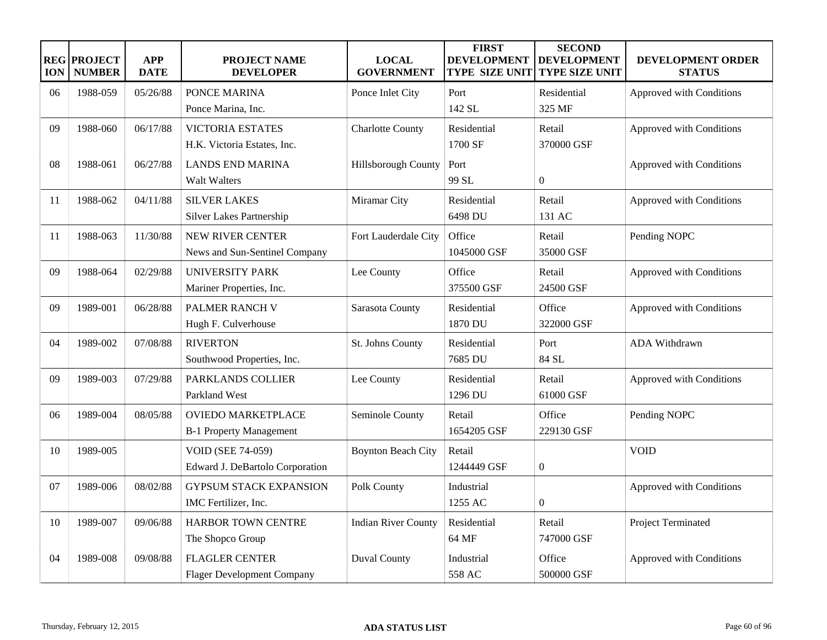| <b>ION</b> | <b>REG PROJECT</b><br><b>NUMBER</b> | <b>APP</b><br><b>DATE</b> | <b>PROJECT NAME</b><br><b>DEVELOPER</b>                     | <b>LOCAL</b><br><b>GOVERNMENT</b> | <b>FIRST</b><br><b>DEVELOPMENT</b><br><b>TYPE SIZE UNIT</b> | <b>SECOND</b><br><b>DEVELOPMENT</b><br><b>TYPE SIZE UNIT</b> | <b>DEVELOPMENT ORDER</b><br><b>STATUS</b> |
|------------|-------------------------------------|---------------------------|-------------------------------------------------------------|-----------------------------------|-------------------------------------------------------------|--------------------------------------------------------------|-------------------------------------------|
| 06         | 1988-059                            | 05/26/88                  | PONCE MARINA                                                | Ponce Inlet City                  | Port                                                        | Residential                                                  | Approved with Conditions                  |
|            |                                     |                           | Ponce Marina, Inc.                                          |                                   | 142 SL                                                      | 325 MF                                                       |                                           |
| 09         | 1988-060                            | 06/17/88                  | <b>VICTORIA ESTATES</b><br>H.K. Victoria Estates, Inc.      | <b>Charlotte County</b>           | Residential<br>1700 SF                                      | Retail<br>370000 GSF                                         | Approved with Conditions                  |
| 08         | 1988-061                            | 06/27/88                  | <b>LANDS END MARINA</b><br><b>Walt Walters</b>              | Hillsborough County               | Port<br>99 SL                                               | $\theta$                                                     | Approved with Conditions                  |
| 11         | 1988-062                            | 04/11/88                  | <b>SILVER LAKES</b><br>Silver Lakes Partnership             | Miramar City                      | Residential<br>6498 DU                                      | Retail<br>131 AC                                             | Approved with Conditions                  |
| 11         | 1988-063                            | 11/30/88                  | <b>NEW RIVER CENTER</b><br>News and Sun-Sentinel Company    | Fort Lauderdale City              | Office<br>1045000 GSF                                       | Retail<br>35000 GSF                                          | Pending NOPC                              |
| 09         | 1988-064                            | 02/29/88                  | <b>UNIVERSITY PARK</b><br>Mariner Properties, Inc.          | Lee County                        | Office<br>375500 GSF                                        | Retail<br>24500 GSF                                          | Approved with Conditions                  |
| 09         | 1989-001                            | 06/28/88                  | PALMER RANCH V<br>Hugh F. Culverhouse                       | Sarasota County                   | Residential<br>1870 DU                                      | Office<br>322000 GSF                                         | Approved with Conditions                  |
| 04         | 1989-002                            | 07/08/88                  | <b>RIVERTON</b><br>Southwood Properties, Inc.               | St. Johns County                  | Residential<br>7685 DU                                      | Port<br>84 SL                                                | ADA Withdrawn                             |
| 09         | 1989-003                            | 07/29/88                  | PARKLANDS COLLIER<br>Parkland West                          | Lee County                        | Residential<br>1296 DU                                      | Retail<br>61000 GSF                                          | Approved with Conditions                  |
| 06         | 1989-004                            | 08/05/88                  | <b>OVIEDO MARKETPLACE</b><br><b>B-1 Property Management</b> | Seminole County                   | Retail<br>1654205 GSF                                       | Office<br>229130 GSF                                         | Pending NOPC                              |
| 10         | 1989-005                            |                           | <b>VOID (SEE 74-059)</b><br>Edward J. DeBartolo Corporation | <b>Boynton Beach City</b>         | Retail<br>1244449 GSF                                       | $\overline{0}$                                               | <b>VOID</b>                               |
| 07         | 1989-006                            | 08/02/88                  | <b>GYPSUM STACK EXPANSION</b><br>IMC Fertilizer, Inc.       | Polk County                       | Industrial<br>1255 AC                                       | $\mathbf{0}$                                                 | Approved with Conditions                  |
| 10         | 1989-007                            | 09/06/88                  | HARBOR TOWN CENTRE<br>The Shopco Group                      | <b>Indian River County</b>        | Residential<br>64 MF                                        | Retail<br>747000 GSF                                         | Project Terminated                        |
| 04         | 1989-008                            | 09/08/88                  | <b>FLAGLER CENTER</b><br><b>Flager Development Company</b>  | <b>Duval County</b>               | Industrial<br>558 AC                                        | Office<br>500000 GSF                                         | Approved with Conditions                  |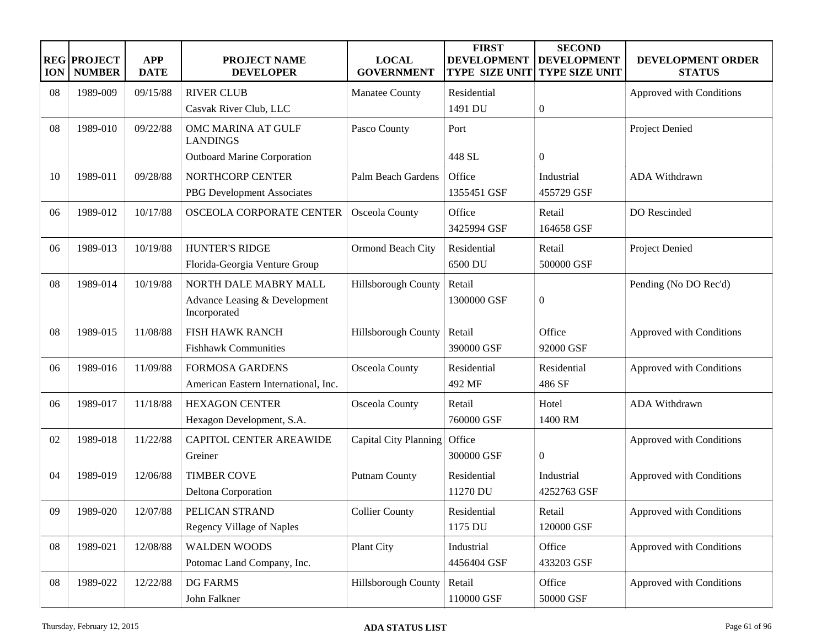| <b>ION</b> | <b>REG PROJECT</b><br><b>NUMBER</b> | <b>APP</b><br><b>DATE</b> | <b>PROJECT NAME</b><br><b>DEVELOPER</b>       | <b>LOCAL</b><br><b>GOVERNMENT</b> | <b>FIRST</b><br><b>DEVELOPMENT</b><br><b>TYPE SIZE UNIT</b> | <b>SECOND</b><br><b>DEVELOPMENT</b><br><b>TYPE SIZE UNIT</b> | DEVELOPMENT ORDER<br><b>STATUS</b> |
|------------|-------------------------------------|---------------------------|-----------------------------------------------|-----------------------------------|-------------------------------------------------------------|--------------------------------------------------------------|------------------------------------|
| 08         | 1989-009                            | 09/15/88                  | <b>RIVER CLUB</b>                             | Manatee County                    | Residential                                                 |                                                              | Approved with Conditions           |
|            |                                     |                           | Casvak River Club, LLC                        |                                   | 1491 DU                                                     | $\boldsymbol{0}$                                             |                                    |
| 08         | 1989-010                            | 09/22/88                  | OMC MARINA AT GULF<br><b>LANDINGS</b>         | Pasco County                      | Port                                                        |                                                              | Project Denied                     |
|            |                                     |                           | <b>Outboard Marine Corporation</b>            |                                   | 448 SL                                                      | $\overline{0}$                                               |                                    |
| 10         | 1989-011                            | 09/28/88                  | NORTHCORP CENTER                              | Palm Beach Gardens                | Office                                                      | Industrial                                                   | ADA Withdrawn                      |
|            |                                     |                           | PBG Development Associates                    |                                   | 1355451 GSF                                                 | 455729 GSF                                                   |                                    |
| 06         | 1989-012                            | 10/17/88                  | OSCEOLA CORPORATE CENTER                      | Osceola County                    | Office<br>3425994 GSF                                       | Retail<br>164658 GSF                                         | DO Rescinded                       |
| 06         | 1989-013                            | 10/19/88                  | <b>HUNTER'S RIDGE</b>                         | Ormond Beach City                 | Residential                                                 | Retail                                                       | Project Denied                     |
|            |                                     |                           | Florida-Georgia Venture Group                 |                                   | 6500 DU                                                     | 500000 GSF                                                   |                                    |
| 08         | 1989-014                            | 10/19/88                  | NORTH DALE MABRY MALL                         | Hillsborough County               | Retail                                                      |                                                              | Pending (No DO Rec'd)              |
|            |                                     |                           | Advance Leasing & Development<br>Incorporated |                                   | 1300000 GSF                                                 | $\boldsymbol{0}$                                             |                                    |
| 08         | 1989-015                            | 11/08/88                  | <b>FISH HAWK RANCH</b>                        | Hillsborough County               | Retail                                                      | Office                                                       | Approved with Conditions           |
|            |                                     |                           | <b>Fishhawk Communities</b>                   |                                   | 390000 GSF                                                  | 92000 GSF                                                    |                                    |
| 06         | 1989-016                            | 11/09/88                  | <b>FORMOSA GARDENS</b>                        | Osceola County                    | Residential                                                 | Residential                                                  | Approved with Conditions           |
|            |                                     |                           | American Eastern International, Inc.          |                                   | 492 MF                                                      | 486 SF                                                       |                                    |
| 06         | 1989-017                            | 11/18/88                  | <b>HEXAGON CENTER</b>                         | Osceola County                    | Retail                                                      | Hotel                                                        | ADA Withdrawn                      |
|            |                                     |                           | Hexagon Development, S.A.                     |                                   | 760000 GSF                                                  | 1400 RM                                                      |                                    |
| 02         | 1989-018                            | 11/22/88                  | <b>CAPITOL CENTER AREAWIDE</b>                | Capital City Planning             | Office                                                      |                                                              | Approved with Conditions           |
|            |                                     |                           | Greiner                                       |                                   | 300000 GSF                                                  | $\mathbf{0}$                                                 |                                    |
| 04         | 1989-019                            | 12/06/88                  | <b>TIMBER COVE</b>                            | <b>Putnam County</b>              | Residential                                                 | Industrial                                                   | Approved with Conditions           |
|            |                                     |                           | Deltona Corporation                           |                                   | 11270 DU                                                    | 4252763 GSF                                                  |                                    |
| 09         | 1989-020                            | 12/07/88                  | PELICAN STRAND                                | <b>Collier County</b>             | Residential                                                 | Retail                                                       | Approved with Conditions           |
|            |                                     |                           | <b>Regency Village of Naples</b>              |                                   | 1175 DU                                                     | 120000 GSF                                                   |                                    |
| 08         | 1989-021                            | 12/08/88                  | <b>WALDEN WOODS</b>                           | Plant City                        | Industrial                                                  | Office                                                       | Approved with Conditions           |
|            |                                     |                           | Potomac Land Company, Inc.                    |                                   | 4456404 GSF                                                 | 433203 GSF                                                   |                                    |
| 08         | 1989-022                            | 12/22/88                  | <b>DG FARMS</b>                               | Hillsborough County               | Retail                                                      | Office                                                       | Approved with Conditions           |
|            |                                     |                           | John Falkner                                  |                                   | 110000 GSF                                                  | 50000 GSF                                                    |                                    |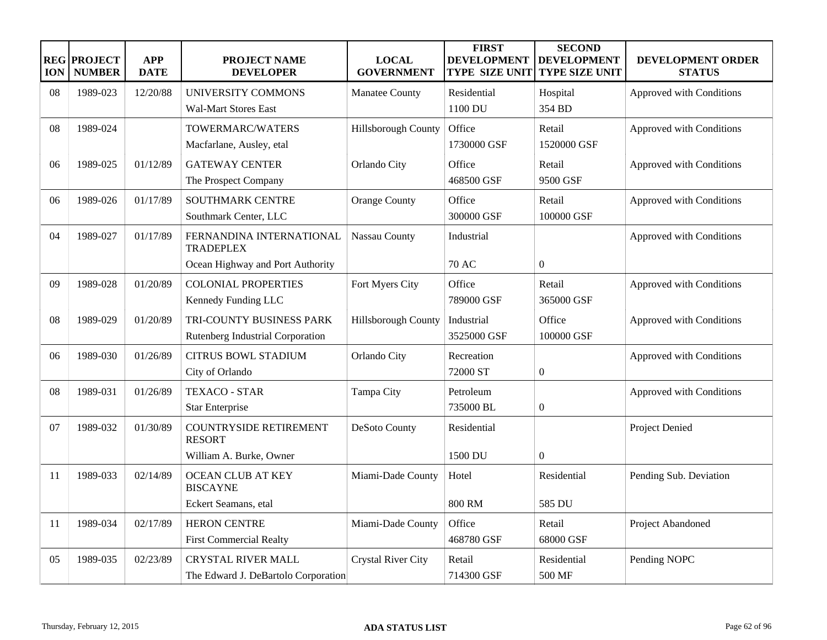| <b>ION</b> | <b>REG PROJECT</b><br><b>NUMBER</b> | <b>APP</b><br><b>DATE</b> | <b>PROJECT NAME</b><br><b>DEVELOPER</b>      | <b>LOCAL</b><br><b>GOVERNMENT</b> | <b>FIRST</b><br><b>DEVELOPMENT</b><br><b>TYPE SIZE UNIT</b> | <b>SECOND</b><br><b>DEVELOPMENT</b><br><b>TYPE SIZE UNIT</b> | <b>DEVELOPMENT ORDER</b><br><b>STATUS</b> |
|------------|-------------------------------------|---------------------------|----------------------------------------------|-----------------------------------|-------------------------------------------------------------|--------------------------------------------------------------|-------------------------------------------|
| 08         | 1989-023                            | 12/20/88                  | UNIVERSITY COMMONS                           | Manatee County                    | Residential                                                 | Hospital                                                     | Approved with Conditions                  |
|            |                                     |                           | <b>Wal-Mart Stores East</b>                  |                                   | 1100 DU                                                     | 354 BD                                                       |                                           |
| 08         | 1989-024                            |                           | TOWERMARC/WATERS                             | Hillsborough County               | Office                                                      | Retail                                                       | Approved with Conditions                  |
|            |                                     |                           | Macfarlane, Ausley, etal                     |                                   | 1730000 GSF                                                 | 1520000 GSF                                                  |                                           |
| 06         | 1989-025                            | 01/12/89                  | <b>GATEWAY CENTER</b>                        | Orlando City                      | Office                                                      | Retail                                                       | Approved with Conditions                  |
|            |                                     |                           | The Prospect Company                         |                                   | 468500 GSF                                                  | 9500 GSF                                                     |                                           |
| 06         | 1989-026                            | 01/17/89                  | <b>SOUTHMARK CENTRE</b>                      | Orange County                     | Office                                                      | Retail                                                       | Approved with Conditions                  |
|            |                                     |                           | Southmark Center, LLC                        |                                   | 300000 GSF                                                  | 100000 GSF                                                   |                                           |
| 04         | 1989-027                            | 01/17/89                  | FERNANDINA INTERNATIONAL<br><b>TRADEPLEX</b> | Nassau County                     | Industrial                                                  |                                                              | Approved with Conditions                  |
|            |                                     |                           | Ocean Highway and Port Authority             |                                   | 70 AC                                                       | $\Omega$                                                     |                                           |
| 09         | 1989-028                            | 01/20/89                  | <b>COLONIAL PROPERTIES</b>                   | Fort Myers City                   | Office                                                      | Retail                                                       | Approved with Conditions                  |
|            |                                     |                           | Kennedy Funding LLC                          |                                   | 789000 GSF                                                  | 365000 GSF                                                   |                                           |
| 08         | 1989-029                            | 01/20/89                  | TRI-COUNTY BUSINESS PARK                     | Hillsborough County               | Industrial                                                  | Office                                                       | Approved with Conditions                  |
|            |                                     |                           | Rutenberg Industrial Corporation             |                                   | 3525000 GSF                                                 | 100000 GSF                                                   |                                           |
| 06         | 1989-030                            | 01/26/89                  | <b>CITRUS BOWL STADIUM</b>                   | Orlando City                      | Recreation                                                  |                                                              | Approved with Conditions                  |
|            |                                     |                           | City of Orlando                              |                                   | 72000 ST                                                    | $\overline{0}$                                               |                                           |
| 08         | 1989-031                            | 01/26/89                  | <b>TEXACO - STAR</b>                         | Tampa City                        | Petroleum                                                   |                                                              | Approved with Conditions                  |
|            |                                     |                           | <b>Star Enterprise</b>                       |                                   | 735000 BL                                                   | $\boldsymbol{0}$                                             |                                           |
| 07         | 1989-032                            | 01/30/89                  | COUNTRYSIDE RETIREMENT<br><b>RESORT</b>      | DeSoto County                     | Residential                                                 |                                                              | <b>Project Denied</b>                     |
|            |                                     |                           | William A. Burke, Owner                      |                                   | 1500 DU                                                     | $\boldsymbol{0}$                                             |                                           |
| 11         | 1989-033                            | 02/14/89                  | <b>OCEAN CLUB AT KEY</b><br><b>BISCAYNE</b>  | Miami-Dade County                 | Hotel                                                       | Residential                                                  | Pending Sub. Deviation                    |
|            |                                     |                           | Eckert Seamans, etal                         |                                   | <b>800 RM</b>                                               | 585 DU                                                       |                                           |
| 11         | 1989-034                            | 02/17/89                  | <b>HERON CENTRE</b>                          | Miami-Dade County                 | Office                                                      | Retail                                                       | Project Abandoned                         |
|            |                                     |                           | <b>First Commercial Realty</b>               |                                   | 468780 GSF                                                  | 68000 GSF                                                    |                                           |
| 05         | 1989-035                            | 02/23/89                  | <b>CRYSTAL RIVER MALL</b>                    | <b>Crystal River City</b>         | Retail                                                      | Residential                                                  | Pending NOPC                              |
|            |                                     |                           | The Edward J. DeBartolo Corporation          |                                   | 714300 GSF                                                  | 500 MF                                                       |                                           |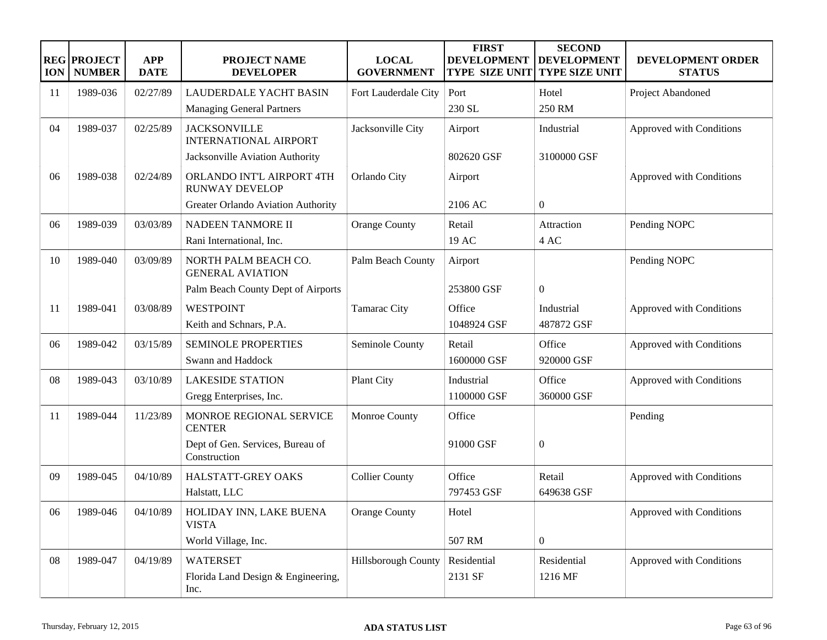| <b>ION</b> | <b>REG PROJECT</b><br><b>NUMBER</b> | <b>APP</b><br><b>DATE</b> | PROJECT NAME<br><b>DEVELOPER</b>                    | <b>LOCAL</b><br><b>GOVERNMENT</b> | <b>FIRST</b><br><b>DEVELOPMENT</b><br><b>TYPE SIZE UNIT</b> | <b>SECOND</b><br><b>DEVELOPMENT</b><br><b>TYPE SIZE UNIT</b> | DEVELOPMENT ORDER<br><b>STATUS</b> |
|------------|-------------------------------------|---------------------------|-----------------------------------------------------|-----------------------------------|-------------------------------------------------------------|--------------------------------------------------------------|------------------------------------|
| 11         | 1989-036                            | 02/27/89                  | LAUDERDALE YACHT BASIN                              | Fort Lauderdale City              | Port                                                        | Hotel                                                        | Project Abandoned                  |
|            |                                     |                           | <b>Managing General Partners</b>                    |                                   | 230 SL                                                      | 250 RM                                                       |                                    |
| 04         | 1989-037                            | 02/25/89                  | <b>JACKSONVILLE</b><br><b>INTERNATIONAL AIRPORT</b> | Jacksonville City                 | Airport                                                     | Industrial                                                   | Approved with Conditions           |
|            |                                     |                           | Jacksonville Aviation Authority                     |                                   | 802620 GSF                                                  | 3100000 GSF                                                  |                                    |
| 06         | 1989-038                            | 02/24/89                  | ORLANDO INT'L AIRPORT 4TH<br><b>RUNWAY DEVELOP</b>  | Orlando City                      | Airport                                                     |                                                              | Approved with Conditions           |
|            |                                     |                           | Greater Orlando Aviation Authority                  |                                   | 2106 AC                                                     | $\boldsymbol{0}$                                             |                                    |
| 06         | 1989-039                            | 03/03/89                  | NADEEN TANMORE II                                   | <b>Orange County</b>              | Retail                                                      | Attraction                                                   | Pending NOPC                       |
|            |                                     |                           | Rani International, Inc.                            |                                   | 19 AC                                                       | 4 AC                                                         |                                    |
| 10         | 1989-040                            | 03/09/89                  | NORTH PALM BEACH CO.<br><b>GENERAL AVIATION</b>     | Palm Beach County                 | Airport                                                     |                                                              | Pending NOPC                       |
|            |                                     |                           | Palm Beach County Dept of Airports                  |                                   | 253800 GSF                                                  | $\boldsymbol{0}$                                             |                                    |
| 11         | 1989-041                            | 03/08/89                  | <b>WESTPOINT</b>                                    | Tamarac City                      | Office                                                      | Industrial                                                   | Approved with Conditions           |
|            |                                     |                           | Keith and Schnars, P.A.                             |                                   | 1048924 GSF                                                 | 487872 GSF                                                   |                                    |
| 06         | 1989-042                            | 03/15/89                  | <b>SEMINOLE PROPERTIES</b>                          | Seminole County                   | Retail                                                      | Office                                                       | Approved with Conditions           |
|            |                                     |                           | Swann and Haddock                                   |                                   | 1600000 GSF                                                 | 920000 GSF                                                   |                                    |
| 08         | 1989-043                            | 03/10/89                  | <b>LAKESIDE STATION</b>                             | Plant City                        | Industrial                                                  | Office                                                       | Approved with Conditions           |
|            |                                     |                           | Gregg Enterprises, Inc.                             |                                   | 1100000 GSF                                                 | 360000 GSF                                                   |                                    |
| 11         | 1989-044                            | 11/23/89                  | MONROE REGIONAL SERVICE<br><b>CENTER</b>            | Monroe County                     | Office                                                      |                                                              | Pending                            |
|            |                                     |                           | Dept of Gen. Services, Bureau of<br>Construction    |                                   | 91000 GSF                                                   | $\boldsymbol{0}$                                             |                                    |
| 09         | 1989-045                            | 04/10/89                  | HALSTATT-GREY OAKS                                  | <b>Collier County</b>             | Office                                                      | Retail                                                       | Approved with Conditions           |
|            |                                     |                           | Halstatt, LLC                                       |                                   | 797453 GSF                                                  | 649638 GSF                                                   |                                    |
| 06         | 1989-046                            | 04/10/89                  | HOLIDAY INN, LAKE BUENA<br><b>VISTA</b>             | <b>Orange County</b>              | Hotel                                                       |                                                              | Approved with Conditions           |
|            |                                     |                           | World Village, Inc.                                 |                                   | 507 RM                                                      | $\overline{0}$                                               |                                    |
| 08         | 1989-047                            | 04/19/89                  | <b>WATERSET</b>                                     | Hillsborough County               | Residential                                                 | Residential                                                  | Approved with Conditions           |
|            |                                     |                           | Florida Land Design & Engineering,<br>Inc.          |                                   | 2131 SF                                                     | 1216 MF                                                      |                                    |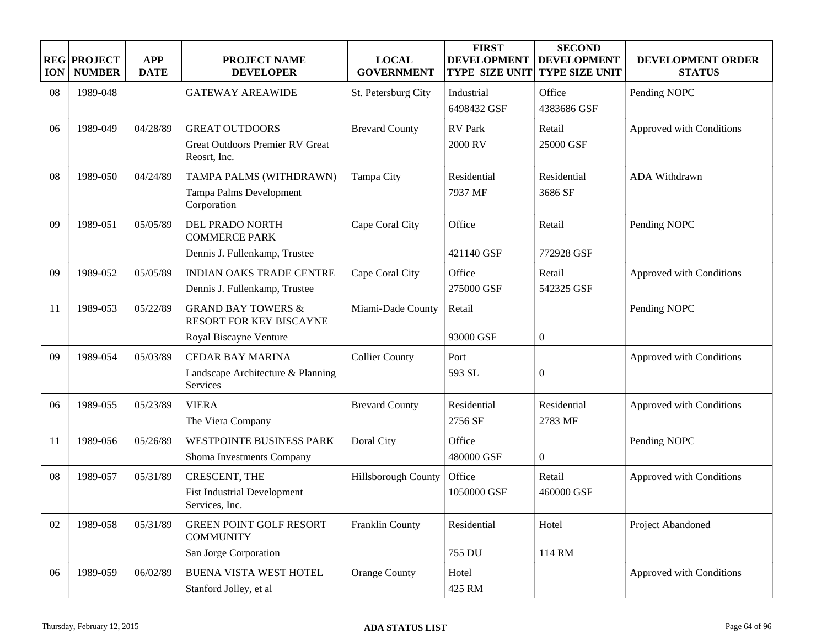| <b>ION</b> | <b>REG PROJECT</b><br><b>NUMBER</b> | <b>APP</b><br><b>DATE</b> | <b>PROJECT NAME</b><br><b>DEVELOPER</b>                                            | <b>LOCAL</b><br><b>GOVERNMENT</b> | <b>FIRST</b><br><b>DEVELOPMENT</b><br><b>TYPE SIZE UNIT</b> | <b>SECOND</b><br><b>DEVELOPMENT</b><br><b>TYPE SIZE UNIT</b> | DEVELOPMENT ORDER<br><b>STATUS</b> |
|------------|-------------------------------------|---------------------------|------------------------------------------------------------------------------------|-----------------------------------|-------------------------------------------------------------|--------------------------------------------------------------|------------------------------------|
| 08         | 1989-048                            |                           | <b>GATEWAY AREAWIDE</b>                                                            | St. Petersburg City               | Industrial<br>6498432 GSF                                   | Office<br>4383686 GSF                                        | Pending NOPC                       |
| 06         | 1989-049                            | 04/28/89                  | <b>GREAT OUTDOORS</b><br><b>Great Outdoors Premier RV Great</b><br>Reosrt, Inc.    | <b>Brevard County</b>             | <b>RV</b> Park<br>2000 RV                                   | Retail<br>25000 GSF                                          | Approved with Conditions           |
| 08         | 1989-050                            | 04/24/89                  | TAMPA PALMS (WITHDRAWN)<br>Tampa Palms Development<br>Corporation                  | Tampa City                        | Residential<br>7937 MF                                      | Residential<br>3686 SF                                       | ADA Withdrawn                      |
| 09         | 1989-051                            | 05/05/89                  | DEL PRADO NORTH<br><b>COMMERCE PARK</b><br>Dennis J. Fullenkamp, Trustee           | Cape Coral City                   | Office<br>421140 GSF                                        | Retail<br>772928 GSF                                         | Pending NOPC                       |
| 09         | 1989-052                            | 05/05/89                  | <b>INDIAN OAKS TRADE CENTRE</b><br>Dennis J. Fullenkamp, Trustee                   | Cape Coral City                   | Office<br>275000 GSF                                        | Retail<br>542325 GSF                                         | Approved with Conditions           |
| 11         | 1989-053                            | 05/22/89                  | <b>GRAND BAY TOWERS &amp;</b><br>RESORT FOR KEY BISCAYNE<br>Royal Biscayne Venture | Miami-Dade County                 | Retail<br>93000 GSF                                         | $\boldsymbol{0}$                                             | Pending NOPC                       |
| 09         | 1989-054                            | 05/03/89                  | <b>CEDAR BAY MARINA</b><br>Landscape Architecture & Planning<br>Services           | <b>Collier County</b>             | Port<br>593 SL                                              | $\boldsymbol{0}$                                             | Approved with Conditions           |
| 06         | 1989-055                            | 05/23/89                  | <b>VIERA</b><br>The Viera Company                                                  | <b>Brevard County</b>             | Residential<br>2756 SF                                      | Residential<br>2783 MF                                       | Approved with Conditions           |
| 11         | 1989-056                            | 05/26/89                  | <b>WESTPOINTE BUSINESS PARK</b><br>Shoma Investments Company                       | Doral City                        | Office<br>480000 GSF                                        | $\overline{0}$                                               | Pending NOPC                       |
| 08         | 1989-057                            | 05/31/89                  | CRESCENT, THE<br><b>Fist Industrial Development</b><br>Services, Inc.              | Hillsborough County               | Office<br>1050000 GSF                                       | Retail<br>460000 GSF                                         | Approved with Conditions           |
| 02         | 1989-058                            | 05/31/89                  | GREEN POINT GOLF RESORT<br><b>COMMUNITY</b><br>San Jorge Corporation               | Franklin County                   | Residential<br>755 DU                                       | Hotel<br>114 RM                                              | Project Abandoned                  |
| 06         | 1989-059                            | 06/02/89                  | BUENA VISTA WEST HOTEL<br>Stanford Jolley, et al                                   | <b>Orange County</b>              | Hotel<br>425 RM                                             |                                                              | Approved with Conditions           |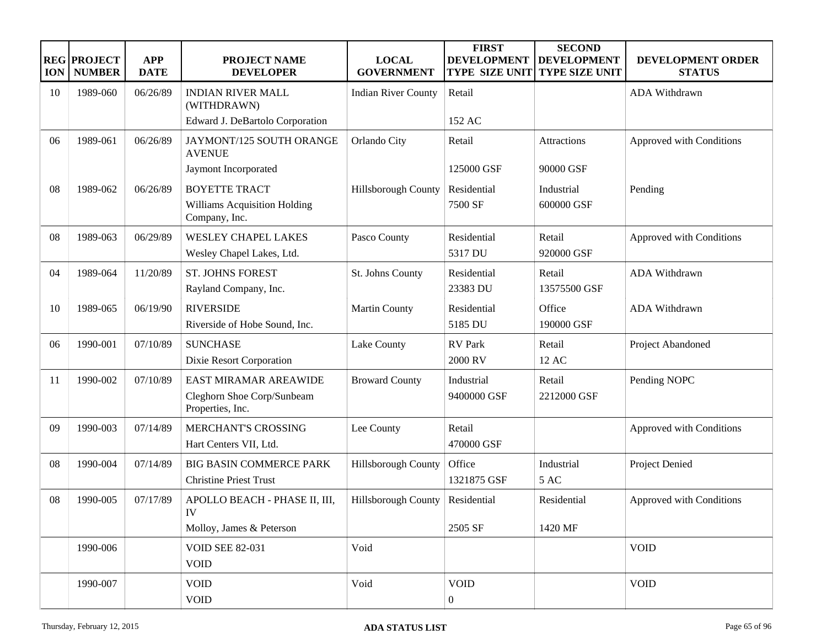| <b>ION</b> | <b>REG PROJECT</b><br><b>NUMBER</b> | <b>APP</b><br><b>DATE</b> | <b>PROJECT NAME</b><br><b>DEVELOPER</b>        | <b>LOCAL</b><br><b>GOVERNMENT</b> | <b>FIRST</b><br><b>DEVELOPMENT</b><br><b>TYPE SIZE UNIT</b> | <b>SECOND</b><br><b>DEVELOPMENT</b><br><b>TYPE SIZE UNIT</b> | DEVELOPMENT ORDER<br><b>STATUS</b> |
|------------|-------------------------------------|---------------------------|------------------------------------------------|-----------------------------------|-------------------------------------------------------------|--------------------------------------------------------------|------------------------------------|
| 10         | 1989-060                            | 06/26/89                  | <b>INDIAN RIVER MALL</b><br>(WITHDRAWN)        | <b>Indian River County</b>        | Retail                                                      |                                                              | ADA Withdrawn                      |
|            |                                     |                           | Edward J. DeBartolo Corporation                |                                   | 152 AC                                                      |                                                              |                                    |
| 06         | 1989-061                            | 06/26/89                  | JAYMONT/125 SOUTH ORANGE<br><b>AVENUE</b>      | Orlando City                      | Retail                                                      | <b>Attractions</b>                                           | Approved with Conditions           |
|            |                                     |                           | Jaymont Incorporated                           |                                   | 125000 GSF                                                  | 90000 GSF                                                    |                                    |
| 08         | 1989-062                            | 06/26/89                  | <b>BOYETTE TRACT</b>                           | <b>Hillsborough County</b>        | Residential                                                 | Industrial                                                   | Pending                            |
|            |                                     |                           | Williams Acquisition Holding<br>Company, Inc.  |                                   | 7500 SF                                                     | 600000 GSF                                                   |                                    |
| 08         | 1989-063                            | 06/29/89                  | <b>WESLEY CHAPEL LAKES</b>                     | Pasco County                      | Residential                                                 | Retail                                                       | Approved with Conditions           |
|            |                                     |                           | Wesley Chapel Lakes, Ltd.                      |                                   | 5317 DU                                                     | 920000 GSF                                                   |                                    |
| 04         | 1989-064                            | 11/20/89                  | <b>ST. JOHNS FOREST</b>                        | St. Johns County                  | Residential                                                 | Retail                                                       | ADA Withdrawn                      |
|            |                                     |                           | Rayland Company, Inc.                          |                                   | 23383 DU                                                    | 13575500 GSF                                                 |                                    |
| 10         | 1989-065                            | 06/19/90                  | <b>RIVERSIDE</b>                               | <b>Martin County</b>              | Residential                                                 | Office                                                       | ADA Withdrawn                      |
|            |                                     |                           | Riverside of Hobe Sound, Inc.                  |                                   | 5185 DU                                                     | 190000 GSF                                                   |                                    |
| 06         | 1990-001                            | 07/10/89                  | <b>SUNCHASE</b>                                | Lake County                       | <b>RV</b> Park                                              | Retail                                                       | Project Abandoned                  |
|            |                                     |                           | Dixie Resort Corporation                       |                                   | 2000 RV                                                     | 12 AC                                                        |                                    |
| 11         | 1990-002                            | 07/10/89                  | EAST MIRAMAR AREAWIDE                          | <b>Broward County</b>             | Industrial                                                  | Retail                                                       | Pending NOPC                       |
|            |                                     |                           | Cleghorn Shoe Corp/Sunbeam<br>Properties, Inc. |                                   | 9400000 GSF                                                 | 2212000 GSF                                                  |                                    |
| 09         | 1990-003                            | 07/14/89                  | MERCHANT'S CROSSING                            | Lee County                        | Retail                                                      |                                                              | Approved with Conditions           |
|            |                                     |                           | Hart Centers VII, Ltd.                         |                                   | 470000 GSF                                                  |                                                              |                                    |
| 08         | 1990-004                            | 07/14/89                  | <b>BIG BASIN COMMERCE PARK</b>                 | Hillsborough County               | Office                                                      | Industrial                                                   | Project Denied                     |
|            |                                     |                           | <b>Christine Priest Trust</b>                  |                                   | 1321875 GSF                                                 | 5 AC                                                         |                                    |
| 08         | 1990-005                            | 07/17/89                  | APOLLO BEACH - PHASE II, III,<br>IV            | Hillsborough County               | Residential                                                 | Residential                                                  | Approved with Conditions           |
|            |                                     |                           | Molloy, James & Peterson                       |                                   | 2505 SF                                                     | 1420 MF                                                      |                                    |
|            | 1990-006                            |                           | <b>VOID SEE 82-031</b>                         | Void                              |                                                             |                                                              | <b>VOID</b>                        |
|            |                                     |                           | <b>VOID</b>                                    |                                   |                                                             |                                                              |                                    |
|            | 1990-007                            |                           | <b>VOID</b>                                    | Void                              | <b>VOID</b>                                                 |                                                              | <b>VOID</b>                        |
|            |                                     |                           | <b>VOID</b>                                    |                                   | $\overline{0}$                                              |                                                              |                                    |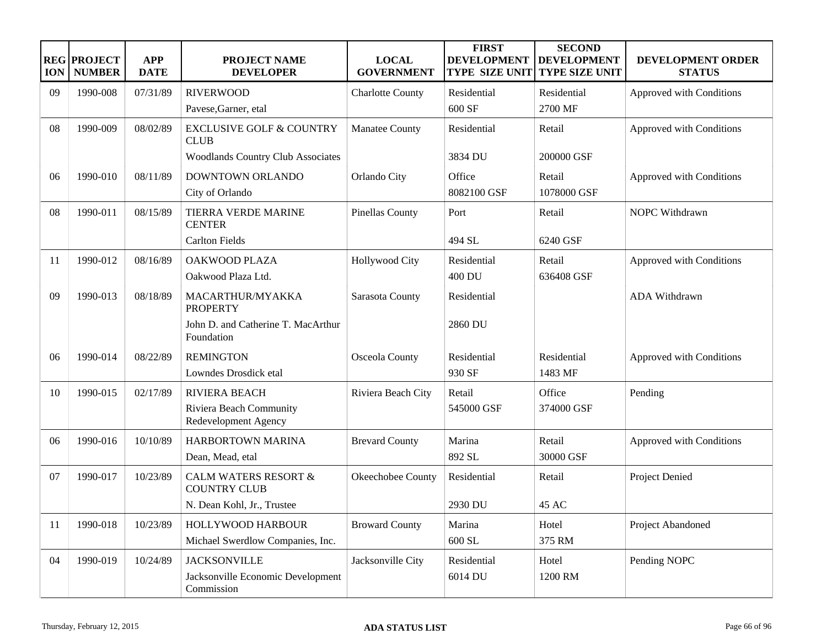| <b>ION</b> | <b>REG PROJECT</b><br><b>NUMBER</b> | <b>APP</b><br><b>DATE</b> | <b>PROJECT NAME</b><br><b>DEVELOPER</b>                | <b>LOCAL</b><br><b>GOVERNMENT</b> | <b>FIRST</b><br><b>DEVELOPMENT</b><br><b>TYPE SIZE UNIT</b> | <b>SECOND</b><br><b>DEVELOPMENT</b><br><b>TYPE SIZE UNIT</b> | DEVELOPMENT ORDER<br><b>STATUS</b> |
|------------|-------------------------------------|---------------------------|--------------------------------------------------------|-----------------------------------|-------------------------------------------------------------|--------------------------------------------------------------|------------------------------------|
| 09         | 1990-008                            | 07/31/89                  | <b>RIVERWOOD</b>                                       | <b>Charlotte County</b>           | Residential                                                 | Residential                                                  | Approved with Conditions           |
|            |                                     |                           | Pavese, Garner, etal                                   |                                   | 600 SF                                                      | 2700 MF                                                      |                                    |
| 08         | 1990-009                            | 08/02/89                  | <b>EXCLUSIVE GOLF &amp; COUNTRY</b><br><b>CLUB</b>     | Manatee County                    | Residential                                                 | Retail                                                       | Approved with Conditions           |
|            |                                     |                           | <b>Woodlands Country Club Associates</b>               |                                   | 3834 DU                                                     | 200000 GSF                                                   |                                    |
| 06         | 1990-010                            | 08/11/89                  | DOWNTOWN ORLANDO                                       | Orlando City                      | Office                                                      | Retail                                                       | Approved with Conditions           |
|            |                                     |                           | City of Orlando                                        |                                   | 8082100 GSF                                                 | 1078000 GSF                                                  |                                    |
| 08         | 1990-011                            | 08/15/89                  | TIERRA VERDE MARINE<br><b>CENTER</b>                   | <b>Pinellas County</b>            | Port                                                        | Retail                                                       | NOPC Withdrawn                     |
|            |                                     |                           | <b>Carlton Fields</b>                                  |                                   | 494 SL                                                      | 6240 GSF                                                     |                                    |
| 11         | 1990-012                            | 08/16/89                  | OAKWOOD PLAZA                                          | Hollywood City                    | Residential                                                 | Retail                                                       | Approved with Conditions           |
|            |                                     |                           | Oakwood Plaza Ltd.                                     |                                   | 400 DU                                                      | 636408 GSF                                                   |                                    |
| 09         | 1990-013                            | 08/18/89                  | MACARTHUR/MYAKKA<br><b>PROPERTY</b>                    | Sarasota County                   | Residential                                                 |                                                              | ADA Withdrawn                      |
|            |                                     |                           | John D. and Catherine T. MacArthur<br>Foundation       |                                   | 2860 DU                                                     |                                                              |                                    |
| 06         | 1990-014                            | 08/22/89                  | <b>REMINGTON</b>                                       | Osceola County                    | Residential                                                 | Residential                                                  | Approved with Conditions           |
|            |                                     |                           | Lowndes Drosdick etal                                  |                                   | 930 SF                                                      | 1483 MF                                                      |                                    |
| 10         | 1990-015                            | 02/17/89                  | <b>RIVIERA BEACH</b>                                   | Riviera Beach City                | Retail                                                      | Office                                                       | Pending                            |
|            |                                     |                           | Riviera Beach Community<br>Redevelopment Agency        |                                   | 545000 GSF                                                  | 374000 GSF                                                   |                                    |
| 06         | 1990-016                            | 10/10/89                  | HARBORTOWN MARINA                                      | <b>Brevard County</b>             | Marina                                                      | Retail                                                       | Approved with Conditions           |
|            |                                     |                           | Dean, Mead, etal                                       |                                   | 892 SL                                                      | 30000 GSF                                                    |                                    |
| 07         | 1990-017                            | 10/23/89                  | <b>CALM WATERS RESORT &amp;</b><br><b>COUNTRY CLUB</b> | Okeechobee County                 | Residential                                                 | Retail                                                       | Project Denied                     |
|            |                                     |                           | N. Dean Kohl, Jr., Trustee                             |                                   | 2930 DU                                                     | 45 AC                                                        |                                    |
| 11         | 1990-018                            | 10/23/89                  | HOLLYWOOD HARBOUR                                      | <b>Broward County</b>             | Marina                                                      | Hotel                                                        | Project Abandoned                  |
|            |                                     |                           | Michael Swerdlow Companies, Inc.                       |                                   | $600~\mathrm{SL}$                                           | 375 RM                                                       |                                    |
| 04         | 1990-019                            | 10/24/89                  | <b>JACKSONVILLE</b>                                    | Jacksonville City                 | Residential                                                 | Hotel                                                        | Pending NOPC                       |
|            |                                     |                           | Jacksonville Economic Development<br>Commission        |                                   | 6014 DU                                                     | 1200 RM                                                      |                                    |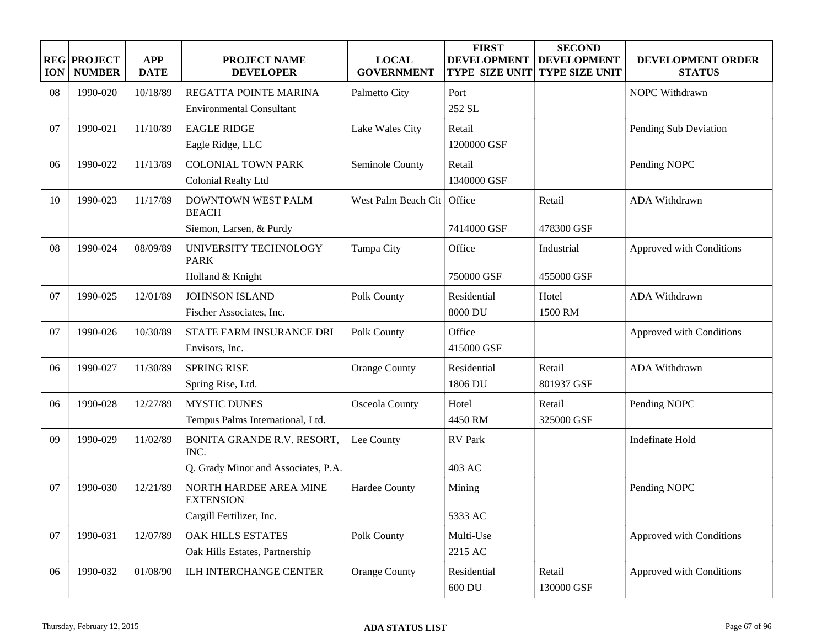| <b>ION</b> | <b>REG PROJECT</b><br><b>NUMBER</b> | <b>APP</b><br><b>DATE</b> | <b>PROJECT NAME</b><br><b>DEVELOPER</b>    | <b>LOCAL</b><br><b>GOVERNMENT</b> | <b>FIRST</b><br><b>DEVELOPMENT</b><br>TYPE SIZE UNIT | <b>SECOND</b><br><b>DEVELOPMENT</b><br><b>TYPE SIZE UNIT</b> | DEVELOPMENT ORDER<br><b>STATUS</b> |
|------------|-------------------------------------|---------------------------|--------------------------------------------|-----------------------------------|------------------------------------------------------|--------------------------------------------------------------|------------------------------------|
| 08         | 1990-020                            | 10/18/89                  | REGATTA POINTE MARINA                      | Palmetto City                     | Port                                                 |                                                              | NOPC Withdrawn                     |
|            |                                     |                           | <b>Environmental Consultant</b>            |                                   | 252 SL                                               |                                                              |                                    |
| 07         | 1990-021                            | 11/10/89                  | <b>EAGLE RIDGE</b>                         | Lake Wales City                   | Retail                                               |                                                              | Pending Sub Deviation              |
|            |                                     |                           | Eagle Ridge, LLC                           |                                   | 1200000 GSF                                          |                                                              |                                    |
| 06         | 1990-022                            | 11/13/89                  | <b>COLONIAL TOWN PARK</b>                  | Seminole County                   | Retail                                               |                                                              | Pending NOPC                       |
|            |                                     |                           | Colonial Realty Ltd                        |                                   | 1340000 GSF                                          |                                                              |                                    |
| 10         | 1990-023                            | 11/17/89                  | DOWNTOWN WEST PALM<br><b>BEACH</b>         | West Palm Beach Cit   Office      |                                                      | Retail                                                       | ADA Withdrawn                      |
|            |                                     |                           | Siemon, Larsen, & Purdy                    |                                   | 7414000 GSF                                          | 478300 GSF                                                   |                                    |
| 08         | 1990-024                            | 08/09/89                  | UNIVERSITY TECHNOLOGY<br><b>PARK</b>       | Tampa City                        | Office                                               | Industrial                                                   | Approved with Conditions           |
|            |                                     |                           | Holland & Knight                           |                                   | 750000 GSF                                           | 455000 GSF                                                   |                                    |
| 07         | 1990-025                            | 12/01/89                  | <b>JOHNSON ISLAND</b>                      | Polk County                       | Residential                                          | Hotel                                                        | ADA Withdrawn                      |
|            |                                     |                           | Fischer Associates, Inc.                   |                                   | 8000 DU                                              | 1500 RM                                                      |                                    |
| 07         | 1990-026                            | 10/30/89                  | STATE FARM INSURANCE DRI                   | Polk County                       | Office                                               |                                                              | Approved with Conditions           |
|            |                                     |                           | Envisors, Inc.                             |                                   | 415000 GSF                                           |                                                              |                                    |
| 06         | 1990-027                            | 11/30/89                  | <b>SPRING RISE</b>                         | <b>Orange County</b>              | Residential                                          | Retail                                                       | ADA Withdrawn                      |
|            |                                     |                           | Spring Rise, Ltd.                          |                                   | 1806 DU                                              | 801937 GSF                                                   |                                    |
| 06         | 1990-028                            | 12/27/89                  | <b>MYSTIC DUNES</b>                        | Osceola County                    | Hotel                                                | Retail                                                       | Pending NOPC                       |
|            |                                     |                           | Tempus Palms International, Ltd.           |                                   | 4450 RM                                              | 325000 GSF                                                   |                                    |
| 09         | 1990-029                            | 11/02/89                  | BONITA GRANDE R.V. RESORT,<br>INC.         | Lee County                        | <b>RV</b> Park                                       |                                                              | Indefinate Hold                    |
|            |                                     |                           | Q. Grady Minor and Associates, P.A.        |                                   | 403 AC                                               |                                                              |                                    |
| 07         | 1990-030                            | 12/21/89                  | NORTH HARDEE AREA MINE<br><b>EXTENSION</b> | Hardee County                     | Mining                                               |                                                              | Pending NOPC                       |
|            |                                     |                           | Cargill Fertilizer, Inc.                   |                                   | 5333 AC                                              |                                                              |                                    |
| 07         | 1990-031                            | 12/07/89                  | <b>OAK HILLS ESTATES</b>                   | Polk County                       | Multi-Use                                            |                                                              | Approved with Conditions           |
|            |                                     |                           | Oak Hills Estates, Partnership             |                                   | 2215 AC                                              |                                                              |                                    |
| 06         | 1990-032                            | 01/08/90                  | ILH INTERCHANGE CENTER                     | <b>Orange County</b>              | Residential<br>600 DU                                | Retail<br>130000 GSF                                         | Approved with Conditions           |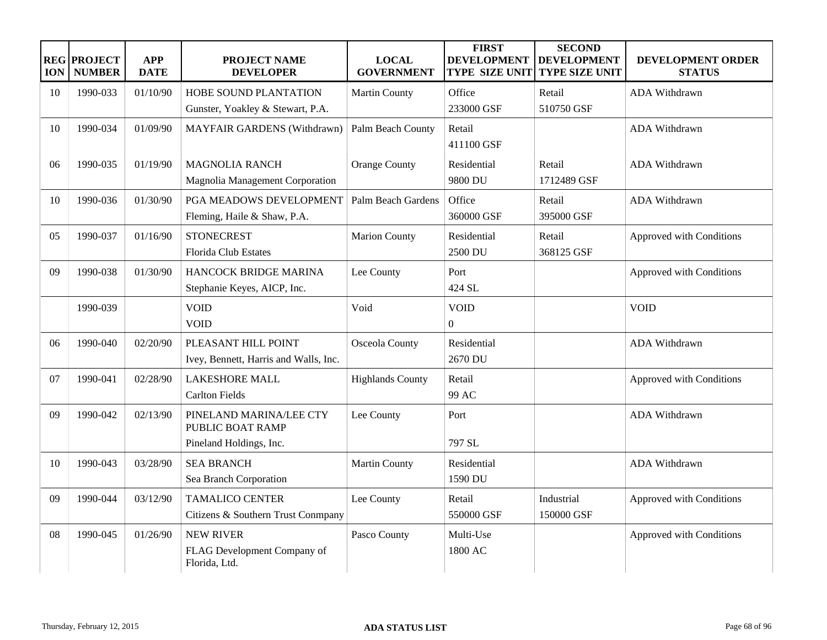| <b>ION</b> | <b>REG PROJECT</b><br><b>NUMBER</b> | <b>APP</b><br><b>DATE</b> | <b>PROJECT NAME</b><br><b>DEVELOPER</b>                                | <b>LOCAL</b><br><b>GOVERNMENT</b> | <b>FIRST</b><br><b>DEVELOPMENT</b><br><b>TYPE SIZE UNIT</b> | <b>SECOND</b><br><b>DEVELOPMENT</b><br><b>TYPE SIZE UNIT</b> | DEVELOPMENT ORDER<br><b>STATUS</b> |
|------------|-------------------------------------|---------------------------|------------------------------------------------------------------------|-----------------------------------|-------------------------------------------------------------|--------------------------------------------------------------|------------------------------------|
| 10         | 1990-033                            | 01/10/90                  | <b>HOBE SOUND PLANTATION</b>                                           | <b>Martin County</b>              | Office                                                      | Retail                                                       | <b>ADA Withdrawn</b>               |
|            |                                     |                           | Gunster, Yoakley & Stewart, P.A.                                       |                                   | 233000 GSF                                                  | 510750 GSF                                                   |                                    |
| 10         | 1990-034                            | 01/09/90                  | <b>MAYFAIR GARDENS (Withdrawn)</b>                                     | Palm Beach County                 | Retail<br>411100 GSF                                        |                                                              | <b>ADA Withdrawn</b>               |
| 06         | 1990-035                            | 01/19/90                  | <b>MAGNOLIA RANCH</b><br>Magnolia Management Corporation               | <b>Orange County</b>              | Residential<br>9800 DU                                      | Retail<br>1712489 GSF                                        | ADA Withdrawn                      |
| 10         | 1990-036                            | 01/30/90                  | PGA MEADOWS DEVELOPMENT<br>Fleming, Haile & Shaw, P.A.                 | <b>Palm Beach Gardens</b>         | Office<br>360000 GSF                                        | Retail<br>395000 GSF                                         | ADA Withdrawn                      |
| 05         | 1990-037                            | 01/16/90                  | <b>STONECREST</b><br><b>Florida Club Estates</b>                       | <b>Marion County</b>              | Residential<br>2500 DU                                      | Retail<br>368125 GSF                                         | Approved with Conditions           |
| 09         | 1990-038                            | 01/30/90                  | HANCOCK BRIDGE MARINA<br>Stephanie Keyes, AICP, Inc.                   | Lee County                        | Port<br>424 SL                                              |                                                              | Approved with Conditions           |
|            | 1990-039                            |                           | <b>VOID</b><br><b>VOID</b>                                             | Void                              | <b>VOID</b><br>$\overline{0}$                               |                                                              | <b>VOID</b>                        |
| 06         | 1990-040                            | 02/20/90                  | PLEASANT HILL POINT<br>Ivey, Bennett, Harris and Walls, Inc.           | Osceola County                    | Residential<br>2670 DU                                      |                                                              | <b>ADA Withdrawn</b>               |
| 07         | 1990-041                            | 02/28/90                  | <b>LAKESHORE MALL</b><br><b>Carlton Fields</b>                         | <b>Highlands County</b>           | Retail<br>99 AC                                             |                                                              | Approved with Conditions           |
| 09         | 1990-042                            | 02/13/90                  | PINELAND MARINA/LEE CTY<br>PUBLIC BOAT RAMP<br>Pineland Holdings, Inc. | Lee County                        | Port<br>797 SL                                              |                                                              | <b>ADA Withdrawn</b>               |
| 10         | 1990-043                            | 03/28/90                  | <b>SEA BRANCH</b><br>Sea Branch Corporation                            | <b>Martin County</b>              | Residential<br>1590 DU                                      |                                                              | <b>ADA Withdrawn</b>               |
| 09         | 1990-044                            | 03/12/90                  | <b>TAMALICO CENTER</b><br>Citizens & Southern Trust Conmpany           | Lee County                        | Retail<br>550000 GSF                                        | Industrial<br>150000 GSF                                     | Approved with Conditions           |
| 08         | 1990-045                            | 01/26/90                  | <b>NEW RIVER</b><br>FLAG Development Company of<br>Florida, Ltd.       | Pasco County                      | Multi-Use<br>1800 AC                                        |                                                              | Approved with Conditions           |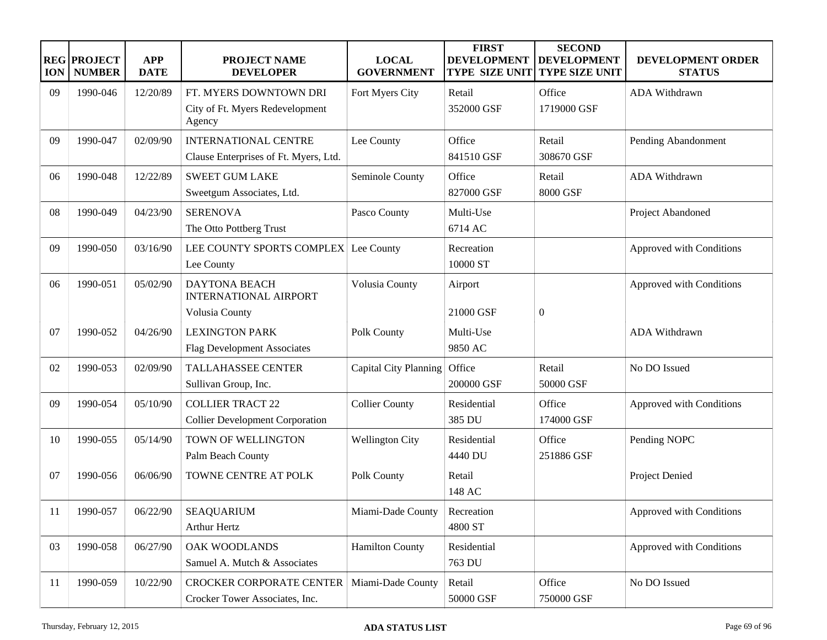| <b>ION</b> | <b>REG PROJECT</b><br><b>NUMBER</b> | <b>APP</b><br><b>DATE</b> | <b>PROJECT NAME</b><br><b>DEVELOPER</b>                                | <b>LOCAL</b><br><b>GOVERNMENT</b> | <b>FIRST</b><br><b>DEVELOPMENT</b><br><b>TYPE SIZE UNIT</b> | <b>SECOND</b><br><b>DEVELOPMENT</b><br><b>TYPE SIZE UNIT</b> | DEVELOPMENT ORDER<br><b>STATUS</b> |
|------------|-------------------------------------|---------------------------|------------------------------------------------------------------------|-----------------------------------|-------------------------------------------------------------|--------------------------------------------------------------|------------------------------------|
| 09         | 1990-046                            | 12/20/89                  | FT. MYERS DOWNTOWN DRI<br>City of Ft. Myers Redevelopment<br>Agency    | Fort Myers City                   | Retail<br>352000 GSF                                        | Office<br>1719000 GSF                                        | ADA Withdrawn                      |
| 09         | 1990-047                            | 02/09/90                  | <b>INTERNATIONAL CENTRE</b><br>Clause Enterprises of Ft. Myers, Ltd.   | Lee County                        | Office<br>841510 GSF                                        | Retail<br>308670 GSF                                         | Pending Abandonment                |
| 06         | 1990-048                            | 12/22/89                  | <b>SWEET GUM LAKE</b><br>Sweetgum Associates, Ltd.                     | Seminole County                   | Office<br>827000 GSF                                        | Retail<br>8000 GSF                                           | <b>ADA Withdrawn</b>               |
| 08         | 1990-049                            | 04/23/90                  | <b>SERENOVA</b><br>The Otto Pottberg Trust                             | Pasco County                      | Multi-Use<br>6714 AC                                        |                                                              | Project Abandoned                  |
| 09         | 1990-050                            | 03/16/90                  | LEE COUNTY SPORTS COMPLEX Lee County<br>Lee County                     |                                   | Recreation<br>10000 ST                                      |                                                              | Approved with Conditions           |
| 06         | 1990-051                            | 05/02/90                  | <b>DAYTONA BEACH</b><br><b>INTERNATIONAL AIRPORT</b><br>Volusia County | Volusia County                    | Airport<br>21000 GSF                                        | $\overline{0}$                                               | Approved with Conditions           |
| 07         | 1990-052                            | 04/26/90                  | <b>LEXINGTON PARK</b><br><b>Flag Development Associates</b>            | Polk County                       | Multi-Use<br>9850 AC                                        |                                                              | <b>ADA Withdrawn</b>               |
| 02         | 1990-053                            | 02/09/90                  | <b>TALLAHASSEE CENTER</b><br>Sullivan Group, Inc.                      | Capital City Planning             | Office<br>200000 GSF                                        | Retail<br>50000 GSF                                          | No DO Issued                       |
| 09         | 1990-054                            | 05/10/90                  | <b>COLLIER TRACT 22</b><br><b>Collier Development Corporation</b>      | <b>Collier County</b>             | Residential<br>385 DU                                       | Office<br>174000 GSF                                         | Approved with Conditions           |
| 10         | 1990-055                            | 05/14/90                  | TOWN OF WELLINGTON<br>Palm Beach County                                | <b>Wellington City</b>            | Residential<br>4440 DU                                      | Office<br>251886 GSF                                         | Pending NOPC                       |
| 07         | 1990-056                            | 06/06/90                  | TOWNE CENTRE AT POLK                                                   | Polk County                       | Retail<br>148 AC                                            |                                                              | Project Denied                     |
| 11         | 1990-057                            | 06/22/90                  | <b>SEAQUARIUM</b><br>Arthur Hertz                                      | Miami-Dade County                 | Recreation<br>4800 ST                                       |                                                              | Approved with Conditions           |
| 03         | 1990-058                            | 06/27/90                  | OAK WOODLANDS<br>Samuel A. Mutch & Associates                          | <b>Hamilton County</b>            | Residential<br>763 DU                                       |                                                              | Approved with Conditions           |
| 11         | 1990-059                            | 10/22/90                  | <b>CROCKER CORPORATE CENTER</b><br>Crocker Tower Associates, Inc.      | Miami-Dade County                 | Retail<br>50000 GSF                                         | Office<br>750000 GSF                                         | No DO Issued                       |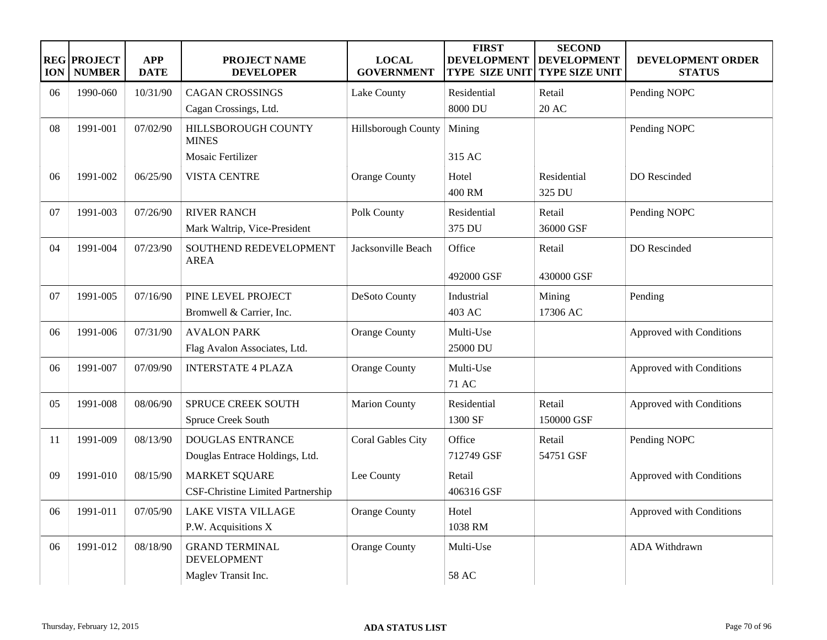| <b>ION</b> | <b>REG PROJECT</b><br><b>NUMBER</b> | <b>APP</b><br><b>DATE</b> | PROJECT NAME<br><b>DEVELOPER</b>                                   | <b>LOCAL</b><br><b>GOVERNMENT</b> | <b>FIRST</b><br><b>DEVELOPMENT</b><br><b>TYPE SIZE UNIT</b> | <b>SECOND</b><br><b>DEVELOPMENT</b><br><b>TYPE SIZE UNIT</b> | DEVELOPMENT ORDER<br><b>STATUS</b> |
|------------|-------------------------------------|---------------------------|--------------------------------------------------------------------|-----------------------------------|-------------------------------------------------------------|--------------------------------------------------------------|------------------------------------|
| 06         | 1990-060                            | 10/31/90                  | <b>CAGAN CROSSINGS</b>                                             | Lake County                       | Residential                                                 | Retail                                                       | Pending NOPC                       |
|            |                                     |                           | Cagan Crossings, Ltd.                                              |                                   | 8000 DU                                                     | <b>20 AC</b>                                                 |                                    |
| 08         | 1991-001                            | 07/02/90                  | HILLSBOROUGH COUNTY<br><b>MINES</b>                                | Hillsborough County               | Mining                                                      |                                                              | Pending NOPC                       |
|            |                                     |                           | Mosaic Fertilizer                                                  |                                   | 315 AC                                                      |                                                              |                                    |
| 06         | 1991-002                            | 06/25/90                  | <b>VISTA CENTRE</b>                                                | <b>Orange County</b>              | Hotel<br>400 RM                                             | Residential<br>325 DU                                        | DO Rescinded                       |
| 07         | 1991-003                            | 07/26/90                  | <b>RIVER RANCH</b><br>Mark Waltrip, Vice-President                 | Polk County                       | Residential<br>375 DU                                       | Retail<br>36000 GSF                                          | Pending NOPC                       |
| 04         | 1991-004                            | 07/23/90                  | SOUTHEND REDEVELOPMENT<br><b>AREA</b>                              | Jacksonville Beach                | Office<br>492000 GSF                                        | Retail<br>430000 GSF                                         | DO Rescinded                       |
| 07         | 1991-005                            | 07/16/90                  | PINE LEVEL PROJECT<br>Bromwell & Carrier, Inc.                     | <b>DeSoto County</b>              | Industrial<br>403 AC                                        | Mining<br>17306 AC                                           | Pending                            |
| 06         | 1991-006                            | 07/31/90                  | <b>AVALON PARK</b><br>Flag Avalon Associates, Ltd.                 | <b>Orange County</b>              | Multi-Use<br>25000 DU                                       |                                                              | Approved with Conditions           |
| 06         | 1991-007                            | 07/09/90                  | <b>INTERSTATE 4 PLAZA</b>                                          | <b>Orange County</b>              | Multi-Use<br>71 AC                                          |                                                              | Approved with Conditions           |
| 05         | 1991-008                            | 08/06/90                  | <b>SPRUCE CREEK SOUTH</b><br>Spruce Creek South                    | <b>Marion County</b>              | Residential<br>1300 SF                                      | Retail<br>150000 GSF                                         | Approved with Conditions           |
| 11         | 1991-009                            | 08/13/90                  | <b>DOUGLAS ENTRANCE</b><br>Douglas Entrace Holdings, Ltd.          | Coral Gables City                 | Office<br>712749 GSF                                        | Retail<br>54751 GSF                                          | Pending NOPC                       |
| 09         | 1991-010                            | 08/15/90                  | <b>MARKET SQUARE</b><br>CSF-Christine Limited Partnership          | Lee County                        | Retail<br>406316 GSF                                        |                                                              | Approved with Conditions           |
| 06         | 1991-011                            | 07/05/90                  | <b>LAKE VISTA VILLAGE</b><br>P.W. Acquisitions X                   | Orange County                     | Hotel<br>1038 RM                                            |                                                              | Approved with Conditions           |
| 06         | 1991-012                            | 08/18/90                  | <b>GRAND TERMINAL</b><br><b>DEVELOPMENT</b><br>Maglev Transit Inc. | <b>Orange County</b>              | Multi-Use<br><b>58 AC</b>                                   |                                                              | ADA Withdrawn                      |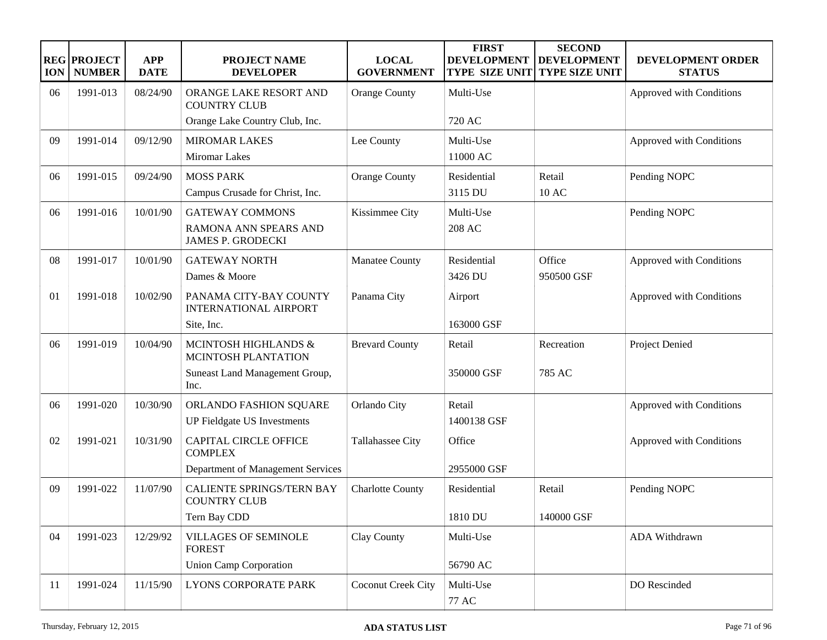| <b>ION</b> | <b>REG PROJECT</b><br><b>NUMBER</b> | <b>APP</b><br><b>DATE</b> | <b>PROJECT NAME</b><br><b>DEVELOPER</b>                                             | <b>LOCAL</b><br><b>GOVERNMENT</b> | <b>FIRST</b><br><b>DEVELOPMENT</b><br><b>TYPE SIZE UNIT</b> | <b>SECOND</b><br><b>DEVELOPMENT</b><br><b>TYPE SIZE UNIT</b> | DEVELOPMENT ORDER<br><b>STATUS</b> |
|------------|-------------------------------------|---------------------------|-------------------------------------------------------------------------------------|-----------------------------------|-------------------------------------------------------------|--------------------------------------------------------------|------------------------------------|
| 06         | 1991-013                            | 08/24/90                  | ORANGE LAKE RESORT AND<br><b>COUNTRY CLUB</b>                                       | <b>Orange County</b>              | Multi-Use                                                   |                                                              | Approved with Conditions           |
|            |                                     |                           | Orange Lake Country Club, Inc.                                                      |                                   | 720 AC                                                      |                                                              |                                    |
| 09         | 1991-014                            | 09/12/90                  | <b>MIROMAR LAKES</b><br>Miromar Lakes                                               | Lee County                        | Multi-Use<br>11000 AC                                       |                                                              | Approved with Conditions           |
| 06         | 1991-015                            | 09/24/90                  | <b>MOSS PARK</b><br>Campus Crusade for Christ, Inc.                                 | <b>Orange County</b>              | Residential<br>3115 DU                                      | Retail<br>10 AC                                              | Pending NOPC                       |
| 06         | 1991-016                            | 10/01/90                  | <b>GATEWAY COMMONS</b><br>RAMONA ANN SPEARS AND<br><b>JAMES P. GRODECKI</b>         | Kissimmee City                    | Multi-Use<br>208 AC                                         |                                                              | Pending NOPC                       |
| 08         | 1991-017                            | 10/01/90                  | <b>GATEWAY NORTH</b><br>Dames & Moore                                               | Manatee County                    | Residential<br>3426 DU                                      | Office<br>950500 GSF                                         | Approved with Conditions           |
| 01         | 1991-018                            | 10/02/90                  | PANAMA CITY-BAY COUNTY<br><b>INTERNATIONAL AIRPORT</b><br>Site, Inc.                | Panama City                       | Airport<br>163000 GSF                                       |                                                              | Approved with Conditions           |
| 06         | 1991-019                            | 10/04/90                  | MCINTOSH HIGHLANDS &<br>MCINTOSH PLANTATION<br>Suneast Land Management Group,       | <b>Brevard County</b>             | Retail<br>350000 GSF                                        | Recreation<br>785 AC                                         | Project Denied                     |
|            |                                     |                           | Inc.                                                                                |                                   |                                                             |                                                              |                                    |
| 06         | 1991-020                            | 10/30/90                  | ORLANDO FASHION SQUARE<br><b>UP Fieldgate US Investments</b>                        | Orlando City                      | Retail<br>1400138 GSF                                       |                                                              | Approved with Conditions           |
| 02         | 1991-021                            | 10/31/90                  | <b>CAPITAL CIRCLE OFFICE</b><br><b>COMPLEX</b><br>Department of Management Services | Tallahassee City                  | Office<br>2955000 GSF                                       |                                                              | Approved with Conditions           |
| 09         | 1991-022                            | 11/07/90                  | <b>CALIENTE SPRINGS/TERN BAY</b><br><b>COUNTRY CLUB</b><br>Tern Bay CDD             | <b>Charlotte County</b>           | Residential<br>1810 DU                                      | Retail<br>140000 GSF                                         | Pending NOPC                       |
| 04         | 1991-023                            | 12/29/92                  | <b>VILLAGES OF SEMINOLE</b><br><b>FOREST</b><br><b>Union Camp Corporation</b>       | Clay County                       | Multi-Use<br>56790 AC                                       |                                                              | ADA Withdrawn                      |
| 11         | 1991-024                            | 11/15/90                  | LYONS CORPORATE PARK                                                                | Coconut Creek City                | Multi-Use<br>77 AC                                          |                                                              | DO Rescinded                       |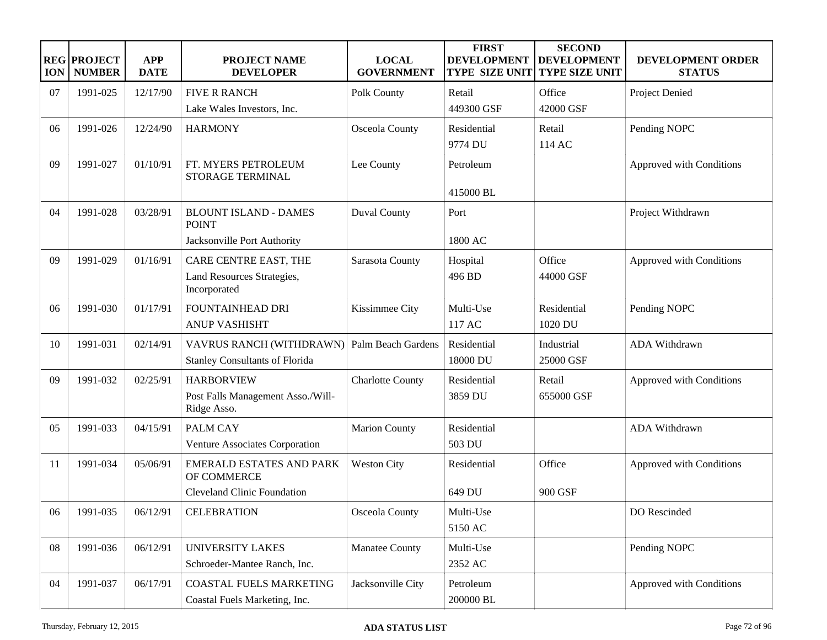| <b>ION</b> | <b>REG PROJECT</b><br><b>NUMBER</b> | <b>APP</b><br><b>DATE</b> | <b>PROJECT NAME</b><br><b>DEVELOPER</b>          | <b>LOCAL</b><br><b>GOVERNMENT</b> | <b>FIRST</b><br><b>DEVELOPMENT</b><br><b>TYPE SIZE UNIT</b> | <b>SECOND</b><br><b>DEVELOPMENT</b><br><b>TYPE SIZE UNIT</b> | DEVELOPMENT ORDER<br><b>STATUS</b> |
|------------|-------------------------------------|---------------------------|--------------------------------------------------|-----------------------------------|-------------------------------------------------------------|--------------------------------------------------------------|------------------------------------|
| 07         | 1991-025                            | 12/17/90                  | <b>FIVE R RANCH</b>                              | Polk County                       | Retail                                                      | Office                                                       | Project Denied                     |
|            |                                     |                           | Lake Wales Investors, Inc.                       |                                   | 449300 GSF                                                  | 42000 GSF                                                    |                                    |
| 06         | 1991-026                            | 12/24/90                  | <b>HARMONY</b>                                   | Osceola County                    | Residential                                                 | Retail                                                       | Pending NOPC                       |
|            |                                     |                           |                                                  |                                   | 9774 DU                                                     | 114 AC                                                       |                                    |
| 09         | 1991-027                            | 01/10/91                  | FT. MYERS PETROLEUM<br><b>STORAGE TERMINAL</b>   | Lee County                        | Petroleum                                                   |                                                              | Approved with Conditions           |
|            |                                     |                           |                                                  |                                   | 415000 BL                                                   |                                                              |                                    |
| 04         | 1991-028                            | 03/28/91                  | <b>BLOUNT ISLAND - DAMES</b><br><b>POINT</b>     | <b>Duval County</b>               | Port                                                        |                                                              | Project Withdrawn                  |
|            |                                     |                           | Jacksonville Port Authority                      |                                   | 1800 AC                                                     |                                                              |                                    |
| 09         | 1991-029                            | 01/16/91                  | CARE CENTRE EAST, THE                            | Sarasota County                   | Hospital                                                    | Office                                                       | Approved with Conditions           |
|            |                                     |                           | Land Resources Strategies,<br>Incorporated       |                                   | 496 BD                                                      | 44000 GSF                                                    |                                    |
| 06         | 1991-030                            | 01/17/91                  | FOUNTAINHEAD DRI                                 | Kissimmee City                    | Multi-Use                                                   | Residential                                                  | Pending NOPC                       |
|            |                                     |                           | <b>ANUP VASHISHT</b>                             |                                   | 117 AC                                                      | 1020 DU                                                      |                                    |
| 10         | 1991-031                            | 02/14/91                  | VAVRUS RANCH (WITHDRAWN)                         | Palm Beach Gardens                | Residential                                                 | Industrial                                                   | <b>ADA Withdrawn</b>               |
|            |                                     |                           | <b>Stanley Consultants of Florida</b>            |                                   | 18000 DU                                                    | 25000 GSF                                                    |                                    |
| 09         | 1991-032                            | 02/25/91                  | <b>HARBORVIEW</b>                                | <b>Charlotte County</b>           | Residential                                                 | Retail                                                       | Approved with Conditions           |
|            |                                     |                           | Post Falls Management Asso./Will-<br>Ridge Asso. |                                   | 3859 DU                                                     | 655000 GSF                                                   |                                    |
| 05         | 1991-033                            | 04/15/91                  | <b>PALM CAY</b>                                  | <b>Marion County</b>              | Residential                                                 |                                                              | ADA Withdrawn                      |
|            |                                     |                           | Venture Associates Corporation                   |                                   | 503 DU                                                      |                                                              |                                    |
| 11         | 1991-034                            | 05/06/91                  | <b>EMERALD ESTATES AND PARK</b><br>OF COMMERCE   | <b>Weston City</b>                | Residential                                                 | Office                                                       | Approved with Conditions           |
|            |                                     |                           | <b>Cleveland Clinic Foundation</b>               |                                   | 649 DU                                                      | 900 GSF                                                      |                                    |
| 06         | 1991-035                            | 06/12/91                  | <b>CELEBRATION</b>                               | Osceola County                    | Multi-Use                                                   |                                                              | DO Rescinded                       |
|            |                                     |                           |                                                  |                                   | 5150 AC                                                     |                                                              |                                    |
| 08         | 1991-036                            | 06/12/91                  | <b>UNIVERSITY LAKES</b>                          | <b>Manatee County</b>             | Multi-Use                                                   |                                                              | Pending NOPC                       |
|            |                                     |                           | Schroeder-Mantee Ranch, Inc.                     |                                   | 2352 AC                                                     |                                                              |                                    |
| 04         | 1991-037                            | 06/17/91                  | COASTAL FUELS MARKETING                          | Jacksonville City                 | Petroleum                                                   |                                                              | Approved with Conditions           |
|            |                                     |                           | Coastal Fuels Marketing, Inc.                    |                                   | 200000 BL                                                   |                                                              |                                    |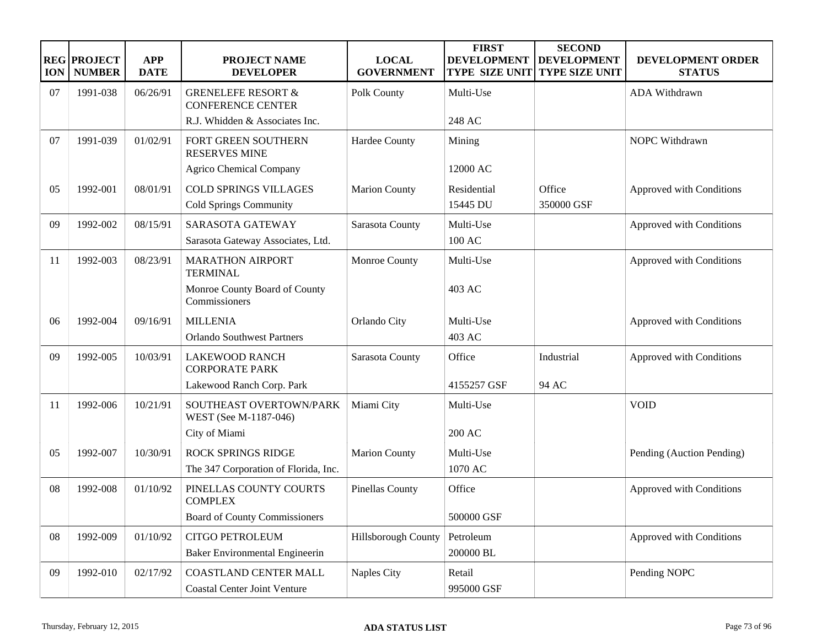| <b>ION</b> | <b>REG PROJECT</b><br><b>NUMBER</b> | <b>APP</b><br><b>DATE</b> | <b>PROJECT NAME</b><br><b>DEVELOPER</b>                             | <b>LOCAL</b><br><b>GOVERNMENT</b> | <b>FIRST</b><br><b>DEVELOPMENT</b><br><b>TYPE SIZE UNIT</b> | <b>SECOND</b><br><b>DEVELOPMENT</b><br><b>TYPE SIZE UNIT</b> | DEVELOPMENT ORDER<br><b>STATUS</b> |
|------------|-------------------------------------|---------------------------|---------------------------------------------------------------------|-----------------------------------|-------------------------------------------------------------|--------------------------------------------------------------|------------------------------------|
| 07         | 1991-038                            | 06/26/91                  | <b>GRENELEFE RESORT &amp;</b><br><b>CONFERENCE CENTER</b>           | Polk County                       | Multi-Use                                                   |                                                              | ADA Withdrawn                      |
|            |                                     |                           | R.J. Whidden & Associates Inc.                                      |                                   | 248 AC                                                      |                                                              |                                    |
| 07         | 1991-039                            | 01/02/91                  | FORT GREEN SOUTHERN<br><b>RESERVES MINE</b>                         | Hardee County                     | Mining                                                      |                                                              | NOPC Withdrawn                     |
|            |                                     |                           | <b>Agrico Chemical Company</b>                                      |                                   | 12000 AC                                                    |                                                              |                                    |
| 05         | 1992-001                            | 08/01/91                  | <b>COLD SPRINGS VILLAGES</b>                                        | <b>Marion County</b>              | Residential                                                 | Office                                                       | Approved with Conditions           |
|            |                                     |                           | <b>Cold Springs Community</b>                                       |                                   | 15445 DU                                                    | 350000 GSF                                                   |                                    |
| 09         | 1992-002                            | 08/15/91                  | SARASOTA GATEWAY                                                    | Sarasota County                   | Multi-Use                                                   |                                                              | Approved with Conditions           |
|            |                                     |                           | Sarasota Gateway Associates, Ltd.                                   |                                   | 100 AC                                                      |                                                              |                                    |
| 11         | 1992-003                            | 08/23/91                  | <b>MARATHON AIRPORT</b><br><b>TERMINAL</b>                          | Monroe County                     | Multi-Use                                                   |                                                              | Approved with Conditions           |
|            |                                     |                           | Monroe County Board of County<br>Commissioners                      |                                   | 403 AC                                                      |                                                              |                                    |
| 06         | 1992-004                            | 09/16/91                  | <b>MILLENIA</b>                                                     | Orlando City                      | Multi-Use                                                   |                                                              | Approved with Conditions           |
|            |                                     |                           | <b>Orlando Southwest Partners</b>                                   |                                   | 403 AC                                                      |                                                              |                                    |
| 09         | 1992-005                            | 10/03/91                  | <b>LAKEWOOD RANCH</b><br><b>CORPORATE PARK</b>                      | Sarasota County                   | Office                                                      | Industrial                                                   | Approved with Conditions           |
|            |                                     |                           | Lakewood Ranch Corp. Park                                           |                                   | 4155257 GSF                                                 | 94 AC                                                        |                                    |
| 11         | 1992-006                            | 10/21/91                  | SOUTHEAST OVERTOWN/PARK<br>WEST (See M-1187-046)                    | Miami City                        | Multi-Use                                                   |                                                              | <b>VOID</b>                        |
|            |                                     |                           | City of Miami                                                       |                                   | 200 AC                                                      |                                                              |                                    |
| 05         | 1992-007                            | 10/30/91                  | <b>ROCK SPRINGS RIDGE</b>                                           | <b>Marion County</b>              | Multi-Use                                                   |                                                              | Pending (Auction Pending)          |
|            |                                     |                           | The 347 Corporation of Florida, Inc.                                |                                   | 1070 AC                                                     |                                                              |                                    |
| 08         | 1992-008                            | 01/10/92                  | PINELLAS COUNTY COURTS<br><b>COMPLEX</b>                            | <b>Pinellas County</b>            | Office                                                      |                                                              | Approved with Conditions           |
|            |                                     |                           | <b>Board of County Commissioners</b>                                |                                   | 500000 GSF                                                  |                                                              |                                    |
| 08         | 1992-009                            | 01/10/92                  | <b>CITGO PETROLEUM</b>                                              | Hillsborough County               | Petroleum                                                   |                                                              | Approved with Conditions           |
|            |                                     |                           | Baker Environmental Engineerin                                      |                                   | 200000 BL                                                   |                                                              |                                    |
| 09         | 1992-010                            | 02/17/92                  | <b>COASTLAND CENTER MALL</b><br><b>Coastal Center Joint Venture</b> | <b>Naples City</b>                | Retail<br>995000 GSF                                        |                                                              | Pending NOPC                       |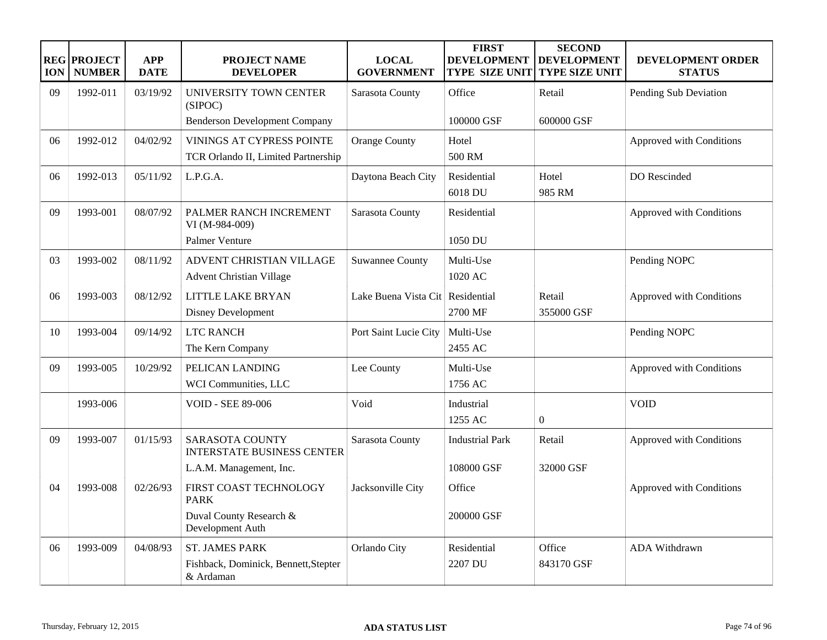| <b>ION</b> | <b>REG PROJECT</b><br><b>NUMBER</b> | <b>APP</b><br><b>DATE</b> | <b>PROJECT NAME</b><br><b>DEVELOPER</b>                                    | <b>LOCAL</b><br><b>GOVERNMENT</b> | <b>FIRST</b><br><b>DEVELOPMENT</b><br><b>TYPE SIZE UNIT</b> | <b>SECOND</b><br><b>DEVELOPMENT</b><br><b>TYPE SIZE UNIT</b> | DEVELOPMENT ORDER<br><b>STATUS</b> |
|------------|-------------------------------------|---------------------------|----------------------------------------------------------------------------|-----------------------------------|-------------------------------------------------------------|--------------------------------------------------------------|------------------------------------|
| 09         | 1992-011                            | 03/19/92                  | UNIVERSITY TOWN CENTER<br>(SIPOC)                                          | Sarasota County                   | Office                                                      | Retail                                                       | Pending Sub Deviation              |
|            |                                     |                           | <b>Benderson Development Company</b>                                       |                                   | 100000 GSF                                                  | 600000 GSF                                                   |                                    |
| 06         | 1992-012                            | 04/02/92                  | VININGS AT CYPRESS POINTE<br>TCR Orlando II, Limited Partnership           | <b>Orange County</b>              | Hotel<br>500 RM                                             |                                                              | Approved with Conditions           |
| 06         | 1992-013                            | 05/11/92                  | L.P.G.A.                                                                   | Daytona Beach City                | Residential<br>6018 DU                                      | Hotel<br>985 RM                                              | DO Rescinded                       |
| 09         | 1993-001                            | 08/07/92                  | PALMER RANCH INCREMENT<br>VI (M-984-009)<br>Palmer Venture                 | Sarasota County                   | Residential<br>1050 DU                                      |                                                              | Approved with Conditions           |
| 03         | 1993-002                            | 08/11/92                  | ADVENT CHRISTIAN VILLAGE<br><b>Advent Christian Village</b>                | <b>Suwannee County</b>            | Multi-Use<br>1020 AC                                        |                                                              | Pending NOPC                       |
| 06         | 1993-003                            | 08/12/92                  | <b>LITTLE LAKE BRYAN</b><br><b>Disney Development</b>                      | Lake Buena Vista Cit Residential  | 2700 MF                                                     | Retail<br>355000 GSF                                         | Approved with Conditions           |
| 10         | 1993-004                            | 09/14/92                  | <b>LTC RANCH</b><br>The Kern Company                                       | Port Saint Lucie City             | Multi-Use<br>2455 AC                                        |                                                              | Pending NOPC                       |
| 09         | 1993-005                            | 10/29/92                  | PELICAN LANDING<br>WCI Communities, LLC                                    | Lee County                        | Multi-Use<br>1756 AC                                        |                                                              | Approved with Conditions           |
|            | 1993-006                            |                           | <b>VOID - SEE 89-006</b>                                                   | Void                              | Industrial<br>1255 AC                                       | $\boldsymbol{0}$                                             | <b>VOID</b>                        |
| 09         | 1993-007                            | 01/15/93                  | <b>SARASOTA COUNTY</b><br><b>INTERSTATE BUSINESS CENTER</b>                | Sarasota County                   | <b>Industrial Park</b>                                      | Retail                                                       | Approved with Conditions           |
|            |                                     |                           | L.A.M. Management, Inc.                                                    |                                   | 108000 GSF                                                  | 32000 GSF                                                    |                                    |
| 04         | 1993-008                            | 02/26/93                  | FIRST COAST TECHNOLOGY<br><b>PARK</b>                                      | Jacksonville City                 | Office                                                      |                                                              | Approved with Conditions           |
|            |                                     |                           | Duval County Research &<br>Development Auth                                |                                   | 200000 GSF                                                  |                                                              |                                    |
| 06         | 1993-009                            | 04/08/93                  | <b>ST. JAMES PARK</b><br>Fishback, Dominick, Bennett, Stepter<br>& Ardaman | Orlando City                      | Residential<br>2207 DU                                      | Office<br>843170 GSF                                         | ADA Withdrawn                      |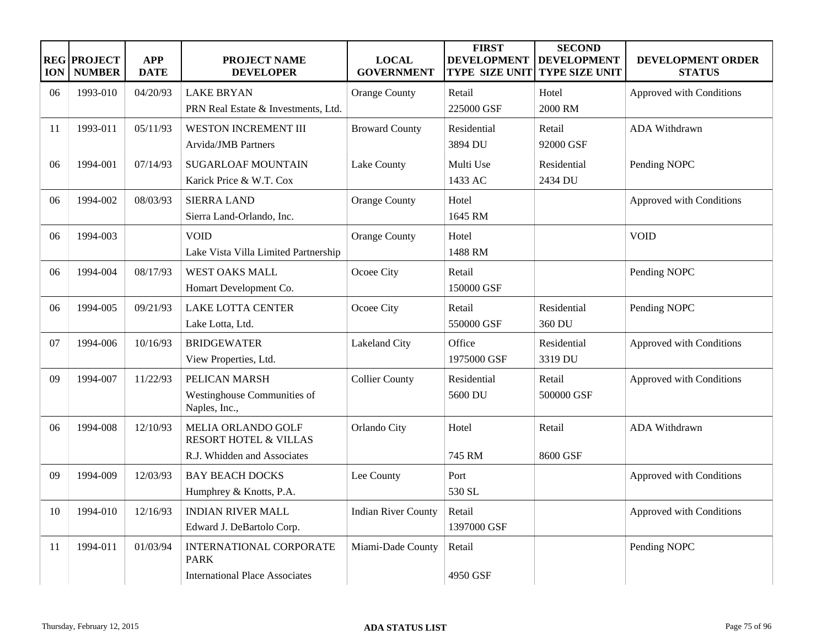| <b>ION</b> | <b>REG PROJECT</b><br><b>NUMBER</b> | <b>APP</b><br><b>DATE</b> | PROJECT NAME<br><b>DEVELOPER</b>                                                      | <b>LOCAL</b><br><b>GOVERNMENT</b> | <b>FIRST</b><br><b>DEVELOPMENT</b><br><b>TYPE SIZE UNIT</b> | <b>SECOND</b><br><b>DEVELOPMENT</b><br><b>TYPE SIZE UNIT</b> | DEVELOPMENT ORDER<br><b>STATUS</b> |
|------------|-------------------------------------|---------------------------|---------------------------------------------------------------------------------------|-----------------------------------|-------------------------------------------------------------|--------------------------------------------------------------|------------------------------------|
| 06         | 1993-010                            | 04/20/93                  | <b>LAKE BRYAN</b><br>PRN Real Estate & Investments, Ltd.                              | <b>Orange County</b>              | Retail<br>225000 GSF                                        | Hotel<br>2000 RM                                             | Approved with Conditions           |
| 11         | 1993-011                            | 05/11/93                  | WESTON INCREMENT III<br><b>Arvida/JMB</b> Partners                                    | <b>Broward County</b>             | Residential<br>3894 DU                                      | Retail<br>92000 GSF                                          | ADA Withdrawn                      |
| 06         | 1994-001                            | 07/14/93                  | <b>SUGARLOAF MOUNTAIN</b><br>Karick Price & W.T. Cox                                  | Lake County                       | Multi Use<br>1433 AC                                        | Residential<br>2434 DU                                       | Pending NOPC                       |
| 06         | 1994-002                            | 08/03/93                  | <b>SIERRA LAND</b><br>Sierra Land-Orlando, Inc.                                       | <b>Orange County</b>              | Hotel<br>1645 RM                                            |                                                              | Approved with Conditions           |
| 06         | 1994-003                            |                           | <b>VOID</b><br>Lake Vista Villa Limited Partnership                                   | <b>Orange County</b>              | Hotel<br>1488 RM                                            |                                                              | <b>VOID</b>                        |
| 06         | 1994-004                            | 08/17/93                  | <b>WEST OAKS MALL</b><br>Homart Development Co.                                       | Ocoee City                        | Retail<br>150000 GSF                                        |                                                              | Pending NOPC                       |
| 06         | 1994-005                            | 09/21/93                  | <b>LAKE LOTTA CENTER</b><br>Lake Lotta, Ltd.                                          | Ocoee City                        | Retail<br>550000 GSF                                        | Residential<br>360 DU                                        | Pending NOPC                       |
| 07         | 1994-006                            | 10/16/93                  | <b>BRIDGEWATER</b><br>View Properties, Ltd.                                           | Lakeland City                     | Office<br>1975000 GSF                                       | Residential<br>3319 DU                                       | Approved with Conditions           |
| 09         | 1994-007                            | 11/22/93                  | PELICAN MARSH<br>Westinghouse Communities of<br>Naples, Inc.,                         | <b>Collier County</b>             | Residential<br>5600 DU                                      | Retail<br>500000 GSF                                         | Approved with Conditions           |
| 06         | 1994-008                            | 12/10/93                  | MELIA ORLANDO GOLF<br><b>RESORT HOTEL &amp; VILLAS</b><br>R.J. Whidden and Associates | Orlando City                      | Hotel<br>745 RM                                             | Retail<br>8600 GSF                                           | ADA Withdrawn                      |
| 09         | 1994-009                            | 12/03/93                  | <b>BAY BEACH DOCKS</b><br>Humphrey & Knotts, P.A.                                     | Lee County                        | Port<br>530 SL                                              |                                                              | Approved with Conditions           |
| 10         | 1994-010                            | 12/16/93                  | <b>INDIAN RIVER MALL</b><br>Edward J. DeBartolo Corp.                                 | <b>Indian River County</b>        | Retail<br>1397000 GSF                                       |                                                              | Approved with Conditions           |
| 11         | 1994-011                            | 01/03/94                  | INTERNATIONAL CORPORATE<br><b>PARK</b><br><b>International Place Associates</b>       | Miami-Dade County                 | Retail<br>4950 GSF                                          |                                                              | Pending NOPC                       |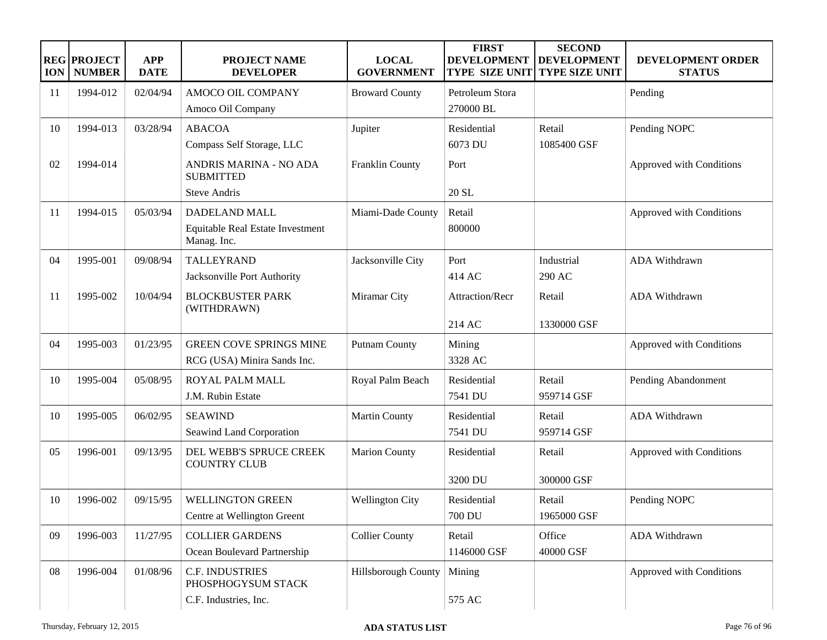| <b>ION</b>    | <b>REG PROJECT</b><br><b>NUMBER</b> | <b>APP</b><br><b>DATE</b> | <b>PROJECT NAME</b><br><b>DEVELOPER</b>         | <b>LOCAL</b><br><b>GOVERNMENT</b> | <b>FIRST</b><br><b>DEVELOPMENT</b><br><b>TYPE SIZE UNIT</b> | <b>SECOND</b><br><b>DEVELOPMENT</b><br><b>TYPE SIZE UNIT</b> | DEVELOPMENT ORDER<br><b>STATUS</b> |
|---------------|-------------------------------------|---------------------------|-------------------------------------------------|-----------------------------------|-------------------------------------------------------------|--------------------------------------------------------------|------------------------------------|
| <sup>11</sup> | 1994-012                            | 02/04/94                  | AMOCO OIL COMPANY                               | <b>Broward County</b>             | Petroleum Stora                                             |                                                              | Pending                            |
|               |                                     |                           | Amoco Oil Company                               |                                   | 270000 BL                                                   |                                                              |                                    |
| 10            | 1994-013                            | 03/28/94                  | <b>ABACOA</b>                                   | Jupiter                           | Residential                                                 | Retail                                                       | Pending NOPC                       |
|               |                                     |                           | Compass Self Storage, LLC                       |                                   | 6073 DU                                                     | 1085400 GSF                                                  |                                    |
| 02            | 1994-014                            |                           | ANDRIS MARINA - NO ADA<br><b>SUBMITTED</b>      | Franklin County                   | Port                                                        |                                                              | Approved with Conditions           |
|               |                                     |                           | <b>Steve Andris</b>                             |                                   | 20 SL                                                       |                                                              |                                    |
| 11            | 1994-015                            | 05/03/94                  | DADELAND MALL                                   | Miami-Dade County                 | Retail                                                      |                                                              | Approved with Conditions           |
|               |                                     |                           | Equitable Real Estate Investment<br>Manag. Inc. |                                   | 800000                                                      |                                                              |                                    |
| 04            | 1995-001                            | 09/08/94                  | <b>TALLEYRAND</b>                               | Jacksonville City                 | Port                                                        | Industrial                                                   | <b>ADA Withdrawn</b>               |
|               |                                     |                           | Jacksonville Port Authority                     |                                   | 414 AC                                                      | 290 AC                                                       |                                    |
| -11           | 1995-002                            | 10/04/94                  | <b>BLOCKBUSTER PARK</b><br>(WITHDRAWN)          | Miramar City                      | Attraction/Recr                                             | Retail                                                       | <b>ADA Withdrawn</b>               |
|               |                                     |                           |                                                 |                                   | 214 AC                                                      | 1330000 GSF                                                  |                                    |
| 04            | 1995-003                            | 01/23/95                  | <b>GREEN COVE SPRINGS MINE</b>                  | <b>Putnam County</b>              | Mining                                                      |                                                              | Approved with Conditions           |
|               |                                     |                           | RCG (USA) Minira Sands Inc.                     |                                   | 3328 AC                                                     |                                                              |                                    |
| 10            | 1995-004                            | 05/08/95                  | ROYAL PALM MALL                                 | Royal Palm Beach                  | Residential                                                 | Retail                                                       | Pending Abandonment                |
|               |                                     |                           | J.M. Rubin Estate                               |                                   | 7541 DU                                                     | 959714 GSF                                                   |                                    |
| 10            | 1995-005                            | 06/02/95                  | <b>SEAWIND</b>                                  | <b>Martin County</b>              | Residential                                                 | Retail                                                       | ADA Withdrawn                      |
|               |                                     |                           | Seawind Land Corporation                        |                                   | 7541 DU                                                     | 959714 GSF                                                   |                                    |
| 05            | 1996-001                            | 09/13/95                  | DEL WEBB'S SPRUCE CREEK<br><b>COUNTRY CLUB</b>  | <b>Marion County</b>              | Residential                                                 | Retail                                                       | Approved with Conditions           |
|               |                                     |                           |                                                 |                                   | 3200 DU                                                     | 300000 GSF                                                   |                                    |
| 10            | 1996-002                            | 09/15/95                  | <b>WELLINGTON GREEN</b>                         | <b>Wellington City</b>            | Residential                                                 | Retail                                                       | Pending NOPC                       |
|               |                                     |                           | Centre at Wellington Greent                     |                                   | 700 DU                                                      | 1965000 GSF                                                  |                                    |
| 09            | 1996-003                            | 11/27/95                  | <b>COLLIER GARDENS</b>                          | <b>Collier County</b>             | Retail                                                      | Office                                                       | ADA Withdrawn                      |
|               |                                     |                           | Ocean Boulevard Partnership                     |                                   | 1146000 GSF                                                 | 40000 GSF                                                    |                                    |
| 08            | 1996-004                            | 01/08/96                  | <b>C.F. INDUSTRIES</b><br>PHOSPHOGYSUM STACK    | Hillsborough County               | Mining                                                      |                                                              | Approved with Conditions           |
|               |                                     |                           | C.F. Industries, Inc.                           |                                   | 575 AC                                                      |                                                              |                                    |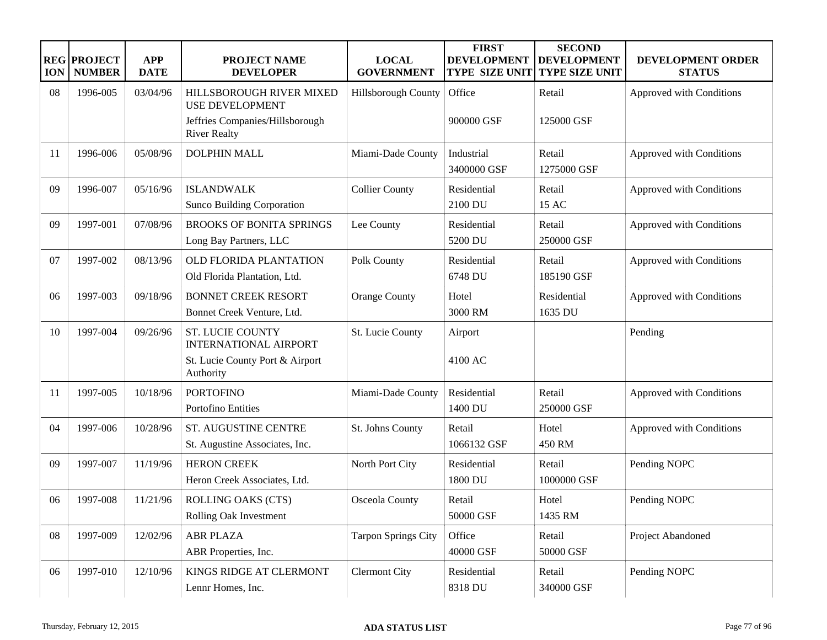| <b>ION</b> | <b>REG PROJECT</b><br><b>NUMBER</b> | <b>APP</b><br><b>DATE</b> | <b>PROJECT NAME</b><br><b>DEVELOPER</b>                   | <b>LOCAL</b><br><b>GOVERNMENT</b> | <b>FIRST</b><br><b>DEVELOPMENT</b><br><b>TYPE SIZE UNIT</b> | <b>SECOND</b><br><b>DEVELOPMENT</b><br><b>TYPE SIZE UNIT</b> | DEVELOPMENT ORDER<br><b>STATUS</b> |
|------------|-------------------------------------|---------------------------|-----------------------------------------------------------|-----------------------------------|-------------------------------------------------------------|--------------------------------------------------------------|------------------------------------|
| 08         | 1996-005                            | 03/04/96                  | HILLSBOROUGH RIVER MIXED<br><b>USE DEVELOPMENT</b>        | Hillsborough County               | Office                                                      | Retail                                                       | Approved with Conditions           |
|            |                                     |                           | Jeffries Companies/Hillsborough<br><b>River Realty</b>    |                                   | 900000 GSF                                                  | 125000 GSF                                                   |                                    |
| 11         | 1996-006                            | 05/08/96                  | <b>DOLPHIN MALL</b>                                       | Miami-Dade County                 | Industrial<br>3400000 GSF                                   | Retail<br>1275000 GSF                                        | Approved with Conditions           |
| 09         | 1996-007                            | 05/16/96                  | <b>ISLANDWALK</b><br><b>Sunco Building Corporation</b>    | <b>Collier County</b>             | Residential<br>2100 DU                                      | Retail<br>15 AC                                              | Approved with Conditions           |
| 09         | 1997-001                            | 07/08/96                  | <b>BROOKS OF BONITA SPRINGS</b><br>Long Bay Partners, LLC | Lee County                        | Residential<br>5200 DU                                      | Retail<br>250000 GSF                                         | Approved with Conditions           |
| 07         | 1997-002                            | 08/13/96                  | OLD FLORIDA PLANTATION<br>Old Florida Plantation, Ltd.    | Polk County                       | Residential<br>6748 DU                                      | Retail<br>185190 GSF                                         | Approved with Conditions           |
| 06         | 1997-003                            | 09/18/96                  | <b>BONNET CREEK RESORT</b><br>Bonnet Creek Venture, Ltd.  | <b>Orange County</b>              | Hotel<br>3000 RM                                            | Residential<br>1635 DU                                       | Approved with Conditions           |
| 10         | 1997-004                            | 09/26/96                  | <b>ST. LUCIE COUNTY</b><br><b>INTERNATIONAL AIRPORT</b>   | St. Lucie County                  | Airport                                                     |                                                              | Pending                            |
|            |                                     |                           | St. Lucie County Port & Airport<br>Authority              |                                   | 4100 AC                                                     |                                                              |                                    |
| 11         | 1997-005                            | 10/18/96                  | <b>PORTOFINO</b><br>Portofino Entities                    | Miami-Dade County                 | Residential<br>1400 DU                                      | Retail<br>250000 GSF                                         | Approved with Conditions           |
| 04         | 1997-006                            | 10/28/96                  | ST. AUGUSTINE CENTRE<br>St. Augustine Associates, Inc.    | St. Johns County                  | Retail<br>1066132 GSF                                       | Hotel<br>450 RM                                              | Approved with Conditions           |
| 09         | 1997-007                            | 11/19/96                  | <b>HERON CREEK</b><br>Heron Creek Associates, Ltd.        | North Port City                   | Residential<br>1800 DU                                      | Retail<br>1000000 GSF                                        | Pending NOPC                       |
| 06         | 1997-008                            | 11/21/96                  | ROLLING OAKS (CTS)<br>Rolling Oak Investment              | Osceola County                    | Retail<br>50000 GSF                                         | Hotel<br>1435 RM                                             | Pending NOPC                       |
| ${\bf 08}$ | 1997-009                            | 12/02/96                  | <b>ABR PLAZA</b><br>ABR Properties, Inc.                  | <b>Tarpon Springs City</b>        | Office<br>40000 GSF                                         | Retail<br>50000 GSF                                          | Project Abandoned                  |
| 06         | 1997-010                            | 12/10/96                  | KINGS RIDGE AT CLERMONT<br>Lennr Homes, Inc.              | <b>Clermont City</b>              | Residential<br>8318 DU                                      | Retail<br>340000 GSF                                         | Pending NOPC                       |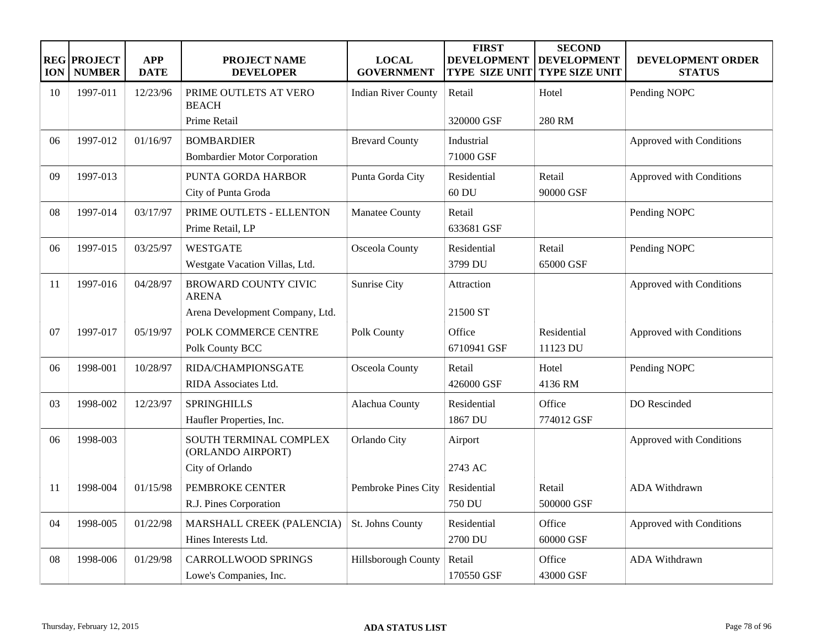| <b>ION</b> | <b>REG PROJECT</b><br><b>NUMBER</b> | <b>APP</b><br><b>DATE</b> | <b>PROJECT NAME</b><br><b>DEVELOPER</b>                                    | <b>LOCAL</b><br><b>GOVERNMENT</b> | <b>FIRST</b><br><b>DEVELOPMENT</b><br><b>TYPE SIZE UNIT</b> | <b>SECOND</b><br><b>DEVELOPMENT</b><br><b>TYPE SIZE UNIT</b> | <b>DEVELOPMENT ORDER</b><br><b>STATUS</b> |
|------------|-------------------------------------|---------------------------|----------------------------------------------------------------------------|-----------------------------------|-------------------------------------------------------------|--------------------------------------------------------------|-------------------------------------------|
| 10         | 1997-011                            | 12/23/96                  | PRIME OUTLETS AT VERO<br><b>BEACH</b>                                      | <b>Indian River County</b>        | Retail                                                      | Hotel                                                        | Pending NOPC                              |
|            |                                     |                           | Prime Retail                                                               |                                   | 320000 GSF                                                  | 280 RM                                                       |                                           |
| 06         | 1997-012                            | 01/16/97                  | <b>BOMBARDIER</b><br><b>Bombardier Motor Corporation</b>                   | <b>Brevard County</b>             | Industrial<br>71000 GSF                                     |                                                              | Approved with Conditions                  |
| 09         | 1997-013                            |                           | PUNTA GORDA HARBOR<br>City of Punta Groda                                  | Punta Gorda City                  | Residential<br>60 DU                                        | Retail<br>90000 GSF                                          | Approved with Conditions                  |
| 08         | 1997-014                            | 03/17/97                  | PRIME OUTLETS - ELLENTON<br>Prime Retail, LP                               | Manatee County                    | Retail<br>633681 GSF                                        |                                                              | Pending NOPC                              |
| 06         | 1997-015                            | 03/25/97                  | <b>WESTGATE</b><br>Westgate Vacation Villas, Ltd.                          | Osceola County                    | Residential<br>3799 DU                                      | Retail<br>65000 GSF                                          | Pending NOPC                              |
| 11         | 1997-016                            | 04/28/97                  | <b>BROWARD COUNTY CIVIC</b><br><b>ARENA</b>                                | Sunrise City                      | Attraction                                                  |                                                              | Approved with Conditions                  |
| 07         | 1997-017                            | 05/19/97                  | Arena Development Company, Ltd.<br>POLK COMMERCE CENTRE<br>Polk County BCC | Polk County                       | 21500 ST<br>Office<br>6710941 GSF                           | Residential<br>11123 DU                                      | Approved with Conditions                  |
| 06         | 1998-001                            | 10/28/97                  | RIDA/CHAMPIONSGATE<br>RIDA Associates Ltd.                                 | Osceola County                    | Retail<br>426000 GSF                                        | Hotel<br>4136 RM                                             | Pending NOPC                              |
| 03         | 1998-002                            | 12/23/97                  | <b>SPRINGHILLS</b><br>Haufler Properties, Inc.                             | Alachua County                    | Residential<br>1867 DU                                      | Office<br>774012 GSF                                         | DO Rescinded                              |
| 06         | 1998-003                            |                           | SOUTH TERMINAL COMPLEX<br>(ORLANDO AIRPORT)                                | Orlando City                      | Airport                                                     |                                                              | Approved with Conditions                  |
| 11         | 1998-004                            | 01/15/98                  | City of Orlando<br>PEMBROKE CENTER<br>R.J. Pines Corporation               | Pembroke Pines City               | 2743 AC<br>Residential<br>750 DU                            | Retail<br>500000 GSF                                         | <b>ADA Withdrawn</b>                      |
| 04         | 1998-005                            | 01/22/98                  | MARSHALL CREEK (PALENCIA)<br>Hines Interests Ltd.                          | St. Johns County                  | Residential<br>2700 DU                                      | Office<br>60000 GSF                                          | Approved with Conditions                  |
| 08         | 1998-006                            | 01/29/98                  | <b>CARROLLWOOD SPRINGS</b><br>Lowe's Companies, Inc.                       | Hillsborough County               | Retail<br>170550 GSF                                        | Office<br>43000 GSF                                          | <b>ADA Withdrawn</b>                      |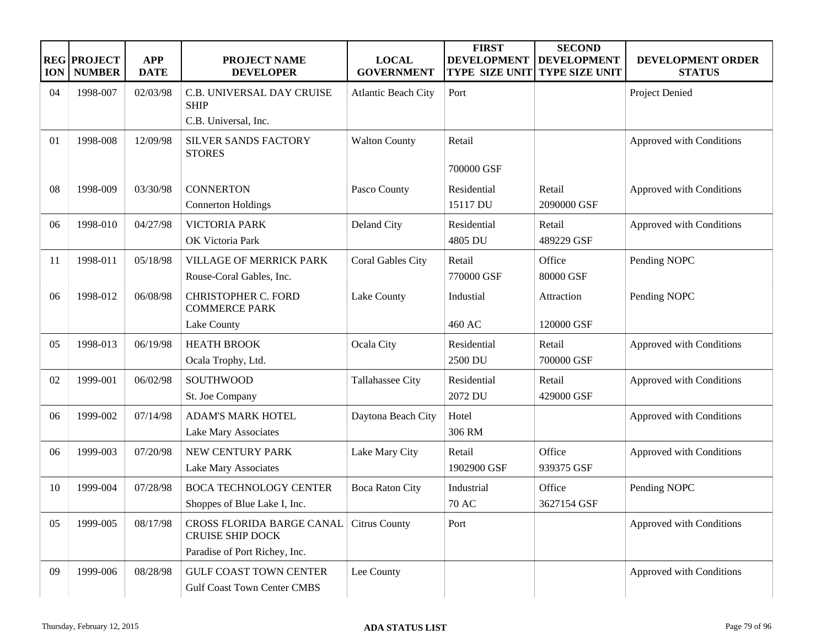| <b>ION</b> | <b>REG PROJECT</b><br><b>NUMBER</b> | <b>APP</b><br><b>DATE</b> | <b>PROJECT NAME</b><br><b>DEVELOPER</b>                             | <b>LOCAL</b><br><b>GOVERNMENT</b> | <b>FIRST</b><br><b>DEVELOPMENT</b><br><b>TYPE SIZE UNIT</b> | <b>SECOND</b><br><b>DEVELOPMENT</b><br><b>TYPE SIZE UNIT</b> | <b>DEVELOPMENT ORDER</b><br><b>STATUS</b> |
|------------|-------------------------------------|---------------------------|---------------------------------------------------------------------|-----------------------------------|-------------------------------------------------------------|--------------------------------------------------------------|-------------------------------------------|
| 04         | 1998-007                            | 02/03/98                  | C.B. UNIVERSAL DAY CRUISE<br><b>SHIP</b>                            | <b>Atlantic Beach City</b>        | Port                                                        |                                                              | Project Denied                            |
|            |                                     |                           | C.B. Universal, Inc.                                                |                                   |                                                             |                                                              |                                           |
| 01         | 1998-008                            | 12/09/98                  | <b>SILVER SANDS FACTORY</b><br><b>STORES</b>                        | <b>Walton County</b>              | Retail                                                      |                                                              | Approved with Conditions                  |
|            |                                     |                           |                                                                     |                                   | 700000 GSF                                                  |                                                              |                                           |
| 08         | 1998-009                            | 03/30/98                  | <b>CONNERTON</b><br><b>Connerton Holdings</b>                       | Pasco County                      | Residential<br>15117 DU                                     | Retail<br>2090000 GSF                                        | Approved with Conditions                  |
| 06         | 1998-010                            | 04/27/98                  | <b>VICTORIA PARK</b><br>OK Victoria Park                            | Deland City                       | Residential<br>4805 DU                                      | Retail<br>489229 GSF                                         | Approved with Conditions                  |
| 11         | 1998-011                            | 05/18/98                  | <b>VILLAGE OF MERRICK PARK</b><br>Rouse-Coral Gables, Inc.          | Coral Gables City                 | Retail<br>770000 GSF                                        | Office<br>80000 GSF                                          | Pending NOPC                              |
| 06         | 1998-012                            | 06/08/98                  | <b>CHRISTOPHER C. FORD</b><br><b>COMMERCE PARK</b>                  | Lake County                       | Industial                                                   | Attraction                                                   | Pending NOPC                              |
|            |                                     |                           | Lake County                                                         |                                   | 460 AC                                                      | 120000 GSF                                                   |                                           |
| 05         | 1998-013                            | 06/19/98                  | <b>HEATH BROOK</b>                                                  | Ocala City                        | Residential                                                 | Retail                                                       | Approved with Conditions                  |
|            |                                     |                           | Ocala Trophy, Ltd.                                                  |                                   | 2500 DU                                                     | 700000 GSF                                                   |                                           |
| 02         | 1999-001                            | 06/02/98                  | SOUTHWOOD<br>St. Joe Company                                        | Tallahassee City                  | Residential<br>2072 DU                                      | Retail<br>429000 GSF                                         | Approved with Conditions                  |
| 06         | 1999-002                            | 07/14/98                  | <b>ADAM'S MARK HOTEL</b><br>Lake Mary Associates                    | Daytona Beach City                | Hotel<br>306 RM                                             |                                                              | Approved with Conditions                  |
| 06         | 1999-003                            | 07/20/98                  | NEW CENTURY PARK<br>Lake Mary Associates                            | Lake Mary City                    | Retail<br>1902900 GSF                                       | Office<br>939375 GSF                                         | Approved with Conditions                  |
| 10         | 1999-004                            | 07/28/98                  | <b>BOCA TECHNOLOGY CENTER</b><br>Shoppes of Blue Lake I, Inc.       | <b>Boca Raton City</b>            | Industrial<br><b>70 AC</b>                                  | Office<br>3627154 GSF                                        | Pending NOPC                              |
| 05         | 1999-005                            | 08/17/98                  | CROSS FLORIDA BARGE CANAL<br><b>CRUISE SHIP DOCK</b>                | <b>Citrus County</b>              | Port                                                        |                                                              | Approved with Conditions                  |
|            |                                     |                           | Paradise of Port Richey, Inc.                                       |                                   |                                                             |                                                              |                                           |
| 09         | 1999-006                            | 08/28/98                  | <b>GULF COAST TOWN CENTER</b><br><b>Gulf Coast Town Center CMBS</b> | Lee County                        |                                                             |                                                              | Approved with Conditions                  |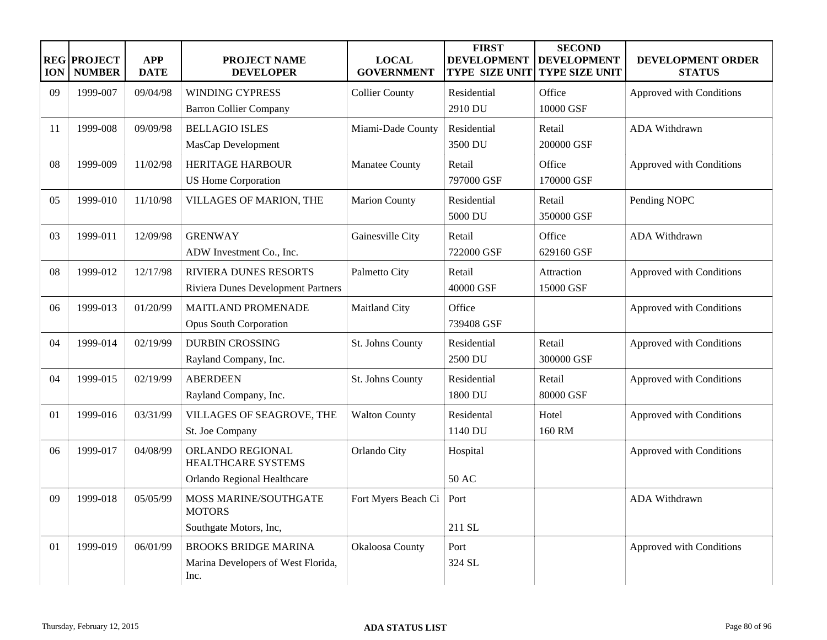| <b>ION</b> | <b>REG PROJECT</b><br><b>NUMBER</b> | <b>APP</b><br><b>DATE</b> | PROJECT NAME<br><b>DEVELOPER</b>                                          | <b>LOCAL</b><br><b>GOVERNMENT</b> | <b>FIRST</b><br><b>DEVELOPMENT</b><br><b>TYPE SIZE UNIT</b> | <b>SECOND</b><br><b>DEVELOPMENT</b><br><b>TYPE SIZE UNIT</b> | DEVELOPMENT ORDER<br><b>STATUS</b> |
|------------|-------------------------------------|---------------------------|---------------------------------------------------------------------------|-----------------------------------|-------------------------------------------------------------|--------------------------------------------------------------|------------------------------------|
| 09         | 1999-007                            | 09/04/98                  | <b>WINDING CYPRESS</b>                                                    | <b>Collier County</b>             | Residential                                                 | Office                                                       | Approved with Conditions           |
|            |                                     |                           | <b>Barron Collier Company</b>                                             |                                   | 2910 DU                                                     | 10000 GSF                                                    |                                    |
| 11         | 1999-008                            | 09/09/98                  | <b>BELLAGIO ISLES</b><br>MasCap Development                               | Miami-Dade County                 | Residential<br>3500 DU                                      | Retail<br>200000 GSF                                         | ADA Withdrawn                      |
| 08         | 1999-009                            | 11/02/98                  | <b>HERITAGE HARBOUR</b><br><b>US Home Corporation</b>                     | Manatee County                    | Retail<br>797000 GSF                                        | Office<br>170000 GSF                                         | Approved with Conditions           |
| 05         | 1999-010                            | 11/10/98                  | VILLAGES OF MARION, THE                                                   | <b>Marion County</b>              | Residential<br>5000 DU                                      | Retail<br>350000 GSF                                         | Pending NOPC                       |
| 03         | 1999-011                            | 12/09/98                  | <b>GRENWAY</b><br>ADW Investment Co., Inc.                                | Gainesville City                  | Retail<br>722000 GSF                                        | Office<br>629160 GSF                                         | ADA Withdrawn                      |
| 08         | 1999-012                            | 12/17/98                  | <b>RIVIERA DUNES RESORTS</b><br>Riviera Dunes Development Partners        | Palmetto City                     | Retail<br>40000 GSF                                         | Attraction<br>15000 GSF                                      | Approved with Conditions           |
| 06         | 1999-013                            | 01/20/99                  | <b>MAITLAND PROMENADE</b><br><b>Opus South Corporation</b>                | Maitland City                     | Office<br>739408 GSF                                        |                                                              | Approved with Conditions           |
| 04         | 1999-014                            | 02/19/99                  | <b>DURBIN CROSSING</b><br>Rayland Company, Inc.                           | St. Johns County                  | Residential<br>2500 DU                                      | Retail<br>300000 GSF                                         | Approved with Conditions           |
| 04         | 1999-015                            | 02/19/99                  | <b>ABERDEEN</b><br>Rayland Company, Inc.                                  | St. Johns County                  | Residential<br>1800 DU                                      | Retail<br>80000 GSF                                          | Approved with Conditions           |
| 01         | 1999-016                            | 03/31/99                  | VILLAGES OF SEAGROVE, THE<br>St. Joe Company                              | <b>Walton County</b>              | Residental<br>1140 DU                                       | Hotel<br>160 RM                                              | Approved with Conditions           |
| 06         | 1999-017                            | 04/08/99                  | ORLANDO REGIONAL<br><b>HEALTHCARE SYSTEMS</b>                             | Orlando City                      | Hospital                                                    |                                                              | Approved with Conditions           |
|            |                                     |                           | Orlando Regional Healthcare                                               |                                   | 50 AC                                                       |                                                              |                                    |
| 09         | 1999-018                            | 05/05/99                  | MOSS MARINE/SOUTHGATE<br><b>MOTORS</b>                                    | Fort Myers Beach Ci               | Port                                                        |                                                              | ADA Withdrawn                      |
|            |                                     |                           | Southgate Motors, Inc,                                                    |                                   | 211 SL                                                      |                                                              |                                    |
| 01         | 1999-019                            | 06/01/99                  | <b>BROOKS BRIDGE MARINA</b><br>Marina Developers of West Florida,<br>Inc. | Okaloosa County                   | Port<br>324 SL                                              |                                                              | Approved with Conditions           |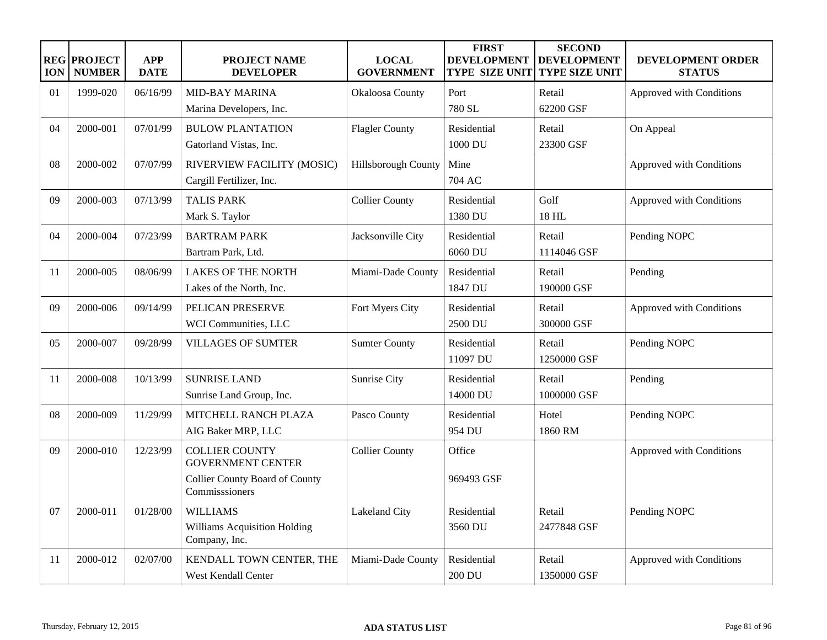| <b>ION</b>     | <b>REG PROJECT</b><br><b>NUMBER</b> | <b>APP</b><br><b>DATE</b> | <b>PROJECT NAME</b><br><b>DEVELOPER</b>                                                                      | <b>LOCAL</b><br><b>GOVERNMENT</b> | <b>FIRST</b><br><b>DEVELOPMENT</b><br><b>TYPE SIZE UNIT</b> | <b>SECOND</b><br><b>DEVELOPMENT</b><br><b>TYPE SIZE UNIT</b> | DEVELOPMENT ORDER<br><b>STATUS</b> |
|----------------|-------------------------------------|---------------------------|--------------------------------------------------------------------------------------------------------------|-----------------------------------|-------------------------------------------------------------|--------------------------------------------------------------|------------------------------------|
| 01             | 1999-020                            | 06/16/99                  | <b>MID-BAY MARINA</b><br>Marina Developers, Inc.                                                             | Okaloosa County                   | Port<br>780 SL                                              | Retail<br>62200 GSF                                          | Approved with Conditions           |
| 04             | 2000-001                            | 07/01/99                  | <b>BULOW PLANTATION</b><br>Gatorland Vistas, Inc.                                                            | <b>Flagler County</b>             | Residential<br>1000 DU                                      | Retail<br>23300 GSF                                          | On Appeal                          |
| 08             | 2000-002                            | 07/07/99                  | RIVERVIEW FACILITY (MOSIC)<br>Cargill Fertilizer, Inc.                                                       | Hillsborough County               | Mine<br>704 AC                                              |                                                              | Approved with Conditions           |
| 09             | 2000-003                            | 07/13/99                  | <b>TALIS PARK</b><br>Mark S. Taylor                                                                          | <b>Collier County</b>             | Residential<br>1380 DU                                      | Golf<br>18 HL                                                | Approved with Conditions           |
| 04             | 2000-004                            | 07/23/99                  | <b>BARTRAM PARK</b><br>Bartram Park, Ltd.                                                                    | Jacksonville City                 | Residential<br>6060 DU                                      | Retail<br>1114046 GSF                                        | Pending NOPC                       |
| 11             | 2000-005                            | 08/06/99                  | <b>LAKES OF THE NORTH</b><br>Lakes of the North, Inc.                                                        | Miami-Dade County                 | Residential<br>1847 DU                                      | Retail<br>190000 GSF                                         | Pending                            |
| 09             | 2000-006                            | 09/14/99                  | PELICAN PRESERVE<br>WCI Communities, LLC                                                                     | Fort Myers City                   | Residential<br>2500 DU                                      | Retail<br>300000 GSF                                         | Approved with Conditions           |
| 0 <sub>5</sub> | 2000-007                            | 09/28/99                  | <b>VILLAGES OF SUMTER</b>                                                                                    | <b>Sumter County</b>              | Residential<br>11097 DU                                     | Retail<br>1250000 GSF                                        | Pending NOPC                       |
| 11             | 2000-008                            | 10/13/99                  | <b>SUNRISE LAND</b><br>Sunrise Land Group, Inc.                                                              | Sunrise City                      | Residential<br>14000 DU                                     | Retail<br>1000000 GSF                                        | Pending                            |
| 08             | 2000-009                            | 11/29/99                  | <b>MITCHELL RANCH PLAZA</b><br>AIG Baker MRP, LLC                                                            | Pasco County                      | Residential<br>954 DU                                       | Hotel<br>1860 RM                                             | Pending NOPC                       |
| 09             | 2000-010                            | 12/23/99                  | <b>COLLIER COUNTY</b><br><b>GOVERNMENT CENTER</b><br><b>Collier County Board of County</b><br>Commisssioners | <b>Collier County</b>             | Office<br>969493 GSF                                        |                                                              | Approved with Conditions           |
| 07             | 2000-011                            | 01/28/00                  | <b>WILLIAMS</b><br>Williams Acquisition Holding<br>Company, Inc.                                             | Lakeland City                     | Residential<br>3560 DU                                      | Retail<br>2477848 GSF                                        | Pending NOPC                       |
| 11             | 2000-012                            | 02/07/00                  | KENDALL TOWN CENTER, THE<br>West Kendall Center                                                              | Miami-Dade County                 | Residential<br>200 DU                                       | Retail<br>1350000 GSF                                        | Approved with Conditions           |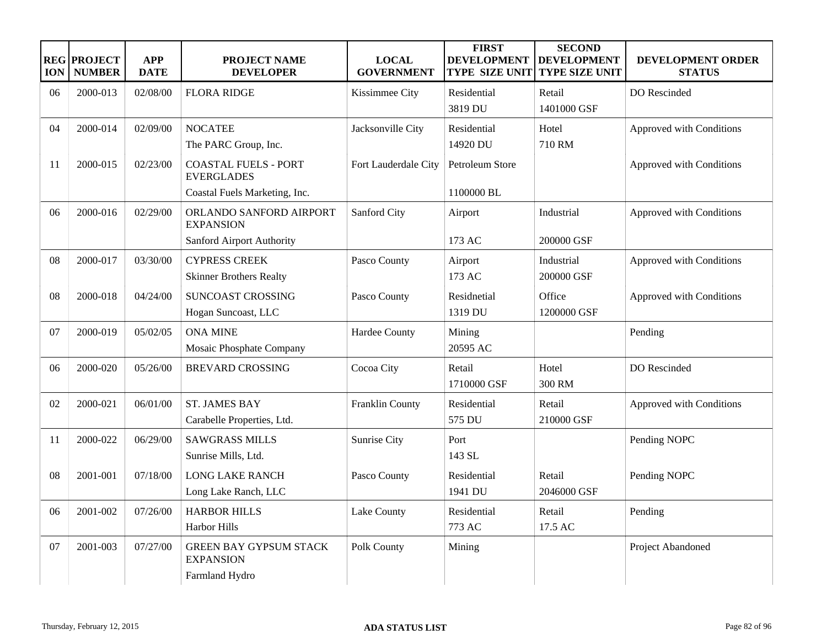| <b>ION</b> | <b>REG PROJECT</b><br><b>NUMBER</b> | <b>APP</b><br><b>DATE</b> | PROJECT NAME<br><b>DEVELOPER</b>                                                  | <b>LOCAL</b><br><b>GOVERNMENT</b> | <b>FIRST</b><br><b>DEVELOPMENT</b><br><b>TYPE SIZE UNIT</b> | <b>SECOND</b><br><b>DEVELOPMENT</b><br><b>TYPE SIZE UNIT</b> | DEVELOPMENT ORDER<br><b>STATUS</b> |
|------------|-------------------------------------|---------------------------|-----------------------------------------------------------------------------------|-----------------------------------|-------------------------------------------------------------|--------------------------------------------------------------|------------------------------------|
| 06         | 2000-013                            | 02/08/00                  | <b>FLORA RIDGE</b>                                                                | Kissimmee City                    | Residential<br>3819 DU                                      | Retail<br>1401000 GSF                                        | DO Rescinded                       |
| 04         | 2000-014                            | 02/09/00                  | <b>NOCATEE</b><br>The PARC Group, Inc.                                            | Jacksonville City                 | Residential<br>14920 DU                                     | Hotel<br>710 RM                                              | Approved with Conditions           |
| 11         | 2000-015                            | 02/23/00                  | <b>COASTAL FUELS - PORT</b><br><b>EVERGLADES</b><br>Coastal Fuels Marketing, Inc. | Fort Lauderdale City              | Petroleum Store<br>1100000 BL                               |                                                              | Approved with Conditions           |
| 06         | 2000-016                            | 02/29/00                  | ORLANDO SANFORD AIRPORT<br><b>EXPANSION</b><br>Sanford Airport Authority          | <b>Sanford City</b>               | Airport<br>173 AC                                           | Industrial<br>200000 GSF                                     | Approved with Conditions           |
| 08         | 2000-017                            | 03/30/00                  | <b>CYPRESS CREEK</b><br><b>Skinner Brothers Realty</b>                            | Pasco County                      | Airport<br>173 AC                                           | Industrial<br>200000 GSF                                     | Approved with Conditions           |
| 08         | 2000-018                            | 04/24/00                  | SUNCOAST CROSSING<br>Hogan Suncoast, LLC                                          | Pasco County                      | Residnetial<br>1319 DU                                      | Office<br>1200000 GSF                                        | Approved with Conditions           |
| 07         | 2000-019                            | 05/02/05                  | <b>ONA MINE</b><br>Mosaic Phosphate Company                                       | Hardee County                     | Mining<br>20595 AC                                          |                                                              | Pending                            |
| 06         | 2000-020                            | 05/26/00                  | <b>BREVARD CROSSING</b>                                                           | Cocoa City                        | Retail<br>1710000 GSF                                       | Hotel<br>300 RM                                              | DO Rescinded                       |
| 02         | 2000-021                            | 06/01/00                  | <b>ST. JAMES BAY</b><br>Carabelle Properties, Ltd.                                | Franklin County                   | Residential<br>575 DU                                       | Retail<br>210000 GSF                                         | Approved with Conditions           |
| 11         | 2000-022                            | 06/29/00                  | <b>SAWGRASS MILLS</b><br>Sunrise Mills, Ltd.                                      | Sunrise City                      | Port<br>143 SL                                              |                                                              | Pending NOPC                       |
| 08         | 2001-001                            | 07/18/00                  | <b>LONG LAKE RANCH</b><br>Long Lake Ranch, LLC                                    | Pasco County                      | Residential<br>1941 DU                                      | Retail<br>2046000 GSF                                        | Pending NOPC                       |
| 06         | 2001-002                            | 07/26/00                  | <b>HARBOR HILLS</b><br>Harbor Hills                                               | Lake County                       | Residential<br>773 AC                                       | Retail<br>17.5 AC                                            | Pending                            |
| 07         | 2001-003                            | 07/27/00                  | <b>GREEN BAY GYPSUM STACK</b><br><b>EXPANSION</b><br>Farmland Hydro               | Polk County                       | Mining                                                      |                                                              | Project Abandoned                  |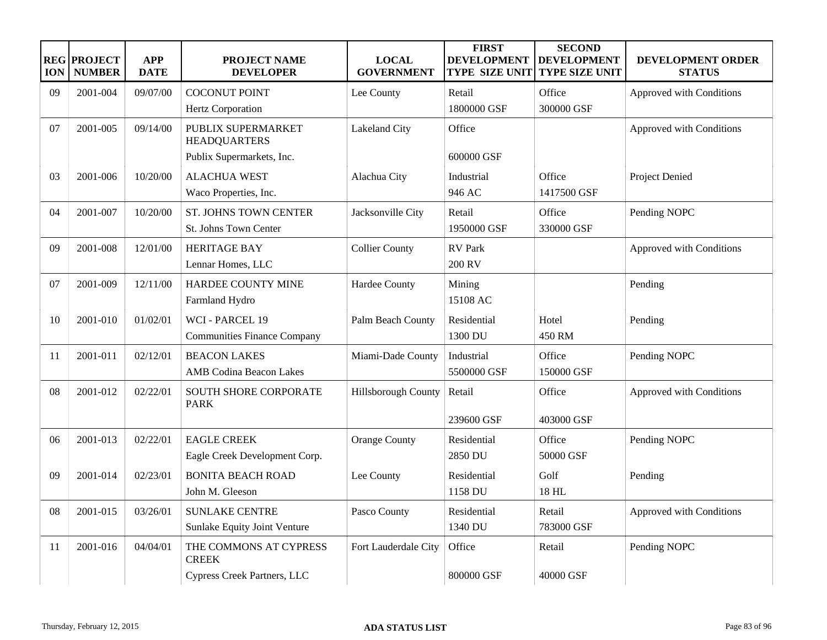| <b>ION</b> | <b>REG PROJECT</b><br><b>NUMBER</b> | <b>APP</b><br><b>DATE</b> | PROJECT NAME<br><b>DEVELOPER</b>          | <b>LOCAL</b><br><b>GOVERNMENT</b> | <b>FIRST</b><br><b>DEVELOPMENT</b><br><b>TYPE SIZE UNIT</b> | <b>SECOND</b><br><b>DEVELOPMENT</b><br><b>TYPE SIZE UNIT</b> | DEVELOPMENT ORDER<br><b>STATUS</b> |
|------------|-------------------------------------|---------------------------|-------------------------------------------|-----------------------------------|-------------------------------------------------------------|--------------------------------------------------------------|------------------------------------|
| 09         | 2001-004                            | 09/07/00                  | <b>COCONUT POINT</b>                      | Lee County                        | Retail                                                      | Office                                                       | Approved with Conditions           |
|            |                                     |                           | Hertz Corporation                         |                                   | 1800000 GSF                                                 | 300000 GSF                                                   |                                    |
| 07         | 2001-005                            | 09/14/00                  | PUBLIX SUPERMARKET<br><b>HEADQUARTERS</b> | Lakeland City                     | Office                                                      |                                                              | Approved with Conditions           |
|            |                                     |                           | Publix Supermarkets, Inc.                 |                                   | 600000 GSF                                                  |                                                              |                                    |
| 03         | 2001-006                            | 10/20/00                  | <b>ALACHUA WEST</b>                       | Alachua City                      | Industrial                                                  | Office                                                       | Project Denied                     |
|            |                                     |                           | Waco Properties, Inc.                     |                                   | 946 AC                                                      | 1417500 GSF                                                  |                                    |
| 04         | 2001-007                            | 10/20/00                  | ST. JOHNS TOWN CENTER                     | Jacksonville City                 | Retail                                                      | Office                                                       | Pending NOPC                       |
|            |                                     |                           | St. Johns Town Center                     |                                   | 1950000 GSF                                                 | 330000 GSF                                                   |                                    |
| 09         | 2001-008                            | 12/01/00                  | <b>HERITAGE BAY</b>                       | <b>Collier County</b>             | <b>RV</b> Park                                              |                                                              | Approved with Conditions           |
|            |                                     |                           | Lennar Homes, LLC                         |                                   | 200 RV                                                      |                                                              |                                    |
| 07         | 2001-009                            | 12/11/00                  | HARDEE COUNTY MINE                        | Hardee County                     | Mining                                                      |                                                              | Pending                            |
|            |                                     |                           | Farmland Hydro                            |                                   | 15108 AC                                                    |                                                              |                                    |
| 10         | 2001-010                            | 01/02/01                  | WCI - PARCEL 19                           | Palm Beach County                 | Residential                                                 | Hotel                                                        | Pending                            |
|            |                                     |                           | <b>Communities Finance Company</b>        |                                   | 1300 DU                                                     | 450 RM                                                       |                                    |
| 11         | 2001-011                            | 02/12/01                  | <b>BEACON LAKES</b>                       | Miami-Dade County                 | Industrial                                                  | Office                                                       | Pending NOPC                       |
|            |                                     |                           | <b>AMB</b> Codina Beacon Lakes            |                                   | 5500000 GSF                                                 | 150000 GSF                                                   |                                    |
| 08         | 2001-012                            | 02/22/01                  | SOUTH SHORE CORPORATE                     | Hillsborough County               | Retail                                                      | Office                                                       | Approved with Conditions           |
|            |                                     |                           | <b>PARK</b>                               |                                   |                                                             |                                                              |                                    |
|            |                                     |                           |                                           |                                   | 239600 GSF                                                  | 403000 GSF                                                   |                                    |
| 06         | 2001-013                            | 02/22/01                  | <b>EAGLE CREEK</b>                        | <b>Orange County</b>              | Residential                                                 | Office                                                       | Pending NOPC                       |
|            |                                     |                           | Eagle Creek Development Corp.             |                                   | 2850 DU                                                     | 50000 GSF                                                    |                                    |
| 09         | 2001-014                            | 02/23/01                  | <b>BONITA BEACH ROAD</b>                  | Lee County                        | Residential                                                 | Golf                                                         | Pending                            |
|            |                                     |                           | John M. Gleeson                           |                                   | 1158 DU                                                     | 18 HL                                                        |                                    |
| 08         | 2001-015                            | 03/26/01                  | <b>SUNLAKE CENTRE</b>                     | Pasco County                      | Residential                                                 | Retail                                                       | Approved with Conditions           |
|            |                                     |                           | Sunlake Equity Joint Venture              |                                   | 1340 DU                                                     | 783000 GSF                                                   |                                    |
| 11         | 2001-016                            | 04/04/01                  | THE COMMONS AT CYPRESS<br><b>CREEK</b>    | Fort Lauderdale City              | Office                                                      | Retail                                                       | Pending NOPC                       |
|            |                                     |                           | Cypress Creek Partners, LLC               |                                   | 800000 GSF                                                  | 40000 GSF                                                    |                                    |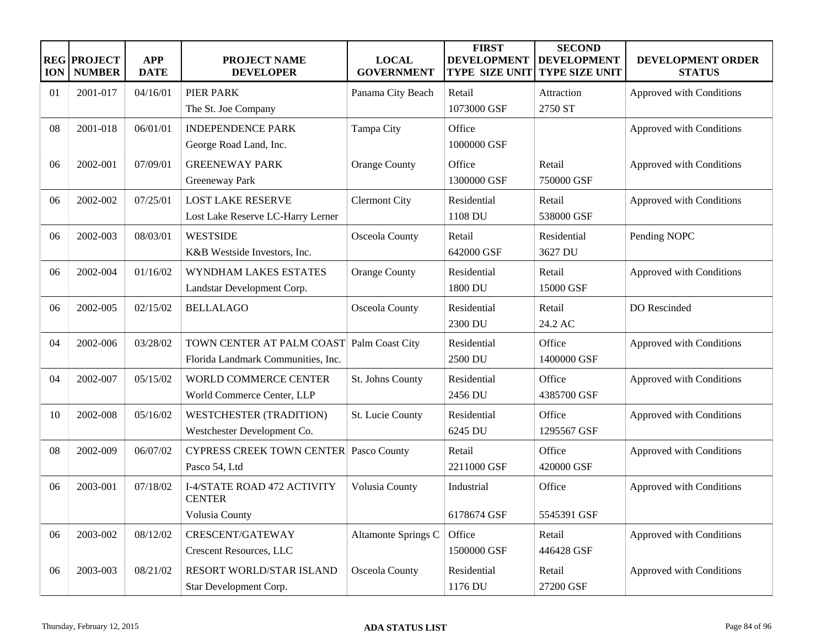| <b>ION</b> | <b>REG PROJECT</b><br><b>NUMBER</b> | <b>APP</b><br><b>DATE</b> | <b>PROJECT NAME</b><br><b>DEVELOPER</b>       | <b>LOCAL</b><br><b>GOVERNMENT</b> | <b>FIRST</b><br><b>DEVELOPMENT</b><br><b>TYPE SIZE UNIT</b> | <b>SECOND</b><br><b>DEVELOPMENT</b><br><b>TYPE SIZE UNIT</b> | DEVELOPMENT ORDER<br><b>STATUS</b> |
|------------|-------------------------------------|---------------------------|-----------------------------------------------|-----------------------------------|-------------------------------------------------------------|--------------------------------------------------------------|------------------------------------|
| 01         | 2001-017                            | 04/16/01                  | <b>PIER PARK</b>                              | Panama City Beach                 | Retail                                                      | Attraction                                                   | Approved with Conditions           |
|            |                                     |                           | The St. Joe Company                           |                                   | 1073000 GSF                                                 | 2750 ST                                                      |                                    |
| 08         | 2001-018                            | 06/01/01                  | <b>INDEPENDENCE PARK</b>                      | Tampa City                        | Office                                                      |                                                              | Approved with Conditions           |
|            |                                     |                           | George Road Land, Inc.                        |                                   | 1000000 GSF                                                 |                                                              |                                    |
| 06         | 2002-001                            | 07/09/01                  | <b>GREENEWAY PARK</b>                         | <b>Orange County</b>              | Office                                                      | Retail                                                       | Approved with Conditions           |
|            |                                     |                           | Greeneway Park                                |                                   | 1300000 GSF                                                 | 750000 GSF                                                   |                                    |
| 06         | 2002-002                            | 07/25/01                  | <b>LOST LAKE RESERVE</b>                      | <b>Clermont City</b>              | Residential                                                 | Retail                                                       | Approved with Conditions           |
|            |                                     |                           | Lost Lake Reserve LC-Harry Lerner             |                                   | 1108 DU                                                     | 538000 GSF                                                   |                                    |
| 06         | 2002-003                            | 08/03/01                  | <b>WESTSIDE</b>                               | Osceola County                    | Retail                                                      | Residential                                                  | Pending NOPC                       |
|            |                                     |                           | K&B Westside Investors, Inc.                  |                                   | 642000 GSF                                                  | 3627 DU                                                      |                                    |
| 06         | 2002-004                            | 01/16/02                  | WYNDHAM LAKES ESTATES                         | <b>Orange County</b>              | Residential                                                 | Retail                                                       | Approved with Conditions           |
|            |                                     |                           | Landstar Development Corp.                    |                                   | 1800 DU                                                     | 15000 GSF                                                    |                                    |
| 06         | 2002-005                            | 02/15/02                  | <b>BELLALAGO</b>                              | Osceola County                    | Residential                                                 | Retail                                                       | DO Rescinded                       |
|            |                                     |                           |                                               |                                   | 2300 DU                                                     | 24.2 AC                                                      |                                    |
| 04         | 2002-006                            | 03/28/02                  | TOWN CENTER AT PALM COAST Palm Coast City     |                                   | Residential                                                 | Office                                                       | Approved with Conditions           |
|            |                                     |                           | Florida Landmark Communities, Inc.            |                                   | 2500 DU                                                     | 1400000 GSF                                                  |                                    |
| 04         | 2002-007                            | 05/15/02                  | WORLD COMMERCE CENTER                         | St. Johns County                  | Residential                                                 | Office                                                       | Approved with Conditions           |
|            |                                     |                           | World Commerce Center, LLP                    |                                   | 2456 DU                                                     | 4385700 GSF                                                  |                                    |
| 10         | 2002-008                            | 05/16/02                  | <b>WESTCHESTER (TRADITION)</b>                | St. Lucie County                  | Residential                                                 | Office                                                       | Approved with Conditions           |
|            |                                     |                           | Westchester Development Co.                   |                                   | 6245 DU                                                     | 1295567 GSF                                                  |                                    |
| 08         | 2002-009                            | 06/07/02                  | <b>CYPRESS CREEK TOWN CENTER Pasco County</b> |                                   | Retail                                                      | Office                                                       | Approved with Conditions           |
|            |                                     |                           | Pasco 54, Ltd                                 |                                   | 2211000 GSF                                                 | 420000 GSF                                                   |                                    |
| 06         | 2003-001                            | 07/18/02                  | I-4/STATE ROAD 472 ACTIVITY                   | Volusia County                    | Industrial                                                  | Office                                                       | Approved with Conditions           |
|            |                                     |                           | <b>CENTER</b>                                 |                                   |                                                             |                                                              |                                    |
|            |                                     |                           | Volusia County                                |                                   | 6178674 GSF                                                 | 5545391 GSF                                                  |                                    |
| 06         | 2003-002                            | 08/12/02                  | CRESCENT/GATEWAY                              | Altamonte Springs C               | Office                                                      | Retail                                                       | Approved with Conditions           |
|            |                                     |                           | Crescent Resources, LLC                       |                                   | 1500000 GSF                                                 | 446428 GSF                                                   |                                    |
| 06         | 2003-003                            | 08/21/02                  | RESORT WORLD/STAR ISLAND                      | Osceola County                    | Residential                                                 | Retail                                                       | Approved with Conditions           |
|            |                                     |                           | Star Development Corp.                        |                                   | 1176 DU                                                     | 27200 GSF                                                    |                                    |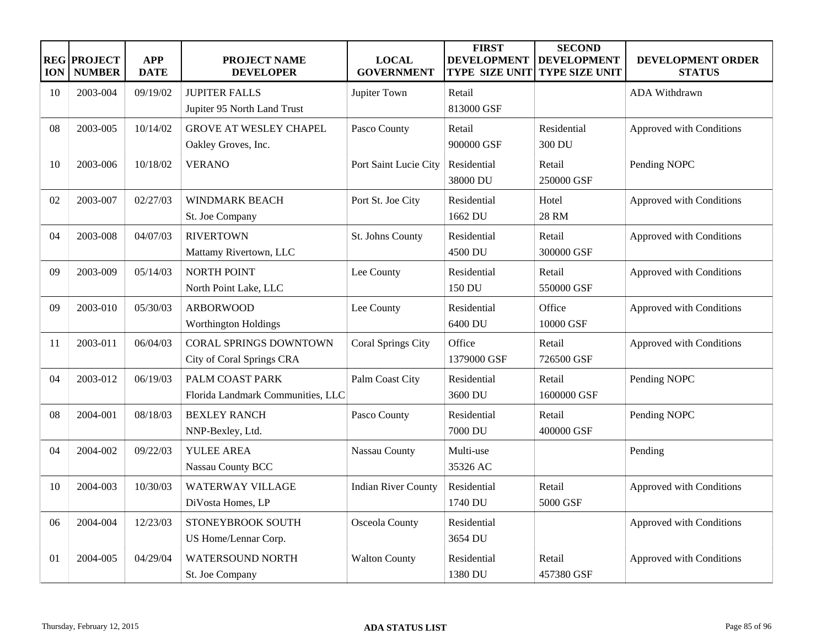| <b>ION</b>     | <b>REG PROJECT</b><br><b>NUMBER</b> | <b>APP</b><br><b>DATE</b> | <b>PROJECT NAME</b><br><b>DEVELOPER</b>                    | <b>LOCAL</b><br><b>GOVERNMENT</b> | <b>FIRST</b><br><b>DEVELOPMENT</b><br><b>TYPE SIZE UNIT</b> | <b>SECOND</b><br><b>DEVELOPMENT</b><br><b>TYPE SIZE UNIT</b> | DEVELOPMENT ORDER<br><b>STATUS</b> |
|----------------|-------------------------------------|---------------------------|------------------------------------------------------------|-----------------------------------|-------------------------------------------------------------|--------------------------------------------------------------|------------------------------------|
| 10             | 2003-004                            | 09/19/02                  | <b>JUPITER FALLS</b><br>Jupiter 95 North Land Trust        | Jupiter Town                      | Retail<br>813000 GSF                                        |                                                              | <b>ADA Withdrawn</b>               |
| 08             | 2003-005                            | 10/14/02                  | <b>GROVE AT WESLEY CHAPEL</b><br>Oakley Groves, Inc.       | Pasco County                      | Retail<br>900000 GSF                                        | Residential<br>300 DU                                        | Approved with Conditions           |
| 10             | 2003-006                            | 10/18/02                  | <b>VERANO</b>                                              | Port Saint Lucie City             | Residential<br>38000 DU                                     | Retail<br>250000 GSF                                         | Pending NOPC                       |
| 02             | 2003-007                            | 02/27/03                  | <b>WINDMARK BEACH</b><br>St. Joe Company                   | Port St. Joe City                 | Residential<br>1662 DU                                      | Hotel<br>28 RM                                               | Approved with Conditions           |
| 04             | 2003-008                            | 04/07/03                  | <b>RIVERTOWN</b><br>Mattamy Rivertown, LLC                 | St. Johns County                  | Residential<br>4500 DU                                      | Retail<br>300000 GSF                                         | Approved with Conditions           |
| 09             | 2003-009                            | 05/14/03                  | <b>NORTH POINT</b><br>North Point Lake, LLC                | Lee County                        | Residential<br>150 DU                                       | Retail<br>550000 GSF                                         | Approved with Conditions           |
| 09             | 2003-010                            | 05/30/03                  | <b>ARBORWOOD</b><br><b>Worthington Holdings</b>            | Lee County                        | Residential<br>6400 DU                                      | Office<br>10000 GSF                                          | Approved with Conditions           |
| 11             | 2003-011                            | 06/04/03                  | <b>CORAL SPRINGS DOWNTOWN</b><br>City of Coral Springs CRA | Coral Springs City                | Office<br>1379000 GSF                                       | Retail<br>726500 GSF                                         | Approved with Conditions           |
| 04             | 2003-012                            | 06/19/03                  | PALM COAST PARK<br>Florida Landmark Communities, LLC       | Palm Coast City                   | Residential<br>3600 DU                                      | Retail<br>1600000 GSF                                        | Pending NOPC                       |
| 08             | 2004-001                            | 08/18/03                  | <b>BEXLEY RANCH</b><br>NNP-Bexley, Ltd.                    | Pasco County                      | Residential<br>7000 DU                                      | Retail<br>400000 GSF                                         | Pending NOPC                       |
| 04             | 2004-002                            | 09/22/03                  | <b>YULEE AREA</b><br>Nassau County BCC                     | Nassau County                     | Multi-use<br>35326 AC                                       |                                                              | Pending                            |
| 10             | 2004-003                            | 10/30/03                  | <b>WATERWAY VILLAGE</b><br>DiVosta Homes, LP               | <b>Indian River County</b>        | Residential<br>1740 DU                                      | Retail<br>5000 GSF                                           | Approved with Conditions           |
| 06             | 2004-004                            | 12/23/03                  | STONEYBROOK SOUTH<br>US Home/Lennar Corp.                  | Osceola County                    | Residential<br>3654 DU                                      |                                                              | Approved with Conditions           |
| 0 <sub>1</sub> | 2004-005                            | 04/29/04                  | <b>WATERSOUND NORTH</b><br>St. Joe Company                 | <b>Walton County</b>              | Residential<br>1380 DU                                      | Retail<br>457380 GSF                                         | Approved with Conditions           |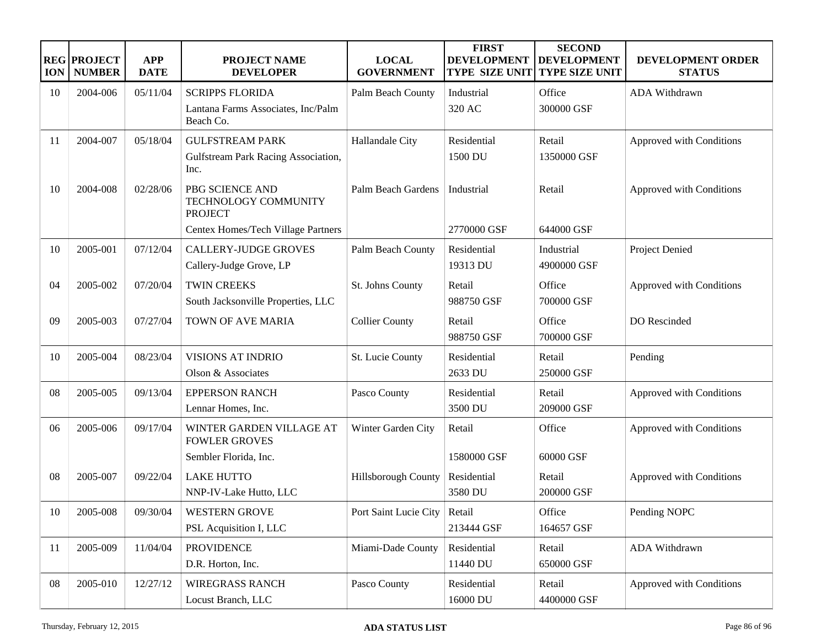| <b>ION</b> | <b>REG PROJECT</b><br><b>NUMBER</b> | <b>APP</b><br><b>DATE</b> | PROJECT NAME<br><b>DEVELOPER</b>                          | <b>LOCAL</b><br><b>GOVERNMENT</b> | <b>FIRST</b><br><b>DEVELOPMENT</b><br><b>TYPE SIZE UNIT</b> | <b>SECOND</b><br><b>DEVELOPMENT</b><br>TYPE SIZE UNIT | DEVELOPMENT ORDER<br><b>STATUS</b> |
|------------|-------------------------------------|---------------------------|-----------------------------------------------------------|-----------------------------------|-------------------------------------------------------------|-------------------------------------------------------|------------------------------------|
| 10         | 2004-006                            | 05/11/04                  | <b>SCRIPPS FLORIDA</b>                                    | Palm Beach County                 | Industrial                                                  | Office                                                | ADA Withdrawn                      |
|            |                                     |                           | Lantana Farms Associates, Inc/Palm<br>Beach Co.           |                                   | 320 AC                                                      | 300000 GSF                                            |                                    |
| 11         | 2004-007                            | 05/18/04                  | <b>GULFSTREAM PARK</b>                                    | Hallandale City                   | Residential                                                 | Retail                                                | Approved with Conditions           |
|            |                                     |                           | Gulfstream Park Racing Association,<br>Inc.               |                                   | 1500 DU                                                     | 1350000 GSF                                           |                                    |
| 10         | 2004-008                            | 02/28/06                  | PBG SCIENCE AND<br>TECHNOLOGY COMMUNITY<br><b>PROJECT</b> | Palm Beach Gardens                | Industrial                                                  | Retail                                                | Approved with Conditions           |
|            |                                     |                           | Centex Homes/Tech Village Partners                        |                                   | 2770000 GSF                                                 | 644000 GSF                                            |                                    |
| 10         | 2005-001                            | 07/12/04                  | <b>CALLERY-JUDGE GROVES</b>                               | Palm Beach County                 | Residential                                                 | Industrial                                            | Project Denied                     |
|            |                                     |                           | Callery-Judge Grove, LP                                   |                                   | 19313 DU                                                    | 4900000 GSF                                           |                                    |
| 04         | 2005-002                            | 07/20/04                  | <b>TWIN CREEKS</b>                                        | St. Johns County                  | Retail                                                      | Office                                                | Approved with Conditions           |
|            |                                     |                           | South Jacksonville Properties, LLC                        |                                   | 988750 GSF                                                  | 700000 GSF                                            |                                    |
| 09         | 2005-003                            | 07/27/04                  | TOWN OF AVE MARIA                                         | <b>Collier County</b>             | Retail                                                      | Office                                                | DO Rescinded                       |
|            |                                     |                           |                                                           |                                   | 988750 GSF                                                  | 700000 GSF                                            |                                    |
| 10         | 2005-004                            | 08/23/04                  | <b>VISIONS AT INDRIO</b>                                  | St. Lucie County                  | Residential                                                 | Retail                                                | Pending                            |
|            |                                     |                           | Olson & Associates                                        |                                   | 2633 DU                                                     | 250000 GSF                                            |                                    |
| 08         | 2005-005                            | 09/13/04                  | <b>EPPERSON RANCH</b>                                     | Pasco County                      | Residential                                                 | Retail                                                | Approved with Conditions           |
|            |                                     |                           | Lennar Homes, Inc.                                        |                                   | 3500 DU                                                     | 209000 GSF                                            |                                    |
| 06         | 2005-006                            | 09/17/04                  | WINTER GARDEN VILLAGE AT<br><b>FOWLER GROVES</b>          | Winter Garden City                | Retail                                                      | Office                                                | Approved with Conditions           |
|            |                                     |                           | Sembler Florida, Inc.                                     |                                   | 1580000 GSF                                                 | 60000 GSF                                             |                                    |
| 08         | 2005-007                            | 09/22/04                  | <b>LAKE HUTTO</b>                                         | Hillsborough County               | Residential                                                 | Retail                                                | Approved with Conditions           |
|            |                                     |                           | NNP-IV-Lake Hutto, LLC                                    |                                   | 3580 DU                                                     | 200000 GSF                                            |                                    |
| 10         | 2005-008                            | 09/30/04                  | <b>WESTERN GROVE</b>                                      | Port Saint Lucie City             | Retail                                                      | Office                                                | Pending NOPC                       |
|            |                                     |                           | PSL Acquisition I, LLC                                    |                                   | 213444 GSF                                                  | 164657 GSF                                            |                                    |
| 11         | 2005-009                            | 11/04/04                  | <b>PROVIDENCE</b>                                         | Miami-Dade County                 | Residential                                                 | Retail                                                | ADA Withdrawn                      |
|            |                                     |                           | D.R. Horton, Inc.                                         |                                   | 11440 DU                                                    | 650000 GSF                                            |                                    |
| 08         | 2005-010                            | 12/27/12                  | <b>WIREGRASS RANCH</b>                                    | Pasco County                      | Residential                                                 | Retail                                                | Approved with Conditions           |
|            |                                     |                           | Locust Branch, LLC                                        |                                   | 16000 DU                                                    | 4400000 GSF                                           |                                    |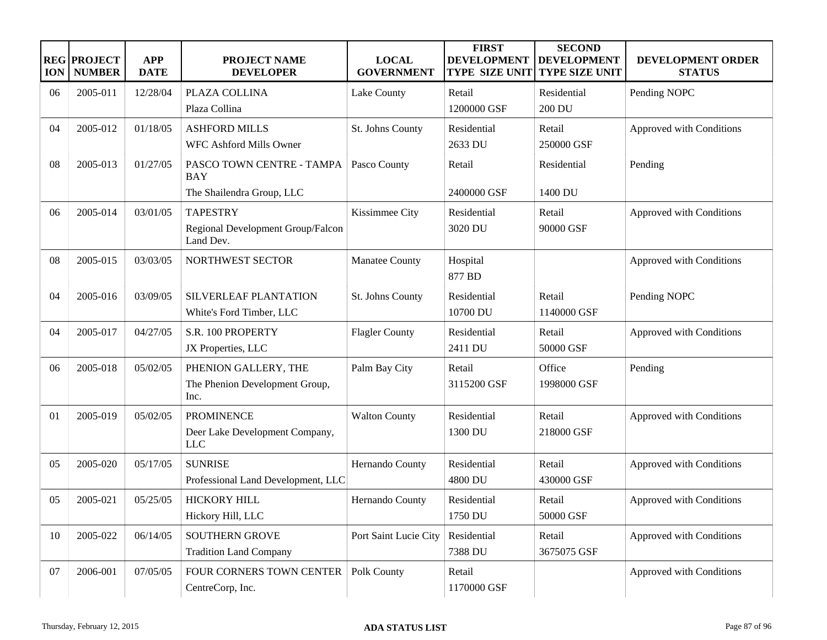| <b>ION</b> | <b>REG PROJECT</b><br><b>NUMBER</b> | <b>APP</b><br><b>DATE</b> | <b>PROJECT NAME</b><br><b>DEVELOPER</b>        | <b>LOCAL</b><br><b>GOVERNMENT</b> | <b>FIRST</b><br><b>DEVELOPMENT</b><br><b>TYPE SIZE UNIT</b> | <b>SECOND</b><br><b>DEVELOPMENT</b><br><b>TYPE SIZE UNIT</b> | <b>DEVELOPMENT ORDER</b><br><b>STATUS</b> |
|------------|-------------------------------------|---------------------------|------------------------------------------------|-----------------------------------|-------------------------------------------------------------|--------------------------------------------------------------|-------------------------------------------|
| 06         | 2005-011                            | 12/28/04                  | PLAZA COLLINA                                  | Lake County                       | Retail                                                      | Residential                                                  | Pending NOPC                              |
|            |                                     |                           | Plaza Collina                                  |                                   | 1200000 GSF                                                 | 200 DU                                                       |                                           |
| 04         | 2005-012                            | 01/18/05                  | <b>ASHFORD MILLS</b>                           | St. Johns County                  | Residential                                                 | Retail                                                       | Approved with Conditions                  |
|            |                                     |                           | WFC Ashford Mills Owner                        |                                   | 2633 DU                                                     | 250000 GSF                                                   |                                           |
| 08         | 2005-013                            | 01/27/05                  | PASCO TOWN CENTRE - TAMPA<br><b>BAY</b>        | Pasco County                      | Retail                                                      | Residential                                                  | Pending                                   |
|            |                                     |                           | The Shailendra Group, LLC                      |                                   | 2400000 GSF                                                 | 1400 DU                                                      |                                           |
| 06         | 2005-014                            | 03/01/05                  | <b>TAPESTRY</b>                                | Kissimmee City                    | Residential                                                 | Retail                                                       | Approved with Conditions                  |
|            |                                     |                           | Regional Development Group/Falcon<br>Land Dev. |                                   | 3020 DU                                                     | 90000 GSF                                                    |                                           |
| 08         | 2005-015                            | 03/03/05                  | NORTHWEST SECTOR                               | Manatee County                    | Hospital<br>877 BD                                          |                                                              | Approved with Conditions                  |
| 04         | 2005-016                            | 03/09/05                  | SILVERLEAF PLANTATION                          | St. Johns County                  | Residential                                                 | Retail                                                       | Pending NOPC                              |
|            |                                     |                           | White's Ford Timber, LLC                       |                                   | 10700 DU                                                    | 1140000 GSF                                                  |                                           |
| 04         | 2005-017                            | 04/27/05                  | S.R. 100 PROPERTY                              | <b>Flagler County</b>             | Residential                                                 | Retail                                                       | Approved with Conditions                  |
|            |                                     |                           | JX Properties, LLC                             |                                   | 2411 DU                                                     | 50000 GSF                                                    |                                           |
| 06         | 2005-018                            | 05/02/05                  | PHENION GALLERY, THE                           | Palm Bay City                     | Retail                                                      | Office                                                       | Pending                                   |
|            |                                     |                           | The Phenion Development Group,<br>Inc.         |                                   | 3115200 GSF                                                 | 1998000 GSF                                                  |                                           |
| 01         | 2005-019                            | 05/02/05                  | <b>PROMINENCE</b>                              | <b>Walton County</b>              | Residential                                                 | Retail                                                       | Approved with Conditions                  |
|            |                                     |                           | Deer Lake Development Company,<br>LLC          |                                   | 1300 DU                                                     | 218000 GSF                                                   |                                           |
| 05         | 2005-020                            | 05/17/05                  | <b>SUNRISE</b>                                 | Hernando County                   | Residential                                                 | Retail                                                       | Approved with Conditions                  |
|            |                                     |                           | Professional Land Development, LLC             |                                   | 4800 DU                                                     | 430000 GSF                                                   |                                           |
| 05         | 2005-021                            | 05/25/05                  | <b>HICKORY HILL</b>                            | Hernando County                   | Residential                                                 | Retail                                                       | Approved with Conditions                  |
|            |                                     |                           | Hickory Hill, LLC                              |                                   | 1750 DU                                                     | 50000 GSF                                                    |                                           |
| 10         | 2005-022                            | 06/14/05                  | <b>SOUTHERN GROVE</b>                          | Port Saint Lucie City             | Residential                                                 | Retail                                                       | Approved with Conditions                  |
|            |                                     |                           | <b>Tradition Land Company</b>                  |                                   | 7388 DU                                                     | 3675075 GSF                                                  |                                           |
| 07         | 2006-001                            | 07/05/05                  | FOUR CORNERS TOWN CENTER<br>CentreCorp, Inc.   | Polk County                       | Retail<br>1170000 GSF                                       |                                                              | Approved with Conditions                  |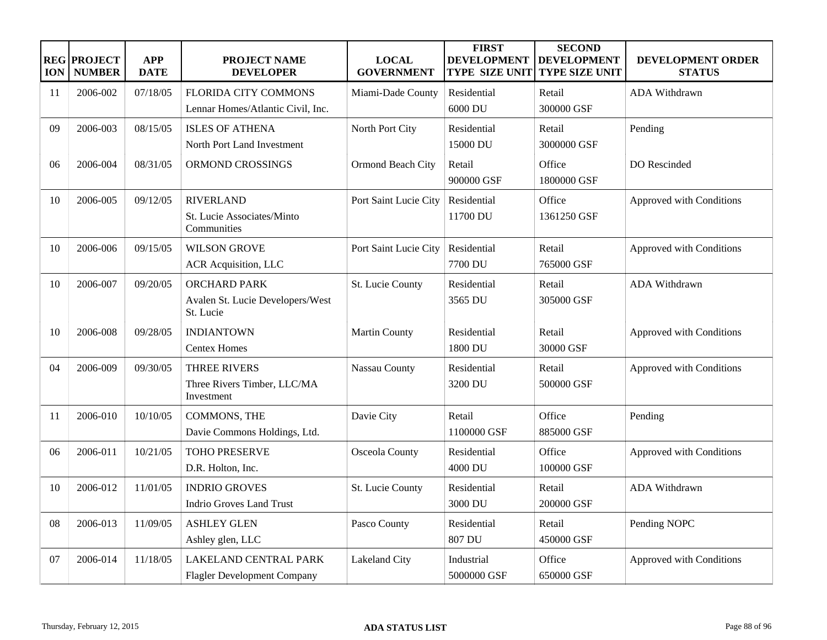| <b>ION</b> | <b>REG PROJECT</b><br><b>NUMBER</b> | <b>APP</b><br><b>DATE</b> | <b>PROJECT NAME</b><br><b>DEVELOPER</b>                              | <b>LOCAL</b><br><b>GOVERNMENT</b> | <b>FIRST</b><br><b>DEVELOPMENT</b><br><b>TYPE SIZE UNIT</b> | <b>SECOND</b><br><b>DEVELOPMENT</b><br><b>TYPE SIZE UNIT</b> | DEVELOPMENT ORDER<br><b>STATUS</b> |
|------------|-------------------------------------|---------------------------|----------------------------------------------------------------------|-----------------------------------|-------------------------------------------------------------|--------------------------------------------------------------|------------------------------------|
| 11         | 2006-002                            | 07/18/05                  | <b>FLORIDA CITY COMMONS</b><br>Lennar Homes/Atlantic Civil, Inc.     | Miami-Dade County                 | Residential<br>6000 DU                                      | Retail<br>300000 GSF                                         | ADA Withdrawn                      |
| 09         | 2006-003                            | 08/15/05                  | <b>ISLES OF ATHENA</b><br>North Port Land Investment                 | North Port City                   | Residential<br>15000 DU                                     | Retail<br>3000000 GSF                                        | Pending                            |
| 06         | 2006-004                            | 08/31/05                  | ORMOND CROSSINGS                                                     | Ormond Beach City                 | Retail<br>900000 GSF                                        | Office<br>1800000 GSF                                        | DO Rescinded                       |
| 10         | 2006-005                            | 09/12/05                  | <b>RIVERLAND</b><br>St. Lucie Associates/Minto<br>Communities        | Port Saint Lucie City             | Residential<br>11700 DU                                     | Office<br>1361250 GSF                                        | Approved with Conditions           |
| 10         | 2006-006                            | 09/15/05                  | <b>WILSON GROVE</b><br>ACR Acquisition, LLC                          | Port Saint Lucie City             | Residential<br>7700 DU                                      | Retail<br>765000 GSF                                         | Approved with Conditions           |
| 10         | 2006-007                            | 09/20/05                  | <b>ORCHARD PARK</b><br>Avalen St. Lucie Developers/West<br>St. Lucie | St. Lucie County                  | Residential<br>3565 DU                                      | Retail<br>305000 GSF                                         | ADA Withdrawn                      |
| 10         | 2006-008                            | 09/28/05                  | <b>INDIANTOWN</b><br><b>Centex Homes</b>                             | <b>Martin County</b>              | Residential<br>1800 DU                                      | Retail<br>30000 GSF                                          | Approved with Conditions           |
| 04         | 2006-009                            | 09/30/05                  | <b>THREE RIVERS</b><br>Three Rivers Timber, LLC/MA<br>Investment     | Nassau County                     | Residential<br>3200 DU                                      | Retail<br>500000 GSF                                         | Approved with Conditions           |
| 11         | 2006-010                            | 10/10/05                  | COMMONS, THE<br>Davie Commons Holdings, Ltd.                         | Davie City                        | Retail<br>1100000 GSF                                       | Office<br>885000 GSF                                         | Pending                            |
| 06         | 2006-011                            | 10/21/05                  | <b>TOHO PRESERVE</b><br>D.R. Holton, Inc.                            | Osceola County                    | Residential<br>4000 DU                                      | Office<br>100000 GSF                                         | Approved with Conditions           |
| 10         | 2006-012                            | 11/01/05                  | <b>INDRIO GROVES</b><br><b>Indrio Groves Land Trust</b>              | St. Lucie County                  | Residential<br>3000 DU                                      | Retail<br>200000 GSF                                         | ADA Withdrawn                      |
| 08         | 2006-013                            | 11/09/05                  | <b>ASHLEY GLEN</b><br>Ashley glen, LLC                               | Pasco County                      | Residential<br>807 DU                                       | Retail<br>450000 GSF                                         | Pending NOPC                       |
| 07         | 2006-014                            | 11/18/05                  | <b>LAKELAND CENTRAL PARK</b><br><b>Flagler Development Company</b>   | Lakeland City                     | Industrial<br>5000000 GSF                                   | Office<br>650000 GSF                                         | Approved with Conditions           |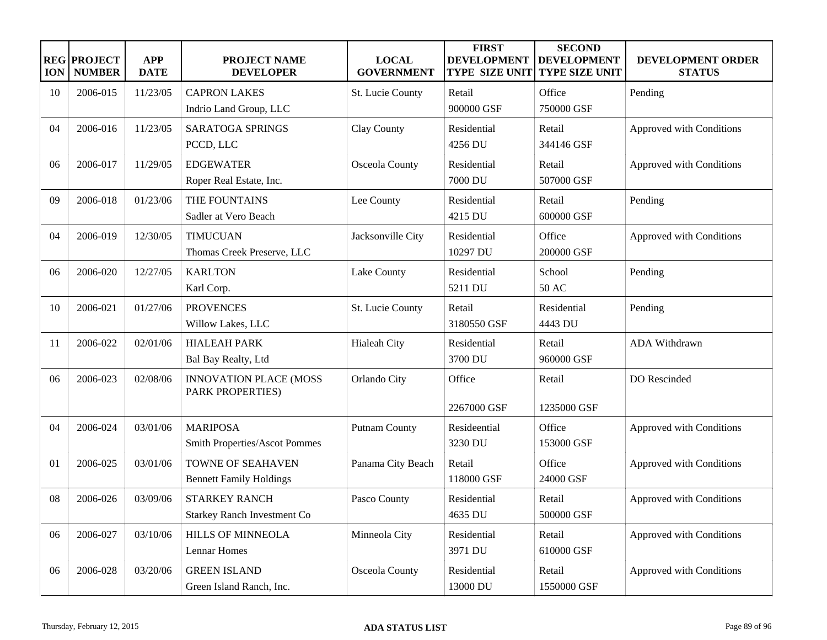| <b>ION</b> | <b>REG PROJECT</b><br><b>NUMBER</b> | <b>APP</b><br><b>DATE</b> | <b>PROJECT NAME</b><br><b>DEVELOPER</b>                    | <b>LOCAL</b><br><b>GOVERNMENT</b> | <b>FIRST</b><br><b>DEVELOPMENT</b><br><b>TYPE SIZE UNIT</b> | <b>SECOND</b><br><b>DEVELOPMENT</b><br><b>TYPE SIZE UNIT</b> | DEVELOPMENT ORDER<br><b>STATUS</b> |
|------------|-------------------------------------|---------------------------|------------------------------------------------------------|-----------------------------------|-------------------------------------------------------------|--------------------------------------------------------------|------------------------------------|
| 10         | 2006-015                            | 11/23/05                  | <b>CAPRON LAKES</b>                                        | St. Lucie County                  | Retail                                                      | Office                                                       | Pending                            |
|            |                                     |                           | Indrio Land Group, LLC                                     |                                   | 900000 GSF                                                  | 750000 GSF                                                   |                                    |
| 04         | 2006-016                            | 11/23/05                  | <b>SARATOGA SPRINGS</b><br>PCCD, LLC                       | Clay County                       | Residential<br>4256 DU                                      | Retail<br>344146 GSF                                         | Approved with Conditions           |
| 06         | 2006-017                            | 11/29/05                  | <b>EDGEWATER</b><br>Roper Real Estate, Inc.                | Osceola County                    | Residential<br>7000 DU                                      | Retail<br>507000 GSF                                         | Approved with Conditions           |
| 09         | 2006-018                            | 01/23/06                  | THE FOUNTAINS<br>Sadler at Vero Beach                      | Lee County                        | Residential<br>4215 DU                                      | Retail<br>600000 GSF                                         | Pending                            |
| 04         | 2006-019                            | 12/30/05                  | <b>TIMUCUAN</b><br>Thomas Creek Preserve, LLC              | Jacksonville City                 | Residential<br>10297 DU                                     | Office<br>200000 GSF                                         | Approved with Conditions           |
| 06         | 2006-020                            | 12/27/05                  | <b>KARLTON</b><br>Karl Corp.                               | Lake County                       | Residential<br>5211 DU                                      | School<br>50 AC                                              | Pending                            |
| 10         | 2006-021                            | 01/27/06                  | <b>PROVENCES</b><br>Willow Lakes, LLC                      | St. Lucie County                  | Retail<br>3180550 GSF                                       | Residential<br>4443 DU                                       | Pending                            |
| 11         | 2006-022                            | 02/01/06                  | <b>HIALEAH PARK</b><br>Bal Bay Realty, Ltd                 | <b>Hialeah City</b>               | Residential<br>3700 DU                                      | Retail<br>960000 GSF                                         | <b>ADA Withdrawn</b>               |
| 06         | 2006-023                            | 02/08/06                  | <b>INNOVATION PLACE (MOSS</b><br>PARK PROPERTIES)          | Orlando City                      | Office<br>2267000 GSF                                       | Retail<br>1235000 GSF                                        | DO Rescinded                       |
| 04         | 2006-024                            | 03/01/06                  | <b>MARIPOSA</b><br><b>Smith Properties/Ascot Pommes</b>    | <b>Putnam County</b>              | Resideential<br>3230 DU                                     | Office<br>153000 GSF                                         | Approved with Conditions           |
| 01         | 2006-025                            | 03/01/06                  | TOWNE OF SEAHAVEN<br><b>Bennett Family Holdings</b>        | Panama City Beach                 | Retail<br>118000 GSF                                        | Office<br>24000 GSF                                          | Approved with Conditions           |
| 08         | 2006-026                            | 03/09/06                  | <b>STARKEY RANCH</b><br><b>Starkey Ranch Investment Co</b> | Pasco County                      | Residential<br>4635 DU                                      | Retail<br>500000 GSF                                         | Approved with Conditions           |
| 06         | 2006-027                            | 03/10/06                  | <b>HILLS OF MINNEOLA</b><br>Lennar Homes                   | Minneola City                     | Residential<br>3971 DU                                      | Retail<br>610000 GSF                                         | Approved with Conditions           |
| 06         | 2006-028                            | 03/20/06                  | <b>GREEN ISLAND</b><br>Green Island Ranch, Inc.            | Osceola County                    | Residential<br>13000 DU                                     | Retail<br>1550000 GSF                                        | Approved with Conditions           |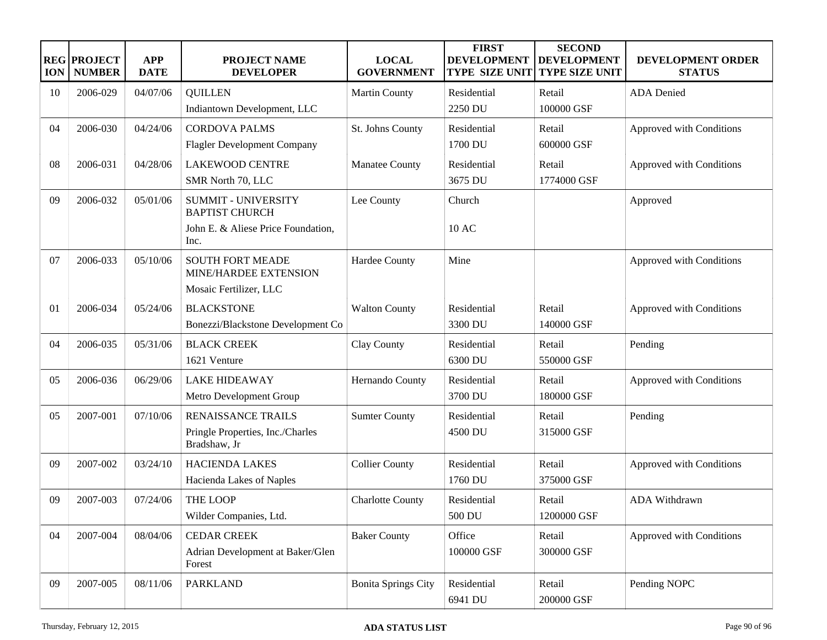| <b>ION</b> | <b>REG PROJECT</b><br><b>NUMBER</b> | <b>APP</b><br><b>DATE</b> | <b>PROJECT NAME</b><br><b>DEVELOPER</b>             | <b>LOCAL</b><br><b>GOVERNMENT</b> | <b>FIRST</b><br><b>DEVELOPMENT</b><br><b>TYPE SIZE UNIT</b> | <b>SECOND</b><br><b>DEVELOPMENT</b><br><b>TYPE SIZE UNIT</b> | DEVELOPMENT ORDER<br><b>STATUS</b> |
|------------|-------------------------------------|---------------------------|-----------------------------------------------------|-----------------------------------|-------------------------------------------------------------|--------------------------------------------------------------|------------------------------------|
| 10         | 2006-029                            | 04/07/06                  | <b>QUILLEN</b>                                      | <b>Martin County</b>              | Residential                                                 | Retail                                                       | <b>ADA</b> Denied                  |
|            |                                     |                           | Indiantown Development, LLC                         |                                   | 2250 DU                                                     | 100000 GSF                                                   |                                    |
| 04         | 2006-030                            | 04/24/06                  | <b>CORDOVA PALMS</b>                                | St. Johns County                  | Residential                                                 | Retail                                                       | Approved with Conditions           |
|            |                                     |                           | <b>Flagler Development Company</b>                  |                                   | 1700 DU                                                     | 600000 GSF                                                   |                                    |
| 08         | 2006-031                            | 04/28/06                  | <b>LAKEWOOD CENTRE</b>                              | Manatee County                    | Residential                                                 | Retail                                                       | Approved with Conditions           |
|            |                                     |                           | SMR North 70, LLC                                   |                                   | 3675 DU                                                     | 1774000 GSF                                                  |                                    |
| 09         | 2006-032                            | 05/01/06                  | <b>SUMMIT - UNIVERSITY</b><br><b>BAPTIST CHURCH</b> | Lee County                        | Church                                                      |                                                              | Approved                           |
|            |                                     |                           | John E. & Aliese Price Foundation,<br>Inc.          |                                   | 10 AC                                                       |                                                              |                                    |
| 07         | 2006-033                            | 05/10/06                  | <b>SOUTH FORT MEADE</b><br>MINE/HARDEE EXTENSION    | Hardee County                     | Mine                                                        |                                                              | Approved with Conditions           |
|            |                                     |                           | Mosaic Fertilizer, LLC                              |                                   |                                                             |                                                              |                                    |
| 01         | 2006-034                            | 05/24/06                  | <b>BLACKSTONE</b>                                   | <b>Walton County</b>              | Residential                                                 | Retail                                                       | Approved with Conditions           |
|            |                                     |                           | Bonezzi/Blackstone Development Co                   |                                   | 3300 DU                                                     | 140000 GSF                                                   |                                    |
| 04         | 2006-035                            | 05/31/06                  | <b>BLACK CREEK</b>                                  | Clay County                       | Residential                                                 | Retail                                                       | Pending                            |
|            |                                     |                           | 1621 Venture                                        |                                   | 6300 DU                                                     | 550000 GSF                                                   |                                    |
| 05         | 2006-036                            | 06/29/06                  | <b>LAKE HIDEAWAY</b>                                | Hernando County                   | Residential                                                 | Retail                                                       | Approved with Conditions           |
|            |                                     |                           | Metro Development Group                             |                                   | 3700 DU                                                     | 180000 GSF                                                   |                                    |
| 05         | 2007-001                            | 07/10/06                  | RENAISSANCE TRAILS                                  | <b>Sumter County</b>              | Residential                                                 | Retail                                                       | Pending                            |
|            |                                     |                           | Pringle Properties, Inc./Charles<br>Bradshaw, Jr    |                                   | 4500 DU                                                     | 315000 GSF                                                   |                                    |
| 09         | 2007-002                            | 03/24/10                  | <b>HACIENDA LAKES</b>                               | <b>Collier County</b>             | Residential                                                 | Retail                                                       | Approved with Conditions           |
|            |                                     |                           | Hacienda Lakes of Naples                            |                                   | 1760 DU                                                     | 375000 GSF                                                   |                                    |
| 09         | 2007-003                            | 07/24/06                  | <b>THE LOOP</b>                                     | <b>Charlotte County</b>           | Residential                                                 | Retail                                                       | <b>ADA Withdrawn</b>               |
|            |                                     |                           | Wilder Companies, Ltd.                              |                                   | 500 DU                                                      | 1200000 GSF                                                  |                                    |
| 04         | 2007-004                            | 08/04/06                  | <b>CEDAR CREEK</b>                                  | <b>Baker County</b>               | Office                                                      | Retail                                                       | Approved with Conditions           |
|            |                                     |                           | Adrian Development at Baker/Glen<br>Forest          |                                   | 100000 GSF                                                  | 300000 GSF                                                   |                                    |
| 09         | 2007-005                            | 08/11/06                  | <b>PARKLAND</b>                                     | <b>Bonita Springs City</b>        | Residential                                                 | Retail                                                       | Pending NOPC                       |
|            |                                     |                           |                                                     |                                   | 6941 DU                                                     | 200000 GSF                                                   |                                    |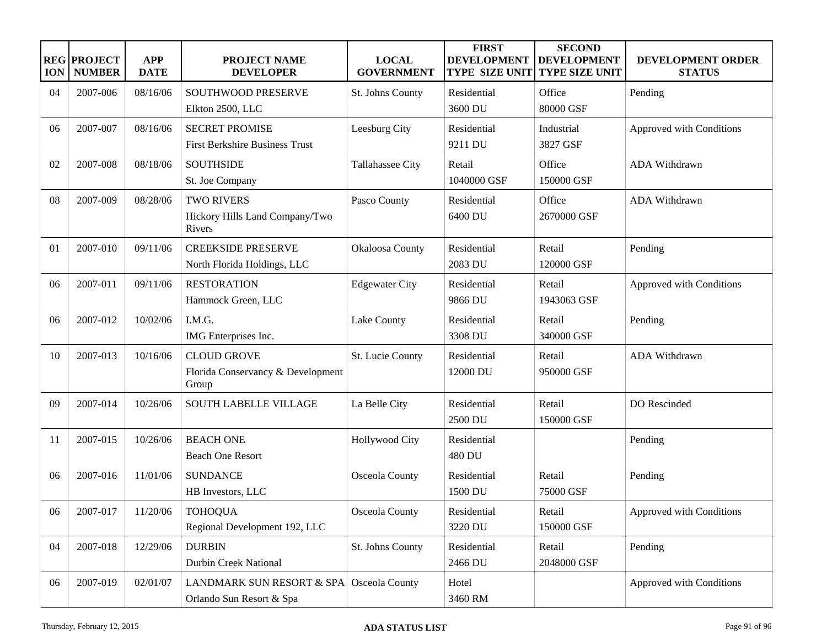| <b>ION</b> | <b>REG PROJECT</b><br><b>NUMBER</b> | <b>APP</b><br><b>DATE</b> | <b>PROJECT NAME</b><br><b>DEVELOPER</b>    | <b>LOCAL</b><br><b>GOVERNMENT</b> | <b>FIRST</b><br><b>DEVELOPMENT</b><br><b>TYPE SIZE UNIT</b> | <b>SECOND</b><br><b>DEVELOPMENT</b><br><b>TYPE SIZE UNIT</b> | DEVELOPMENT ORDER<br><b>STATUS</b> |
|------------|-------------------------------------|---------------------------|--------------------------------------------|-----------------------------------|-------------------------------------------------------------|--------------------------------------------------------------|------------------------------------|
| 04         | 2007-006                            | 08/16/06                  | SOUTHWOOD PRESERVE                         | St. Johns County                  | Residential                                                 | Office                                                       | Pending                            |
|            |                                     |                           | Elkton 2500, LLC                           |                                   | 3600 DU                                                     | 80000 GSF                                                    |                                    |
| 06         | 2007-007                            | 08/16/06                  | <b>SECRET PROMISE</b>                      | Leesburg City                     | Residential                                                 | Industrial                                                   | Approved with Conditions           |
|            |                                     |                           | <b>First Berkshire Business Trust</b>      |                                   | 9211 DU                                                     | 3827 GSF                                                     |                                    |
| 02         | 2007-008                            | 08/18/06                  | <b>SOUTHSIDE</b>                           | Tallahassee City                  | Retail                                                      | Office                                                       | ADA Withdrawn                      |
|            |                                     |                           | St. Joe Company                            |                                   | 1040000 GSF                                                 | 150000 GSF                                                   |                                    |
| 08         | 2007-009                            | 08/28/06                  | <b>TWO RIVERS</b>                          | Pasco County                      | Residential                                                 | Office                                                       | ADA Withdrawn                      |
|            |                                     |                           | Hickory Hills Land Company/Two<br>Rivers   |                                   | 6400 DU                                                     | 2670000 GSF                                                  |                                    |
| 01         | 2007-010                            | 09/11/06                  | <b>CREEKSIDE PRESERVE</b>                  | Okaloosa County                   | Residential                                                 | Retail                                                       | Pending                            |
|            |                                     |                           | North Florida Holdings, LLC                |                                   | 2083 DU                                                     | 120000 GSF                                                   |                                    |
| 06         | 2007-011                            | 09/11/06                  | <b>RESTORATION</b>                         | <b>Edgewater City</b>             | Residential                                                 | Retail                                                       | Approved with Conditions           |
|            |                                     |                           | Hammock Green, LLC                         |                                   | 9866 DU                                                     | 1943063 GSF                                                  |                                    |
| 06         | 2007-012                            | 10/02/06                  | I.M.G.                                     | Lake County                       | Residential                                                 | Retail                                                       | Pending                            |
|            |                                     |                           | IMG Enterprises Inc.                       |                                   | 3308 DU                                                     | 340000 GSF                                                   |                                    |
| 10         | 2007-013                            | 10/16/06                  | <b>CLOUD GROVE</b>                         | St. Lucie County                  | Residential                                                 | Retail                                                       | ADA Withdrawn                      |
|            |                                     |                           | Florida Conservancy & Development<br>Group |                                   | 12000 DU                                                    | 950000 GSF                                                   |                                    |
| 09         | 2007-014                            | 10/26/06                  | <b>SOUTH LABELLE VILLAGE</b>               | La Belle City                     | Residential                                                 | Retail                                                       | DO Rescinded                       |
|            |                                     |                           |                                            |                                   | 2500 DU                                                     | 150000 GSF                                                   |                                    |
| 11         | 2007-015                            | 10/26/06                  | <b>BEACH ONE</b>                           | <b>Hollywood City</b>             | Residential                                                 |                                                              | Pending                            |
|            |                                     |                           | <b>Beach One Resort</b>                    |                                   | 480 DU                                                      |                                                              |                                    |
| 06         | 2007-016                            | 11/01/06                  | <b>SUNDANCE</b>                            | Osceola County                    | Residential                                                 | Retail                                                       | Pending                            |
|            |                                     |                           | HB Investors, LLC                          |                                   | 1500 DU                                                     | 75000 GSF                                                    |                                    |
| 06         | 2007-017                            | 11/20/06                  | <b>TOHOQUA</b>                             | Osceola County                    | Residential                                                 | Retail                                                       | Approved with Conditions           |
|            |                                     |                           | Regional Development 192, LLC              |                                   | 3220 DU                                                     | 150000 GSF                                                   |                                    |
| 04         | 2007-018                            | 12/29/06                  | <b>DURBIN</b>                              | St. Johns County                  | Residential                                                 | Retail                                                       | Pending                            |
|            |                                     |                           | Durbin Creek National                      |                                   | 2466 DU                                                     | 2048000 GSF                                                  |                                    |
| 06         | 2007-019                            | 02/01/07                  | LANDMARK SUN RESORT & SPA Osceola County   |                                   | Hotel                                                       |                                                              | Approved with Conditions           |
|            |                                     |                           | Orlando Sun Resort & Spa                   |                                   | 3460 RM                                                     |                                                              |                                    |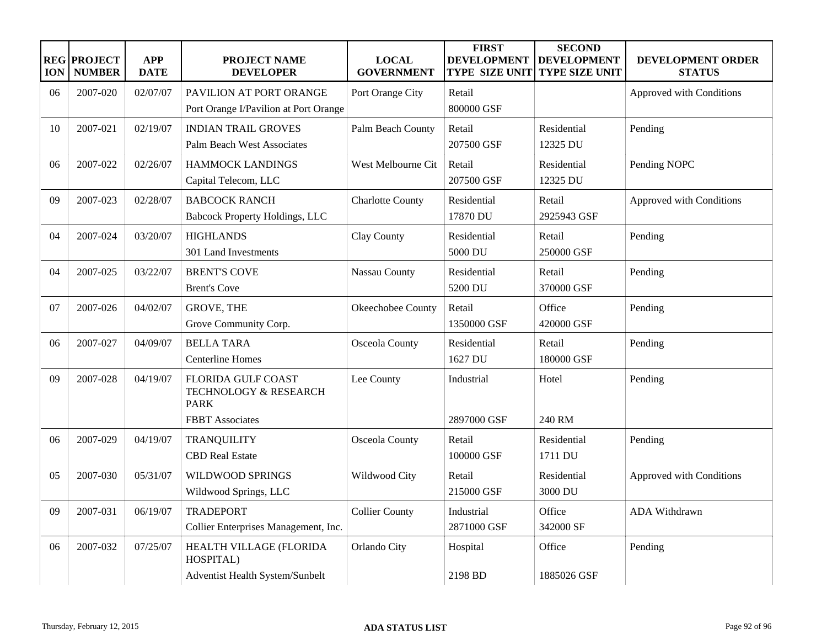| <b>ION</b> | <b>REG PROJECT</b><br><b>NUMBER</b> | <b>APP</b><br><b>DATE</b> | PROJECT NAME<br><b>DEVELOPER</b>                                                            | <b>LOCAL</b><br><b>GOVERNMENT</b> | <b>FIRST</b><br><b>DEVELOPMENT</b><br><b>TYPE SIZE UNIT</b> | <b>SECOND</b><br><b>DEVELOPMENT</b><br><b>TYPE SIZE UNIT</b> | DEVELOPMENT ORDER<br><b>STATUS</b> |
|------------|-------------------------------------|---------------------------|---------------------------------------------------------------------------------------------|-----------------------------------|-------------------------------------------------------------|--------------------------------------------------------------|------------------------------------|
| 06         | 2007-020                            | 02/07/07                  | PAVILION AT PORT ORANGE<br>Port Orange I/Pavilion at Port Orange                            | Port Orange City                  | Retail<br>800000 GSF                                        |                                                              | Approved with Conditions           |
| 10         | 2007-021                            | 02/19/07                  | <b>INDIAN TRAIL GROVES</b><br><b>Palm Beach West Associates</b>                             | Palm Beach County                 | Retail<br>207500 GSF                                        | Residential<br>12325 DU                                      | Pending                            |
| 06         | 2007-022                            | 02/26/07                  | <b>HAMMOCK LANDINGS</b><br>Capital Telecom, LLC                                             | West Melbourne Cit                | Retail<br>207500 GSF                                        | Residential<br>12325 DU                                      | Pending NOPC                       |
| 09         | 2007-023                            | 02/28/07                  | <b>BABCOCK RANCH</b><br><b>Babcock Property Holdings, LLC</b>                               | <b>Charlotte County</b>           | Residential<br>17870 DU                                     | Retail<br>2925943 GSF                                        | Approved with Conditions           |
| 04         | 2007-024                            | 03/20/07                  | <b>HIGHLANDS</b><br>301 Land Investments                                                    | Clay County                       | Residential<br>5000 DU                                      | Retail<br>250000 GSF                                         | Pending                            |
| 04         | 2007-025                            | 03/22/07                  | <b>BRENT'S COVE</b><br><b>Brent's Cove</b>                                                  | Nassau County                     | Residential<br>5200 DU                                      | Retail<br>370000 GSF                                         | Pending                            |
| 07         | 2007-026                            | 04/02/07                  | <b>GROVE, THE</b><br>Grove Community Corp.                                                  | Okeechobee County                 | Retail<br>1350000 GSF                                       | Office<br>420000 GSF                                         | Pending                            |
| 06         | 2007-027                            | 04/09/07                  | <b>BELLA TARA</b><br><b>Centerline Homes</b>                                                | Osceola County                    | Residential<br>1627 DU                                      | Retail<br>180000 GSF                                         | Pending                            |
| 09         | 2007-028                            | 04/19/07                  | <b>FLORIDA GULF COAST</b><br>TECHNOLOGY & RESEARCH<br><b>PARK</b><br><b>FBBT</b> Associates | Lee County                        | Industrial<br>2897000 GSF                                   | Hotel<br>240 RM                                              | Pending                            |
| 06         | 2007-029                            | 04/19/07                  | <b>TRANQUILITY</b><br><b>CBD Real Estate</b>                                                | Osceola County                    | Retail<br>100000 GSF                                        | Residential<br>1711 DU                                       | Pending                            |
| 05         | 2007-030                            | 05/31/07                  | WILDWOOD SPRINGS<br>Wildwood Springs, LLC                                                   | Wildwood City                     | Retail<br>215000 GSF                                        | Residential<br>3000 DU                                       | Approved with Conditions           |
| 09         | 2007-031                            | 06/19/07                  | <b>TRADEPORT</b><br>Collier Enterprises Management, Inc.                                    | <b>Collier County</b>             | Industrial<br>2871000 GSF                                   | Office<br>342000 SF                                          | ADA Withdrawn                      |
| 06         | 2007-032                            | 07/25/07                  | HEALTH VILLAGE (FLORIDA<br>HOSPITAL)<br>Adventist Health System/Sunbelt                     | Orlando City                      | Hospital<br>2198 BD                                         | Office<br>1885026 GSF                                        | Pending                            |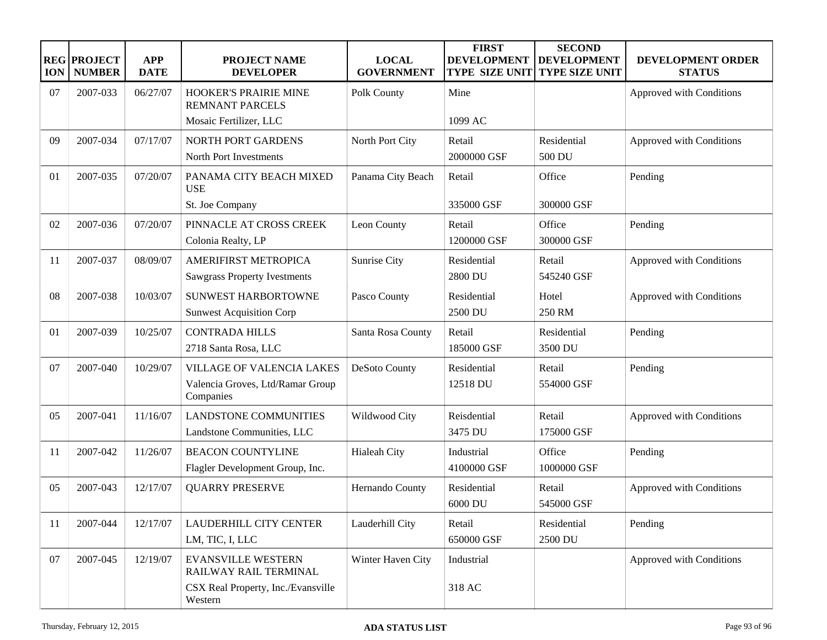| <b>ION</b> | <b>REG PROJECT</b><br><b>NUMBER</b> | <b>APP</b><br><b>DATE</b> | <b>PROJECT NAME</b><br><b>DEVELOPER</b>                                           | <b>LOCAL</b><br><b>GOVERNMENT</b> | <b>FIRST</b><br><b>DEVELOPMENT</b><br><b>TYPE SIZE UNIT</b> | <b>SECOND</b><br><b>DEVELOPMENT</b><br><b>TYPE SIZE UNIT</b> | DEVELOPMENT ORDER<br><b>STATUS</b> |
|------------|-------------------------------------|---------------------------|-----------------------------------------------------------------------------------|-----------------------------------|-------------------------------------------------------------|--------------------------------------------------------------|------------------------------------|
| 07         | 2007-033                            | 06/27/07                  | HOOKER'S PRAIRIE MINE<br><b>REMNANT PARCELS</b>                                   | Polk County                       | Mine                                                        |                                                              | Approved with Conditions           |
|            |                                     |                           | Mosaic Fertilizer, LLC                                                            |                                   | 1099 AC                                                     |                                                              |                                    |
| 09         | 2007-034                            | 07/17/07                  | NORTH PORT GARDENS<br>North Port Investments                                      | North Port City                   | Retail<br>2000000 GSF                                       | Residential<br>500 DU                                        | Approved with Conditions           |
| 01         | 2007-035                            | 07/20/07                  | PANAMA CITY BEACH MIXED<br><b>USE</b>                                             | Panama City Beach                 | Retail                                                      | Office                                                       | Pending                            |
|            |                                     |                           | St. Joe Company                                                                   |                                   | 335000 GSF                                                  | 300000 GSF                                                   |                                    |
| 02         | 2007-036                            | 07/20/07                  | PINNACLE AT CROSS CREEK<br>Colonia Realty, LP                                     | Leon County                       | Retail<br>1200000 GSF                                       | Office<br>300000 GSF                                         | Pending                            |
| 11         | 2007-037                            | 08/09/07                  | AMERIFIRST METROPICA<br><b>Sawgrass Property Ivestments</b>                       | Sunrise City                      | Residential<br>2800 DU                                      | Retail<br>545240 GSF                                         | Approved with Conditions           |
| 08         | 2007-038                            | 10/03/07                  | <b>SUNWEST HARBORTOWNE</b><br><b>Sunwest Acquisition Corp</b>                     | Pasco County                      | Residential<br>2500 DU                                      | Hotel<br>250 RM                                              | Approved with Conditions           |
| 01         | 2007-039                            | 10/25/07                  | <b>CONTRADA HILLS</b><br>2718 Santa Rosa, LLC                                     | Santa Rosa County                 | Retail<br>185000 GSF                                        | Residential<br>3500 DU                                       | Pending                            |
| 07         | 2007-040                            | 10/29/07                  | <b>VILLAGE OF VALENCIA LAKES</b><br>Valencia Groves, Ltd/Ramar Group<br>Companies | DeSoto County                     | Residential<br>12518 DU                                     | Retail<br>554000 GSF                                         | Pending                            |
| 05         | 2007-041                            | 11/16/07                  | <b>LANDSTONE COMMUNITIES</b><br>Landstone Communities, LLC                        | Wildwood City                     | Reisdential<br>3475 DU                                      | Retail<br>175000 GSF                                         | Approved with Conditions           |
| 11         | 2007-042                            | 11/26/07                  | <b>BEACON COUNTYLINE</b><br>Flagler Development Group, Inc.                       | Hialeah City                      | Industrial<br>4100000 GSF                                   | Office<br>1000000 GSF                                        | Pending                            |
| 05         | 2007-043                            | 12/17/07                  | <b>QUARRY PRESERVE</b>                                                            | Hernando County                   | Residential<br>6000 DU                                      | Retail<br>545000 GSF                                         | Approved with Conditions           |
| 11         | 2007-044                            | 12/17/07                  | LAUDERHILL CITY CENTER<br>LM, TIC, I, LLC                                         | Lauderhill City                   | Retail<br>650000 GSF                                        | Residential<br>2500 DU                                       | Pending                            |
| 07         | 2007-045                            | 12/19/07                  | <b>EVANSVILLE WESTERN</b><br>RAILWAY RAIL TERMINAL                                | Winter Haven City                 | Industrial                                                  |                                                              | Approved with Conditions           |
|            |                                     |                           | CSX Real Property, Inc./Evansville<br>Western                                     |                                   | 318 AC                                                      |                                                              |                                    |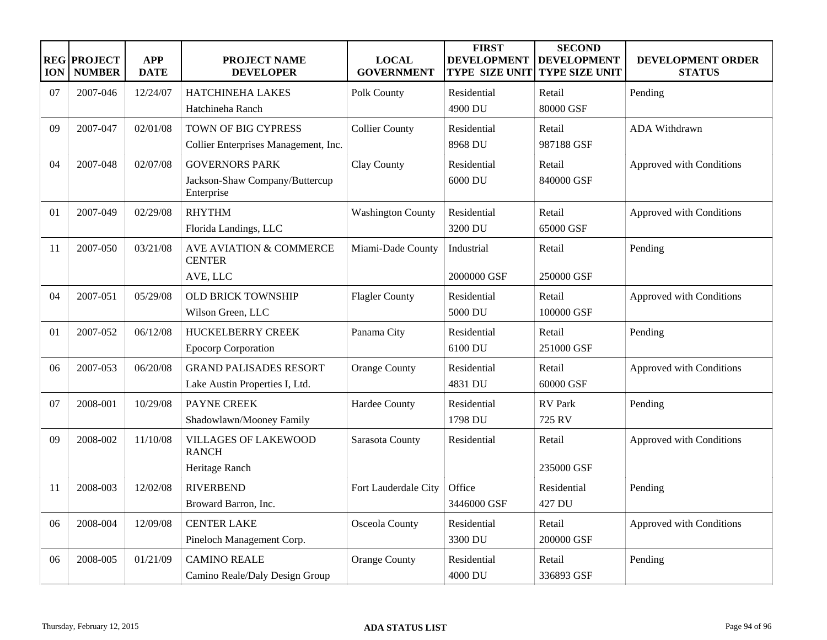| <b>ION</b> | <b>REG PROJECT</b><br><b>NUMBER</b> | <b>APP</b><br><b>DATE</b> | <b>PROJECT NAME</b><br><b>DEVELOPER</b>             | <b>LOCAL</b><br><b>GOVERNMENT</b> | <b>FIRST</b><br><b>DEVELOPMENT</b><br><b>TYPE SIZE UNIT</b> | <b>SECOND</b><br><b>DEVELOPMENT</b><br><b>TYPE SIZE UNIT</b> | DEVELOPMENT ORDER<br><b>STATUS</b> |
|------------|-------------------------------------|---------------------------|-----------------------------------------------------|-----------------------------------|-------------------------------------------------------------|--------------------------------------------------------------|------------------------------------|
| 07         | 2007-046                            | 12/24/07                  | <b>HATCHINEHA LAKES</b>                             | Polk County                       | Residential                                                 | Retail                                                       | Pending                            |
|            |                                     |                           | Hatchineha Ranch                                    |                                   | 4900 DU                                                     | 80000 GSF                                                    |                                    |
| 09         | 2007-047                            | 02/01/08                  | TOWN OF BIG CYPRESS                                 | <b>Collier County</b>             | Residential                                                 | Retail                                                       | ADA Withdrawn                      |
|            |                                     |                           | Collier Enterprises Management, Inc.                |                                   | 8968 DU                                                     | 987188 GSF                                                   |                                    |
| 04         | 2007-048                            | 02/07/08                  | <b>GOVERNORS PARK</b>                               | Clay County                       | Residential                                                 | Retail                                                       | Approved with Conditions           |
|            |                                     |                           | Jackson-Shaw Company/Buttercup<br>Enterprise        |                                   | 6000 DU                                                     | 840000 GSF                                                   |                                    |
| 01         | 2007-049                            | 02/29/08                  | <b>RHYTHM</b>                                       | <b>Washington County</b>          | Residential                                                 | Retail                                                       | Approved with Conditions           |
|            |                                     |                           | Florida Landings, LLC                               |                                   | 3200 DU                                                     | 65000 GSF                                                    |                                    |
| 11         | 2007-050                            | 03/21/08                  | <b>AVE AVIATION &amp; COMMERCE</b><br><b>CENTER</b> | Miami-Dade County                 | Industrial                                                  | Retail                                                       | Pending                            |
|            |                                     |                           | AVE, LLC                                            |                                   | 2000000 GSF                                                 | 250000 GSF                                                   |                                    |
| 04         | 2007-051                            | 05/29/08                  | <b>OLD BRICK TOWNSHIP</b>                           | <b>Flagler County</b>             | Residential                                                 | Retail                                                       | Approved with Conditions           |
|            |                                     |                           | Wilson Green, LLC                                   |                                   | 5000 DU                                                     | 100000 GSF                                                   |                                    |
| 01         | 2007-052                            | 06/12/08                  | <b>HUCKELBERRY CREEK</b>                            | Panama City                       | Residential                                                 | Retail                                                       | Pending                            |
|            |                                     |                           | <b>Epocorp Corporation</b>                          |                                   | 6100 DU                                                     | 251000 GSF                                                   |                                    |
| 06         | 2007-053                            | 06/20/08                  | <b>GRAND PALISADES RESORT</b>                       | Orange County                     | Residential                                                 | Retail                                                       | Approved with Conditions           |
|            |                                     |                           | Lake Austin Properties I, Ltd.                      |                                   | 4831 DU                                                     | 60000 GSF                                                    |                                    |
| 07         | 2008-001                            | 10/29/08                  | PAYNE CREEK                                         | Hardee County                     | Residential                                                 | <b>RV</b> Park                                               | Pending                            |
|            |                                     |                           | Shadowlawn/Mooney Family                            |                                   | 1798 DU                                                     | 725 RV                                                       |                                    |
| 09         | 2008-002                            | 11/10/08                  | <b>VILLAGES OF LAKEWOOD</b><br><b>RANCH</b>         | Sarasota County                   | Residential                                                 | Retail                                                       | Approved with Conditions           |
|            |                                     |                           | Heritage Ranch                                      |                                   |                                                             | 235000 GSF                                                   |                                    |
| 11         | 2008-003                            | 12/02/08                  | <b>RIVERBEND</b>                                    | Fort Lauderdale City              | Office                                                      | Residential                                                  | Pending                            |
|            |                                     |                           | Broward Barron, Inc.                                |                                   | 3446000 GSF                                                 | 427 DU                                                       |                                    |
| 06         | 2008-004                            | 12/09/08                  | <b>CENTER LAKE</b>                                  | Osceola County                    | Residential                                                 | Retail                                                       | Approved with Conditions           |
|            |                                     |                           | Pineloch Management Corp.                           |                                   | 3300 DU                                                     | 200000 GSF                                                   |                                    |
| 06         | 2008-005                            | 01/21/09                  | <b>CAMINO REALE</b>                                 | <b>Orange County</b>              | Residential                                                 | Retail                                                       | Pending                            |
|            |                                     |                           | Camino Reale/Daly Design Group                      |                                   | 4000 DU                                                     | 336893 GSF                                                   |                                    |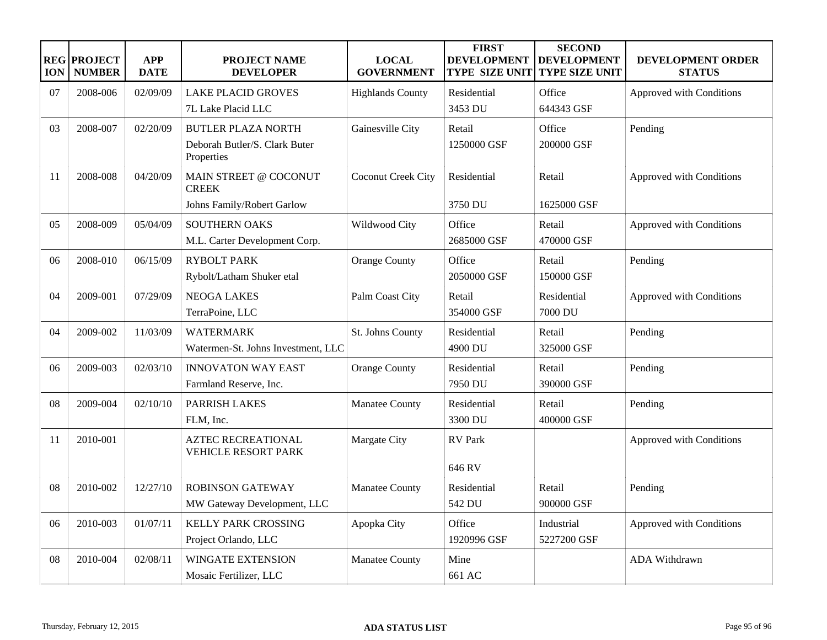| <b>ION</b> | <b>REG PROJECT</b><br><b>NUMBER</b> | <b>APP</b><br><b>DATE</b> | <b>PROJECT NAME</b><br><b>DEVELOPER</b>                 | <b>LOCAL</b><br><b>GOVERNMENT</b> | <b>FIRST</b><br><b>DEVELOPMENT</b><br><b>TYPE SIZE UNIT</b> | <b>SECOND</b><br><b>DEVELOPMENT</b><br><b>TYPE SIZE UNIT</b> | <b>DEVELOPMENT ORDER</b><br><b>STATUS</b> |
|------------|-------------------------------------|---------------------------|---------------------------------------------------------|-----------------------------------|-------------------------------------------------------------|--------------------------------------------------------------|-------------------------------------------|
| 07         | 2008-006                            | 02/09/09                  | <b>LAKE PLACID GROVES</b>                               | <b>Highlands County</b>           | Residential                                                 | Office                                                       | Approved with Conditions                  |
|            |                                     |                           | 7L Lake Placid LLC                                      |                                   | 3453 DU                                                     | 644343 GSF                                                   |                                           |
| 03         | 2008-007                            | 02/20/09                  | <b>BUTLER PLAZA NORTH</b>                               | Gainesville City                  | Retail                                                      | Office                                                       | Pending                                   |
|            |                                     |                           | Deborah Butler/S. Clark Buter<br>Properties             |                                   | 1250000 GSF                                                 | 200000 GSF                                                   |                                           |
| 11         | 2008-008                            | 04/20/09                  | MAIN STREET @ COCONUT<br><b>CREEK</b>                   | Coconut Creek City                | Residential                                                 | Retail                                                       | Approved with Conditions                  |
|            |                                     |                           | Johns Family/Robert Garlow                              |                                   | 3750 DU                                                     | 1625000 GSF                                                  |                                           |
| 05         | 2008-009                            | 05/04/09                  | <b>SOUTHERN OAKS</b>                                    | Wildwood City                     | Office                                                      | Retail                                                       | Approved with Conditions                  |
|            |                                     |                           | M.L. Carter Development Corp.                           |                                   | 2685000 GSF                                                 | 470000 GSF                                                   |                                           |
| 06         | 2008-010                            | 06/15/09                  | <b>RYBOLT PARK</b>                                      | <b>Orange County</b>              | Office                                                      | Retail                                                       | Pending                                   |
|            |                                     |                           | Rybolt/Latham Shuker etal                               |                                   | 2050000 GSF                                                 | 150000 GSF                                                   |                                           |
| 04         | 2009-001                            | 07/29/09                  | <b>NEOGA LAKES</b>                                      | Palm Coast City                   | Retail                                                      | Residential                                                  | Approved with Conditions                  |
|            |                                     |                           | TerraPoine, LLC                                         |                                   | 354000 GSF                                                  | 7000 DU                                                      |                                           |
| 04         | 2009-002                            | 11/03/09                  | <b>WATERMARK</b>                                        | St. Johns County                  | Residential                                                 | Retail                                                       | Pending                                   |
|            |                                     |                           | Watermen-St. Johns Investment, LLC                      |                                   | 4900 DU                                                     | 325000 GSF                                                   |                                           |
| 06         | 2009-003                            | 02/03/10                  | <b>INNOVATON WAY EAST</b>                               | <b>Orange County</b>              | Residential                                                 | Retail                                                       | Pending                                   |
|            |                                     |                           | Farmland Reserve, Inc.                                  |                                   | 7950 DU                                                     | 390000 GSF                                                   |                                           |
| 08         | 2009-004                            | 02/10/10                  | <b>PARRISH LAKES</b>                                    | Manatee County                    | Residential                                                 | Retail                                                       | Pending                                   |
|            |                                     |                           | FLM, Inc.                                               |                                   | 3300 DU                                                     | 400000 GSF                                                   |                                           |
| 11         | 2010-001                            |                           | <b>AZTEC RECREATIONAL</b><br><b>VEHICLE RESORT PARK</b> | Margate City                      | <b>RV</b> Park                                              |                                                              | Approved with Conditions                  |
|            |                                     |                           |                                                         |                                   | 646 RV                                                      |                                                              |                                           |
| 08         | 2010-002                            | 12/27/10                  | <b>ROBINSON GATEWAY</b>                                 | Manatee County                    | Residential                                                 | Retail                                                       | Pending                                   |
|            |                                     |                           | MW Gateway Development, LLC                             |                                   | 542 DU                                                      | 900000 GSF                                                   |                                           |
| 06         | 2010-003                            | 01/07/11                  | <b>KELLY PARK CROSSING</b>                              | Apopka City                       | Office                                                      | Industrial                                                   | Approved with Conditions                  |
|            |                                     |                           | Project Orlando, LLC                                    |                                   | 1920996 GSF                                                 | 5227200 GSF                                                  |                                           |
| 08         | 2010-004                            | 02/08/11                  | <b>WINGATE EXTENSION</b>                                | <b>Manatee County</b>             | Mine                                                        |                                                              | ADA Withdrawn                             |
|            |                                     |                           | Mosaic Fertilizer, LLC                                  |                                   | 661 AC                                                      |                                                              |                                           |